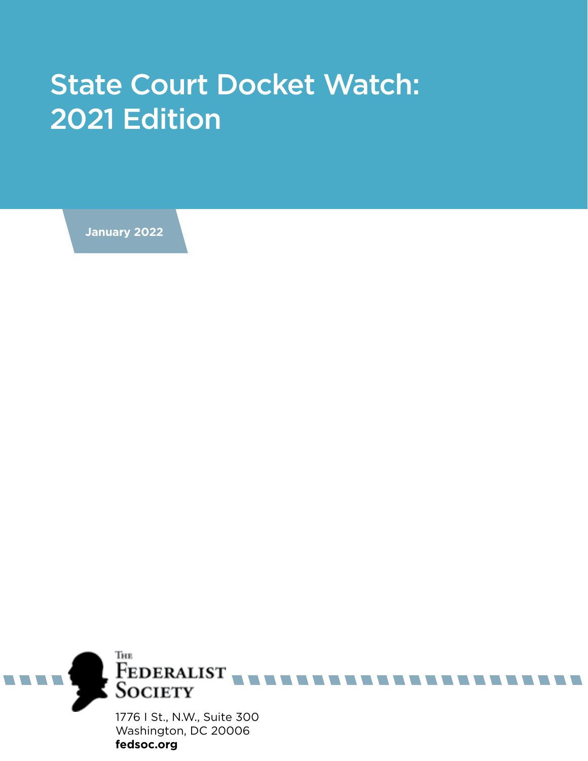## State Court Docket Watch: 2021 Edition

**January 2022**

**fedsoc.org**

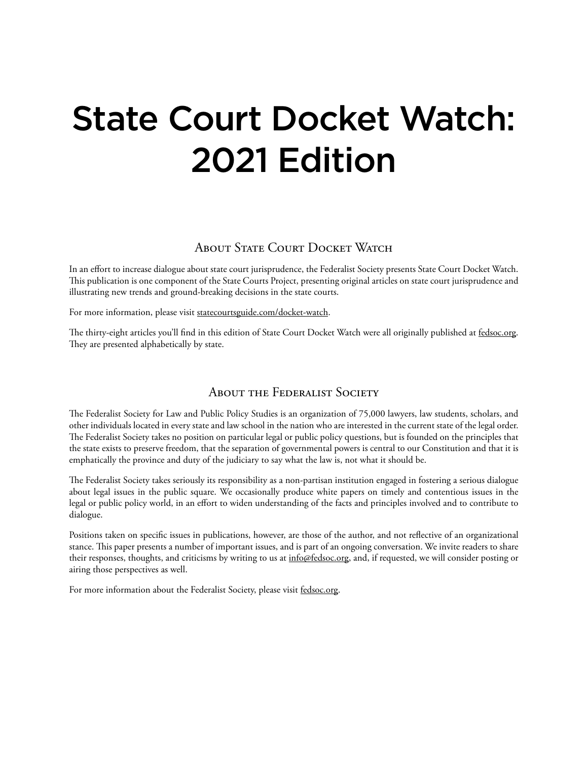# State Court Docket Watch: 2021 Edition

### ABOUT STATE COURT DOCKET WATCH

In an effort to increase dialogue about state court jurisprudence, the Federalist Society presents State Court Docket Watch. This publication is one component of the State Courts Project, presenting original articles on state court jurisprudence and illustrating new trends and ground-breaking decisions in the state courts.

For more information, please visit statecourtsguide.com/docket-watch.

The thirty-eight articles you'll find in this edition of State Court Docket Watch were all originally published at fedsoc.org. They are presented alphabetically by state.

#### About the Federalist Society

The Federalist Society for Law and Public Policy Studies is an organization of 75,000 lawyers, law students, scholars, and other individuals located in every state and law school in the nation who are interested in the current state of the legal order. The Federalist Society takes no position on particular legal or public policy questions, but is founded on the principles that the state exists to preserve freedom, that the separation of governmental powers is central to our Constitution and that it is emphatically the province and duty of the judiciary to say what the law is, not what it should be.

The Federalist Society takes seriously its responsibility as a non-partisan institution engaged in fostering a serious dialogue about legal issues in the public square. We occasionally produce white papers on timely and contentious issues in the legal or public policy world, in an effort to widen understanding of the facts and principles involved and to contribute to dialogue.

Positions taken on specific issues in publications, however, are those of the author, and not reflective of an organizational stance. This paper presents a number of important issues, and is part of an ongoing conversation. We invite readers to share their responses, thoughts, and criticisms by writing to us at info@fedsoc.org, and, if requested, we will consider posting or airing those perspectives as well.

For more information about the Federalist Society, please visit fedsoc.org.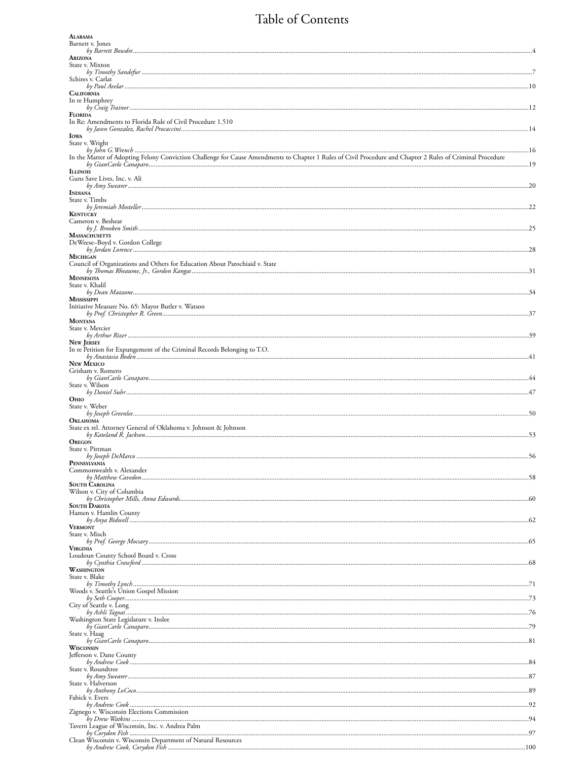### Table of Contents

| <b>ALABAMA</b>                                                                                                                                             |    |
|------------------------------------------------------------------------------------------------------------------------------------------------------------|----|
| Barnett v. Jones                                                                                                                                           |    |
| ARIZONA                                                                                                                                                    |    |
| State v. Mixton                                                                                                                                            |    |
|                                                                                                                                                            |    |
| Schires v. Carlat                                                                                                                                          |    |
| <b>CALIFORNIA</b>                                                                                                                                          |    |
| In re Humphrey                                                                                                                                             |    |
| <b>FLORIDA</b>                                                                                                                                             |    |
| In Re: Amendments to Florida Rule of Civil Procedure 1.510                                                                                                 |    |
| <b>IOWA</b>                                                                                                                                                |    |
| State v. Wright                                                                                                                                            |    |
| In the Matter of Adopting Felony Conviction Challenge for Cause Amendments to Chapter 1 Rules of Civil Procedure and Chapter 2 Rules of Criminal Procedure |    |
|                                                                                                                                                            |    |
| <b>ILLINOIS</b>                                                                                                                                            |    |
| Guns Save Lives, Inc. v. Ali                                                                                                                               |    |
| <b>INDIANA</b>                                                                                                                                             |    |
| State v. Timbs                                                                                                                                             |    |
| <b>KENTUCKY</b>                                                                                                                                            |    |
| Cameron v. Beshear                                                                                                                                         |    |
|                                                                                                                                                            |    |
| <b>MASSACHUSETTS</b><br>DeWeese-Boyd v. Gordon College                                                                                                     |    |
|                                                                                                                                                            |    |
| <b>MICHIGAN</b><br>Council of Organizations and Others for Education About Parochiaid v. State                                                             |    |
|                                                                                                                                                            |    |
| <b>MINNESOTA</b>                                                                                                                                           |    |
| State v. Khalil                                                                                                                                            |    |
| <b>MISSISSIPPI</b>                                                                                                                                         |    |
| Initiative Measure No. 65: Mayor Butler v. Watson                                                                                                          |    |
| <b>MONTANA</b>                                                                                                                                             |    |
| State v. Mercier                                                                                                                                           |    |
|                                                                                                                                                            |    |
| <b>NEW JERSEY</b><br>In re Petition for Expungement of the Criminal Records Belonging to T.O.                                                              |    |
|                                                                                                                                                            |    |
| <b>NEW MEXICO</b>                                                                                                                                          |    |
| Grisham v. Romero                                                                                                                                          |    |
| State v. Wilson                                                                                                                                            |    |
| <b>OHIO</b>                                                                                                                                                |    |
| State v. Weber                                                                                                                                             |    |
|                                                                                                                                                            |    |
| <b>OKLAHOMA</b><br>State ex rel. Attorney General of Oklahoma v. Johnson & Johnson                                                                         |    |
|                                                                                                                                                            |    |
| <b>OREGON</b><br>State v. Pittman                                                                                                                          |    |
|                                                                                                                                                            | 56 |
| PENNSYLVANIA                                                                                                                                               |    |
| Commonwealth v. Alexander                                                                                                                                  |    |
| <b>SOUTH CAROLINA</b>                                                                                                                                      |    |
| Wilson v. City of Columbia                                                                                                                                 |    |
| <b>SOUTH DAKOTA</b>                                                                                                                                        |    |
| Hamen v. Hamlin County                                                                                                                                     |    |
| <b>VERMONT</b>                                                                                                                                             |    |
| State v. Misch                                                                                                                                             |    |
|                                                                                                                                                            |    |
| <b>VIRGINIA</b><br>Loudoun County School Board v. Cross                                                                                                    |    |
|                                                                                                                                                            |    |
| WASHINGTON                                                                                                                                                 |    |
| State v. Blake                                                                                                                                             |    |
| Woods v. Seattle's Union Gospel Mission                                                                                                                    |    |
| City of Seattle v. Long                                                                                                                                    |    |
|                                                                                                                                                            |    |
| Washington State Legislature v. Inslee                                                                                                                     |    |
|                                                                                                                                                            |    |
| State v. Haag                                                                                                                                              |    |
| WISCONSIN                                                                                                                                                  |    |
| Jefferson v. Dane County                                                                                                                                   |    |
| State v. Roundtree                                                                                                                                         |    |
|                                                                                                                                                            |    |
| State v. Halverson                                                                                                                                         |    |
| Fabick v. Evers                                                                                                                                            |    |
|                                                                                                                                                            |    |
| Zignego v. Wisconsin Elections Commission                                                                                                                  |    |
| Tavern League of Wisconsin, Inc. v. Andrea Palm                                                                                                            |    |
| Clean Wisconsin v. Wisconsin Department of Natural Resources                                                                                               |    |
|                                                                                                                                                            |    |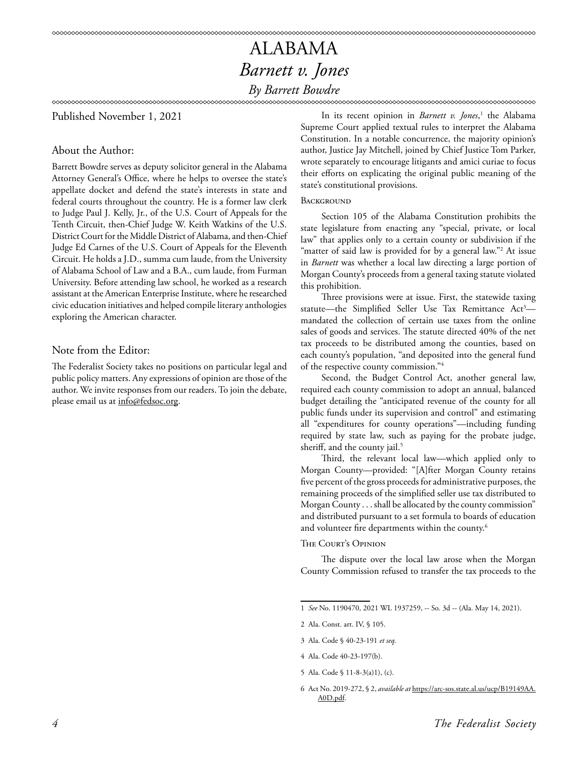Published November 1, 2021

#### About the Author:

Barrett Bowdre serves as deputy solicitor general in the Alabama Attorney General's Office, where he helps to oversee the state's appellate docket and defend the state's interests in state and federal courts throughout the country. He is a former law clerk to Judge Paul J. Kelly, Jr., of the U.S. Court of Appeals for the Tenth Circuit, then-Chief Judge W. Keith Watkins of the U.S. District Court for the Middle District of Alabama, and then-Chief Judge Ed Carnes of the U.S. Court of Appeals for the Eleventh Circuit. He holds a J.D., summa cum laude, from the University of Alabama School of Law and a B.A., cum laude, from Furman University. Before attending law school, he worked as a research assistant at the American Enterprise Institute, where he researched civic education initiatives and helped compile literary anthologies exploring the American character.

#### Note from the Editor:

The Federalist Society takes no positions on particular legal and public policy matters. Any expressions of opinion are those of the author. We invite responses from our readers. To join the debate, please email us at info@fedsoc.org.

In its recent opinion in *Barnett v. Jones*, 1 the Alabama Supreme Court applied textual rules to interpret the Alabama Constitution. In a notable concurrence, the majority opinion's author, Justice Jay Mitchell, joined by Chief Justice Tom Parker, wrote separately to encourage litigants and amici curiae to focus their efforts on explicating the original public meaning of the state's constitutional provisions.

#### **BACKGROUND**

Section 105 of the Alabama Constitution prohibits the state legislature from enacting any "special, private, or local law" that applies only to a certain county or subdivision if the "matter of said law is provided for by a general law."2 At issue in *Barnett* was whether a local law directing a large portion of Morgan County's proceeds from a general taxing statute violated this prohibition.

Three provisions were at issue. First, the statewide taxing statute—the Simplified Seller Use Tax Remittance Act<sup>3</sup> mandated the collection of certain use taxes from the online sales of goods and services. The statute directed 40% of the net tax proceeds to be distributed among the counties, based on each county's population, "and deposited into the general fund of the respective county commission."4

Second, the Budget Control Act, another general law, required each county commission to adopt an annual, balanced budget detailing the "anticipated revenue of the county for all public funds under its supervision and control" and estimating all "expenditures for county operations"—including funding required by state law, such as paying for the probate judge, sheriff, and the county jail.<sup>5</sup>

Third, the relevant local law—which applied only to Morgan County—provided: "[A]fter Morgan County retains five percent of the gross proceeds for administrative purposes, the remaining proceeds of the simplified seller use tax distributed to Morgan County . . . shall be allocated by the county commission" and distributed pursuant to a set formula to boards of education and volunteer fire departments within the county.<sup>6</sup>

#### The Court's Opinion

The dispute over the local law arose when the Morgan County Commission refused to transfer the tax proceeds to the

3 Ala. Code § 40-23-191 *et seq.*

<sup>1</sup> *See* No. 1190470, 2021 WL 1937259, -- So. 3d -- (Ala. May 14, 2021).

<sup>2</sup> Ala. Const. art. IV, § 105.

<sup>4</sup> Ala. Code 40-23-197(b).

<sup>5</sup> Ala. Code § 11-8-3(a)1), (c).

<sup>6</sup> Act No. 2019-272, § 2, *available at* https://arc-sos.state.al.us/ucp/B19149AA. A0D.pdf.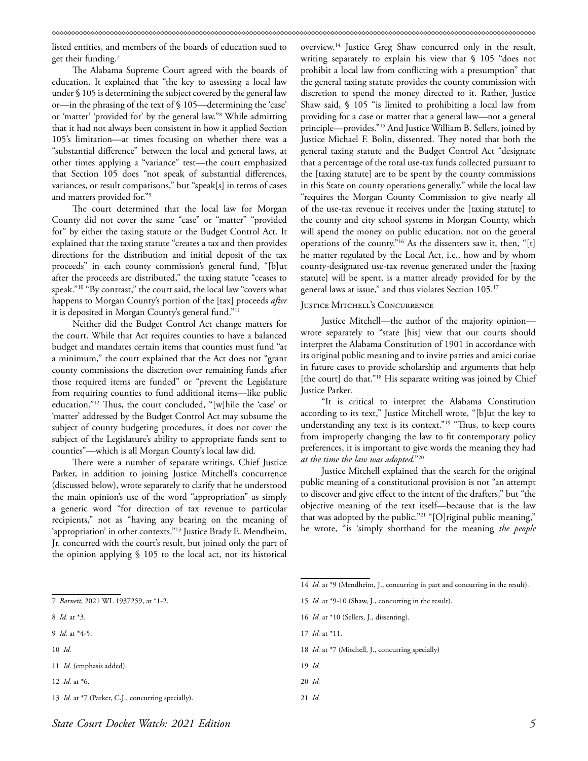listed entities, and members of the boards of education sued to get their funding.7

The Alabama Supreme Court agreed with the boards of education. It explained that "the key to assessing a local law under § 105 is determining the subject covered by the general law or—in the phrasing of the text of § 105—determining the 'case' or 'matter' 'provided for' by the general law."8 While admitting that it had not always been consistent in how it applied Section 105's limitation—at times focusing on whether there was a "substantial difference" between the local and general laws, at other times applying a "variance" test—the court emphasized that Section 105 does "not speak of substantial differences, variances, or result comparisons," but "speak[s] in terms of cases and matters provided for."9

The court determined that the local law for Morgan County did not cover the same "case" or "matter" "provided for" by either the taxing statute or the Budget Control Act. It explained that the taxing statute "creates a tax and then provides directions for the distribution and initial deposit of the tax proceeds" in each county commission's general fund, "[b]ut after the proceeds are distributed," the taxing statute "ceases to speak."10 "By contrast," the court said, the local law "covers what happens to Morgan County's portion of the [tax] proceeds *after* it is deposited in Morgan County's general fund."11

Neither did the Budget Control Act change matters for the court. While that Act requires counties to have a balanced budget and mandates certain items that counties must fund "at a minimum," the court explained that the Act does not "grant county commissions the discretion over remaining funds after those required items are funded" or "prevent the Legislature from requiring counties to fund additional items—like public education."12 Thus, the court concluded, "[w]hile the 'case' or 'matter' addressed by the Budget Control Act may subsume the subject of county budgeting procedures, it does not cover the subject of the Legislature's ability to appropriate funds sent to counties"—which is all Morgan County's local law did.

There were a number of separate writings. Chief Justice Parker, in addition to joining Justice Mitchell's concurrence (discussed below), wrote separately to clarify that he understood the main opinion's use of the word "appropriation" as simply a generic word "for direction of tax revenue to particular recipients," not as "having any bearing on the meaning of 'appropriation' in other contexts."13 Justice Brady E. Mendheim, Jr. concurred with the court's result, but joined only the part of the opinion applying § 105 to the local act, not its historical

overview.14 Justice Greg Shaw concurred only in the result, writing separately to explain his view that § 105 "does not prohibit a local law from conflicting with a presumption" that the general taxing statute provides the county commission with discretion to spend the money directed to it. Rather, Justice Shaw said, § 105 "is limited to prohibiting a local law from providing for a case or matter that a general law—not a general principle—provides."15 And Justice William B. Sellers, joined by Justice Michael F. Bolin, dissented. They noted that both the general taxing statute and the Budget Control Act "designate that a percentage of the total use-tax funds collected pursuant to the [taxing statute] are to be spent by the county commissions in this State on county operations generally," while the local law "requires the Morgan County Commission to give nearly all of the use-tax revenue it receives under the [taxing statute] to the county and city school systems in Morgan County, which will spend the money on public education, not on the general operations of the county."16 As the dissenters saw it, then, "[t] he matter regulated by the Local Act, i.e., how and by whom county-designated use-tax revenue generated under the [taxing statute] will be spent, is a matter already provided for by the general laws at issue," and thus violates Section 105.<sup>17</sup>

#### JUSTICE MITCHELL'S CONCURRENCE

Justice Mitchell—the author of the majority opinion wrote separately to "state [his] view that our courts should interpret the Alabama Constitution of 1901 in accordance with its original public meaning and to invite parties and amici curiae in future cases to provide scholarship and arguments that help [the court] do that."<sup>18</sup> His separate writing was joined by Chief Justice Parker.

"It is critical to interpret the Alabama Constitution according to its text," Justice Mitchell wrote, "[b]ut the key to understanding any text is its context."19 "Thus, to keep courts from improperly changing the law to fit contemporary policy preferences, it is important to give words the meaning they had *at the time the law was adopted*."20

Justice Mitchell explained that the search for the original public meaning of a constitutional provision is not "an attempt to discover and give effect to the intent of the drafters," but "the objective meaning of the text itself—because that is the law that was adopted by the public."<sup>21</sup> "[O]riginal public meaning," he wrote, "is 'simply shorthand for the meaning *the people*

|                                                           | 14 <i>Id.</i> at *9 (Mendheim, J., concurring in part and concurring in the result). |
|-----------------------------------------------------------|--------------------------------------------------------------------------------------|
| 7 Barnett, 2021 WL 1937259, at *1-2.                      | 15 <i>Id.</i> at *9-10 (Shaw, J., concurring in the result).                         |
| 8 <i>Id.</i> at *3.                                       | 16 <i>Id.</i> at *10 (Sellers, J., dissenting).                                      |
| 9 <i>Id.</i> at $*4-5$ .                                  | 17 <i>Id.</i> at *11.                                                                |
| $10$ <i>Id.</i>                                           | 18 <i>Id.</i> at *7 (Mitchell, J., concurring specially)                             |
| 11 <i>Id.</i> (emphasis added).                           | $19$ <i>Id.</i>                                                                      |
| 12 <i>Id.</i> at $*6$ .                                   | $20$ <i>Id.</i>                                                                      |
| 13 <i>Id.</i> at *7 (Parker, C.J., concurring specially). | $21$ <i>Id.</i>                                                                      |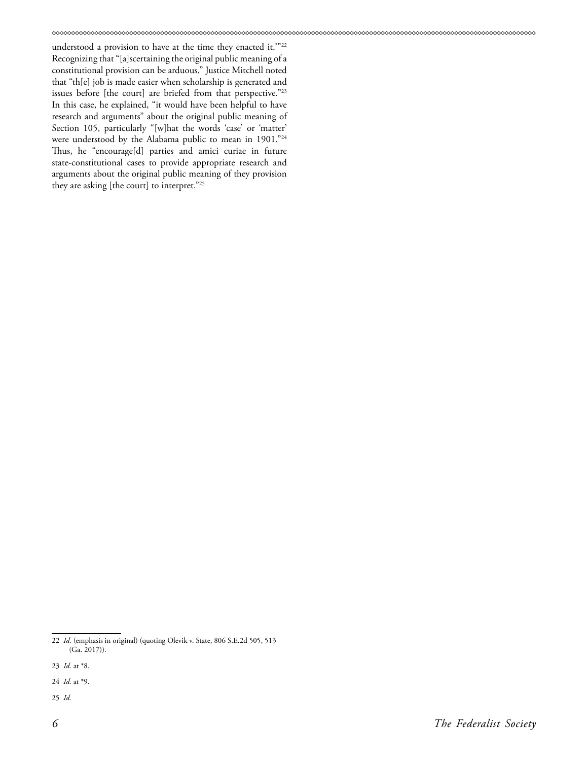understood a provision to have at the time they enacted it.'"22 Recognizing that "[a]scertaining the original public meaning of a constitutional provision can be arduous," Justice Mitchell noted that "th[e] job is made easier when scholarship is generated and issues before [the court] are briefed from that perspective."<sup>23</sup> In this case, he explained, "it would have been helpful to have research and arguments" about the original public meaning of Section 105, particularly "[w]hat the words 'case' or 'matter' were understood by the Alabama public to mean in 1901."<sup>24</sup> Thus, he "encourage[d] parties and amici curiae in future state-constitutional cases to provide appropriate research and arguments about the original public meaning of they provision they are asking [the court] to interpret."25

25 *Id.*

<sup>22</sup> *Id.* (emphasis in original) (quoting Olevik v. State, 806 S.E.2d 505, 513 (Ga. 2017)).

<sup>23</sup> *Id.* at \*8.

<sup>24</sup> *Id.* at \*9.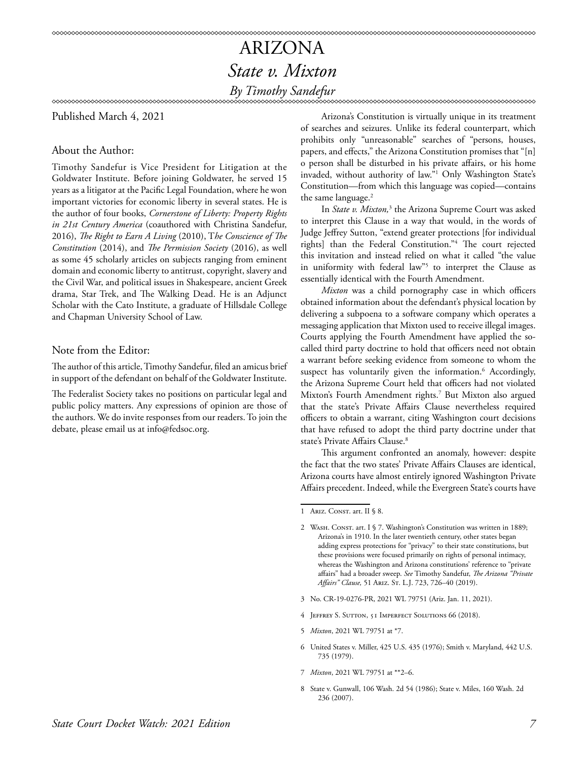Published March 4, 2021

#### About the Author:

Timothy Sandefur is Vice President for Litigation at the Goldwater Institute. Before joining Goldwater, he served 15 years as a litigator at the Pacific Legal Foundation, where he won important victories for economic liberty in several states. He is the author of four books, *Cornerstone of Liberty: Property Rights in 21st Century America* (coauthored with Christina Sandefur, 2016), *The Right to Earn A Living* (2010), T*he Conscience of The Constitution* (2014), and *The Permission Society* (2016), as well as some 45 scholarly articles on subjects ranging from eminent domain and economic liberty to antitrust, copyright, slavery and the Civil War, and political issues in Shakespeare, ancient Greek drama, Star Trek, and The Walking Dead. He is an Adjunct Scholar with the Cato Institute, a graduate of Hillsdale College and Chapman University School of Law.

#### Note from the Editor:

The author of this article, Timothy Sandefur, filed an amicus brief in support of the defendant on behalf of the Goldwater Institute.

The Federalist Society takes no positions on particular legal and public policy matters. Any expressions of opinion are those of the authors. We do invite responses from our readers. To join the debate, please email us at info@fedsoc.org.

Arizona's Constitution is virtually unique in its treatment of searches and seizures. Unlike its federal counterpart, which prohibits only "unreasonable" searches of "persons, houses, papers, and effects," the Arizona Constitution promises that "[n] o person shall be disturbed in his private affairs, or his home invaded, without authority of law."1 Only Washington State's Constitution—from which this language was copied—contains the same language.<sup>2</sup>

In *State v. Mixton*,<sup>3</sup> the Arizona Supreme Court was asked to interpret this Clause in a way that would, in the words of Judge Jeffrey Sutton, "extend greater protections [for individual rights] than the Federal Constitution."4 The court rejected this invitation and instead relied on what it called "the value in uniformity with federal law"<sup>5</sup> to interpret the Clause as essentially identical with the Fourth Amendment.

*Mixton* was a child pornography case in which officers obtained information about the defendant's physical location by delivering a subpoena to a software company which operates a messaging application that Mixton used to receive illegal images. Courts applying the Fourth Amendment have applied the socalled third party doctrine to hold that officers need not obtain a warrant before seeking evidence from someone to whom the suspect has voluntarily given the information.<sup>6</sup> Accordingly, the Arizona Supreme Court held that officers had not violated Mixton's Fourth Amendment rights.7 But Mixton also argued that the state's Private Affairs Clause nevertheless required officers to obtain a warrant, citing Washington court decisions that have refused to adopt the third party doctrine under that state's Private Affairs Clause.<sup>8</sup>

This argument confronted an anomaly, however: despite the fact that the two states' Private Affairs Clauses are identical, Arizona courts have almost entirely ignored Washington Private Affairs precedent. Indeed, while the Evergreen State's courts have

- 3 No. CR-19-0276-PR, 2021 WL 79751 (Ariz. Jan. 11, 2021).
- 4 Jeffrey S. Sutton, 51 Imperfect Solutions 66 (2018).
- 5 *Mixton*, 2021 WL 79751 at \*7.
- 6 United States v. Miller, 425 U.S. 435 (1976); Smith v. Maryland, 442 U.S. 735 (1979).
- 7 *Mixton*, 2021 WL 79751 at \*\*2–6.
- 8 State v. Gunwall, 106 Wash. 2d 54 (1986); State v. Miles, 160 Wash. 2d 236 (2007).

<sup>1</sup> ARIZ. CONST. art. II § 8.

<sup>2</sup> WASH. CONST. art. I § 7. Washington's Constitution was written in 1889; Arizona's in 1910. In the later twentieth century, other states began adding express protections for "privacy" to their state constitutions, but these provisions were focused primarily on rights of personal intimacy, whereas the Washington and Arizona constitutions' reference to "private affairs" had a broader sweep. *See* Timothy Sandefur, *The Arizona "Private Affairs" Clause,* 51 Ariz. St. L.J. 723, 726–40 (2019).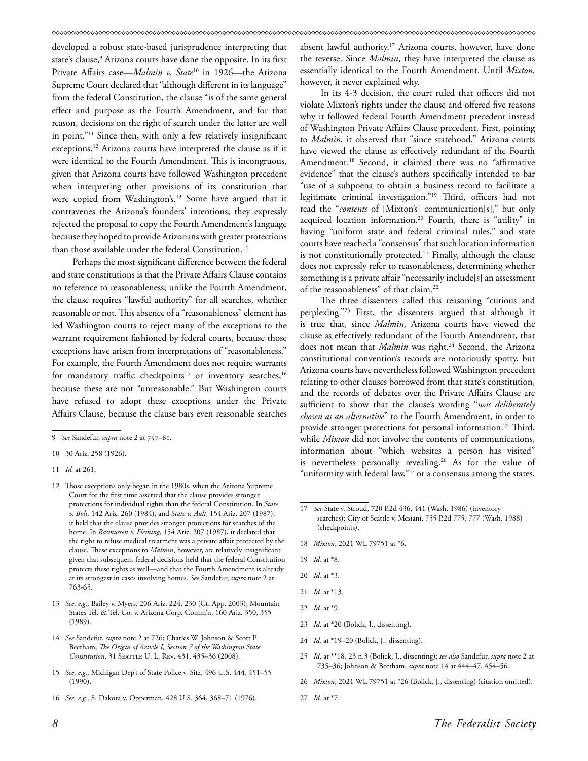developed a robust state-based jurisprudence interpreting that state's clause,<sup>9</sup> Arizona courts have done the opposite. In its first Private Affairs case—*Malmin v. State<sup>10</sup>* in 1926—the Arizona Supreme Court declared that "although different in its language" from the federal Constitution, the clause "is of the same general effect and purpose as the Fourth Amendment, and for that reason, decisions on the right of search under the latter are well in point."11 Since then, with only a few relatively insignificant exceptions,<sup>12</sup> Arizona courts have interpreted the clause as if it were identical to the Fourth Amendment. This is incongruous, given that Arizona courts have followed Washington precedent when interpreting other provisions of its constitution that were copied from Washington's.13 Some have argued that it contravenes the Arizona's founders' intentions; they expressly rejected the proposal to copy the Fourth Amendment's language because they hoped to provide Arizonans with greater protections than those available under the federal Constitution.<sup>14</sup>

Perhaps the most significant difference between the federal and state constitutions is that the Private Affairs Clause contains no reference to reasonableness; unlike the Fourth Amendment, the clause requires "lawful authority" for all searches, whether reasonable or not. This absence of a "reasonableness" element has led Washington courts to reject many of the exceptions to the warrant requirement fashioned by federal courts, because those exceptions have arisen from interpretations of "reasonableness." For example, the Fourth Amendment does not require warrants for mandatory traffic checkpoints<sup>15</sup> or inventory searches,<sup>16</sup> because these are not "unreasonable." But Washington courts have refused to adopt these exceptions under the Private Affairs Clause, because the clause bars even reasonable searches

- 14 *See* Sandefur, *supra* note 2 at 726; Charles W. Johnson & Scott P. Beetham, *The Origin of Article I, Section 7 of the Washington State*  Constitution, 31 SEATTLE U. L. REV. 431, 435-36 (2008).
- 15 *See, e.g.,* Michigan Dep't of State Police v. Sitz, 496 U.S. 444, 451–55 (1990).
- 16 *See, e.g.,* S. Dakota v. Opperman, 428 U.S. 364, 368–71 (1976).

absent lawful authority.<sup>17</sup> Arizona courts, however, have done the reverse. Since *Malmin*, they have interpreted the clause as essentially identical to the Fourth Amendment. Until *Mixton*, however, it never explained why.

In its 4-3 decision, the court ruled that officers did not violate Mixton's rights under the clause and offered five reasons why it followed federal Fourth Amendment precedent instead of Washington Private Affairs Clause precedent. First, pointing to *Malmin*, it observed that "since statehood," Arizona courts have viewed the clause as effectively redundant of the Fourth Amendment.18 Second, it claimed there was no "affirmative evidence" that the clause's authors specifically intended to bar "use of a subpoena to obtain a business record to facilitate a legitimate criminal investigation."19 Third, officers had not read the "*contents* of [Mixton's] communication[s]," but only acquired location information.20 Fourth, there is "utility" in having "uniform state and federal criminal rules," and state courts have reached a "consensus" that such location information is not constitutionally protected.<sup>21</sup> Finally, although the clause does not expressly refer to reasonableness, determining whether something is a private affair "necessarily include[s] an assessment of the reasonableness" of that claim.22

The three dissenters called this reasoning "curious and perplexing."23 First, the dissenters argued that although it is true that, since *Malmin,* Arizona courts have viewed the clause as effectively redundant of the Fourth Amendment, that does not mean that *Malmin* was right.<sup>24</sup> Second, the Arizona constitutional convention's records are notoriously spotty, but Arizona courts have nevertheless followed Washington precedent relating to other clauses borrowed from that state's constitution, and the records of debates over the Private Affairs Clause are sufficient to show that the clause's wording "*was deliberately chosen as an alternative*" to the Fourth Amendment, in order to provide stronger protections for personal information.<sup>25</sup> Third, while *Mixton* did not involve the contents of communications, information about "which websites a person has visited" is nevertheless personally revealing.26 As for the value of "uniformity with federal law,"<sup>27</sup> or a consensus among the states,

- 18 *Mixton*, 2021 WL 79751 at \*6.
- 19 *Id.* at \*8.
- 20 *Id.* at \*3.
- 21 *Id.* at \*13.
- 22 *Id.* at \*9.
- 23 *Id*. at \*20 (Bolick, J., dissenting).
- 24 *Id.* at \*19–20 (Bolick, J., dissenting).
- 25 *Id*. at \*\*18, 23 n.3 (Bolick, J., dissenting); *see also* Sandefur, *supra* note 2 at 735–36; Johnson & Beetham, *supra* note 14 at 444–47, 454–56.
- 26 *Mixton*, 2021 WL 79751 at \*26 (Bolick, J., dissenting) (citation omitted).
- 27 *Id.* at \*7.

<sup>9</sup> *See* Sandefur, *supra* note 2 at 757–61.

<sup>10 30</sup> Ariz. 258 (1926).

<sup>11</sup> *Id.* at 261.

<sup>12</sup> Those exceptions only began in the 1980s, when the Arizona Supreme Court for the first time asserted that the clause provides stronger protections for individual rights than the federal Constitution. In *State v. Bolt,* 142 Ariz. 260 (1984), and *State v. Ault*, 154 Ariz. 207 (1987), it held that the clause provides stronger protections for searches of the home. In *Rasmussen v. Fleming*, 154 Ariz. 207 (1987), it declared that the right to refuse medical treatment was a private affair protected by the clause. These exceptions to *Malmin*, however, are relatively insignificant given that subsequent federal decisions held that the federal Constitution protects these rights as well—and that the Fourth Amendment is already at its strongest in cases involving homes. *See* Sandefur, *supra* note 2 at 763-65.

<sup>13</sup> *See, e.g.,* Bailey v. Myers, 206 Ariz. 224, 230 (Ct. App. 2003); Mountain States Tel. & Tel. Co. v. Arizona Corp. Comm'n, 160 Ariz. 350, 355 (1989).

<sup>17</sup> *See* State v. Stroud, 720 P.2d 436, 441 (Wash. 1986) (inventory searches); City of Seattle v. Mesiani, 755 P.2d 775, 777 (Wash. 1988) (checkpoints).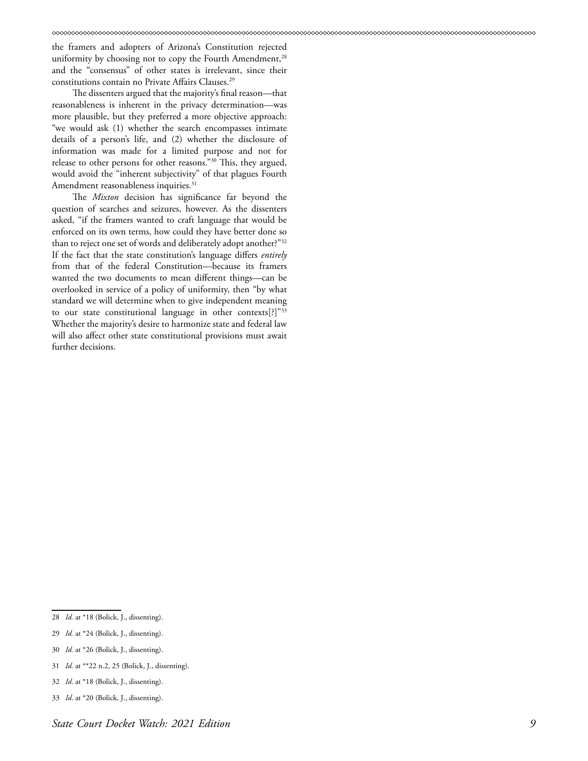the framers and adopters of Arizona's Constitution rejected uniformity by choosing not to copy the Fourth Amendment,<sup>28</sup> and the "consensus" of other states is irrelevant, since their constitutions contain no Private Affairs Clauses.<sup>29</sup>

The dissenters argued that the majority's final reason—that reasonableness is inherent in the privacy determination—was more plausible, but they preferred a more objective approach: "we would ask (1) whether the search encompasses intimate details of a person's life, and (2) whether the disclosure of information was made for a limited purpose and not for release to other persons for other reasons."30 This, they argued, would avoid the "inherent subjectivity" of that plagues Fourth Amendment reasonableness inquiries.<sup>31</sup>

The *Mixton* decision has significance far beyond the question of searches and seizures, however. As the dissenters asked, "if the framers wanted to craft language that would be enforced on its own terms, how could they have better done so than to reject one set of words and deliberately adopt another?"32 If the fact that the state constitution's language differs *entirely* from that of the federal Constitution—because its framers wanted the two documents to mean different things—can be overlooked in service of a policy of uniformity, then "by what standard we will determine when to give independent meaning to our state constitutional language in other contexts[?]"33 Whether the majority's desire to harmonize state and federal law will also affect other state constitutional provisions must await further decisions.

33 *Id*. at \*20 (Bolick, J., dissenting).

<sup>28</sup> *Id.* at \*18 (Bolick, J., dissenting).

<sup>29</sup> *Id.* at \*24 (Bolick, J., dissenting).

<sup>30</sup> *Id.* at \*26 (Bolick, J., dissenting).

<sup>31</sup> *Id.* at \*\*22 n.2, 25 (Bolick, J., dissenting).

<sup>32</sup> *Id*. at \*18 (Bolick, J., dissenting).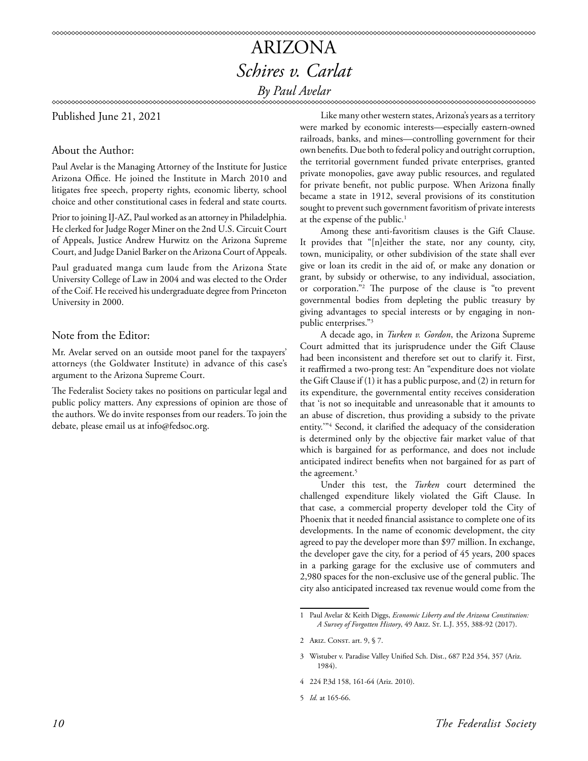### ARIZONA *Schires v. Carlat By Paul Avelar*

Published June 21, 2021

About the Author:

Paul Avelar is the Managing Attorney of the Institute for Justice Arizona Office. He joined the Institute in March 2010 and litigates free speech, property rights, economic liberty, school choice and other constitutional cases in federal and state courts.

Prior to joining IJ-AZ, Paul worked as an attorney in Philadelphia. He clerked for Judge Roger Miner on the 2nd U.S. Circuit Court of Appeals, Justice Andrew Hurwitz on the Arizona Supreme Court, and Judge Daniel Barker on the Arizona Court of Appeals.

Paul graduated manga cum laude from the Arizona State University College of Law in 2004 and was elected to the Order of the Coif. He received his undergraduate degree from Princeton University in 2000.

#### Note from the Editor:

Mr. Avelar served on an outside moot panel for the taxpayers' attorneys (the Goldwater Institute) in advance of this case's argument to the Arizona Supreme Court.

The Federalist Society takes no positions on particular legal and public policy matters. Any expressions of opinion are those of the authors. We do invite responses from our readers. To join the debate, please email us at info@fedsoc.org.

Like many other western states, Arizona's years as a territory were marked by economic interests—especially eastern-owned railroads, banks, and mines—controlling government for their own benefits. Due both to federal policy and outright corruption, the territorial government funded private enterprises, granted private monopolies, gave away public resources, and regulated for private benefit, not public purpose. When Arizona finally became a state in 1912, several provisions of its constitution sought to prevent such government favoritism of private interests at the expense of the public.<sup>1</sup>

Among these anti-favoritism clauses is the Gift Clause. It provides that "[n]either the state, nor any county, city, town, municipality, or other subdivision of the state shall ever give or loan its credit in the aid of, or make any donation or grant, by subsidy or otherwise, to any individual, association, or corporation."2 The purpose of the clause is "to prevent governmental bodies from depleting the public treasury by giving advantages to special interests or by engaging in nonpublic enterprises."3

A decade ago, in *Turken v. Gordon*, the Arizona Supreme Court admitted that its jurisprudence under the Gift Clause had been inconsistent and therefore set out to clarify it. First, it reaffirmed a two-prong test: An "expenditure does not violate the Gift Clause if (1) it has a public purpose, and (2) in return for its expenditure, the governmental entity receives consideration that 'is not so inequitable and unreasonable that it amounts to an abuse of discretion, thus providing a subsidy to the private entity.'"4 Second, it clarified the adequacy of the consideration is determined only by the objective fair market value of that which is bargained for as performance, and does not include anticipated indirect benefits when not bargained for as part of the agreement.<sup>5</sup>

Under this test, the *Turken* court determined the challenged expenditure likely violated the Gift Clause. In that case, a commercial property developer told the City of Phoenix that it needed financial assistance to complete one of its developments. In the name of economic development, the city agreed to pay the developer more than \$97 million. In exchange, the developer gave the city, for a period of 45 years, 200 spaces in a parking garage for the exclusive use of commuters and 2,980 spaces for the non-exclusive use of the general public. The city also anticipated increased tax revenue would come from the

- 4 224 P.3d 158, 161-64 (Ariz. 2010).
- 5 *Id.* at 165-66.

<sup>1</sup> Paul Avelar & Keith Diggs, *Economic Liberty and the Arizona Constitution: A Survey of Forgotten History*, 49 Ariz. St. L.J. 355, 388-92 (2017).

<sup>2</sup> ARIZ. CONST. art. 9, § 7.

<sup>3</sup> Wistuber v. Paradise Valley Unified Sch. Dist., 687 P.2d 354, 357 (Ariz. 1984).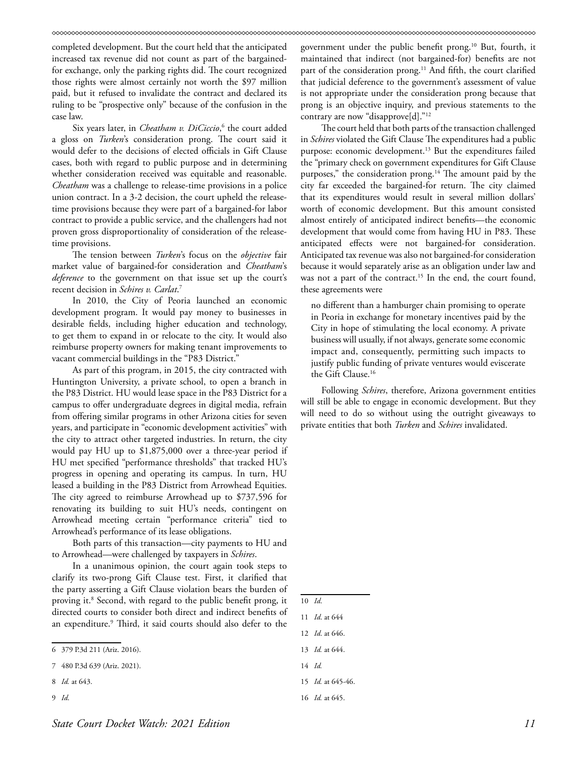completed development. But the court held that the anticipated increased tax revenue did not count as part of the bargainedfor exchange, only the parking rights did. The court recognized those rights were almost certainly not worth the \$97 million paid, but it refused to invalidate the contract and declared its ruling to be "prospective only" because of the confusion in the case law.

Six years later, in *Cheatham v. DiCiccio*, 6 the court added a gloss on *Turken*'s consideration prong. The court said it would defer to the decisions of elected officials in Gift Clause cases, both with regard to public purpose and in determining whether consideration received was equitable and reasonable. *Cheatham* was a challenge to release-time provisions in a police union contract. In a 3-2 decision, the court upheld the releasetime provisions because they were part of a bargained-for labor contract to provide a public service, and the challengers had not proven gross disproportionality of consideration of the releasetime provisions.

The tension between *Turken*'s focus on the *objective* fair market value of bargained-for consideration and *Cheatham*'s *deference* to the government on that issue set up the court's recent decision in *Schires v. Carlat*. 7

In 2010, the City of Peoria launched an economic development program. It would pay money to businesses in desirable fields, including higher education and technology, to get them to expand in or relocate to the city. It would also reimburse property owners for making tenant improvements to vacant commercial buildings in the "P83 District."

As part of this program, in 2015, the city contracted with Huntington University, a private school, to open a branch in the P83 District. HU would lease space in the P83 District for a campus to offer undergraduate degrees in digital media, refrain from offering similar programs in other Arizona cities for seven years, and participate in "economic development activities" with the city to attract other targeted industries. In return, the city would pay HU up to \$1,875,000 over a three-year period if HU met specified "performance thresholds" that tracked HU's progress in opening and operating its campus. In turn, HU leased a building in the P83 District from Arrowhead Equities. The city agreed to reimburse Arrowhead up to \$737,596 for renovating its building to suit HU's needs, contingent on Arrowhead meeting certain "performance criteria" tied to Arrowhead's performance of its lease obligations.

Both parts of this transaction—city payments to HU and to Arrowhead—were challenged by taxpayers in *Schires*.

In a unanimous opinion, the court again took steps to clarify its two-prong Gift Clause test. First, it clarified that the party asserting a Gift Clause violation bears the burden of proving it.8 Second, with regard to the public benefit prong, it directed courts to consider both direct and indirect benefits of an expenditure.<sup>9</sup> Third, it said courts should also defer to the

- 8 *Id.* at 643.
- 9 *Id*.

government under the public benefit prong.10 But, fourth, it maintained that indirect (not bargained-for) benefits are not part of the consideration prong.<sup>11</sup> And fifth, the court clarified that judicial deference to the government's assessment of value is not appropriate under the consideration prong because that prong is an objective inquiry, and previous statements to the contrary are now "disapprove[d]."<sup>12</sup>

The court held that both parts of the transaction challenged in *Schires* violated the Gift Clause The expenditures had a public purpose: economic development.<sup>13</sup> But the expenditures failed the "primary check on government expenditures for Gift Clause purposes," the consideration prong.<sup>14</sup> The amount paid by the city far exceeded the bargained-for return. The city claimed that its expenditures would result in several million dollars' worth of economic development. But this amount consisted almost entirely of anticipated indirect benefits—the economic development that would come from having HU in P83. These anticipated effects were not bargained-for consideration. Anticipated tax revenue was also not bargained-for consideration because it would separately arise as an obligation under law and was not a part of the contract.<sup>15</sup> In the end, the court found, these agreements were

no different than a hamburger chain promising to operate in Peoria in exchange for monetary incentives paid by the City in hope of stimulating the local economy. A private business will usually, if not always, generate some economic impact and, consequently, permitting such impacts to justify public funding of private ventures would eviscerate the Gift Clause.16

Following *Schires*, therefore, Arizona government entities will still be able to engage in economic development. But they will need to do so without using the outright giveaways to private entities that both *Turken* and *Schires* invalidated.

<sup>6 379</sup> P.3d 211 (Ariz. 2016).

<sup>7 480</sup> P.3d 639 (Ariz. 2021).

<sup>10</sup> *Id*.

<sup>11</sup> *Id*. at 644

<sup>12</sup> *Id*. at 646.

<sup>13</sup> *Id.* at 644.

<sup>14</sup> *Id.*

<sup>15</sup> *Id.* at 645-46.

<sup>16</sup> *Id.* at 645.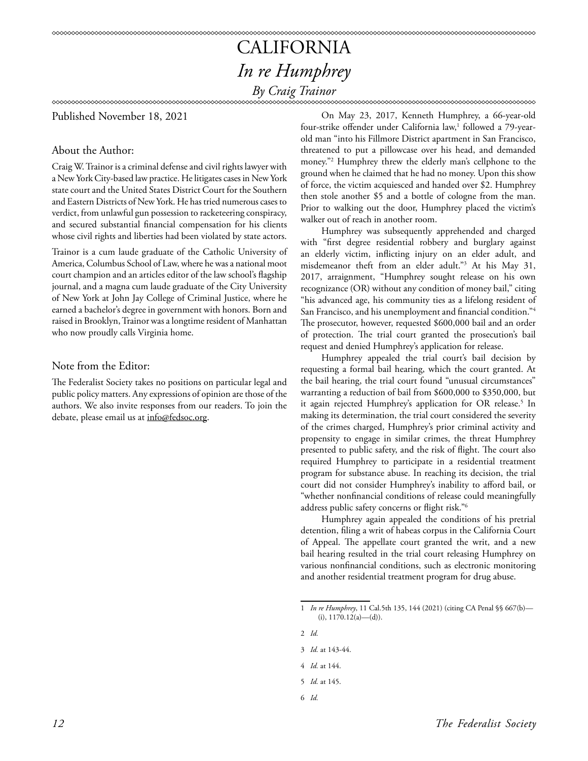### CALIFORNIA *In re Humphrey By Craig Trainor*

#### 

Published November 18, 2021

#### About the Author:

Craig W. Trainor is a criminal defense and civil rights lawyer with a New York City-based law practice. He litigates cases in New York state court and the United States District Court for the Southern and Eastern Districts of New York. He has tried numerous cases to verdict, from unlawful gun possession to racketeering conspiracy, and secured substantial financial compensation for his clients whose civil rights and liberties had been violated by state actors.

Trainor is a cum laude graduate of the Catholic University of America, Columbus School of Law, where he was a national moot court champion and an articles editor of the law school's flagship journal, and a magna cum laude graduate of the City University of New York at John Jay College of Criminal Justice, where he earned a bachelor's degree in government with honors. Born and raised in Brooklyn, Trainor was a longtime resident of Manhattan who now proudly calls Virginia home.

#### Note from the Editor:

The Federalist Society takes no positions on particular legal and public policy matters. Any expressions of opinion are those of the authors. We also invite responses from our readers. To join the debate, please email us at info@fedsoc.org.

On May 23, 2017, Kenneth Humphrey, a 66-year-old four-strike offender under California law,<sup>1</sup> followed a 79-yearold man "into his Fillmore District apartment in San Francisco, threatened to put a pillowcase over his head, and demanded money."2 Humphrey threw the elderly man's cellphone to the ground when he claimed that he had no money. Upon this show of force, the victim acquiesced and handed over \$2. Humphrey then stole another \$5 and a bottle of cologne from the man. Prior to walking out the door, Humphrey placed the victim's walker out of reach in another room.

Humphrey was subsequently apprehended and charged with "first degree residential robbery and burglary against an elderly victim, inflicting injury on an elder adult, and misdemeanor theft from an elder adult."3 At his May 31, 2017, arraignment, "Humphrey sought release on his own recognizance (OR) without any condition of money bail," citing "his advanced age, his community ties as a lifelong resident of San Francisco, and his unemployment and financial condition."4 The prosecutor, however, requested \$600,000 bail and an order of protection. The trial court granted the prosecution's bail request and denied Humphrey's application for release.

Humphrey appealed the trial court's bail decision by requesting a formal bail hearing, which the court granted. At the bail hearing, the trial court found "unusual circumstances" warranting a reduction of bail from \$600,000 to \$350,000, but it again rejected Humphrey's application for OR release.<sup>5</sup> In making its determination, the trial court considered the severity of the crimes charged, Humphrey's prior criminal activity and propensity to engage in similar crimes, the threat Humphrey presented to public safety, and the risk of flight. The court also required Humphrey to participate in a residential treatment program for substance abuse. In reaching its decision, the trial court did not consider Humphrey's inability to afford bail, or "whether nonfinancial conditions of release could meaningfully address public safety concerns or flight risk."6

Humphrey again appealed the conditions of his pretrial detention, filing a writ of habeas corpus in the California Court of Appeal. The appellate court granted the writ, and a new bail hearing resulted in the trial court releasing Humphrey on various nonfinancial conditions, such as electronic monitoring and another residential treatment program for drug abuse.

2 *Id.* 

- 4 *Id.* at 144.
- 5 *Id.* at 145.
- 6 *Id.*

<sup>1</sup> *In re Humphrey*, 11 Cal.5th 135, 144 (2021) (citing CA Penal §§ 667(b)— (i), 1170.12(a)—(d)).

<sup>3</sup> *Id.* at 143-44.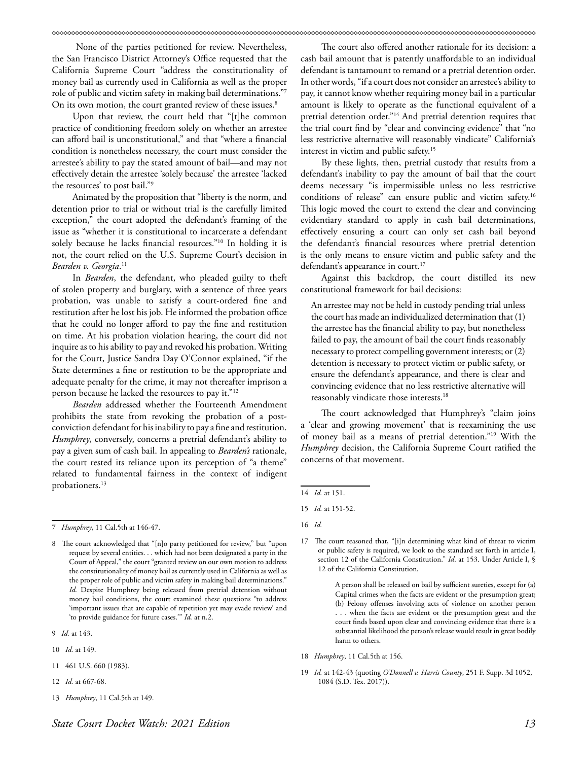None of the parties petitioned for review. Nevertheless, the San Francisco District Attorney's Office requested that the California Supreme Court "address the constitutionality of money bail as currently used in California as well as the proper role of public and victim safety in making bail determinations."7 On its own motion, the court granted review of these issues.<sup>8</sup>

Upon that review, the court held that "[t]he common practice of conditioning freedom solely on whether an arrestee can afford bail is unconstitutional," and that "where a financial condition is nonetheless necessary, the court must consider the arrestee's ability to pay the stated amount of bail—and may not effectively detain the arrestee 'solely because' the arrestee 'lacked the resources' to post bail."9

Animated by the proposition that "liberty is the norm, and detention prior to trial or without trial is the carefully limited exception," the court adopted the defendant's framing of the issue as "whether it is constitutional to incarcerate a defendant solely because he lacks financial resources."10 In holding it is not, the court relied on the U.S. Supreme Court's decision in *Bearden v. Georgia*. 11

In *Bearden*, the defendant, who pleaded guilty to theft of stolen property and burglary, with a sentence of three years probation, was unable to satisfy a court-ordered fine and restitution after he lost his job. He informed the probation office that he could no longer afford to pay the fine and restitution on time. At his probation violation hearing, the court did not inquire as to his ability to pay and revoked his probation. Writing for the Court, Justice Sandra Day O'Connor explained, "if the State determines a fine or restitution to be the appropriate and adequate penalty for the crime, it may not thereafter imprison a person because he lacked the resources to pay it."12

*Bearden* addressed whether the Fourteenth Amendment prohibits the state from revoking the probation of a postconviction defendant for his inability to pay a fine and restitution. *Humphrey*, conversely, concerns a pretrial defendant's ability to pay a given sum of cash bail. In appealing to *Bearden's* rationale, the court rested its reliance upon its perception of "a theme" related to fundamental fairness in the context of indigent probationers.<sup>13</sup>

- 10 *Id.* at 149.
- 11 461 U.S. 660 (1983).
- 12 *Id.* at 667-68.
- 13 *Humphrey*, 11 Cal.5th at 149.

The court also offered another rationale for its decision: a cash bail amount that is patently unaffordable to an individual defendant is tantamount to remand or a pretrial detention order. In other words, "if a court does not consider an arrestee's ability to pay, it cannot know whether requiring money bail in a particular amount is likely to operate as the functional equivalent of a pretrial detention order."14 And pretrial detention requires that the trial court find by "clear and convincing evidence" that "no less restrictive alternative will reasonably vindicate" California's interest in victim and public safety.15

By these lights, then, pretrial custody that results from a defendant's inability to pay the amount of bail that the court deems necessary "is impermissible unless no less restrictive conditions of release" can ensure public and victim safety.16 This logic moved the court to extend the clear and convincing evidentiary standard to apply in cash bail determinations, effectively ensuring a court can only set cash bail beyond the defendant's financial resources where pretrial detention is the only means to ensure victim and public safety and the defendant's appearance in court.<sup>17</sup>

Against this backdrop, the court distilled its new constitutional framework for bail decisions:

An arrestee may not be held in custody pending trial unless the court has made an individualized determination that (1) the arrestee has the financial ability to pay, but nonetheless failed to pay, the amount of bail the court finds reasonably necessary to protect compelling government interests; or (2) detention is necessary to protect victim or public safety, or ensure the defendant's appearance, and there is clear and convincing evidence that no less restrictive alternative will reasonably vindicate those interests.18

The court acknowledged that Humphrey's "claim joins a 'clear and growing movement' that is reexamining the use of money bail as a means of pretrial detention."19 With the *Humphrey* decision, the California Supreme Court ratified the concerns of that movement.

 A person shall be released on bail by sufficient sureties, except for (a) Capital crimes when the facts are evident or the presumption great; (b) Felony offenses involving acts of violence on another person . . . when the facts are evident or the presumption great and the court finds based upon clear and convincing evidence that there is a substantial likelihood the person's release would result in great bodily harm to others.

- 18 *Humphrey*, 11 Cal.5th at 156.
- 19 *Id.* at 142-43 (quoting *O'Donnell v. Harris County*, 251 F. Supp. 3d 1052, 1084 (S.D. Tex. 2017)).

<sup>7</sup> *Humphrey*, 11 Cal.5th at 146-47.

<sup>8</sup> The court acknowledged that "[n]o party petitioned for review," but "upon request by several entities. . . which had not been designated a party in the Court of Appeal," the court "granted review on our own motion to address the constitutionality of money bail as currently used in California as well as the proper role of public and victim safety in making bail determinations." *Id.* Despite Humphrey being released from pretrial detention without money bail conditions, the court examined these questions "to address 'important issues that are capable of repetition yet may evade review' and 'to provide guidance for future cases.'" *Id.* at n.2.

<sup>9</sup> *Id.* at 143.

<sup>14</sup> *Id.* at 151.

<sup>15</sup> *Id.* at 151-52.

<sup>16</sup> *Id.*

<sup>17</sup> The court reasoned that, "[i]n determining what kind of threat to victim or public safety is required, we look to the standard set forth in article I, section 12 of the California Constitution." *Id*. at 153. Under Article I, § 12 of the California Constitution,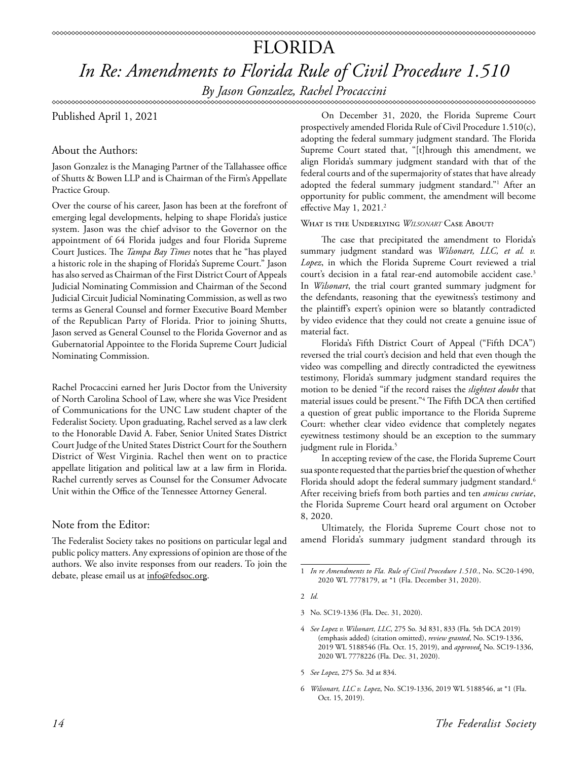### FLORIDA *In Re: Amendments to Florida Rule of Civil Procedure 1.510*

*By Jason Gonzalez, Rachel Procaccini*

#### \*\*\*\*\*\*\*\*\*\*\*\*\*\*\*\*\*\*\*\*\*\*\*\*\*

Published April 1, 2021

#### About the Authors:

Jason Gonzalez is the Managing Partner of the Tallahassee office of Shutts & Bowen LLP and is Chairman of the Firm's Appellate Practice Group.

Over the course of his career, Jason has been at the forefront of emerging legal developments, helping to shape Florida's justice system. Jason was the chief advisor to the Governor on the appointment of 64 Florida judges and four Florida Supreme Court Justices. The *Tampa Bay Times* notes that he "has played a historic role in the shaping of Florida's Supreme Court." Jason has also served as Chairman of the First District Court of Appeals Judicial Nominating Commission and Chairman of the Second Judicial Circuit Judicial Nominating Commission, as well as two terms as General Counsel and former Executive Board Member of the Republican Party of Florida. Prior to joining Shutts, Jason served as General Counsel to the Florida Governor and as Gubernatorial Appointee to the Florida Supreme Court Judicial Nominating Commission.

Rachel Procaccini earned her Juris Doctor from the University of North Carolina School of Law, where she was Vice President of Communications for the UNC Law student chapter of the Federalist Society. Upon graduating, Rachel served as a law clerk to the Honorable David A. Faber, Senior United States District Court Judge of the United States District Court for the Southern District of West Virginia. Rachel then went on to practice appellate litigation and political law at a law firm in Florida. Rachel currently serves as Counsel for the Consumer Advocate Unit within the Office of the Tennessee Attorney General.

#### Note from the Editor:

The Federalist Society takes no positions on particular legal and public policy matters. Any expressions of opinion are those of the authors. We also invite responses from our readers. To join the debate, please email us at info@fedsoc.org.

On December 31, 2020, the Florida Supreme Court prospectively amended Florida Rule of Civil Procedure 1.510(c), adopting the federal summary judgment standard. The Florida Supreme Court stated that, "[t]hrough this amendment, we align Florida's summary judgment standard with that of the federal courts and of the supermajority of states that have already adopted the federal summary judgment standard."1 After an opportunity for public comment, the amendment will become effective May 1, 2021.<sup>2</sup>

#### What is the Underlying *Wilsonart* Case About?

The case that precipitated the amendment to Florida's summary judgment standard was *Wilsonart, LLC, et al. v. Lopez*, in which the Florida Supreme Court reviewed a trial court's decision in a fatal rear-end automobile accident case.<sup>3</sup> In *Wilsonart*, the trial court granted summary judgment for the defendants, reasoning that the eyewitness's testimony and the plaintiff's expert's opinion were so blatantly contradicted by video evidence that they could not create a genuine issue of material fact.

Florida's Fifth District Court of Appeal ("Fifth DCA") reversed the trial court's decision and held that even though the video was compelling and directly contradicted the eyewitness testimony, Florida's summary judgment standard requires the motion to be denied "if the record raises the *slightest doubt* that material issues could be present."4 The Fifth DCA then certified a question of great public importance to the Florida Supreme Court: whether clear video evidence that completely negates eyewitness testimony should be an exception to the summary judgment rule in Florida.<sup>5</sup>

In accepting review of the case, the Florida Supreme Court sua sponte requested that the parties brief the question of whether Florida should adopt the federal summary judgment standard.<sup>6</sup> After receiving briefs from both parties and ten *amicus curiae*, the Florida Supreme Court heard oral argument on October 8, 2020.

Ultimately, the Florida Supreme Court chose not to amend Florida's summary judgment standard through its

- 5 *See Lopez*, 275 So. 3d at 834.
- 6 *Wilsonart, LLC v. Lopez*, No. SC19-1336, 2019 WL 5188546, at \*1 (Fla. Oct. 15, 2019).

<sup>1</sup> *In re Amendments to Fla. Rule of Civil Procedure 1.510.*, No. SC20-1490, 2020 WL 7778179, at \*1 (Fla. December 31, 2020).

<sup>2</sup> *Id.*

<sup>3</sup> No. SC19-1336 (Fla. Dec. 31, 2020).

<sup>4</sup> *See Lopez v. Wilsonart, LLC*, 275 So. 3d 831, 833 (Fla. 5th DCA 2019) (emphasis added) (citation omitted), *review granted*, No. SC19-1336, 2019 WL 5188546 (Fla. Oct. 15, 2019), and *approved*, No. SC19-1336, 2020 WL 7778226 (Fla. Dec. 31, 2020).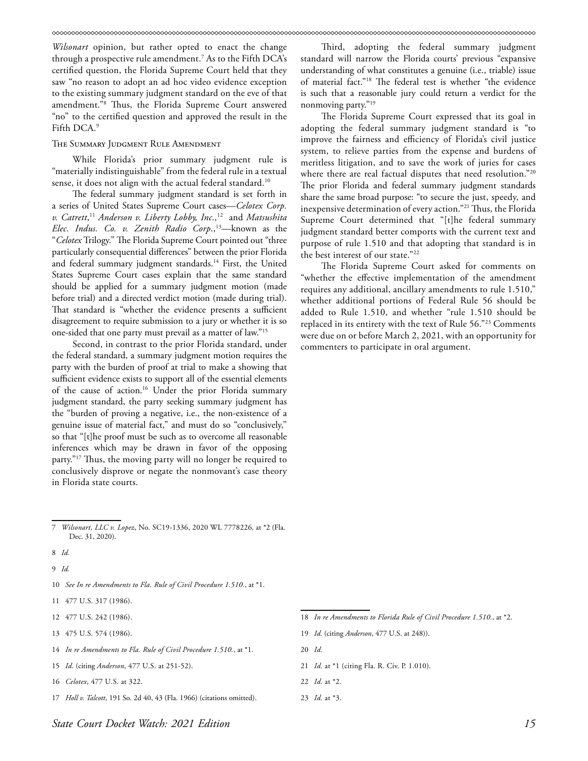*Wilsonart* opinion, but rather opted to enact the change through a prospective rule amendment.7 As to the Fifth DCA's certified question, the Florida Supreme Court held that they saw "no reason to adopt an ad hoc video evidence exception to the existing summary judgment standard on the eve of that amendment."8 Thus, the Florida Supreme Court answered "no" to the certified question and approved the result in the Fifth DCA.9

#### The Summary Judgment Rule Amendment

While Florida's prior summary judgment rule is "materially indistinguishable" from the federal rule in a textual sense, it does not align with the actual federal standard.<sup>10</sup>

The federal summary judgment standard is set forth in a series of United States Supreme Court cases—*Celotex Corp. v. Catrett*, <sup>11</sup> *Anderson v. Liberty Lobby, Inc.,*12 and *Matsushita Elec. Indus. Co. v. Zenith Radio Corp.*,<sup>13</sup>—known as the "*Celotex* Trilogy." The Florida Supreme Court pointed out "three particularly consequential differences" between the prior Florida and federal summary judgment standards.<sup>14</sup> First, the United States Supreme Court cases explain that the same standard should be applied for a summary judgment motion (made before trial) and a directed verdict motion (made during trial). That standard is "whether the evidence presents a sufficient disagreement to require submission to a jury or whether it is so one-sided that one party must prevail as a matter of law."15

Second, in contrast to the prior Florida standard, under the federal standard, a summary judgment motion requires the party with the burden of proof at trial to make a showing that sufficient evidence exists to support all of the essential elements of the cause of action.16 Under the prior Florida summary judgment standard, the party seeking summary judgment has the "burden of proving a negative, i.e., the non-existence of a genuine issue of material fact," and must do so "conclusively," so that "[t]he proof must be such as to overcome all reasonable inferences which may be drawn in favor of the opposing party."<sup>17</sup> Thus, the moving party will no longer be required to conclusively disprove or negate the nonmovant's case theory in Florida state courts.

8 *Id.*

9 *Id.*

- 10 *See In re Amendments to Fla. Rule of Civil Procedure 1.510.*, at \*1.
- 11 477 U.S. 317 (1986).
- 12 477 U.S. 242 (1986).
- 13 475 U.S. 574 (1986).
- 14 *In re Amendments to Fla. Rule of Civil Procedure 1.510.*, at \*1.
- 15 *Id.* (citing *Anderson*, 477 U.S. at 251-52).
- 16 *Celotex*, 477 U.S. at 322.
- 17 *Holl v. Talcott*, 191 So. 2d 40, 43 (Fla. 1966) (citations omitted).

Third, adopting the federal summary judgment standard will narrow the Florida courts' previous "expansive understanding of what constitutes a genuine (i.e., triable) issue of material fact."18 The federal test is whether "the evidence is such that a reasonable jury could return a verdict for the nonmoving party."19

The Florida Supreme Court expressed that its goal in adopting the federal summary judgment standard is "to improve the fairness and efficiency of Florida's civil justice system, to relieve parties from the expense and burdens of meritless litigation, and to save the work of juries for cases where there are real factual disputes that need resolution."<sup>20</sup> The prior Florida and federal summary judgment standards share the same broad purpose: "to secure the just, speedy, and inexpensive determination of every action."21 Thus, the Florida Supreme Court determined that "[t]he federal summary judgment standard better comports with the current text and purpose of rule 1.510 and that adopting that standard is in the best interest of our state."22

The Florida Supreme Court asked for comments on "whether the effective implementation of the amendment requires any additional, ancillary amendments to rule 1.510," whether additional portions of Federal Rule 56 should be added to Rule 1.510, and whether "rule 1.510 should be replaced in its entirety with the text of Rule 56."23 Comments were due on or before March 2, 2021, with an opportunity for commenters to participate in oral argument.

- 20 *Id.*
- 21 *Id.* at \*1 (citing Fla. R. Civ. P. 1.010).
- 22 *Id.* at \*2.
- 23 *Id.* at \*3.

<sup>7</sup> *Wilsonart, LLC v. Lopez*, No. SC19-1336, 2020 WL 7778226*,* at \*2 (Fla. Dec. 31, 2020).

<sup>18</sup> *In re Amendments to Florida Rule of Civil Procedure 1.510.*, at \*2.

<sup>19</sup> *Id.* (citing *Anderson*, 477 U.S. at 248)).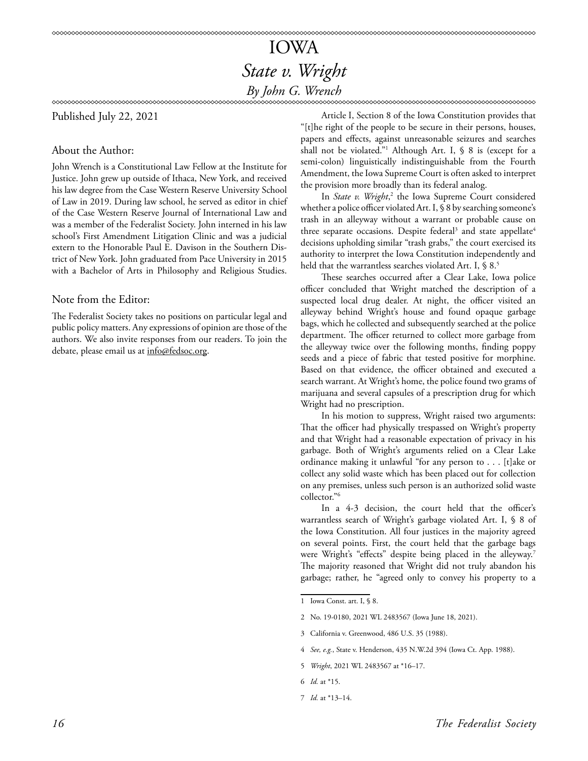### IOWA *State v. Wright By John G. Wrench*

Published July 22, 2021

#### About the Author:

John Wrench is a Constitutional Law Fellow at the Institute for Justice. John grew up outside of Ithaca, New York, and received his law degree from the Case Western Reserve University School of Law in 2019. During law school, he served as editor in chief of the Case Western Reserve Journal of International Law and was a member of the Federalist Society. John interned in his law school's First Amendment Litigation Clinic and was a judicial extern to the Honorable Paul E. Davison in the Southern District of New York. John graduated from Pace University in 2015 with a Bachelor of Arts in Philosophy and Religious Studies.

#### Note from the Editor:

The Federalist Society takes no positions on particular legal and public policy matters. Any expressions of opinion are those of the authors. We also invite responses from our readers. To join the debate, please email us at info@fedsoc.org.

Article I, Section 8 of the Iowa Constitution provides that "[t]he right of the people to be secure in their persons, houses, papers and effects, against unreasonable seizures and searches shall not be violated."1 Although Art. I, § 8 is (except for a semi-colon) linguistically indistinguishable from the Fourth Amendment, the Iowa Supreme Court is often asked to interpret the provision more broadly than its federal analog.

In *State v. Wright*,<sup>2</sup> the Iowa Supreme Court considered whether a police officer violated Art. I, § 8 by searching someone's trash in an alleyway without a warrant or probable cause on three separate occasions. Despite federal<sup>3</sup> and state appellate<sup>4</sup> decisions upholding similar "trash grabs," the court exercised its authority to interpret the Iowa Constitution independently and held that the warrantless searches violated Art. I, § 8.<sup>5</sup>

These searches occurred after a Clear Lake, Iowa police officer concluded that Wright matched the description of a suspected local drug dealer. At night, the officer visited an alleyway behind Wright's house and found opaque garbage bags, which he collected and subsequently searched at the police department. The officer returned to collect more garbage from the alleyway twice over the following months, finding poppy seeds and a piece of fabric that tested positive for morphine. Based on that evidence, the officer obtained and executed a search warrant. At Wright's home, the police found two grams of marijuana and several capsules of a prescription drug for which Wright had no prescription.

In his motion to suppress, Wright raised two arguments: That the officer had physically trespassed on Wright's property and that Wright had a reasonable expectation of privacy in his garbage. Both of Wright's arguments relied on a Clear Lake ordinance making it unlawful "for any person to . . . [t]ake or collect any solid waste which has been placed out for collection on any premises, unless such person is an authorized solid waste collector."6

In a 4-3 decision, the court held that the officer's warrantless search of Wright's garbage violated Art. I, § 8 of the Iowa Constitution. All four justices in the majority agreed on several points. First, the court held that the garbage bags were Wright's "effects" despite being placed in the alleyway.<sup>7</sup> The majority reasoned that Wright did not truly abandon his garbage; rather, he "agreed only to convey his property to a

<sup>1</sup> Iowa Const. art. I, § 8.

<sup>2</sup> No. 19-0180, 2021 WL 2483567 (Iowa June 18, 2021).

<sup>3</sup> California v. Greenwood, 486 U.S. 35 (1988).

<sup>4</sup> *See, e.g.*, State v. Henderson, 435 N.W.2d 394 (Iowa Ct. App. 1988).

<sup>5</sup> *Wright*, 2021 WL 2483567 at \*16–17.

<sup>6</sup> *Id.* at \*15.

<sup>7</sup> *Id.* at \*13–14.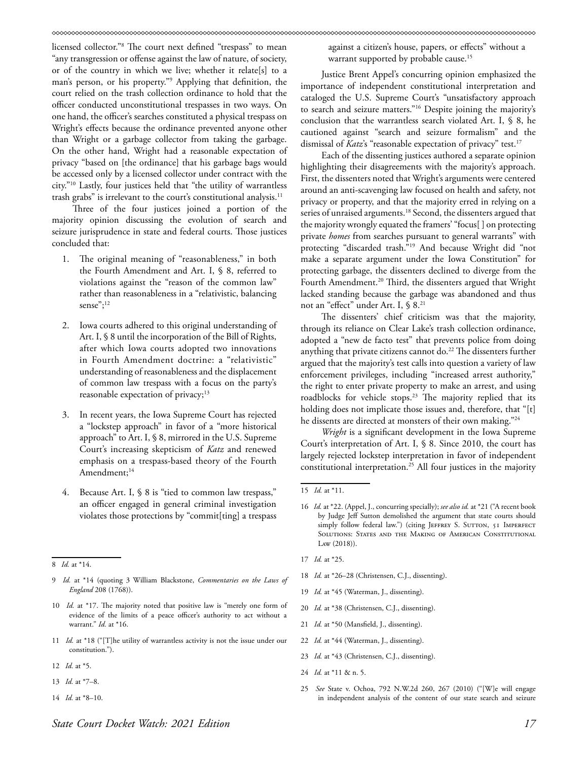licensed collector."8 The court next defined "trespass" to mean "any transgression or offense against the law of nature, of society, or of the country in which we live; whether it relate[s] to a man's person, or his property."9 Applying that definition, the court relied on the trash collection ordinance to hold that the officer conducted unconstitutional trespasses in two ways. On one hand, the officer's searches constituted a physical trespass on Wright's effects because the ordinance prevented anyone other than Wright or a garbage collector from taking the garbage. On the other hand, Wright had a reasonable expectation of privacy "based on [the ordinance] that his garbage bags would be accessed only by a licensed collector under contract with the city."10 Lastly, four justices held that "the utility of warrantless trash grabs" is irrelevant to the court's constitutional analysis.<sup>11</sup>

Three of the four justices joined a portion of the majority opinion discussing the evolution of search and seizure jurisprudence in state and federal courts. Those justices concluded that:

- 1. The original meaning of "reasonableness," in both the Fourth Amendment and Art. I, § 8, referred to violations against the "reason of the common law" rather than reasonableness in a "relativistic, balancing sense";<sup>12</sup>
- 2. Iowa courts adhered to this original understanding of Art. I, § 8 until the incorporation of the Bill of Rights, after which Iowa courts adopted two innovations in Fourth Amendment doctrine: a "relativistic" understanding of reasonableness and the displacement of common law trespass with a focus on the party's reasonable expectation of privacy;<sup>13</sup>
- 3. In recent years, the Iowa Supreme Court has rejected a "lockstep approach" in favor of a "more historical approach" to Art. I, § 8, mirrored in the U.S. Supreme Court's increasing skepticism of *Katz* and renewed emphasis on a trespass-based theory of the Fourth Amendment;<sup>14</sup>
- 4. Because Art. I, § 8 is "tied to common law trespass," an officer engaged in general criminal investigation violates those protections by "commit[ting] a trespass

- 11 *Id.* at \*18 ("[T]he utility of warrantless activity is not the issue under our constitution.").
- 12 *Id.* at \*5.
- 13 *Id.* at \*7–8.
- 14 *Id.* at \*8–10.

against a citizen's house, papers, or effects" without a warrant supported by probable cause.<sup>15</sup>

Justice Brent Appel's concurring opinion emphasized the importance of independent constitutional interpretation and cataloged the U.S. Supreme Court's "unsatisfactory approach to search and seizure matters."16 Despite joining the majority's conclusion that the warrantless search violated Art. I, § 8, he cautioned against "search and seizure formalism" and the dismissal of *Katz*'s "reasonable expectation of privacy" test.<sup>17</sup>

Each of the dissenting justices authored a separate opinion highlighting their disagreements with the majority's approach. First, the dissenters noted that Wright's arguments were centered around an anti-scavenging law focused on health and safety, not privacy or property, and that the majority erred in relying on a series of unraised arguments.<sup>18</sup> Second, the dissenters argued that the majority wrongly equated the framers' "focus[ ] on protecting private *homes* from searches pursuant to general warrants" with protecting "discarded trash."19 And because Wright did "not make a separate argument under the Iowa Constitution" for protecting garbage, the dissenters declined to diverge from the Fourth Amendment.<sup>20</sup> Third, the dissenters argued that Wright lacked standing because the garbage was abandoned and thus not an "effect" under Art. I, § 8.21

The dissenters' chief criticism was that the majority, through its reliance on Clear Lake's trash collection ordinance, adopted a "new de facto test" that prevents police from doing anything that private citizens cannot do.<sup>22</sup> The dissenters further argued that the majority's test calls into question a variety of law enforcement privileges, including "increased arrest authority," the right to enter private property to make an arrest, and using roadblocks for vehicle stops.<sup>23</sup> The majority replied that its holding does not implicate those issues and, therefore, that "[t] he dissents are directed at monsters of their own making."24

*Wright* is a significant development in the Iowa Supreme Court's interpretation of Art. I, § 8. Since 2010, the court has largely rejected lockstep interpretation in favor of independent constitutional interpretation.25 All four justices in the majority

- 17 *Id.* at \*25.
- 18 *Id.* at \*26–28 (Christensen, C.J., dissenting).
- 19 *Id.* at \*45 (Waterman, J., dissenting).
- 20 *Id.* at \*38 (Christensen, C.J., dissenting).
- 21 *Id.* at \*50 (Mansfield, J., dissenting).
- 22 *Id.* at \*44 (Waterman, J., dissenting).
- 23 *Id.* at \*43 (Christensen, C.J., dissenting).
- 24 *Id.* at \*11 & n. 5.
- 25 *See* State v. Ochoa, 792 N.W.2d 260, 267 (2010) ("[W]e will engage in independent analysis of the content of our state search and seizure

<sup>8</sup> *Id.* at \*14.

<sup>9</sup> *Id.* at \*14 (quoting 3 William Blackstone, *Commentaries on the Laws of England* 208 (1768)).

<sup>10</sup> *Id.* at \*17. The majority noted that positive law is "merely one form of evidence of the limits of a peace officer's authority to act without a warrant." *Id.* at \*16.

<sup>15</sup> *Id.* at \*11.

<sup>16</sup> *Id.* at \*22. (Appel, J., concurring specially); *see also id.* at \*21 ("A recent book by Judge Jeff Sutton demolished the argument that state courts should simply follow federal law.") (citing JEFFREY S. SUTTON, 51 IMPERFECT SOLUTIONS: STATES AND THE MAKING OF AMERICAN CONSTITUTIONAL Law (2018)).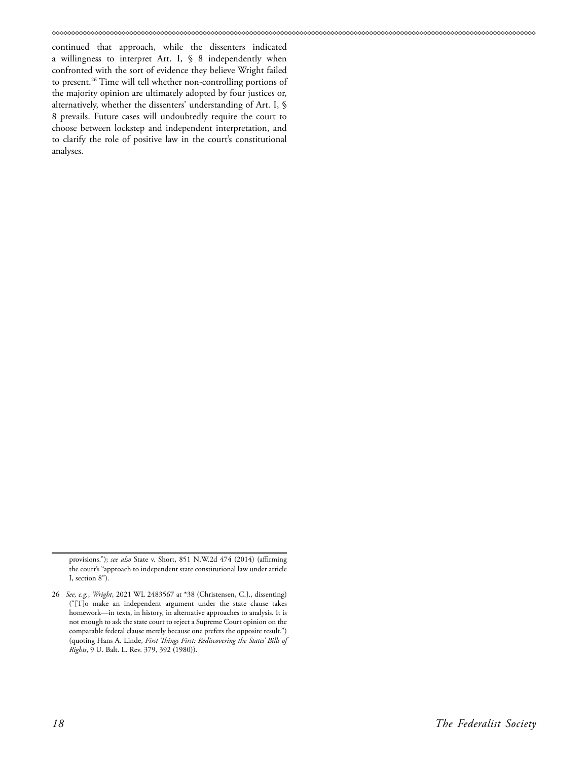continued that approach, while the dissenters indicated a willingness to interpret Art. I, § 8 independently when confronted with the sort of evidence they believe Wright failed to present.26 Time will tell whether non-controlling portions of the majority opinion are ultimately adopted by four justices or, alternatively, whether the dissenters' understanding of Art. I, § 8 prevails. Future cases will undoubtedly require the court to choose between lockstep and independent interpretation, and to clarify the role of positive law in the court's constitutional analyses.

provisions."); *see also* State v. Short, 851 N.W.2d 474 (2014) (affirming the court's "approach to independent state constitutional law under article I, section 8").

<sup>26</sup> *See, e.g.*, *Wright*, 2021 WL 2483567 at \*38 (Christensen, C.J., dissenting) ("[T]o make an independent argument under the state clause takes homework—in texts, in history, in alternative approaches to analysis. It is not enough to ask the state court to reject a Supreme Court opinion on the comparable federal clause merely because one prefers the opposite result.") (quoting Hans A. Linde, *First Things First: Rediscovering the States' Bills of Rights*, 9 U. Balt. L. Rev. 379, 392 (1980)).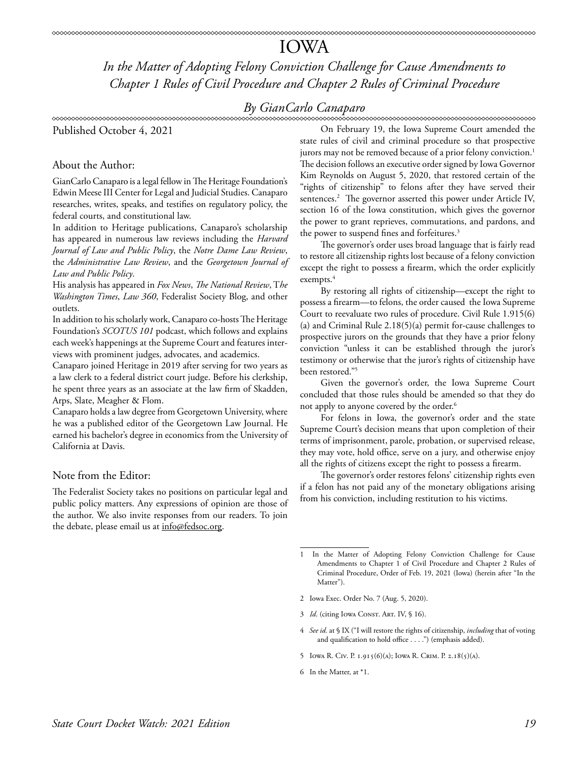### IOWA

*In the Matter of Adopting Felony Conviction Challenge for Cause Amendments to Chapter 1 Rules of Civil Procedure and Chapter 2 Rules of Criminal Procedure*

### *By GianCarlo Canaparo*

Published October 4, 2021

#### About the Author:

GianCarlo Canaparo is a legal fellow in The Heritage Foundation's Edwin Meese III Center for Legal and Judicial Studies. Canaparo researches, writes, speaks, and testifies on regulatory policy, the federal courts, and constitutional law.

In addition to Heritage publications, Canaparo's scholarship has appeared in numerous law reviews including the *Harvard Journal of Law and Public Policy*, the *Notre Dame Law Review*, the *Administrative Law Review*, and the *Georgetown Journal of Law and Public Policy*.

His analysis has appeared in *Fox News*, *The National Review*, T*he Washington Times*, *Law 360*, Federalist Society Blog, and other outlets.

In addition to his scholarly work, Canaparo co-hosts The Heritage Foundation's *SCOTUS 101* podcast, which follows and explains each week's happenings at the Supreme Court and features interviews with prominent judges, advocates, and academics.

Canaparo joined Heritage in 2019 after serving for two years as a law clerk to a federal district court judge. Before his clerkship, he spent three years as an associate at the law firm of Skadden, Arps, Slate, Meagher & Flom.

Canaparo holds a law degree from Georgetown University, where he was a published editor of the Georgetown Law Journal. He earned his bachelor's degree in economics from the University of California at Davis.

#### Note from the Editor:

The Federalist Society takes no positions on particular legal and public policy matters. Any expressions of opinion are those of the author. We also invite responses from our readers. To join the debate, please email us at info@fedsoc.org.

On February 19, the Iowa Supreme Court amended the state rules of civil and criminal procedure so that prospective jurors may not be removed because of a prior felony conviction.<sup>1</sup> The decision follows an executive order signed by Iowa Governor Kim Reynolds on August 5, 2020, that restored certain of the "rights of citizenship" to felons after they have served their sentences.2 The governor asserted this power under Article IV, section 16 of the Iowa constitution, which gives the governor the power to grant reprieves, commutations, and pardons, and the power to suspend fines and forfeitures.<sup>3</sup>

The governor's order uses broad language that is fairly read to restore all citizenship rights lost because of a felony conviction except the right to possess a firearm, which the order explicitly exempts.<sup>4</sup>

By restoring all rights of citizenship—except the right to possess a firearm—to felons, the order caused the Iowa Supreme Court to reevaluate two rules of procedure. Civil Rule 1.915(6) (a) and Criminal Rule 2.18(5)(a) permit for-cause challenges to prospective jurors on the grounds that they have a prior felony conviction "unless it can be established through the juror's testimony or otherwise that the juror's rights of citizenship have been restored."5

Given the governor's order, the Iowa Supreme Court concluded that those rules should be amended so that they do not apply to anyone covered by the order. $6$ 

For felons in Iowa, the governor's order and the state Supreme Court's decision means that upon completion of their terms of imprisonment, parole, probation, or supervised release, they may vote, hold office, serve on a jury, and otherwise enjoy all the rights of citizens except the right to possess a firearm.

The governor's order restores felons' citizenship rights even if a felon has not paid any of the monetary obligations arising from his conviction, including restitution to his victims.

- 2 Iowa Exec. Order No. 7 (Aug. 5, 2020).
- 3 *Id.* (citing Iowa Const. Art. IV, § 16).
- 4 *See id.* at § IX ("I will restore the rights of citizenship, *including* that of voting and qualification to hold office . . . .") (emphasis added).
- 5 Iowa R. Civ. P. 1.915(6)(a); Iowa R. Crim. P. 2.18(5)(a).
- 6 In the Matter, at \*1.

In the Matter of Adopting Felony Conviction Challenge for Cause Amendments to Chapter 1 of Civil Procedure and Chapter 2 Rules of Criminal Procedure, Order of Feb. 19, 2021 (Iowa) (herein after "In the Matter").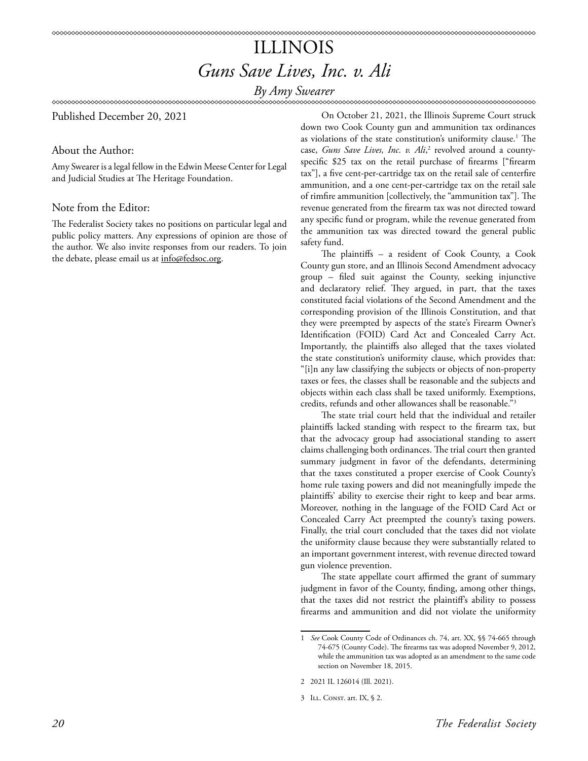### ILLINOIS *Guns Save Lives, Inc. v. Ali*

*By Amy Swearer*

∞∞∞∞∞∞∞∞∞∞∞∞∞∞∞∞∞∞∞∞∞∞∞∞∞∞∞∞∞∞∞∞

Published December 20, 2021

#### About the Author:

Amy Swearer is a legal fellow in the Edwin Meese Center for Legal and Judicial Studies at The Heritage Foundation.

#### Note from the Editor:

The Federalist Society takes no positions on particular legal and public policy matters. Any expressions of opinion are those of the author. We also invite responses from our readers. To join the debate, please email us at info@fedsoc.org.

On October 21, 2021, the Illinois Supreme Court struck down two Cook County gun and ammunition tax ordinances as violations of the state constitution's uniformity clause.<sup>1</sup> The case, *Guns Save Lives, Inc. v. Ali,*<sup>2</sup> revolved around a countyspecific \$25 tax on the retail purchase of firearms ["firearm tax"], a five cent-per-cartridge tax on the retail sale of centerfire ammunition, and a one cent-per-cartridge tax on the retail sale of rimfire ammunition [collectively, the "ammunition tax"]. The revenue generated from the firearm tax was not directed toward any specific fund or program, while the revenue generated from the ammunition tax was directed toward the general public safety fund.

The plaintiffs – a resident of Cook County, a Cook County gun store, and an Illinois Second Amendment advocacy group – filed suit against the County, seeking injunctive and declaratory relief. They argued, in part, that the taxes constituted facial violations of the Second Amendment and the corresponding provision of the Illinois Constitution, and that they were preempted by aspects of the state's Firearm Owner's Identification (FOID) Card Act and Concealed Carry Act. Importantly, the plaintiffs also alleged that the taxes violated the state constitution's uniformity clause, which provides that: "[i]n any law classifying the subjects or objects of non-property taxes or fees, the classes shall be reasonable and the subjects and objects within each class shall be taxed uniformly. Exemptions, credits, refunds and other allowances shall be reasonable."3

The state trial court held that the individual and retailer plaintiffs lacked standing with respect to the firearm tax, but that the advocacy group had associational standing to assert claims challenging both ordinances. The trial court then granted summary judgment in favor of the defendants, determining that the taxes constituted a proper exercise of Cook County's home rule taxing powers and did not meaningfully impede the plaintiffs' ability to exercise their right to keep and bear arms. Moreover, nothing in the language of the FOID Card Act or Concealed Carry Act preempted the county's taxing powers. Finally, the trial court concluded that the taxes did not violate the uniformity clause because they were substantially related to an important government interest, with revenue directed toward gun violence prevention.

The state appellate court affirmed the grant of summary judgment in favor of the County, finding, among other things, that the taxes did not restrict the plaintiff's ability to possess firearms and ammunition and did not violate the uniformity

<sup>1</sup> *See* Cook County Code of Ordinances ch. 74, art. XX, §§ 74-665 through 74-675 (County Code). The firearms tax was adopted November 9, 2012, while the ammunition tax was adopted as an amendment to the same code section on November 18, 2015.

<sup>2 2021</sup> IL 126014 (Ill. 2021).

<sup>3</sup> Ill. Const. art. IX, § 2.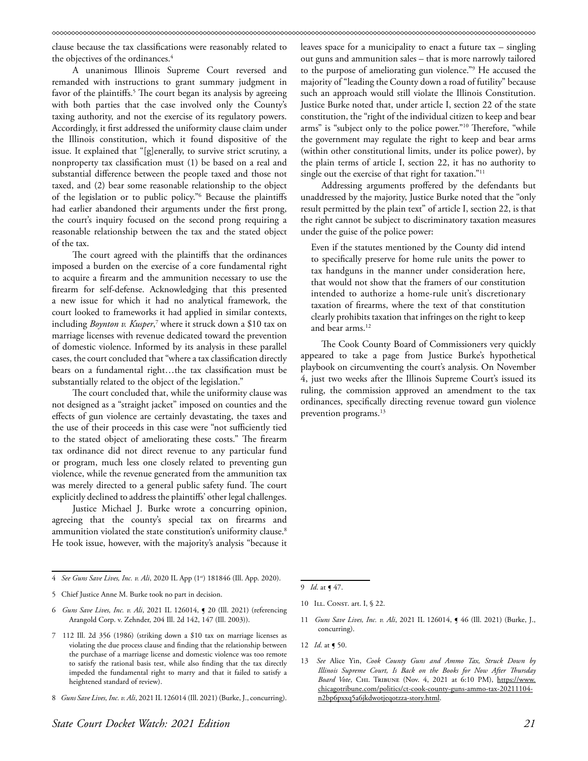clause because the tax classifications were reasonably related to the objectives of the ordinances.<sup>4</sup>

A unanimous Illinois Supreme Court reversed and remanded with instructions to grant summary judgment in favor of the plaintiffs.<sup>5</sup> The court began its analysis by agreeing with both parties that the case involved only the County's taxing authority, and not the exercise of its regulatory powers. Accordingly, it first addressed the uniformity clause claim under the Illinois constitution, which it found dispositive of the issue. It explained that "[g]enerally, to survive strict scrutiny, a nonproperty tax classification must (1) be based on a real and substantial difference between the people taxed and those not taxed, and (2) bear some reasonable relationship to the object of the legislation or to public policy."6 Because the plaintiffs had earlier abandoned their arguments under the first prong, the court's inquiry focused on the second prong requiring a reasonable relationship between the tax and the stated object of the tax.

The court agreed with the plaintiffs that the ordinances imposed a burden on the exercise of a core fundamental right to acquire a firearm and the ammunition necessary to use the firearm for self-defense. Acknowledging that this presented a new issue for which it had no analytical framework, the court looked to frameworks it had applied in similar contexts, including *Boynton v. Kusper,*<sup>7</sup> where it struck down a \$10 tax on marriage licenses with revenue dedicated toward the prevention of domestic violence. Informed by its analysis in these parallel cases, the court concluded that "where a tax classification directly bears on a fundamental right…the tax classification must be substantially related to the object of the legislation."

The court concluded that, while the uniformity clause was not designed as a "straight jacket" imposed on counties and the effects of gun violence are certainly devastating, the taxes and the use of their proceeds in this case were "not sufficiently tied to the stated object of ameliorating these costs." The firearm tax ordinance did not direct revenue to any particular fund or program, much less one closely related to preventing gun violence, while the revenue generated from the ammunition tax was merely directed to a general public safety fund. The court explicitly declined to address the plaintiffs' other legal challenges.

Justice Michael J. Burke wrote a concurring opinion, agreeing that the county's special tax on firearms and ammunition violated the state constitution's uniformity clause.<sup>8</sup> He took issue, however, with the majority's analysis "because it leaves space for a municipality to enact a future tax – singling out guns and ammunition sales – that is more narrowly tailored to the purpose of ameliorating gun violence."9 He accused the majority of "leading the County down a road of futility" because such an approach would still violate the Illinois Constitution. Justice Burke noted that, under article I, section 22 of the state constitution, the "right of the individual citizen to keep and bear arms" is "subject only to the police power."10 Therefore, "while the government may regulate the right to keep and bear arms (within other constitutional limits, under its police power), by the plain terms of article I, section 22, it has no authority to single out the exercise of that right for taxation."<sup>11</sup>

Addressing arguments proffered by the defendants but unaddressed by the majority, Justice Burke noted that the "only result permitted by the plain text" of article I, section 22, is that the right cannot be subject to discriminatory taxation measures under the guise of the police power:

Even if the statutes mentioned by the County did intend to specifically preserve for home rule units the power to tax handguns in the manner under consideration here, that would not show that the framers of our constitution intended to authorize a home-rule unit's discretionary taxation of firearms, where the text of that constitution clearly prohibits taxation that infringes on the right to keep and bear arms.<sup>12</sup>

The Cook County Board of Commissioners very quickly appeared to take a page from Justice Burke's hypothetical playbook on circumventing the court's analysis. On November 4, just two weeks after the Illinois Supreme Court's issued its ruling, the commission approved an amendment to the tax ordinances, specifically directing revenue toward gun violence prevention programs.<sup>13</sup>

11 *Guns Save Lives, Inc. v. Ali*, 2021 IL 126014,  $\sim$  46 (Ill. 2021) (Burke, J., concurring).

<sup>4</sup> *See Guns Save Lives, Inc. v. Ali*, 2020 IL App (1st) 181846 (Ill. App. 2020).

<sup>5</sup> Chief Justice Anne M. Burke took no part in decision.

<sup>6</sup> *Guns Save Lives, Inc. v. Ali*, 2021 IL 126014, ¶ 20 (Ill. 2021) (referencing Arangold Corp. v. Zehnder, 204 Ill. 2d 142, 147 (Ill. 2003)).

<sup>7 112</sup> Ill. 2d 356 (1986) (striking down a \$10 tax on marriage licenses as violating the due process clause and finding that the relationship between the purchase of a marriage license and domestic violence was too remote to satisfy the rational basis test, while also finding that the tax directly impeded the fundamental right to marry and that it failed to satisfy a heightened standard of review).

<sup>8</sup> *Guns Save Lives, Inc. v. Ali*, 2021 IL 126014 (Ill. 2021) (Burke, J., concurring).

<sup>9</sup> *Id*. at ¶ 47.

<sup>10</sup> ILL. CONST. art. I, § 22.

<sup>12</sup> *Id.* at **[** 50.

<sup>13</sup> *See* Alice Yin, *Cook County Guns and Ammo Tax, Struck Down by Illinois Supreme Court, Is Back on the Books for Now After Thursday Board Vote*, Chi. Tribune (Nov. 4, 2021 at 6:10 PM), [https://www.](https://www.chicagotribune.com/politics/ct-cook-county-guns-ammo-tax-20211104-n2bp6pxxq5a6jkdwotjeqotzza-story.html) [chicagotribune.com/politics/ct-cook-county-guns-ammo-tax-20211104](https://www.chicagotribune.com/politics/ct-cook-county-guns-ammo-tax-20211104-n2bp6pxxq5a6jkdwotjeqotzza-story.html) [n2bp6pxxq5a6jkdwotjeqotzza-story.html.](https://www.chicagotribune.com/politics/ct-cook-county-guns-ammo-tax-20211104-n2bp6pxxq5a6jkdwotjeqotzza-story.html)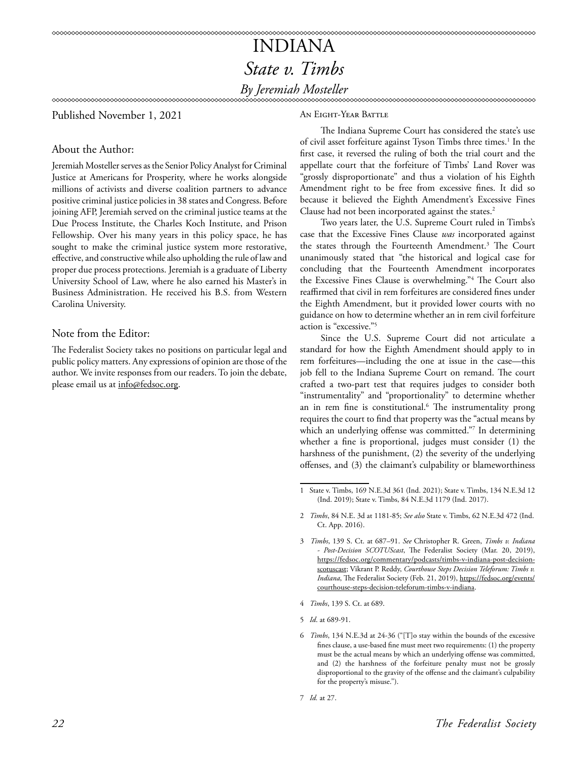### INDIANA *State v. Timbs By Jeremiah Mosteller*

Published November 1, 2021

#### An Eight-Year Battle

About the Author:

Jeremiah Mosteller serves as the Senior Policy Analyst for Criminal Justice at Americans for Prosperity, where he works alongside millions of activists and diverse coalition partners to advance positive criminal justice policies in 38 states and Congress. Before joining AFP, Jeremiah served on the criminal justice teams at the Due Process Institute, the Charles Koch Institute, and Prison Fellowship. Over his many years in this policy space, he has sought to make the criminal justice system more restorative, effective, and constructive while also upholding the rule of law and proper due process protections. Jeremiah is a graduate of Liberty University School of Law, where he also earned his Master's in Business Administration. He received his B.S. from Western Carolina University.

#### Note from the Editor:

The Federalist Society takes no positions on particular legal and public policy matters. Any expressions of opinion are those of the author. We invite responses from our readers. To join the debate, please email us at info@fedsoc.org.

The Indiana Supreme Court has considered the state's use of civil asset forfeiture against Tyson Timbs three times.<sup>1</sup> In the first case, it reversed the ruling of both the trial court and the appellate court that the forfeiture of Timbs' Land Rover was "grossly disproportionate" and thus a violation of his Eighth Amendment right to be free from excessive fines. It did so because it believed the Eighth Amendment's Excessive Fines Clause had not been incorporated against the states.<sup>2</sup>

Two years later, the U.S. Supreme Court ruled in Timbs's case that the Excessive Fines Clause *was* incorporated against the states through the Fourteenth Amendment.3 The Court unanimously stated that "the historical and logical case for concluding that the Fourteenth Amendment incorporates the Excessive Fines Clause is overwhelming."4 The Court also reaffirmed that civil in rem forfeitures are considered fines under the Eighth Amendment, but it provided lower courts with no guidance on how to determine whether an in rem civil forfeiture action is "excessive."5

Since the U.S. Supreme Court did not articulate a standard for how the Eighth Amendment should apply to in rem forfeitures—including the one at issue in the case—this job fell to the Indiana Supreme Court on remand. The court crafted a two-part test that requires judges to consider both "instrumentality" and "proportionality" to determine whether an in rem fine is constitutional.<sup>6</sup> The instrumentality prong requires the court to find that property was the "actual means by which an underlying offense was committed."7 In determining whether a fine is proportional, judges must consider (1) the harshness of the punishment, (2) the severity of the underlying offenses, and (3) the claimant's culpability or blameworthiness

- 4 *Timbs*, 139 S. Ct. at 689.
- 5 *Id*. at 689-91.

<sup>1</sup> State v. Timbs, 169 N.E.3d 361 (Ind. 2021); State v. Timbs, 134 N.E.3d 12 (Ind. 2019); State v. Timbs, 84 N.E.3d 1179 (Ind. 2017).

<sup>2</sup> *Timbs*, 84 N.E. 3d at 1181-85; *See also* State v. Timbs, 62 N.E.3d 472 (Ind. Ct. App. 2016).

<sup>3</sup> *Timbs*, 139 S. Ct. at 687–91. *See* Christopher R. Green, *Timbs v. Indiana - Post-Decision SCOTUScast*, The Federalist Society (Mar. 20, 2019), https://fedsoc.org/commentary/podcasts/timbs-v-indiana-post-decisionscotuscast; Vikrant P. Reddy, *Courthouse Steps Decision Teleforum: Timbs v. Indiana*, The Federalist Society (Feb. 21, 2019), [https://fedsoc.org/events/](https://fedsoc.org/events/courthouse-steps-decision-teleforum-timbs-v-indiana) [courthouse-steps-decision-teleforum-timbs-v-indiana](https://fedsoc.org/events/courthouse-steps-decision-teleforum-timbs-v-indiana).

<sup>6</sup> *Timbs*, 134 N.E.3d at 24-36 ("[T]o stay within the bounds of the excessive fines clause, a use-based fine must meet two requirements: (1) the property must be the actual means by which an underlying offense was committed, and (2) the harshness of the forfeiture penalty must not be grossly disproportional to the gravity of the offense and the claimant's culpability for the property's misuse.").

<sup>7</sup> *Id.* at 27.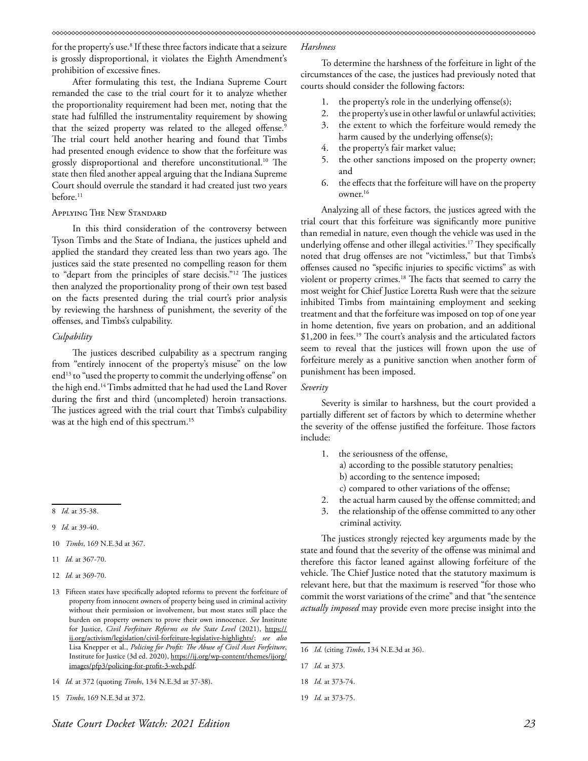for the property's use.8 If these three factors indicate that a seizure is grossly disproportional, it violates the Eighth Amendment's prohibition of excessive fines.

After formulating this test, the Indiana Supreme Court remanded the case to the trial court for it to analyze whether the proportionality requirement had been met, noting that the state had fulfilled the instrumentality requirement by showing that the seized property was related to the alleged offense.<sup>9</sup> The trial court held another hearing and found that Timbs had presented enough evidence to show that the forfeiture was grossly disproportional and therefore unconstitutional.<sup>10</sup> The state then filed another appeal arguing that the Indiana Supreme Court should overrule the standard it had created just two years before.<sup>11</sup>

#### Applying The New Standard

In this third consideration of the controversy between Tyson Timbs and the State of Indiana, the justices upheld and applied the standard they created less than two years ago. The justices said the state presented no compelling reason for them to "depart from the principles of stare decisis."12 The justices then analyzed the proportionality prong of their own test based on the facts presented during the trial court's prior analysis by reviewing the harshness of punishment, the severity of the offenses, and Timbs's culpability.

#### *Culpability*

The justices described culpability as a spectrum ranging from "entirely innocent of the property's misuse" on the low end<sup>13</sup> to "used the property to commit the underlying offense" on the high end.14 Timbs admitted that he had used the Land Rover during the first and third (uncompleted) heroin transactions. The justices agreed with the trial court that Timbs's culpability was at the high end of this spectrum.15

- 9 *Id.* at 39-40.
- 10 *Timbs*, 169 N.E.3d at 367.
- 11 *Id.* at 367-70.
- 12 *Id.* at 369-70.
- 13 Fifteen states have specifically adopted reforms to prevent the forfeiture of property from innocent owners of property being used in criminal activity without their permission or involvement, but most states still place the burden on property owners to prove their own innocence. *See* Institute for Justice, *Civil Forfeiture Reforms on the State Level* (2021), [https://](https://ij.org/activism/legislation/civil-forfeiture-legislative-highlights/) [ij.org/activism/legislation/civil-forfeiture-legislative-highlights/;](https://ij.org/activism/legislation/civil-forfeiture-legislative-highlights/) *see also*  Lisa Knepper et al., *Policing for Profit: The Abuse of Civil Asset Forfeiture*, Institute for Justice (3d ed. 2020), https://ij.org/wp-content/themes/ijorg/ images/pfp3/policing-for-profit-3-web.pdf.

15 *Timbs*, 169 N.E.3d at 372.

#### *Harshness*

To determine the harshness of the forfeiture in light of the circumstances of the case, the justices had previously noted that courts should consider the following factors:

- 1. the property's role in the underlying offense(s);
- 2. the property's use in other lawful or unlawful activities;
- 3. the extent to which the forfeiture would remedy the harm caused by the underlying offense(s);
- 4. the property's fair market value;
- 5. the other sanctions imposed on the property owner; and
- 6. the effects that the forfeiture will have on the property owner.16

Analyzing all of these factors, the justices agreed with the trial court that this forfeiture was significantly more punitive than remedial in nature, even though the vehicle was used in the underlying offense and other illegal activities.<sup>17</sup> They specifically noted that drug offenses are not "victimless," but that Timbs's offenses caused no "specific injuries to specific victims" as with violent or property crimes.18 The facts that seemed to carry the most weight for Chief Justice Loretta Rush were that the seizure inhibited Timbs from maintaining employment and seeking treatment and that the forfeiture was imposed on top of one year in home detention, five years on probation, and an additional \$1,200 in fees.19 The court's analysis and the articulated factors seem to reveal that the justices will frown upon the use of forfeiture merely as a punitive sanction when another form of punishment has been imposed.

#### *Severity*

Severity is similar to harshness, but the court provided a partially different set of factors by which to determine whether the severity of the offense justified the forfeiture. Those factors include:

- 1. the seriousness of the offense,
	- a) according to the possible statutory penalties;
	- b) according to the sentence imposed;
	- c) compared to other variations of the offense;
- 2. the actual harm caused by the offense committed; and
- 3. the relationship of the offense committed to any other criminal activity.

The justices strongly rejected key arguments made by the state and found that the severity of the offense was minimal and therefore this factor leaned against allowing forfeiture of the vehicle. The Chief Justice noted that the statutory maximum is relevant here, but that the maximum is reserved "for those who commit the worst variations of the crime" and that "the sentence *actually imposed* may provide even more precise insight into the

<sup>8</sup> *Id.* at 35-38.

<sup>14</sup> *Id.* at 372 (quoting *Timbs*, 134 N.E.3d at 37-38).

<sup>16</sup> *Id.* (citing *Timbs*, 134 N.E.3d at 36).

<sup>17</sup> *Id.* at 373.

<sup>18</sup> *Id.* at 373-74.

<sup>19</sup> *Id.* at 373-75.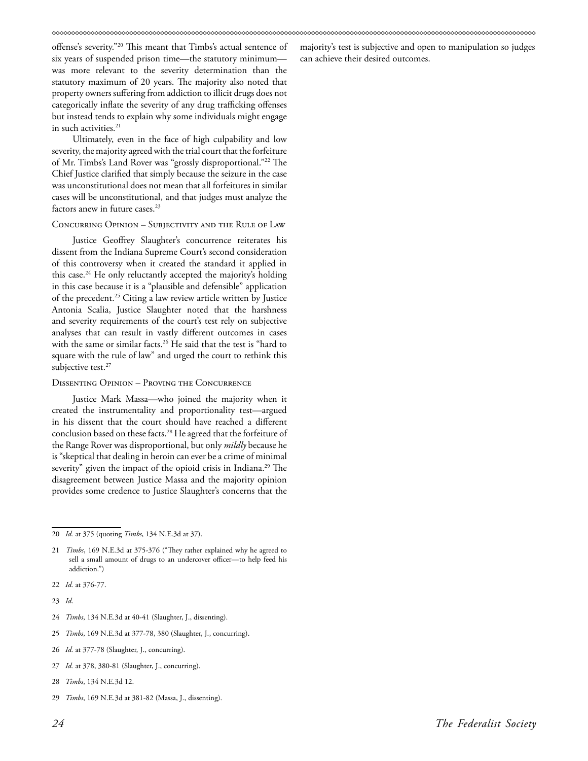offense's severity."20 This meant that Timbs's actual sentence of six years of suspended prison time—the statutory minimum was more relevant to the severity determination than the statutory maximum of 20 years. The majority also noted that property owners suffering from addiction to illicit drugs does not categorically inflate the severity of any drug trafficking offenses but instead tends to explain why some individuals might engage in such activities.<sup>21</sup>

Ultimately, even in the face of high culpability and low severity, the majority agreed with the trial court that the forfeiture of Mr. Timbs's Land Rover was "grossly disproportional."22 The Chief Justice clarified that simply because the seizure in the case was unconstitutional does not mean that all forfeitures in similar cases will be unconstitutional, and that judges must analyze the factors anew in future cases.<sup>23</sup>

#### Concurring Opinion – Subjectivity and the Rule of Law

Justice Geoffrey Slaughter's concurrence reiterates his dissent from the Indiana Supreme Court's second consideration of this controversy when it created the standard it applied in this case.<sup>24</sup> He only reluctantly accepted the majority's holding in this case because it is a "plausible and defensible" application of the precedent.<sup>25</sup> Citing a law review article written by Justice Antonia Scalia, Justice Slaughter noted that the harshness and severity requirements of the court's test rely on subjective analyses that can result in vastly different outcomes in cases with the same or similar facts.<sup>26</sup> He said that the test is "hard to square with the rule of law" and urged the court to rethink this subjective test. $27$ 

#### Dissenting Opinion – Proving the Concurrence

Justice Mark Massa—who joined the majority when it created the instrumentality and proportionality test—argued in his dissent that the court should have reached a different conclusion based on these facts.<sup>28</sup> He agreed that the forfeiture of the Range Rover was disproportional, but only *mildly* because he is "skeptical that dealing in heroin can ever be a crime of minimal severity" given the impact of the opioid crisis in Indiana.<sup>29</sup> The disagreement between Justice Massa and the majority opinion provides some credence to Justice Slaughter's concerns that the

- 24 *Timbs*, 134 N.E.3d at 40-41 (Slaughter, J., dissenting).
- 25 *Timbs*, 169 N.E.3d at 377-78, 380 (Slaughter, J., concurring).
- 26 *Id.* at 377-78 (Slaughter, J., concurring).
- 27 *Id.* at 378, 380-81 (Slaughter, J., concurring).
- 28 *Timbs*, 134 N.E.3d 12.
- 29 *Timbs*, 169 N.E.3d at 381-82 (Massa, J., dissenting).

majority's test is subjective and open to manipulation so judges can achieve their desired outcomes.

<sup>20</sup> *Id.* at 375 (quoting *Timbs*, 134 N.E.3d at 37).

<sup>21</sup> *Timbs*, 169 N.E.3d at 375-376 ("They rather explained why he agreed to sell a small amount of drugs to an undercover officer—to help feed his addiction.")

<sup>22</sup> *Id.* at 376-77.

<sup>23</sup> *Id*.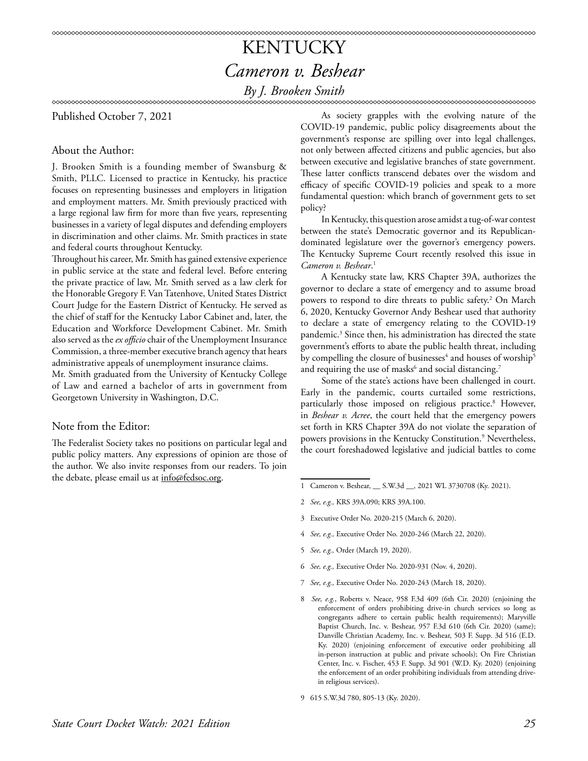## KENTUCKY *Cameron v. Beshear*

### *By J. Brooken Smith*

Published October 7, 2021

#### About the Author:

J. Brooken Smith is a founding member of Swansburg & Smith, PLLC. Licensed to practice in Kentucky, his practice focuses on representing businesses and employers in litigation and employment matters. Mr. Smith previously practiced with a large regional law firm for more than five years, representing businesses in a variety of legal disputes and defending employers in discrimination and other claims. Mr. Smith practices in state and federal courts throughout Kentucky.

Throughout his career, Mr. Smith has gained extensive experience in public service at the state and federal level. Before entering the private practice of law, Mr. Smith served as a law clerk for the Honorable Gregory F. Van Tatenhove, United States District Court Judge for the Eastern District of Kentucky. He served as the chief of staff for the Kentucky Labor Cabinet and, later, the Education and Workforce Development Cabinet. Mr. Smith also served as the *ex officio* chair of the Unemployment Insurance Commission, a three-member executive branch agency that hears administrative appeals of unemployment insurance claims.

Mr. Smith graduated from the University of Kentucky College of Law and earned a bachelor of arts in government from Georgetown University in Washington, D.C.

#### Note from the Editor:

The Federalist Society takes no positions on particular legal and public policy matters. Any expressions of opinion are those of the author. We also invite responses from our readers. To join the debate, please email us at info@fedsoc.org.

As society grapples with the evolving nature of the COVID-19 pandemic, public policy disagreements about the government's response are spilling over into legal challenges, not only between affected citizens and public agencies, but also between executive and legislative branches of state government. These latter conflicts transcend debates over the wisdom and efficacy of specific COVID-19 policies and speak to a more fundamental question: which branch of government gets to set policy?

In Kentucky, this question arose amidst a tug-of-war contest between the state's Democratic governor and its Republicandominated legislature over the governor's emergency powers. The Kentucky Supreme Court recently resolved this issue in *Cameron v. Beshear*. 1

A Kentucky state law, KRS Chapter 39A, authorizes the governor to declare a state of emergency and to assume broad powers to respond to dire threats to public safety.2 On March 6, 2020, Kentucky Governor Andy Beshear used that authority to declare a state of emergency relating to the COVID-19 pandemic.3 Since then, his administration has directed the state government's efforts to abate the public health threat, including by compelling the closure of businesses $^4$  and houses of worship $^5$ and requiring the use of masks $^6$  and social distancing. $^7$ 

Some of the state's actions have been challenged in court. Early in the pandemic, courts curtailed some restrictions, particularly those imposed on religious practice.<sup>8</sup> However, in *Beshear v. Acree*, the court held that the emergency powers set forth in KRS Chapter 39A do not violate the separation of powers provisions in the Kentucky Constitution.9 Nevertheless, the court foreshadowed legislative and judicial battles to come

- 1 Cameron v. Beshear, \_\_ S.W.3d \_\_, 2021 WL 3730708 (Ky. 2021).
- 2 *See, e.g.,* KRS 39A.090; KRS 39A.100.
- 3 Executive Order No. 2020-215 (March 6, 2020).
- 4 *See, e.g.,* Executive Order No. 2020-246 (March 22, 2020).
- 5 *See, e.g.,* Order (March 19, 2020).
- 6 *See, e.g.,* Executive Order No. 2020-931 (Nov. 4, 2020).
- 7 *See, e.g.,* Executive Order No. 2020-243 (March 18, 2020).
- 8 *See, e.g.*, Roberts v. Neace, 958 F.3d 409 (6th Cir. 2020) (enjoining the enforcement of orders prohibiting drive-in church services so long as congregants adhere to certain public health requirements); Maryville Baptist Church, Inc. v. Beshear, 957 F.3d 610 (6th Cir. 2020) (same); Danville Christian Academy, Inc. v. Beshear, 503 F. Supp. 3d 516 (E.D. Ky. 2020) (enjoining enforcement of executive order prohibiting all in-person instruction at public and private schools); On Fire Christian Center, Inc. v. Fischer, 453 F. Supp. 3d 901 (W.D. Ky. 2020) (enjoining the enforcement of an order prohibiting individuals from attending drivein religious services).
- 9 615 S.W.3d 780, 805-13 (Ky. 2020).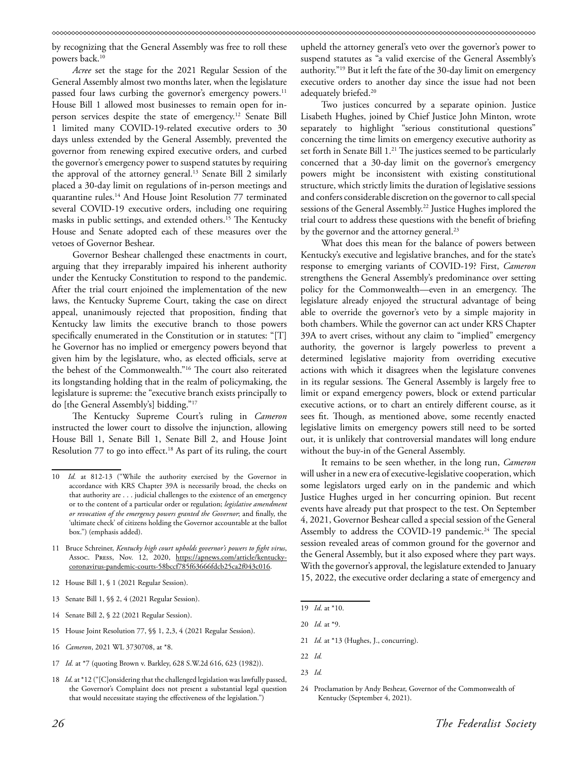by recognizing that the General Assembly was free to roll these powers back.<sup>10</sup>

*Acree* set the stage for the 2021 Regular Session of the General Assembly almost two months later, when the legislature passed four laws curbing the governor's emergency powers.<sup>11</sup> House Bill 1 allowed most businesses to remain open for inperson services despite the state of emergency.12 Senate Bill 1 limited many COVID-19-related executive orders to 30 days unless extended by the General Assembly, prevented the governor from renewing expired executive orders, and curbed the governor's emergency power to suspend statutes by requiring the approval of the attorney general.<sup>13</sup> Senate Bill 2 similarly placed a 30-day limit on regulations of in-person meetings and quarantine rules.<sup>14</sup> And House Joint Resolution 77 terminated several COVID-19 executive orders, including one requiring masks in public settings, and extended others.15 The Kentucky House and Senate adopted each of these measures over the vetoes of Governor Beshear.

Governor Beshear challenged these enactments in court, arguing that they irreparably impaired his inherent authority under the Kentucky Constitution to respond to the pandemic. After the trial court enjoined the implementation of the new laws, the Kentucky Supreme Court, taking the case on direct appeal, unanimously rejected that proposition, finding that Kentucky law limits the executive branch to those powers specifically enumerated in the Constitution or in statutes: "[T] he Governor has no implied or emergency powers beyond that given him by the legislature, who, as elected officials, serve at the behest of the Commonwealth."16 The court also reiterated its longstanding holding that in the realm of policymaking, the legislature is supreme: the "executive branch exists principally to do [the General Assembly's] bidding."17

The Kentucky Supreme Court's ruling in *Cameron*  instructed the lower court to dissolve the injunction, allowing House Bill 1, Senate Bill 1, Senate Bill 2, and House Joint Resolution 77 to go into effect.<sup>18</sup> As part of its ruling, the court

- 13 Senate Bill 1, §§ 2, 4 (2021 Regular Session).
- 14 Senate Bill 2, § 22 (2021 Regular Session).
- 15 House Joint Resolution 77, §§ 1, 2,3, 4 (2021 Regular Session).
- 16 *Cameron*, 2021 WL 3730708, at \*8.
- 17 *Id.* at \*7 (quoting Brown v. Barkley, 628 S.W.2d 616, 623 (1982)).
- 18 *Id*. at \*12 ("[C]onsidering that the challenged legislation was lawfully passed, the Governor's Complaint does not present a substantial legal question that would necessitate staying the effectiveness of the legislation.")

upheld the attorney general's veto over the governor's power to suspend statutes as "a valid exercise of the General Assembly's authority."19 But it left the fate of the 30-day limit on emergency executive orders to another day since the issue had not been adequately briefed.<sup>20</sup>

Two justices concurred by a separate opinion. Justice Lisabeth Hughes, joined by Chief Justice John Minton, wrote separately to highlight "serious constitutional questions" concerning the time limits on emergency executive authority as set forth in Senate Bill 1.<sup>21</sup> The justices seemed to be particularly concerned that a 30-day limit on the governor's emergency powers might be inconsistent with existing constitutional structure, which strictly limits the duration of legislative sessions and confers considerable discretion on the governor to call special sessions of the General Assembly.<sup>22</sup> Justice Hughes implored the trial court to address these questions with the benefit of briefing by the governor and the attorney general.<sup>23</sup>

What does this mean for the balance of powers between Kentucky's executive and legislative branches, and for the state's response to emerging variants of COVID-19? First, *Cameron*  strengthens the General Assembly's predominance over setting policy for the Commonwealth—even in an emergency. The legislature already enjoyed the structural advantage of being able to override the governor's veto by a simple majority in both chambers. While the governor can act under KRS Chapter 39A to avert crises, without any claim to "implied" emergency authority, the governor is largely powerless to prevent a determined legislative majority from overriding executive actions with which it disagrees when the legislature convenes in its regular sessions. The General Assembly is largely free to limit or expand emergency powers, block or extend particular executive actions, or to chart an entirely different course, as it sees fit. Though, as mentioned above, some recently enacted legislative limits on emergency powers still need to be sorted out, it is unlikely that controversial mandates will long endure without the buy-in of the General Assembly.

It remains to be seen whether, in the long run, *Cameron* will usher in a new era of executive-legislative cooperation, which some legislators urged early on in the pandemic and which Justice Hughes urged in her concurring opinion. But recent events have already put that prospect to the test. On September 4, 2021, Governor Beshear called a special session of the General Assembly to address the COVID-19 pandemic.<sup>24</sup> The special session revealed areas of common ground for the governor and the General Assembly, but it also exposed where they part ways. With the governor's approval, the legislature extended to January 15, 2022, the executive order declaring a state of emergency and

- 21 *Id.* at \*13 (Hughes, J., concurring).
- 22 *Id.*

<sup>10</sup> *Id.* at 812-13 ("While the authority exercised by the Governor in accordance with KRS Chapter 39A is necessarily broad, the checks on that authority are . . . judicial challenges to the existence of an emergency or to the content of a particular order or regulation; *legislative amendment or revocation of the emergency powers granted the Governor*; and finally, the 'ultimate check' of citizens holding the Governor accountable at the ballot box.") (emphasis added).

<sup>11</sup> Bruce Schreiner, *Kentucky high court upholds governor's powers to fight virus*, Assoc. Press, Nov. 12, 2020, https://apnews.com/article/kentuckycoronavirus-pandemic-courts-58bccf785f63666fdcb25ca2f043c016.

<sup>12</sup> House Bill 1, § 1 (2021 Regular Session).

<sup>19</sup> *Id*. at \*10.

<sup>20</sup> *Id.* at \*9.

<sup>23</sup> *Id.*

<sup>24</sup> Proclamation by Andy Beshear, Governor of the Commonwealth of Kentucky (September 4, 2021).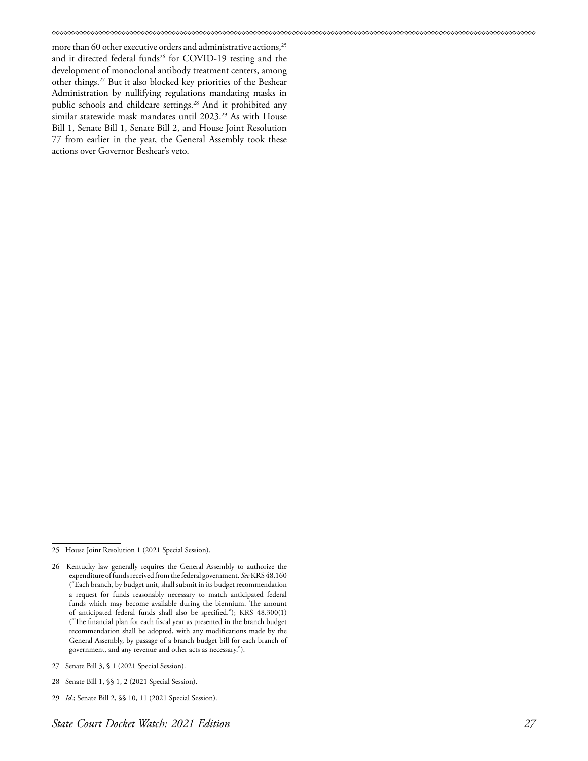more than 60 other executive orders and administrative actions,<sup>25</sup> and it directed federal funds<sup>26</sup> for COVID-19 testing and the development of monoclonal antibody treatment centers, among other things.27 But it also blocked key priorities of the Beshear Administration by nullifying regulations mandating masks in public schools and childcare settings.<sup>28</sup> And it prohibited any similar statewide mask mandates until 2023.<sup>29</sup> As with House Bill 1, Senate Bill 1, Senate Bill 2, and House Joint Resolution 77 from earlier in the year, the General Assembly took these actions over Governor Beshear's veto.

- 28 Senate Bill 1, §§ 1, 2 (2021 Special Session).
- 29 *Id*.; Senate Bill 2, §§ 10, 11 (2021 Special Session).

<sup>25</sup> House Joint Resolution 1 (2021 Special Session).

<sup>26</sup> Kentucky law generally requires the General Assembly to authorize the expenditure of funds received from the federal government. *See* KRS 48.160 ("Each branch, by budget unit, shall submit in its budget recommendation a request for funds reasonably necessary to match anticipated federal funds which may become available during the biennium. The amount of anticipated federal funds shall also be specified."); KRS 48.300(1) ("The financial plan for each fiscal year as presented in the branch budget recommendation shall be adopted, with any modifications made by the General Assembly, by passage of a branch budget bill for each branch of government, and any revenue and other acts as necessary.").

<sup>27</sup> Senate Bill 3, § 1 (2021 Special Session).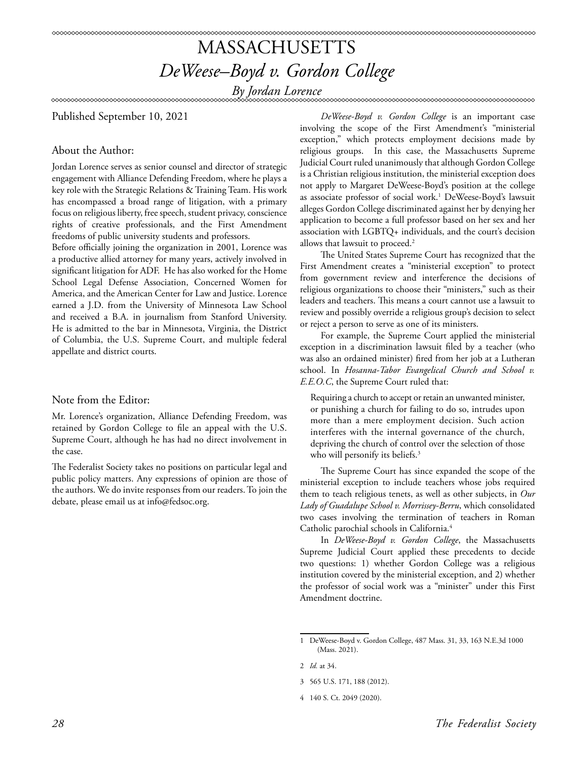### MASSACHUSETTS *DeWeese–Boyd v. Gordon College By Jordan Lorence*

#### 

Published September 10, 2021

#### About the Author:

Jordan Lorence serves as senior counsel and director of strategic engagement with Alliance Defending Freedom, where he plays a key role with the Strategic Relations & Training Team. His work has encompassed a broad range of litigation, with a primary focus on religious liberty, free speech, student privacy, conscience rights of creative professionals, and the First Amendment freedoms of public university students and professors.

Before officially joining the organization in 2001, Lorence was a productive allied attorney for many years, actively involved in significant litigation for ADF. He has also worked for the Home School Legal Defense Association, Concerned Women for America, and the American Center for Law and Justice. Lorence earned a J.D. from the University of Minnesota Law School and received a B.A. in journalism from Stanford University. He is admitted to the bar in Minnesota, Virginia, the District of Columbia, the U.S. Supreme Court, and multiple federal appellate and district courts.

#### Note from the Editor:

Mr. Lorence's organization, Alliance Defending Freedom, was retained by Gordon College to file an appeal with the U.S. Supreme Court, although he has had no direct involvement in the case.

The Federalist Society takes no positions on particular legal and public policy matters. Any expressions of opinion are those of the authors. We do invite responses from our readers. To join the debate, please email us at info@fedsoc.org.

*DeWeese-Boyd v. Gordon College* is an important case involving the scope of the First Amendment's "ministerial exception," which protects employment decisions made by religious groups. In this case, the Massachusetts Supreme Judicial Court ruled unanimously that although Gordon College is a Christian religious institution, the ministerial exception does not apply to Margaret DeWeese-Boyd's position at the college as associate professor of social work.1 DeWeese-Boyd's lawsuit alleges Gordon College discriminated against her by denying her application to become a full professor based on her sex and her association with LGBTQ+ individuals, and the court's decision allows that lawsuit to proceed.<sup>2</sup>

The United States Supreme Court has recognized that the First Amendment creates a "ministerial exception" to protect from government review and interference the decisions of religious organizations to choose their "ministers," such as their leaders and teachers. This means a court cannot use a lawsuit to review and possibly override a religious group's decision to select or reject a person to serve as one of its ministers.

For example, the Supreme Court applied the ministerial exception in a discrimination lawsuit filed by a teacher (who was also an ordained minister) fired from her job at a Lutheran school. In *Hosanna-Tabor Evangelical Church and School v. E.E.O.C*, the Supreme Court ruled that:

Requiring a church to accept or retain an unwanted minister, or punishing a church for failing to do so, intrudes upon more than a mere employment decision. Such action interferes with the internal governance of the church, depriving the church of control over the selection of those who will personify its beliefs.<sup>3</sup>

The Supreme Court has since expanded the scope of the ministerial exception to include teachers whose jobs required them to teach religious tenets, as well as other subjects, in *Our Lady of Guadalupe School v. Morrissey-Berru*, which consolidated two cases involving the termination of teachers in Roman Catholic parochial schools in California.4

In *DeWeese-Boyd v. Gordon College*, the Massachusetts Supreme Judicial Court applied these precedents to decide two questions: 1) whether Gordon College was a religious institution covered by the ministerial exception, and 2) whether the professor of social work was a "minister" under this First Amendment doctrine.

<sup>1</sup> DeWeese-Boyd v. Gordon College, 487 Mass. 31, 33, 163 N.E.3d 1000 (Mass. 2021).

<sup>2</sup> *Id.* at 34.

<sup>3 565</sup> U.S. 171, 188 (2012).

<sup>4 140</sup> S. Ct. 2049 (2020).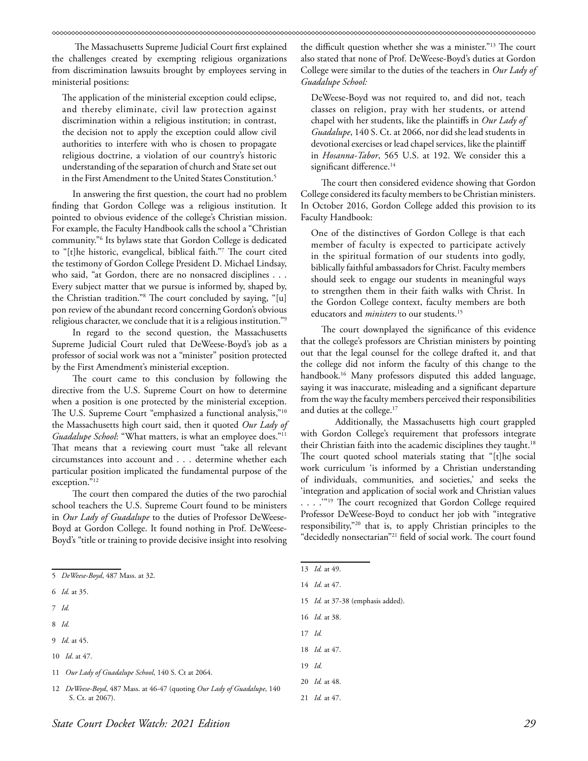The Massachusetts Supreme Judicial Court first explained the challenges created by exempting religious organizations from discrimination lawsuits brought by employees serving in ministerial positions:

The application of the ministerial exception could eclipse, and thereby eliminate, civil law protection against discrimination within a religious institution; in contrast, the decision not to apply the exception could allow civil authorities to interfere with who is chosen to propagate religious doctrine, a violation of our country's historic understanding of the separation of church and State set out in the First Amendment to the United States Constitution.<sup>5</sup>

In answering the first question, the court had no problem finding that Gordon College was a religious institution. It pointed to obvious evidence of the college's Christian mission. For example, the Faculty Handbook calls the school a "Christian community."6 Its bylaws state that Gordon College is dedicated to "[t]he historic, evangelical, biblical faith."7 The court cited the testimony of Gordon College President D. Michael Lindsay, who said, "at Gordon, there are no nonsacred disciplines . . . Every subject matter that we pursue is informed by, shaped by, the Christian tradition."8 The court concluded by saying, "[u] pon review of the abundant record concerning Gordon's obvious religious character, we conclude that it is a religious institution."9

In regard to the second question, the Massachusetts Supreme Judicial Court ruled that DeWeese-Boyd's job as a professor of social work was not a "minister" position protected by the First Amendment's ministerial exception.

The court came to this conclusion by following the directive from the U.S. Supreme Court on how to determine when a position is one protected by the ministerial exception. The U.S. Supreme Court "emphasized a functional analysis,"<sup>10</sup> the Massachusetts high court said, then it quoted *Our Lady of Guadalupe School*: "What matters, is what an employee does."11 That means that a reviewing court must "take all relevant circumstances into account and . . . determine whether each particular position implicated the fundamental purpose of the exception."12

The court then compared the duties of the two parochial school teachers the U.S. Supreme Court found to be ministers in *Our Lady of Guadalupe* to the duties of Professor DeWeese-Boyd at Gordon College. It found nothing in Prof. DeWeese-Boyd's "title or training to provide decisive insight into resolving

- 7 *Id.*
- 8 *Id.*
- 9 *Id.* at 45.

11 *Our Lady of Guadalupe School*, 140 S. Ct at 2064.

the difficult question whether she was a minister."13 The court also stated that none of Prof. DeWeese-Boyd's duties at Gordon College were similar to the duties of the teachers in *Our Lady of Guadalupe School:*

DeWeese-Boyd was not required to, and did not, teach classes on religion, pray with her students, or attend chapel with her students, like the plaintiffs in *Our Lady of Guadalupe*, 140 S. Ct. at 2066, nor did she lead students in devotional exercises or lead chapel services, like the plaintiff in *Hosanna-Tabor*, 565 U.S. at 192. We consider this a significant difference.<sup>14</sup>

The court then considered evidence showing that Gordon College considered its faculty members to be Christian ministers. In October 2016, Gordon College added this provision to its Faculty Handbook:

One of the distinctives of Gordon College is that each member of faculty is expected to participate actively in the spiritual formation of our students into godly, biblically faithful ambassadors for Christ. Faculty members should seek to engage our students in meaningful ways to strengthen them in their faith walks with Christ. In the Gordon College context, faculty members are both educators and *ministers* to our students.15

The court downplayed the significance of this evidence that the college's professors are Christian ministers by pointing out that the legal counsel for the college drafted it, and that the college did not inform the faculty of this change to the handbook.<sup>16</sup> Many professors disputed this added language, saying it was inaccurate, misleading and a significant departure from the way the faculty members perceived their responsibilities and duties at the college.<sup>17</sup>

Additionally, the Massachusetts high court grappled with Gordon College's requirement that professors integrate their Christian faith into the academic disciplines they taught.<sup>18</sup> The court quoted school materials stating that "[t]he social work curriculum 'is informed by a Christian understanding of individuals, communities, and societies,' and seeks the 'integration and application of social work and Christian values ...."<sup>19</sup> The court recognized that Gordon College required Professor DeWeese-Boyd to conduct her job with "integrative responsibility,"20 that is, to apply Christian principles to the "decidedly nonsectarian"21 field of social work. The court found

- 15 *Id.* at 37-38 (emphasis added).
- 16 *Id.* at 38.
- 17 *Id.*
- 18 *Id.* at 47.
- 19 *Id.*

21 *Id.* at 47.

<sup>5</sup> *DeWeese-Boyd*, 487 Mass. at 32.

<sup>6</sup> *Id.* at 35.

<sup>10</sup> *Id*. at 47.

<sup>12</sup> *DeWeese-Boyd*, 487 Mass. at 46-47 (quoting *Our Lady of Guadalupe*, 140 S. Ct. at 2067).

<sup>13</sup> *Id.* at 49.

<sup>14</sup> *Id*. at 47.

<sup>20</sup> *Id.* at 48.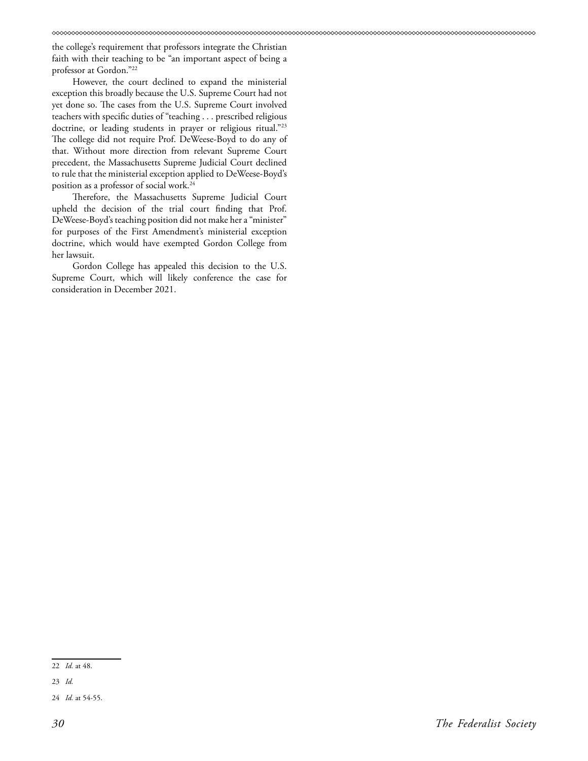the college's requirement that professors integrate the Christian faith with their teaching to be "an important aspect of being a professor at Gordon."22

However, the court declined to expand the ministerial exception this broadly because the U.S. Supreme Court had not yet done so. The cases from the U.S. Supreme Court involved teachers with specific duties of "teaching . . . prescribed religious doctrine, or leading students in prayer or religious ritual."<sup>23</sup> The college did not require Prof. DeWeese-Boyd to do any of that. Without more direction from relevant Supreme Court precedent, the Massachusetts Supreme Judicial Court declined to rule that the ministerial exception applied to DeWeese-Boyd's position as a professor of social work.24

Therefore, the Massachusetts Supreme Judicial Court upheld the decision of the trial court finding that Prof. DeWeese-Boyd's teaching position did not make her a "minister" for purposes of the First Amendment's ministerial exception doctrine, which would have exempted Gordon College from her lawsuit.

Gordon College has appealed this decision to the U.S. Supreme Court, which will likely conference the case for consideration in December 2021.

<sup>22</sup> *Id.* at 48.

<sup>23</sup> *Id.* 

<sup>24</sup> *Id.* at 54-55.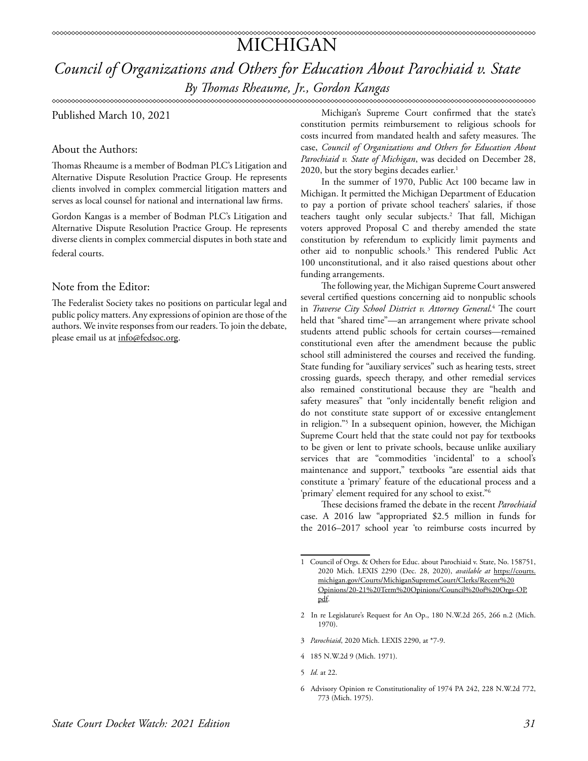### MICHIGAN

*Council of Organizations and Others for Education About Parochiaid v. State By Thomas Rheaume, Jr., Gordon Kangas*

Published March 10, 2021

About the Authors:

Thomas Rheaume is a member of Bodman PLC's Litigation and Alternative Dispute Resolution Practice Group. He represents clients involved in complex commercial litigation matters and serves as local counsel for national and international law firms.

Gordon Kangas is a member of Bodman PLC's Litigation and Alternative Dispute Resolution Practice Group. He represents diverse clients in complex commercial disputes in both state and federal courts.

Note from the Editor:

The Federalist Society takes no positions on particular legal and public policy matters. Any expressions of opinion are those of the authors. We invite responses from our readers. To join the debate, please email us at info@fedsoc.org.

Michigan's Supreme Court confirmed that the state's constitution permits reimbursement to religious schools for costs incurred from mandated health and safety measures. The case, *Council of Organizations and Others for Education About Parochiaid v. State of Michigan*, was decided on December 28, 2020, but the story begins decades earlier.<sup>1</sup>

In the summer of 1970, Public Act 100 became law in Michigan. It permitted the Michigan Department of Education to pay a portion of private school teachers' salaries, if those teachers taught only secular subjects.2 That fall, Michigan voters approved Proposal C and thereby amended the state constitution by referendum to explicitly limit payments and other aid to nonpublic schools.3 This rendered Public Act 100 unconstitutional, and it also raised questions about other funding arrangements.

The following year, the Michigan Supreme Court answered several certified questions concerning aid to nonpublic schools in *Traverse City School District v. Attorney General*. 4 The court held that "shared time"—an arrangement where private school students attend public schools for certain courses—remained constitutional even after the amendment because the public school still administered the courses and received the funding. State funding for "auxiliary services" such as hearing tests, street crossing guards, speech therapy, and other remedial services also remained constitutional because they are "health and safety measures" that "only incidentally benefit religion and do not constitute state support of or excessive entanglement in religion."5 In a subsequent opinion, however, the Michigan Supreme Court held that the state could not pay for textbooks to be given or lent to private schools, because unlike auxiliary services that are "commodities 'incidental' to a school's maintenance and support," textbooks "are essential aids that constitute a 'primary' feature of the educational process and a 'primary' element required for any school to exist."6

These decisions framed the debate in the recent *Parochiaid* case. A 2016 law "appropriated \$2.5 million in funds for the 2016–2017 school year 'to reimburse costs incurred by

- 3 *Parochiaid*, 2020 Mich. LEXIS 2290, at \*7-9.
- 4 185 N.W.2d 9 (Mich. 1971).
- 5 *Id.* at 22.
- 6 Advisory Opinion re Constitutionality of 1974 PA 242, 228 N.W.2d 772, 773 (Mich. 1975).

<sup>1</sup> Council of Orgs. & Others for Educ. about Parochiaid v. State, No. 158751, 2020 Mich. LEXIS 2290 (Dec. 28, 2020), *available at* [https://courts.](https://courts.michigan.gov/Courts/MichiganSupremeCourt/Clerks/Recent%20Opinions/20-21%20Term%20Opin) [michigan.gov/Courts/MichiganSupremeCourt/Clerks/Recent%20](https://courts.michigan.gov/Courts/MichiganSupremeCourt/Clerks/Recent%20Opinions/20-21%20Term%20Opin) [Opinions/20-21%20Term%20Opinions/Council%20of%20Orgs-OP.](https://courts.michigan.gov/Courts/MichiganSupremeCourt/Clerks/Recent%20Opinions/20-21%20Term%20Opin) [pdf.](https://courts.michigan.gov/Courts/MichiganSupremeCourt/Clerks/Recent%20Opinions/20-21%20Term%20Opin)

<sup>2</sup> In re Legislature's Request for An Op., 180 N.W.2d 265, 266 n.2 (Mich. 1970).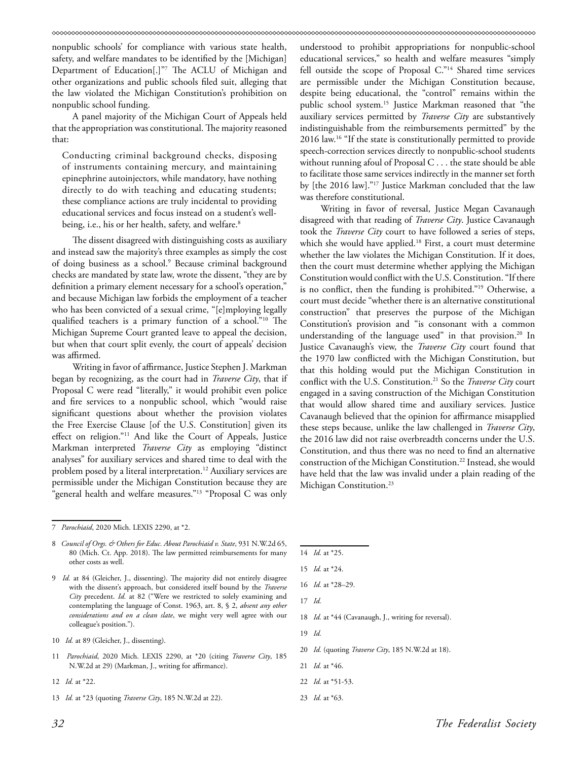nonpublic schools' for compliance with various state health, safety, and welfare mandates to be identified by the [Michigan] Department of Education[.]"7 The ACLU of Michigan and other organizations and public schools filed suit, alleging that the law violated the Michigan Constitution's prohibition on nonpublic school funding.

A panel majority of the Michigan Court of Appeals held that the appropriation was constitutional. The majority reasoned that:

Conducting criminal background checks, disposing of instruments containing mercury, and maintaining epinephrine autoinjectors, while mandatory, have nothing directly to do with teaching and educating students; these compliance actions are truly incidental to providing educational services and focus instead on a student's wellbeing, i.e., his or her health, safety, and welfare.<sup>8</sup>

The dissent disagreed with distinguishing costs as auxiliary and instead saw the majority's three examples as simply the cost of doing business as a school.<sup>9</sup> Because criminal background checks are mandated by state law, wrote the dissent, "they are by definition a primary element necessary for a school's operation," and because Michigan law forbids the employment of a teacher who has been convicted of a sexual crime, "[e]mploying legally qualified teachers is a primary function of a school."10 The Michigan Supreme Court granted leave to appeal the decision, but when that court split evenly, the court of appeals' decision was affirmed.

Writing in favor of affirmance, Justice Stephen J. Markman began by recognizing, as the court had in *Traverse City*, that if Proposal C were read "literally," it would prohibit even police and fire services to a nonpublic school, which "would raise significant questions about whether the provision violates the Free Exercise Clause [of the U.S. Constitution] given its effect on religion."11 And like the Court of Appeals, Justice Markman interpreted *Traverse City* as employing "distinct analyses" for auxiliary services and shared time to deal with the problem posed by a literal interpretation.<sup>12</sup> Auxiliary services are permissible under the Michigan Constitution because they are 'general health and welfare measures."<sup>13</sup> "Proposal C was only

understood to prohibit appropriations for nonpublic-school educational services," so health and welfare measures "simply fell outside the scope of Proposal C."14 Shared time services are permissible under the Michigan Constitution because, despite being educational, the "control" remains within the public school system.15 Justice Markman reasoned that "the auxiliary services permitted by *Traverse City* are substantively indistinguishable from the reimbursements permitted" by the 2016 law.16 "If the state is constitutionally permitted to provide speech-correction services directly to nonpublic-school students without running afoul of Proposal C . . . the state should be able to facilitate those same services indirectly in the manner set forth by [the 2016 law]."17 Justice Markman concluded that the law was therefore constitutional.

Writing in favor of reversal, Justice Megan Cavanaugh disagreed with that reading of *Traverse City*. Justice Cavanaugh took the *Traverse City* court to have followed a series of steps, which she would have applied.<sup>18</sup> First, a court must determine whether the law violates the Michigan Constitution. If it does, then the court must determine whether applying the Michigan Constitution would conflict with the U.S. Constitution. "If there is no conflict, then the funding is prohibited."19 Otherwise, a court must decide "whether there is an alternative constitutional construction" that preserves the purpose of the Michigan Constitution's provision and "is consonant with a common understanding of the language used" in that provision.<sup>20</sup> In Justice Cavanaugh's view, the *Traverse City* court found that the 1970 law conflicted with the Michigan Constitution, but that this holding would put the Michigan Constitution in conflict with the U.S. Constitution.21 So the *Traverse City* court engaged in a saving construction of the Michigan Constitution that would allow shared time and auxiliary services. Justice Cavanaugh believed that the opinion for affirmance misapplied these steps because, unlike the law challenged in *Traverse City*, the 2016 law did not raise overbreadth concerns under the U.S. Constitution, and thus there was no need to find an alternative construction of the Michigan Constitution.22 Instead, she would have held that the law was invalid under a plain reading of the Michigan Constitution.<sup>23</sup>

- 10 *Id.* at 89 (Gleicher, J., dissenting).
- 11 *Parochiaid*, 2020 Mich. LEXIS 2290, at \*20 (citing *Traverse City*, 185 N.W.2d at 29) (Markman, J., writing for affirmance).
- 12 *Id.* at \*22.
- 13 *Id.* at \*23 (quoting *Traverse City*, 185 N.W.2d at 22).

14 *Id.* at \*25.

- 17 *Id.*
- 18 *Id.* at \*44 (Cavanaugh, J., writing for reversal).
- 19 *Id.*
- 20 *Id.* (quoting *Traverse City*, 185 N.W.2d at 18).

- 22 *Id.* at \*51-53.
- 23 *Id.* at \*63.

<sup>7</sup> *Parochiaid*, 2020 Mich. LEXIS 2290, at \*2.

<sup>8</sup> *Council of Orgs. & Others for Educ. About Parochiaid v. State*, 931 N.W.2d 65, 80 (Mich. Ct. App. 2018). The law permitted reimbursements for many other costs as well.

<sup>9</sup> *Id.* at 84 (Gleicher, J., dissenting). The majority did not entirely disagree with the dissent's approach, but considered itself bound by the *Traverse City* precedent. *Id.* at 82 ("Were we restricted to solely examining and contemplating the language of Const. 1963, art. 8, § 2, *absent any other considerations and on a clean slate*, we might very well agree with our colleague's position.").

<sup>15</sup> *Id.* at \*24.

<sup>16</sup> *Id.* at \*28–29.

<sup>21</sup> *Id.* at \*46.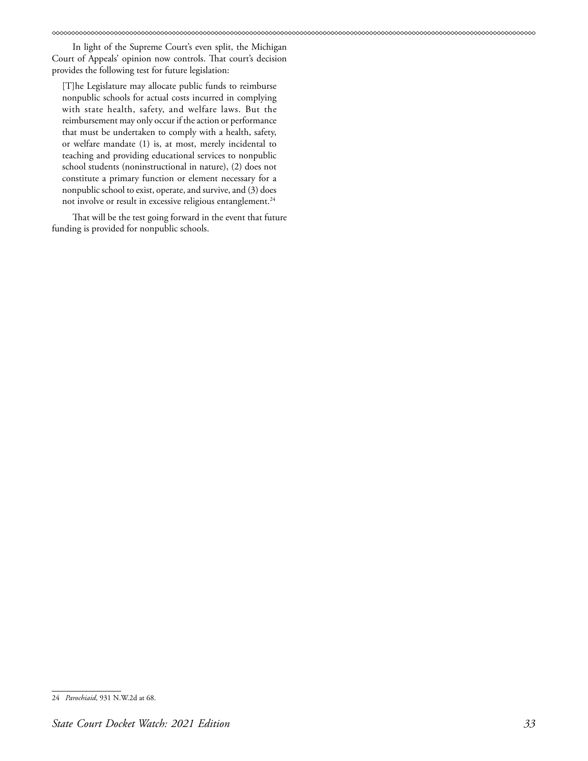In light of the Supreme Court's even split, the Michigan Court of Appeals' opinion now controls. That court's decision provides the following test for future legislation:

[T]he Legislature may allocate public funds to reimburse nonpublic schools for actual costs incurred in complying with state health, safety, and welfare laws. But the reimbursement may only occur if the action or performance that must be undertaken to comply with a health, safety, or welfare mandate (1) is, at most, merely incidental to teaching and providing educational services to nonpublic school students (noninstructional in nature), (2) does not constitute a primary function or element necessary for a nonpublic school to exist, operate, and survive, and (3) does not involve or result in excessive religious entanglement.<sup>24</sup>

That will be the test going forward in the event that future funding is provided for nonpublic schools.

<sup>24</sup> *Parochiaid*, 931 N.W.2d at 68.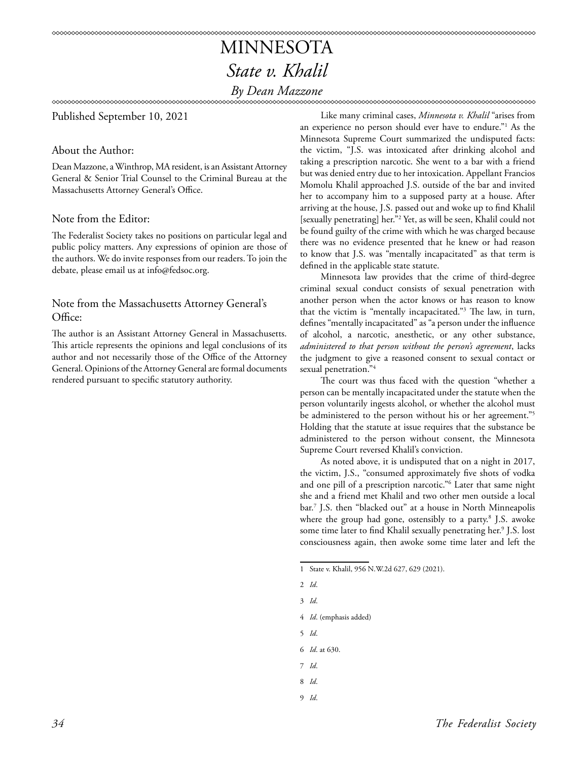### MINNESOTA *State v. Khalil By Dean Mazzone*

#### Published September 10, 2021

#### About the Author:

Dean Mazzone, a Winthrop, MA resident, is an Assistant Attorney General & Senior Trial Counsel to the Criminal Bureau at the Massachusetts Attorney General's Office.

#### Note from the Editor:

The Federalist Society takes no positions on particular legal and public policy matters. Any expressions of opinion are those of the authors. We do invite responses from our readers. To join the debate, please email us at info@fedsoc.org.

#### Note from the Massachusetts Attorney General's Office:

The author is an Assistant Attorney General in Massachusetts. This article represents the opinions and legal conclusions of its author and not necessarily those of the Office of the Attorney General. Opinions of the Attorney General are formal documents rendered pursuant to specific statutory authority.

Like many criminal cases, *Minnesota v. Khalil* "arises from an experience no person should ever have to endure."1 As the Minnesota Supreme Court summarized the undisputed facts: the victim, "J.S. was intoxicated after drinking alcohol and taking a prescription narcotic. She went to a bar with a friend but was denied entry due to her intoxication. Appellant Francios Momolu Khalil approached J.S. outside of the bar and invited her to accompany him to a supposed party at a house. After arriving at the house, J.S. passed out and woke up to find Khalil [sexually penetrating] her."2 Yet, as will be seen, Khalil could not be found guilty of the crime with which he was charged because there was no evidence presented that he knew or had reason to know that J.S. was "mentally incapacitated" as that term is defined in the applicable state statute.

Minnesota law provides that the crime of third-degree criminal sexual conduct consists of sexual penetration with another person when the actor knows or has reason to know that the victim is "mentally incapacitated."3 The law, in turn, defines "mentally incapacitated" as "a person under the influence of alcohol, a narcotic, anesthetic, or any other substance, *administered to that person without the person's agreement*, lacks the judgment to give a reasoned consent to sexual contact or sexual penetration."4

The court was thus faced with the question "whether a person can be mentally incapacitated under the statute when the person voluntarily ingests alcohol, or whether the alcohol must be administered to the person without his or her agreement."<sup>5</sup> Holding that the statute at issue requires that the substance be administered to the person without consent, the Minnesota Supreme Court reversed Khalil's conviction.

As noted above, it is undisputed that on a night in 2017, the victim, J.S., "consumed approximately five shots of vodka and one pill of a prescription narcotic."6 Later that same night she and a friend met Khalil and two other men outside a local bar.7 J.S. then "blacked out" at a house in North Minneapolis where the group had gone, ostensibly to a party.8 J.S. awoke some time later to find Khalil sexually penetrating her.9 J.S. lost consciousness again, then awoke some time later and left the

- 3 *Id*.
- 4 *Id*. (emphasis added)
- 5 *Id*.
- 6 *Id*. at 630.
- 7 *Id*.
- 8 *Id*.
- 9 *Id*.

<sup>1</sup> State v. Khalil, 956 N.W.2d 627, 629 (2021).

<sup>2</sup> *Id*.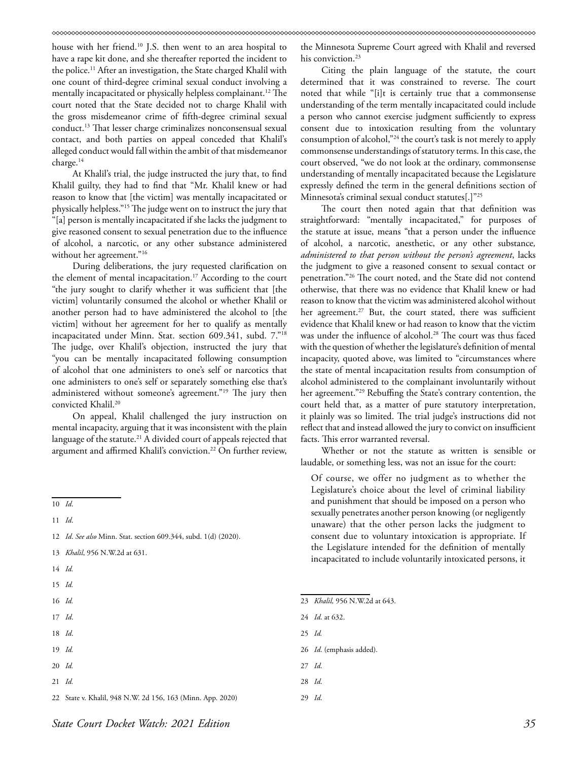house with her friend.10 J.S. then went to an area hospital to have a rape kit done, and she thereafter reported the incident to the police.<sup>11</sup> After an investigation, the State charged Khalil with one count of third-degree criminal sexual conduct involving a mentally incapacitated or physically helpless complainant.<sup>12</sup> The court noted that the State decided not to charge Khalil with the gross misdemeanor crime of fifth-degree criminal sexual conduct.13 That lesser charge criminalizes nonconsensual sexual contact, and both parties on appeal conceded that Khalil's alleged conduct would fall within the ambit of that misdemeanor charge.<sup>14</sup>

At Khalil's trial, the judge instructed the jury that, to find Khalil guilty, they had to find that "Mr. Khalil knew or had reason to know that [the victim] was mentally incapacitated or physically helpless."15 The judge went on to instruct the jury that "[a] person is mentally incapacitated if she lacks the judgment to give reasoned consent to sexual penetration due to the influence of alcohol, a narcotic, or any other substance administered without her agreement."<sup>16</sup>

During deliberations, the jury requested clarification on the element of mental incapacitation.<sup>17</sup> According to the court "the jury sought to clarify whether it was sufficient that [the victim] voluntarily consumed the alcohol or whether Khalil or another person had to have administered the alcohol to [the victim] without her agreement for her to qualify as mentally incapacitated under Minn. Stat. section 609.341, subd. 7."18 The judge, over Khalil's objection, instructed the jury that "you can be mentally incapacitated following consumption of alcohol that one administers to one's self or narcotics that one administers to one's self or separately something else that's administered without someone's agreement."<sup>19</sup> The jury then convicted Khalil.<sup>20</sup>

On appeal, Khalil challenged the jury instruction on mental incapacity, arguing that it was inconsistent with the plain language of the statute.<sup>21</sup> A divided court of appeals rejected that argument and affirmed Khalil's conviction.<sup>22</sup> On further review,

- 12 *Id*. *See also* Minn. Stat. section 609.344, subd. 1(d) (2020).
- 13 *Khalil*, 956 N.W.2d at 631.

14 *Id.*

- 15 *Id.*
- 16 *Id.*
- 17 *Id*.
- 
- 18 *Id*.
- 19 *Id.*
- 20 *Id.*
- 21 *Id.*

the Minnesota Supreme Court agreed with Khalil and reversed his conviction.<sup>23</sup>

Citing the plain language of the statute, the court determined that it was constrained to reverse. The court noted that while "[i]t is certainly true that a commonsense understanding of the term mentally incapacitated could include a person who cannot exercise judgment sufficiently to express consent due to intoxication resulting from the voluntary consumption of alcohol,"24 the court's task is not merely to apply commonsense understandings of statutory terms. In this case, the court observed, "we do not look at the ordinary, commonsense understanding of mentally incapacitated because the Legislature expressly defined the term in the general definitions section of Minnesota's criminal sexual conduct statutes[.]"25

The court then noted again that that definition was straightforward: "mentally incapacitated," for purposes of the statute at issue, means "that a person under the influence of alcohol, a narcotic, anesthetic, or any other substance*, administered to that person without the person's agreement*, lacks the judgment to give a reasoned consent to sexual contact or penetration."26 The court noted, and the State did not contend otherwise, that there was no evidence that Khalil knew or had reason to know that the victim was administered alcohol without her agreement.<sup>27</sup> But, the court stated, there was sufficient evidence that Khalil knew or had reason to know that the victim was under the influence of alcohol.<sup>28</sup> The court was thus faced with the question of whether the legislature's definition of mental incapacity, quoted above, was limited to "circumstances where the state of mental incapacitation results from consumption of alcohol administered to the complainant involuntarily without her agreement."29 Rebuffing the State's contrary contention, the court held that, as a matter of pure statutory interpretation, it plainly was so limited. The trial judge's instructions did not reflect that and instead allowed the jury to convict on insufficient facts. This error warranted reversal.

Whether or not the statute as written is sensible or laudable, or something less, was not an issue for the court:

Of course, we offer no judgment as to whether the Legislature's choice about the level of criminal liability and punishment that should be imposed on a person who sexually penetrates another person knowing (or negligently unaware) that the other person lacks the judgment to consent due to voluntary intoxication is appropriate. If the Legislature intended for the definition of mentally incapacitated to include voluntarily intoxicated persons, it

- 24 *Id*. at 632.
- 25 *Id.*
- 26 *Id*. (emphasis added).
- 27 *Id*.
- 28 *Id*.
- 29 *Id*.

<sup>10</sup> *Id*.

<sup>11</sup> *Id*.

<sup>22</sup> State v. Khalil, 948 N.W. 2d 156, 163 (Minn. App. 2020)

<sup>23</sup> *Khalil,* 956 N.W.2d at 643.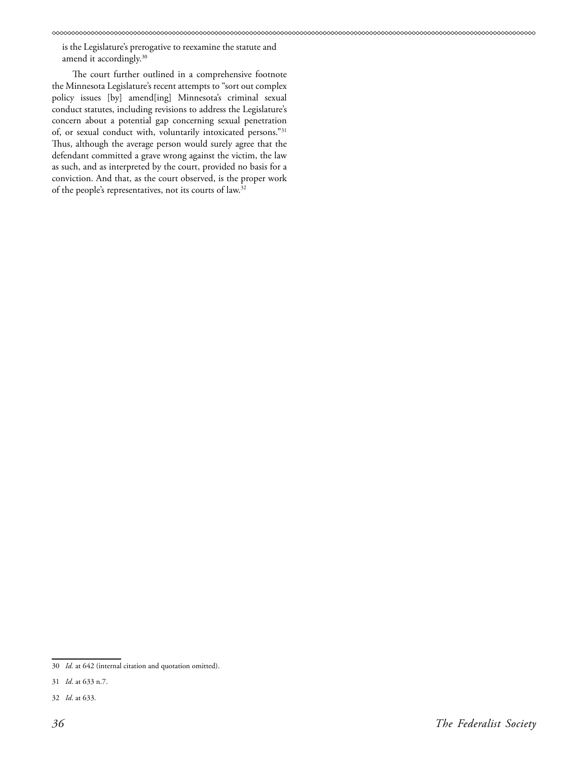is the Legislature's prerogative to reexamine the statute and amend it accordingly.<sup>30</sup>

The court further outlined in a comprehensive footnote the Minnesota Legislature's recent attempts to "sort out complex policy issues [by] amend[ing] Minnesota's criminal sexual conduct statutes, including revisions to address the Legislature's concern about a potential gap concerning sexual penetration of, or sexual conduct with, voluntarily intoxicated persons."31 Thus, although the average person would surely agree that the defendant committed a grave wrong against the victim, the law as such, and as interpreted by the court, provided no basis for a conviction. And that, as the court observed, is the proper work of the people's representatives, not its courts of law.32

<sup>30</sup> *Id.* at 642 (internal citation and quotation omitted).

<sup>31</sup> *Id*. at 633 n.7.

<sup>32</sup> *Id*. at 633.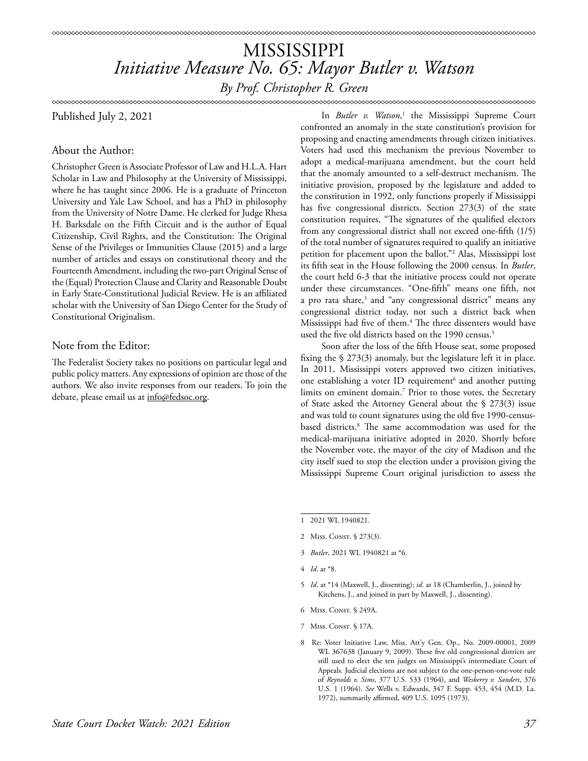# MISSISSIPPI *Initiative Measure No. 65: Mayor Butler v. Watson*

*By Prof. Christopher R. Green*

### \*\*\*\*\*\*\*\*\*\*\*\*\*\*\*\*\*\*\*\*\*\*\*\*\*\*\*

Published July 2, 2021

### About the Author:

Christopher Green is Associate Professor of Law and H.L.A. Hart Scholar in Law and Philosophy at the University of Mississippi, where he has taught since 2006. He is a graduate of Princeton University and Yale Law School, and has a PhD in philosophy from the University of Notre Dame. He clerked for Judge Rhesa H. Barksdale on the Fifth Circuit and is the author of Equal Citizenship, Civil Rights, and the Constitution: The Original Sense of the Privileges or Immunities Clause (2015) and a large number of articles and essays on constitutional theory and the Fourteenth Amendment, including the two-part Original Sense of the (Equal) Protection Clause and Clarity and Reasonable Doubt in Early State-Constitutional Judicial Review. He is an affiliated scholar with the University of San Diego Center for the Study of Constitutional Originalism.

### Note from the Editor:

The Federalist Society takes no positions on particular legal and public policy matters. Any expressions of opinion are those of the authors. We also invite responses from our readers. To join the debate, please email us at info@fedsoc.org.

In *Butler v. Watson*,<sup>1</sup> the Mississippi Supreme Court confronted an anomaly in the state constitution's provision for proposing and enacting amendments through citizen initiatives. Voters had used this mechanism the previous November to adopt a medical-marijuana amendment, but the court held that the anomaly amounted to a self-destruct mechanism. The initiative provision, proposed by the legislature and added to the constitution in 1992, only functions properly if Mississippi has five congressional districts. Section 273(3) of the state constitution requires, "The signatures of the qualified electors from any congressional district shall not exceed one-fifth (1/5) of the total number of signatures required to qualify an initiative petition for placement upon the ballot."2 Alas, Mississippi lost its fifth seat in the House following the 2000 census. In *Butler*, the court held 6-3 that the initiative process could not operate under these circumstances. "One-fifth" means one fifth, not a pro rata share, $3$  and "any congressional district" means any congressional district today, not such a district back when Mississippi had five of them.4 The three dissenters would have used the five old districts based on the 1990 census.<sup>5</sup>

Soon after the loss of the fifth House seat, some proposed fixing the § 273(3) anomaly, but the legislature left it in place. In 2011, Mississippi voters approved two citizen initiatives, one establishing a voter ID requirement<sup>6</sup> and another putting limits on eminent domain.7 Prior to those votes, the Secretary of State asked the Attorney General about the § 273(3) issue and was told to count signatures using the old five 1990-censusbased districts.8 The same accommodation was used for the medical-marijuana initiative adopted in 2020. Shortly before the November vote, the mayor of the city of Madison and the city itself sued to stop the election under a provision giving the Mississippi Supreme Court original jurisdiction to assess the

<sup>1 2021</sup> WL 1940821.

<sup>2</sup> Miss. CONST. § 273(3).

<sup>3</sup> *Butler*, 2021 WL 1940821 at \*6.

<sup>4</sup> *Id*. at \*8.

<sup>5</sup> *Id*. at \*14 (Maxwell, J., dissenting); *id*. at 18 (Chamberlin, J., joined by Kitchens, J., and joined in part by Maxwell, J., dissenting).

<sup>6</sup> Miss. Const. § 249A

<sup>7</sup> Miss. Const. § 17A.

<sup>8</sup> Re: Voter Initiative Law, Miss. Att'y Gen. Op., No. 2009-00001, 2009 WL 367638 (January 9, 2009). These five old congressional districts are still used to elect the ten judges on Mississippi's intermediate Court of Appeals. Judicial elections are not subject to the one-person-one-vote rule of *Reynolds v. Sims*, 377 U.S. 533 (1964), and *Wesberry v. Sanders*, 376 U.S. 1 (1964). *See* Wells v. Edwards, 347 F. Supp. 453, 454 (M.D. La. 1972), summarily affirmed, 409 U.S. 1095 (1973).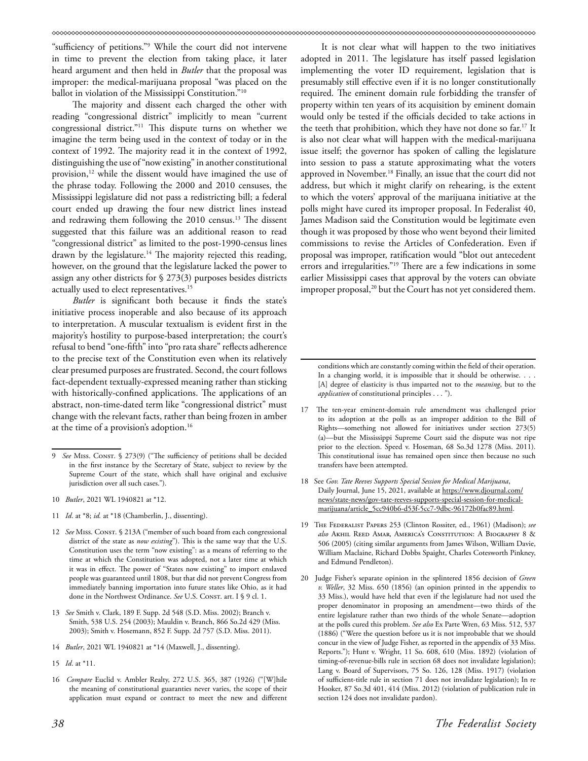"sufficiency of petitions."9 While the court did not intervene in time to prevent the election from taking place, it later heard argument and then held in *Butler* that the proposal was improper: the medical-marijuana proposal "was placed on the ballot in violation of the Mississippi Constitution."10

The majority and dissent each charged the other with reading "congressional district" implicitly to mean "current congressional district."11 This dispute turns on whether we imagine the term being used in the context of today or in the context of 1992. The majority read it in the context of 1992, distinguishing the use of "now existing" in another constitutional provision,<sup>12</sup> while the dissent would have imagined the use of the phrase today. Following the 2000 and 2010 censuses, the Mississippi legislature did not pass a redistricting bill; a federal court ended up drawing the four new district lines instead and redrawing them following the 2010 census.<sup>13</sup> The dissent suggested that this failure was an additional reason to read "congressional district" as limited to the post-1990-census lines drawn by the legislature.<sup>14</sup> The majority rejected this reading, however, on the ground that the legislature lacked the power to assign any other districts for § 273(3) purposes besides districts actually used to elect representatives.<sup>15</sup>

*Butler* is significant both because it finds the state's initiative process inoperable and also because of its approach to interpretation. A muscular textualism is evident first in the majority's hostility to purpose-based interpretation; the court's refusal to bend "one-fifth" into "pro rata share" reflects adherence to the precise text of the Constitution even when its relatively clear presumed purposes are frustrated. Second, the court follows fact-dependent textually-expressed meaning rather than sticking with historically-confined applications. The applications of an abstract, non-time-dated term like "congressional district" must change with the relevant facts, rather than being frozen in amber at the time of a provision's adoption.16

- 11 *Id*. at \*8; *id.* at \*18 (Chamberlin, J., dissenting).
- 12 See Miss. Const. § 213A ("member of such board from each congressional district of the state as *now existing*"). This is the same way that the U.S. Constitution uses the term "now existing": as a means of referring to the time at which the Constitution was adopted, not a later time at which it was in effect. The power of "States now existing" to import enslaved people was guaranteed until 1808, but that did not prevent Congress from immediately banning importation into future states like Ohio, as it had done in the Northwest Ordinance. See U.S. Const. art. I § 9 cl. 1.
- 13 *See* Smith v. Clark, 189 F. Supp. 2d 548 (S.D. Miss. 2002); Branch v. Smith, 538 U.S. 254 (2003); Mauldin v. Branch, 866 So.2d 429 (Miss. 2003); Smith v. Hosemann, 852 F. Supp. 2d 757 (S.D. Miss. 2011).
- 14 *Butler*, 2021 WL 1940821 at \*14 (Maxwell, J., dissenting).

16 *Compare* Euclid v. Ambler Realty, 272 U.S. 365, 387 (1926) ("[W]hile the meaning of constitutional guaranties never varies, the scope of their application must expand or contract to meet the new and different

It is not clear what will happen to the two initiatives adopted in 2011. The legislature has itself passed legislation implementing the voter ID requirement, legislation that is presumably still effective even if it is no longer constitutionally required. The eminent domain rule forbidding the transfer of property within ten years of its acquisition by eminent domain would only be tested if the officials decided to take actions in the teeth that prohibition, which they have not done so far.17 It is also not clear what will happen with the medical-marijuana issue itself; the governor has spoken of calling the legislature into session to pass a statute approximating what the voters approved in November.18 Finally, an issue that the court did not address, but which it might clarify on rehearing, is the extent to which the voters' approval of the marijuana initiative at the polls might have cured its improper proposal. In Federalist 40, James Madison said the Constitution would be legitimate even though it was proposed by those who went beyond their limited commissions to revise the Articles of Confederation. Even if proposal was improper, ratification would "blot out antecedent errors and irregularities."19 There are a few indications in some earlier Mississippi cases that approval by the voters can obviate improper proposal,<sup>20</sup> but the Court has not yet considered them.

- 18 See *Gov. Tate Reeves Supports Special Session for Medical Marijuana*, Daily Journal, June 15, 2021, available at [https://www.djournal.com/](https://www.djournal.com/news/state-news/gov-tate-reeves-supports-special-session-for-medical-marijuana/article_5cc940b6-d53f-5cc7-9dbc-96172b0fac89.html) [news/state-news/gov-tate-reeves-supports-special-session-for-medical](https://www.djournal.com/news/state-news/gov-tate-reeves-supports-special-session-for-medical-marijuana/article_5cc940b6-d53f-5cc7-9dbc-96172b0fac89.html)[marijuana/article\\_5cc940b6-d53f-5cc7-9dbc-96172b0fac89.html.](https://www.djournal.com/news/state-news/gov-tate-reeves-supports-special-session-for-medical-marijuana/article_5cc940b6-d53f-5cc7-9dbc-96172b0fac89.html)
- 19 The Federalist Papers 253 (Clinton Rossiter, ed., 1961) (Madison); *see also* Akhil Reed Amar, America's Constitution: A Biography 8 & 506 (2005) (citing similar arguments from James Wilson, William Davie, William Maclaine, Richard Dobbs Spaight, Charles Cotesworth Pinkney, and Edmund Pendleton).
- 20 Judge Fisher's separate opinion in the splintered 1856 decision of *Green v. Weller*, 32 Miss. 650 (1856) (an opinion printed in the appendix to 33 Miss.), would have held that even if the legislature had not used the proper denominator in proposing an amendment—two thirds of the entire legislature rather than two thirds of the whole Senate—adoption at the polls cured this problem. *See also* Ex Parte Wren, 63 Miss. 512, 537 (1886) ("Were the question before us it is not improbable that we should concur in the view of Judge Fisher, as reported in the appendix of 33 Miss. Reports."); Hunt v. Wright, 11 So. 608, 610 (Miss. 1892) (violation of timing-of-revenue-bills rule in section 68 does not invalidate legislation); Lang v. Board of Supervisors, 75 So. 126, 128 (Miss. 1917) (violation of sufficient-title rule in section 71 does not invalidate legislation); In re Hooker, 87 So.3d 401, 414 (Miss. 2012) (violation of publication rule in section 124 does not invalidate pardon).

See Miss. Const. § 273(9) ("The sufficiency of petitions shall be decided in the first instance by the Secretary of State, subject to review by the Supreme Court of the state, which shall have original and exclusive jurisdiction over all such cases.").

<sup>10</sup> *Butler*, 2021 WL 1940821 at \*12.

<sup>15</sup> *Id*. at \*11.

conditions which are constantly coming within the field of their operation. In a changing world, it is impossible that it should be otherwise. . [A] degree of elasticity is thus imparted not to the *meaning*, but to the *application* of constitutional principles . . . ").

<sup>17</sup> The ten-year eminent-domain rule amendment was challenged prior to its adoption at the polls as an improper addition to the Bill of Rights—something not allowed for initiatives under section 273(5) (a)—but the Mississippi Supreme Court said the dispute was not ripe prior to the election. Speed v. Hoseman, 68 So.3d 1278 (Miss. 2011). This constitutional issue has remained open since then because no such transfers have been attempted.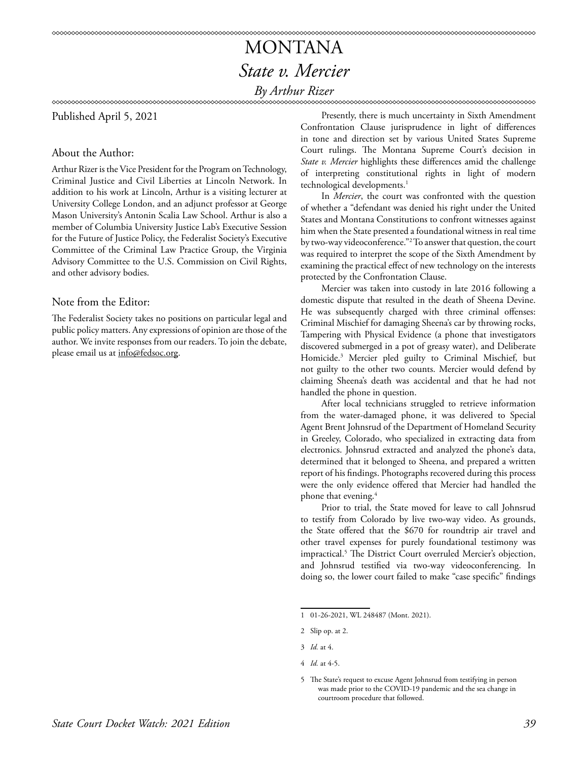## MONTANA *State v. Mercier By Arthur Rizer*

### 

Published April 5, 2021

## About the Author:

Arthur Rizer is the Vice President for the Program on Technology, Criminal Justice and Civil Liberties at Lincoln Network. In addition to his work at Lincoln, Arthur is a visiting lecturer at University College London, and an adjunct professor at George Mason University's Antonin Scalia Law School. Arthur is also a member of Columbia University Justice Lab's Executive Session for the Future of Justice Policy, the Federalist Society's Executive Committee of the Criminal Law Practice Group, the Virginia Advisory Committee to the U.S. Commission on Civil Rights, and other advisory bodies.

## Note from the Editor:

The Federalist Society takes no positions on particular legal and public policy matters. Any expressions of opinion are those of the author. We invite responses from our readers. To join the debate, please email us at info@fedsoc.org.

Presently, there is much uncertainty in Sixth Amendment Confrontation Clause jurisprudence in light of differences in tone and direction set by various United States Supreme Court rulings. The Montana Supreme Court's decision in *State v. Mercier* highlights these differences amid the challenge of interpreting constitutional rights in light of modern technological developments.<sup>1</sup>

In *Mercier*, the court was confronted with the question of whether a "defendant was denied his right under the United States and Montana Constitutions to confront witnesses against him when the State presented a foundational witness in real time by two-way videoconference."2 To answer that question, the court was required to interpret the scope of the Sixth Amendment by examining the practical effect of new technology on the interests protected by the Confrontation Clause.

Mercier was taken into custody in late 2016 following a domestic dispute that resulted in the death of Sheena Devine. He was subsequently charged with three criminal offenses: Criminal Mischief for damaging Sheena's car by throwing rocks, Tampering with Physical Evidence (a phone that investigators discovered submerged in a pot of greasy water), and Deliberate Homicide.3 Mercier pled guilty to Criminal Mischief, but not guilty to the other two counts. Mercier would defend by claiming Sheena's death was accidental and that he had not handled the phone in question.

After local technicians struggled to retrieve information from the water-damaged phone, it was delivered to Special Agent Brent Johnsrud of the Department of Homeland Security in Greeley, Colorado, who specialized in extracting data from electronics. Johnsrud extracted and analyzed the phone's data, determined that it belonged to Sheena, and prepared a written report of his findings. Photographs recovered during this process were the only evidence offered that Mercier had handled the phone that evening.<sup>4</sup>

Prior to trial, the State moved for leave to call Johnsrud to testify from Colorado by live two-way video. As grounds, the State offered that the \$670 for roundtrip air travel and other travel expenses for purely foundational testimony was impractical.5 The District Court overruled Mercier's objection, and Johnsrud testified via two-way videoconferencing. In doing so, the lower court failed to make "case specific" findings

<sup>1 01-26-2021,</sup> WL 248487 (Mont. 2021).

<sup>2</sup> Slip op. at 2.

<sup>3</sup> *Id.* at 4.

<sup>4</sup> *Id.* at 4-5.

<sup>5</sup> The State's request to excuse Agent Johnsrud from testifying in person was made prior to the COVID-19 pandemic and the sea change in courtroom procedure that followed.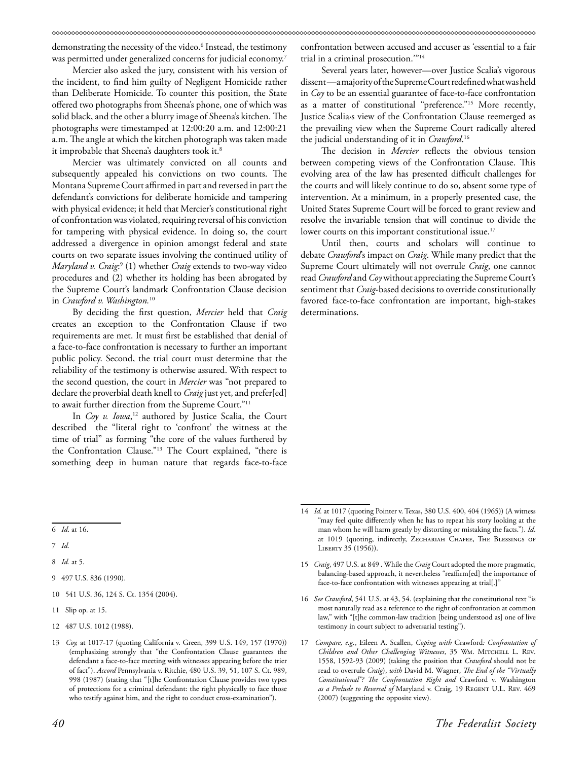demonstrating the necessity of the video.6 Instead, the testimony was permitted under generalized concerns for judicial economy.<sup>7</sup>

Mercier also asked the jury, consistent with his version of the incident, to find him guilty of Negligent Homicide rather than Deliberate Homicide. To counter this position, the State offered two photographs from Sheena's phone, one of which was solid black, and the other a blurry image of Sheena's kitchen. The photographs were timestamped at 12:00:20 a.m. and 12:00:21 a.m. The angle at which the kitchen photograph was taken made it improbable that Sheena's daughters took it.<sup>8</sup>

Mercier was ultimately convicted on all counts and subsequently appealed his convictions on two counts. The Montana Supreme Court affirmed in part and reversed in part the defendant's convictions for deliberate homicide and tampering with physical evidence; it held that Mercier's constitutional right of confrontation was violated, requiring reversal of his conviction for tampering with physical evidence. In doing so, the court addressed a divergence in opinion amongst federal and state courts on two separate issues involving the continued utility of *Maryland v. Craig*: 9 (1) whether *Craig* extends to two-way video procedures and (2) whether its holding has been abrogated by the Supreme Court's landmark Confrontation Clause decision in *Crawford v. Washington.*<sup>10</sup>

By deciding the first question, *Mercier* held that *Craig* creates an exception to the Confrontation Clause if two requirements are met. It must first be established that denial of a face-to-face confrontation is necessary to further an important public policy. Second, the trial court must determine that the reliability of the testimony is otherwise assured. With respect to the second question, the court in *Mercier* was "not prepared to declare the proverbial death knell to *Craig* just yet, and prefer[ed] to await further direction from the Supreme Court."11

In *Coy v. Iowa*, 12 authored by Justice Scalia, the Court described the "literal right to 'confront' the witness at the time of trial" as forming "the core of the values furthered by the Confrontation Clause."13 The Court explained, "there is something deep in human nature that regards face-to-face

confrontation between accused and accuser as 'essential to a fair trial in a criminal prosecution.'"14

Several years later, however—over Justice Scalia's vigorous dissent —a majority of the Supreme Court redefined what was held in *Coy* to be an essential guarantee of face-to-face confrontation as a matter of constitutional "preference."15 More recently, Justice Scalia›s view of the Confrontation Clause reemerged as the prevailing view when the Supreme Court radically altered the judicial understanding of it in *Crawford*. 16

The decision in *Mercier* reflects the obvious tension between competing views of the Confrontation Clause. This evolving area of the law has presented difficult challenges for the courts and will likely continue to do so, absent some type of intervention. At a minimum, in a properly presented case, the United States Supreme Court will be forced to grant review and resolve the invariable tension that will continue to divide the lower courts on this important constitutional issue.<sup>17</sup>

Until then, courts and scholars will continue to debate *Crawford*'s impact on *Craig*. While many predict that the Supreme Court ultimately will not overrule *Craig*, one cannot read*Crawford* and*Coy*without appreciating the Supreme Court's sentiment that *Craig*-based decisions to override constitutionally favored face-to-face confrontation are important, high-stakes determinations.

8 *Id.* at 5.

- 10 541 U.S. 36, 124 S. Ct. 1354 (2004).
- 11 Slip op. at 15.
- 12 487 U.S. 1012 (1988).
- 15 *Craig*, 497 U.S. at 849 . While the *Craig* Court adopted the more pragmatic, balancing-based approach, it nevertheless "reaffirm[ed] the importance of face-to-face confrontation with witnesses appearing at trial[.]"
- 16 *See Crawford*, 541 U.S. at 43, 54. (explaining that the constitutional text "is most naturally read as a reference to the right of confrontation at common law," with "[t]he common-law tradition [being understood as] one of live testimony in court subject to adversarial testing").
- 17 *Compare, e.g.*, Eileen A. Scallen, *Coping with* Crawford*: Confrontation of Children and Other Challenging Witnesses*, 35 Wm. Mitchell L. Rev. 1558, 1592-93 (2009) (taking the position that *Crawford* should not be read to overrule *Craig*), *with* David M. Wagner, *The End of the "Virtually Constitutional"? The Confrontation Right and* Crawford v. Washington *as a Prelude to Reversal of* Maryland v. Craig, 19 Regent U.L. Rev. 469 (2007) (suggesting the opposite view).

<sup>6</sup> *Id*. at 16.

<sup>7</sup> *Id.*

<sup>9 497</sup> U.S. 836 (1990).

<sup>13</sup> *Coy,* at 1017-17 (quoting California v. Green, 399 U.S. 149, 157 (1970)) (emphasizing strongly that "the Confrontation Clause guarantees the defendant a face-to-face meeting with witnesses appearing before the trier of fact"). *Accord* Pennsylvania v. Ritchie, 480 U.S. 39, 51, 107 S. Ct. 989, 998 (1987) (stating that "[t]he Confrontation Clause provides two types of protections for a criminal defendant: the right physically to face those who testify against him, and the right to conduct cross-examination").

<sup>14</sup> *Id.* at 1017 (quoting Pointer v. Texas, 380 U.S. 400, 404 (1965)) (A witness "may feel quite differently when he has to repeat his story looking at the man whom he will harm greatly by distorting or mistaking the facts."). *Id*. at 1019 (quoting, indirectly, ZECHARIAH CHAFEE, THE BLESSINGS OF LIBERTY 35 (1956)).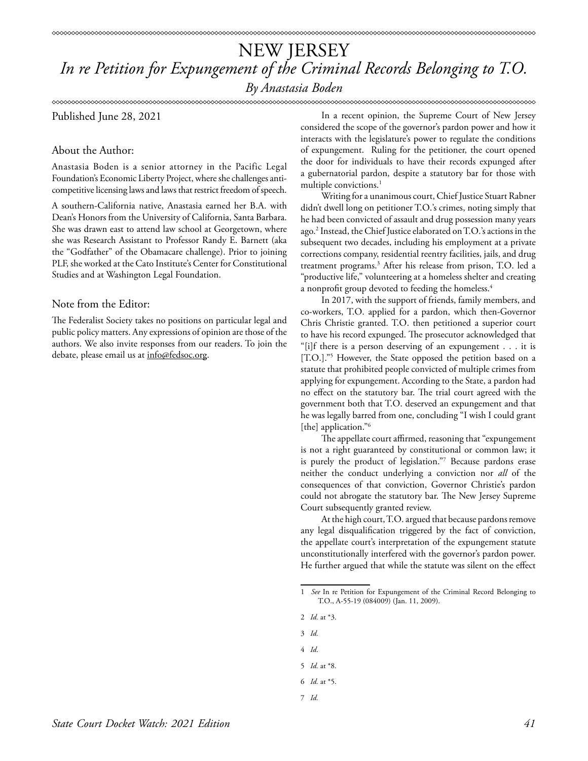\*\*\*\*\*\*\*\*\*\*\*\*\*\*\*\*\*\*\*\*\*\*\* 

Published June 28, 2021

## About the Author:

Anastasia Boden is a senior attorney in the Pacific Legal Foundation's Economic Liberty Project, where she challenges anticompetitive licensing laws and laws that restrict freedom of speech.

A southern-California native, Anastasia earned her B.A. with Dean's Honors from the University of California, Santa Barbara. She was drawn east to attend law school at Georgetown, where she was Research Assistant to Professor Randy E. Barnett (aka the "Godfather" of the Obamacare challenge). Prior to joining PLF, she worked at the Cato Institute's Center for Constitutional Studies and at Washington Legal Foundation.

## Note from the Editor:

The Federalist Society takes no positions on particular legal and public policy matters. Any expressions of opinion are those of the authors. We also invite responses from our readers. To join the debate, please email us at info@fedsoc.org.

In a recent opinion, the Supreme Court of New Jersey considered the scope of the governor's pardon power and how it interacts with the legislature's power to regulate the conditions of expungement. Ruling for the petitioner, the court opened the door for individuals to have their records expunged after a gubernatorial pardon, despite a statutory bar for those with multiple convictions.<sup>1</sup>

Writing for a unanimous court, Chief Justice Stuart Rabner didn't dwell long on petitioner T.O.'s crimes, noting simply that he had been convicted of assault and drug possession many years ago.2 Instead, the Chief Justice elaborated on T.O.'s actions in the subsequent two decades, including his employment at a private corrections company, residential reentry facilities, jails, and drug treatment programs.3 After his release from prison, T.O. led a "productive life," volunteering at a homeless shelter and creating a nonprofit group devoted to feeding the homeless.<sup>4</sup>

In 2017, with the support of friends, family members, and co-workers, T.O. applied for a pardon, which then-Governor Chris Christie granted. T.O. then petitioned a superior court to have his record expunged. The prosecutor acknowledged that "[i]f there is a person deserving of an expungement . . . it is [T.O.]."5 However, the State opposed the petition based on a statute that prohibited people convicted of multiple crimes from applying for expungement. According to the State, a pardon had no effect on the statutory bar. The trial court agreed with the government both that T.O. deserved an expungement and that he was legally barred from one, concluding "I wish I could grant [the] application."<sup>6</sup>

The appellate court affirmed, reasoning that "expungement is not a right guaranteed by constitutional or common law; it is purely the product of legislation."7 Because pardons erase neither the conduct underlying a conviction nor *all* of the consequences of that conviction, Governor Christie's pardon could not abrogate the statutory bar. The New Jersey Supreme Court subsequently granted review.

At the high court, T.O. argued that because pardons remove any legal disqualification triggered by the fact of conviction, the appellate court's interpretation of the expungement statute unconstitutionally interfered with the governor's pardon power. He further argued that while the statute was silent on the effect

- 2 *Id.* at \*3.
- 3 *Id.*
- 4 *Id*.
- 5 *Id.* at \*8.
- 6 *Id.* at \*5.
- 7 *Id.*

<sup>1</sup> *See* In re Petition for Expungement of the Criminal Record Belonging to T.O., A-55-19 (084009) (Jan. 11, 2009).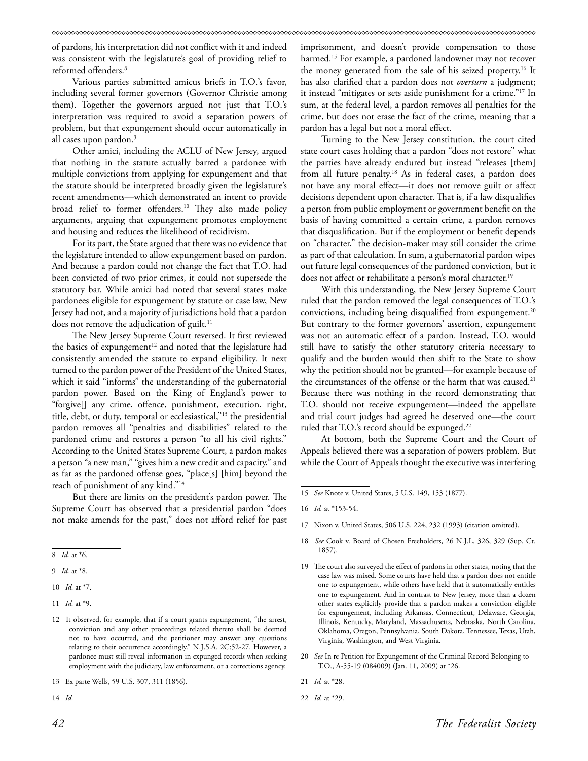of pardons, his interpretation did not conflict with it and indeed was consistent with the legislature's goal of providing relief to reformed offenders.8

Various parties submitted amicus briefs in T.O.'s favor, including several former governors (Governor Christie among them). Together the governors argued not just that T.O.'s interpretation was required to avoid a separation powers of problem, but that expungement should occur automatically in all cases upon pardon.9

Other amici, including the ACLU of New Jersey, argued that nothing in the statute actually barred a pardonee with multiple convictions from applying for expungement and that the statute should be interpreted broadly given the legislature's recent amendments—which demonstrated an intent to provide broad relief to former offenders.10 They also made policy arguments, arguing that expungement promotes employment and housing and reduces the likelihood of recidivism.

For its part, the State argued that there was no evidence that the legislature intended to allow expungement based on pardon. And because a pardon could not change the fact that T.O. had been convicted of two prior crimes, it could not supersede the statutory bar. While amici had noted that several states make pardonees eligible for expungement by statute or case law, New Jersey had not, and a majority of jurisdictions hold that a pardon does not remove the adjudication of guilt. $11$ 

The New Jersey Supreme Court reversed. It first reviewed the basics of expungement<sup>12</sup> and noted that the legislature had consistently amended the statute to expand eligibility. It next turned to the pardon power of the President of the United States, which it said "informs" the understanding of the gubernatorial pardon power. Based on the King of England's power to "forgive[] any crime, offence, punishment, execution, right, title, debt, or duty, temporal or ecclesiastical,"13 the presidential pardon removes all "penalties and disabilities" related to the pardoned crime and restores a person "to all his civil rights." According to the United States Supreme Court, a pardon makes a person "a new man," "gives him a new credit and capacity," and as far as the pardoned offense goes, "place[s] [him] beyond the reach of punishment of any kind."14

But there are limits on the president's pardon power. The Supreme Court has observed that a presidential pardon "does not make amends for the past," does not afford relief for past

imprisonment, and doesn't provide compensation to those harmed.<sup>15</sup> For example, a pardoned landowner may not recover the money generated from the sale of his seized property.16 It has also clarified that a pardon does not *overturn* a judgment; it instead "mitigates or sets aside punishment for a crime."17 In sum, at the federal level, a pardon removes all penalties for the crime, but does not erase the fact of the crime, meaning that a pardon has a legal but not a moral effect.

Turning to the New Jersey constitution, the court cited state court cases holding that a pardon "does not restore" what the parties have already endured but instead "releases [them] from all future penalty.<sup>18</sup> As in federal cases, a pardon does not have any moral effect—it does not remove guilt or affect decisions dependent upon character. That is, if a law disqualifies a person from public employment or government benefit on the basis of having committed a certain crime, a pardon removes that disqualification. But if the employment or benefit depends on "character," the decision-maker may still consider the crime as part of that calculation. In sum, a gubernatorial pardon wipes out future legal consequences of the pardoned conviction, but it does not affect or rehabilitate a person's moral character.<sup>19</sup>

With this understanding, the New Jersey Supreme Court ruled that the pardon removed the legal consequences of T.O.'s convictions, including being disqualified from expungement.<sup>20</sup> But contrary to the former governors' assertion, expungement was not an automatic effect of a pardon. Instead, T.O. would still have to satisfy the other statutory criteria necessary to qualify and the burden would then shift to the State to show why the petition should not be granted—for example because of the circumstances of the offense or the harm that was caused.<sup>21</sup> Because there was nothing in the record demonstrating that T.O. should not receive expungement—indeed the appellate and trial court judges had agreed he deserved one—the court ruled that T.O.'s record should be expunged.<sup>22</sup>

At bottom, both the Supreme Court and the Court of Appeals believed there was a separation of powers problem. But while the Court of Appeals thought the executive was interfering

- 17 Nixon v. United States, 506 U.S. 224, 232 (1993) (citation omitted).
- 18 *See* Cook v. Board of Chosen Freeholders, 26 N.J.L. 326, 329 (Sup. Ct. 1857).
- 19 The court also surveyed the effect of pardons in other states, noting that the case law was mixed. Some courts have held that a pardon does not entitle one to expungement, while others have held that it automatically entitles one to expungement. And in contrast to New Jersey, more than a dozen other states explicitly provide that a pardon makes a conviction eligible for expungement, including Arkansas, Connecticut, Delaware, Georgia, Illinois, Kentucky, Maryland, Massachusetts, Nebraska, North Carolina, Oklahoma, Oregon, Pennsylvania, South Dakota, Tennessee, Texas, Utah, Virginia, Washington, and West Virginia.
- 20 *See* In re Petition for Expungement of the Criminal Record Belonging to T.O., A-55-19 (084009) (Jan. 11, 2009) at \*26.
- 21 *Id.* at \*28.
- 22 *Id.* at \*29.

<sup>8</sup> *Id.* at \*6.

<sup>9</sup> *Id.* at \*8.

<sup>10</sup> *Id.* at \*7.

<sup>11</sup> *Id.* at \*9.

<sup>12</sup> It observed, for example, that if a court grants expungement, "the arrest, conviction and any other proceedings related thereto shall be deemed not to have occurred, and the petitioner may answer any questions relating to their occurrence accordingly." N.J.S.A. 2C:52-27. However, a pardonee must still reveal information in expunged records when seeking employment with the judiciary, law enforcement, or a corrections agency.

<sup>13</sup> Ex parte Wells, 59 U.S. 307, 311 (1856).

<sup>14</sup> *Id.* 

<sup>15</sup> *See* Knote v. United States, 5 U.S. 149, 153 (1877).

<sup>16</sup> *Id.* at \*153-54.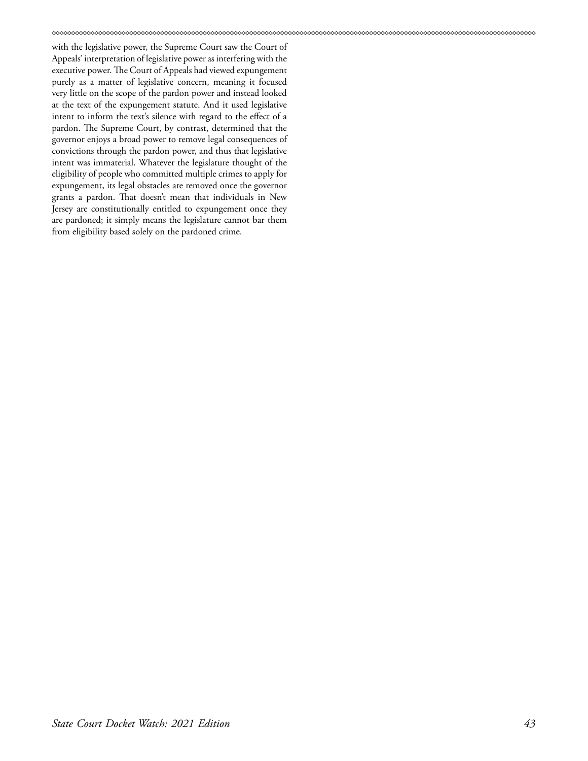with the legislative power, the Supreme Court saw the Court of Appeals' interpretation of legislative power as interfering with the executive power. The Court of Appeals had viewed expungement purely as a matter of legislative concern, meaning it focused very little on the scope of the pardon power and instead looked at the text of the expungement statute. And it used legislative intent to inform the text's silence with regard to the effect of a pardon. The Supreme Court, by contrast, determined that the governor enjoys a broad power to remove legal consequences of convictions through the pardon power, and thus that legislative intent was immaterial. Whatever the legislature thought of the eligibility of people who committed multiple crimes to apply for expungement, its legal obstacles are removed once the governor grants a pardon. That doesn't mean that individuals in New Jersey are constitutionally entitled to expungement once they are pardoned; it simply means the legislature cannot bar them from eligibility based solely on the pardoned crime.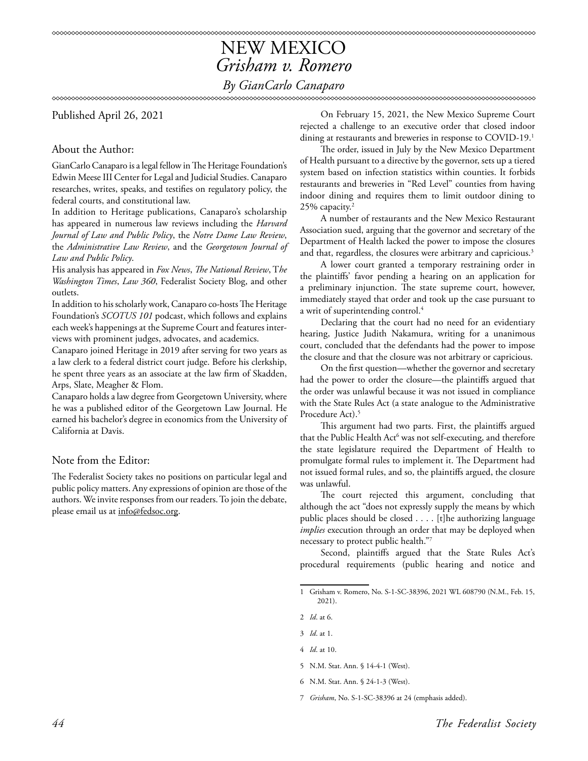## NEW MEXICO *Grisham v. Romero By GianCarlo Canaparo*

Published April 26, 2021

## About the Author:

GianCarlo Canaparo is a legal fellow in The Heritage Foundation's Edwin Meese III Center for Legal and Judicial Studies. Canaparo researches, writes, speaks, and testifies on regulatory policy, the federal courts, and constitutional law.

In addition to Heritage publications, Canaparo's scholarship has appeared in numerous law reviews including the *Harvard Journal of Law and Public Policy*, the *Notre Dame Law Review*, the *Administrative Law Review*, and the *Georgetown Journal of Law and Public Policy*.

His analysis has appeared in *Fox News*, *The National Review*, T*he Washington Times*, *Law 360*, Federalist Society Blog, and other outlets.

In addition to his scholarly work, Canaparo co-hosts The Heritage Foundation's *SCOTUS 101* podcast, which follows and explains each week's happenings at the Supreme Court and features interviews with prominent judges, advocates, and academics.

Canaparo joined Heritage in 2019 after serving for two years as a law clerk to a federal district court judge. Before his clerkship, he spent three years as an associate at the law firm of Skadden, Arps, Slate, Meagher & Flom.

Canaparo holds a law degree from Georgetown University, where he was a published editor of the Georgetown Law Journal. He earned his bachelor's degree in economics from the University of California at Davis.

## Note from the Editor:

The Federalist Society takes no positions on particular legal and public policy matters. Any expressions of opinion are those of the authors. We invite responses from our readers. To join the debate, please email us at info@fedsoc.org.

On February 15, 2021, the New Mexico Supreme Court rejected a challenge to an executive order that closed indoor dining at restaurants and breweries in response to COVID-19.<sup>1</sup>

The order, issued in July by the New Mexico Department of Health pursuant to a directive by the governor, sets up a tiered system based on infection statistics within counties. It forbids restaurants and breweries in "Red Level" counties from having indoor dining and requires them to limit outdoor dining to 25% capacity.2

A number of restaurants and the New Mexico Restaurant Association sued, arguing that the governor and secretary of the Department of Health lacked the power to impose the closures and that, regardless, the closures were arbitrary and capricious.<sup>3</sup>

A lower court granted a temporary restraining order in the plaintiffs' favor pending a hearing on an application for a preliminary injunction. The state supreme court, however, immediately stayed that order and took up the case pursuant to a writ of superintending control.<sup>4</sup>

Declaring that the court had no need for an evidentiary hearing, Justice Judith Nakamura, writing for a unanimous court, concluded that the defendants had the power to impose the closure and that the closure was not arbitrary or capricious.

On the first question—whether the governor and secretary had the power to order the closure—the plaintiffs argued that the order was unlawful because it was not issued in compliance with the State Rules Act (a state analogue to the Administrative Procedure Act).<sup>5</sup>

This argument had two parts. First, the plaintiffs argued that the Public Health Act<sup>6</sup> was not self-executing, and therefore the state legislature required the Department of Health to promulgate formal rules to implement it. The Department had not issued formal rules, and so, the plaintiffs argued, the closure was unlawful.

The court rejected this argument, concluding that although the act "does not expressly supply the means by which public places should be closed . . . . [t]he authorizing language *implies* execution through an order that may be deployed when necessary to protect public health."7

Second, plaintiffs argued that the State Rules Act's procedural requirements (public hearing and notice and

- 3 *Id*. at 1.
- 4 *Id*. at 10.
- 5 N.M. Stat. Ann. § 14-4-1 (West).
- 6 N.M. Stat. Ann. § 24-1-3 (West).

7 *Grisham*, No. S-1-SC-38396 at 24 (emphasis added).

<sup>1</sup> Grisham v. Romero, No. S-1-SC-38396, 2021 WL 608790 (N.M., Feb. 15, 2021).

<sup>2</sup> *Id*. at 6.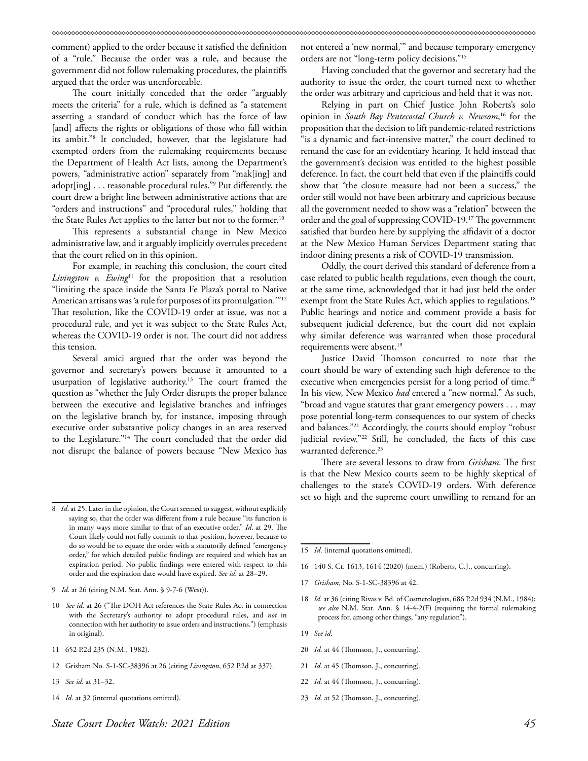comment) applied to the order because it satisfied the definition of a "rule." Because the order was a rule, and because the government did not follow rulemaking procedures, the plaintiffs argued that the order was unenforceable.

The court initially conceded that the order "arguably meets the criteria" for a rule, which is defined as "a statement asserting a standard of conduct which has the force of law [and] affects the rights or obligations of those who fall within its ambit."8 It concluded, however, that the legislature had exempted orders from the rulemaking requirements because the Department of Health Act lists, among the Department's powers, "administrative action" separately from "mak[ing] and adopt[ing] . . . reasonable procedural rules."9 Put differently, the court drew a bright line between administrative actions that are "orders and instructions" and "procedural rules," holding that the State Rules Act applies to the latter but not to the former.<sup>10</sup>

This represents a substantial change in New Mexico administrative law, and it arguably implicitly overrules precedent that the court relied on in this opinion.

For example, in reaching this conclusion, the court cited *Livingston v. Ewing*11 for the proposition that a resolution "limiting the space inside the Santa Fe Plaza's portal to Native American artisans was 'a rule for purposes of its promulgation.'"12 That resolution, like the COVID-19 order at issue, was not a procedural rule, and yet it was subject to the State Rules Act, whereas the COVID-19 order is not. The court did not address this tension.

Several amici argued that the order was beyond the governor and secretary's powers because it amounted to a usurpation of legislative authority.13 The court framed the question as "whether the July Order disrupts the proper balance between the executive and legislative branches and infringes on the legislative branch by, for instance, imposing through executive order substantive policy changes in an area reserved to the Legislature."14 The court concluded that the order did not disrupt the balance of powers because "New Mexico has

- 11 652 P.2d 235 (N.M., 1982).
- 12 Grisham No. S-1-SC-38396 at 26 (citing *Livingston*, 652 P.2d at 337).
- 13 *See id*. at 31–32.
- 14 *Id*. at 32 (internal quotations omitted).

not entered a 'new normal,'" and because temporary emergency orders are not "long-term policy decisions."15

Having concluded that the governor and secretary had the authority to issue the order, the court turned next to whether the order was arbitrary and capricious and held that it was not.

Relying in part on Chief Justice John Roberts's solo opinion in *South Bay Pentecostal Church v. Newsom*, 16 for the proposition that the decision to lift pandemic-related restrictions "is a dynamic and fact-intensive matter," the court declined to remand the case for an evidentiary hearing. It held instead that the government's decision was entitled to the highest possible deference. In fact, the court held that even if the plaintiffs could show that "the closure measure had not been a success," the order still would not have been arbitrary and capricious because all the government needed to show was a "relation" between the order and the goal of suppressing COVID-19.17 The government satisfied that burden here by supplying the affidavit of a doctor at the New Mexico Human Services Department stating that indoor dining presents a risk of COVID-19 transmission.

Oddly, the court derived this standard of deference from a case related to public health regulations, even though the court, at the same time, acknowledged that it had just held the order exempt from the State Rules Act, which applies to regulations.<sup>18</sup> Public hearings and notice and comment provide a basis for subsequent judicial deference, but the court did not explain why similar deference was warranted when those procedural requirements were absent.<sup>19</sup>

Justice David Thomson concurred to note that the court should be wary of extending such high deference to the executive when emergencies persist for a long period of time.<sup>20</sup> In his view, New Mexico *had* entered a "new normal." As such, "broad and vague statutes that grant emergency powers . . . may pose potential long-term consequences to our system of checks and balances."21 Accordingly, the courts should employ "robust judicial review."22 Still, he concluded, the facts of this case warranted deference.<sup>23</sup>

There are several lessons to draw from *Grisham*. The first is that the New Mexico courts seem to be highly skeptical of challenges to the state's COVID-19 orders. With deference set so high and the supreme court unwilling to remand for an

15 *Id*. (internal quotations omitted).

- 16 140 S. Ct. 1613, 1614 (2020) (mem.) (Roberts, C.J., concurring).
- 17 *Grisham*, No. S-1-SC-38396 at 42.
- 18 *Id*. at 36 (citing Rivas v. Bd. of Cosmetologists, 686 P.2d 934 (N.M., 1984); *see also* N.M. Stat. Ann. § 14-4-2(F) (requiring the formal rulemaking process for, among other things, "any regulation").
- 19 *See id*.
- 20 *Id*. at 44 (Thomson, J., concurring).
- 21 *Id*. at 45 (Thomson, J., concurring).
- 22 *Id*. at 44 (Thomson, J., concurring).
- 23 *Id*. at 52 (Thomson, J., concurring).

<sup>8</sup> *Id*. at 25. Later in the opinion, the Court seemed to suggest, without explicitly saying so, that the order was different from a rule because "its function is in many ways more similar to that of an executive order." *Id*. at 29. The Court likely could not fully commit to that position, however, because to do so would be to equate the order with a statutorily defined "emergency order," for which detailed public findings are required and which has an expiration period. No public findings were entered with respect to this order and the expiration date would have expired. *See id*. at 28–29.

<sup>9</sup> *Id*. at 26 (citing N.M. Stat. Ann. § 9-7-6 (West)).

<sup>10</sup> *See id*. at 26 ("The DOH Act references the State Rules Act in connection with the Secretary's authority to adopt procedural rules, and *not* in connection with her authority to issue orders and instructions.") (emphasis in original).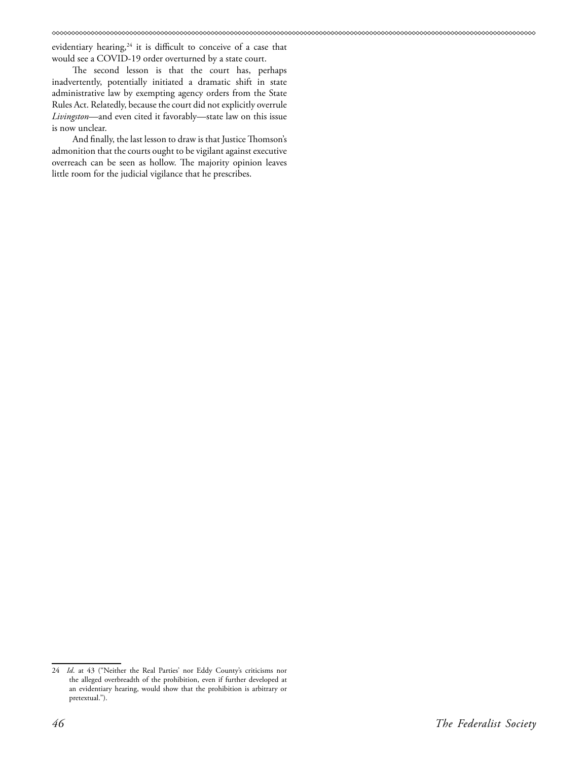evidentiary hearing,<sup>24</sup> it is difficult to conceive of a case that would see a COVID-19 order overturned by a state court.

The second lesson is that the court has, perhaps inadvertently, potentially initiated a dramatic shift in state administrative law by exempting agency orders from the State Rules Act. Relatedly, because the court did not explicitly overrule *Livingston*—and even cited it favorably—state law on this issue is now unclear.

And finally, the last lesson to draw is that Justice Thomson's admonition that the courts ought to be vigilant against executive overreach can be seen as hollow. The majority opinion leaves little room for the judicial vigilance that he prescribes.

<sup>24</sup> *Id*. at 43 ("Neither the Real Parties' nor Eddy County's criticisms nor the alleged overbreadth of the prohibition, even if further developed at an evidentiary hearing, would show that the prohibition is arbitrary or pretextual.").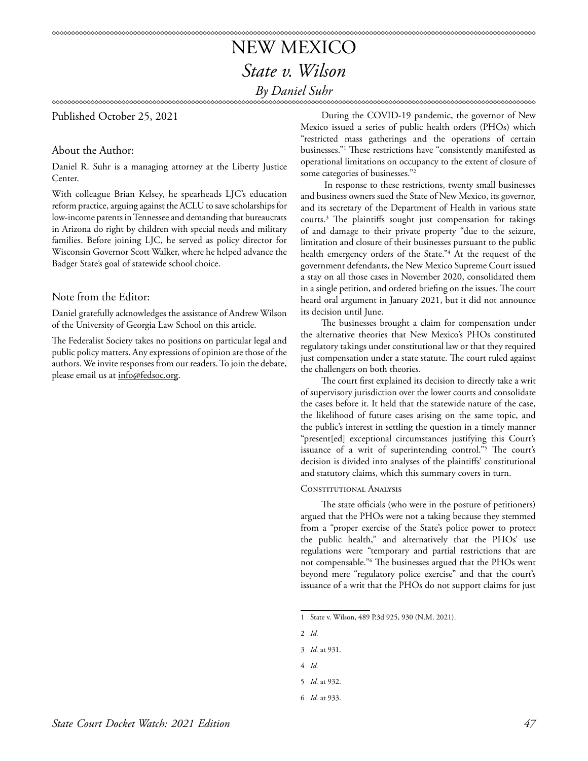## NEW MEXICO *State v. Wilson By Daniel Suhr*

## Published October 25, 2021

## About the Author:

Daniel R. Suhr is a managing attorney at the Liberty Justice Center.

With colleague Brian Kelsey, he spearheads LJC's education reform practice, arguing against the ACLU to save scholarships for low-income parents in Tennessee and demanding that bureaucrats in Arizona do right by children with special needs and military families. Before joining LJC, he served as policy director for Wisconsin Governor Scott Walker, where he helped advance the Badger State's goal of statewide school choice.

## Note from the Editor:

Daniel gratefully acknowledges the assistance of Andrew Wilson of the University of Georgia Law School on this article.

The Federalist Society takes no positions on particular legal and public policy matters. Any expressions of opinion are those of the authors. We invite responses from our readers. To join the debate, please email us at info@fedsoc.org.

During the COVID-19 pandemic, the governor of New Mexico issued a series of public health orders (PHOs) which "restricted mass gatherings and the operations of certain businesses."1 These restrictions have "consistently manifested as operational limitations on occupancy to the extent of closure of some categories of businesses."2

 In response to these restrictions, twenty small businesses and business owners sued the State of New Mexico, its governor, and its secretary of the Department of Health in various state courts.3 The plaintiffs sought just compensation for takings of and damage to their private property "due to the seizure, limitation and closure of their businesses pursuant to the public health emergency orders of the State."4 At the request of the government defendants, the New Mexico Supreme Court issued a stay on all those cases in November 2020, consolidated them in a single petition, and ordered briefing on the issues. The court heard oral argument in January 2021, but it did not announce its decision until June.

The businesses brought a claim for compensation under the alternative theories that New Mexico's PHOs constituted regulatory takings under constitutional law or that they required just compensation under a state statute. The court ruled against the challengers on both theories.

The court first explained its decision to directly take a writ of supervisory jurisdiction over the lower courts and consolidate the cases before it. It held that the statewide nature of the case, the likelihood of future cases arising on the same topic, and the public's interest in settling the question in a timely manner "present[ed] exceptional circumstances justifying this Court's issuance of a writ of superintending control."5 The court's decision is divided into analyses of the plaintiffs' constitutional and statutory claims, which this summary covers in turn.

### CONSTITUTIONAL ANALYSIS

The state officials (who were in the posture of petitioners) argued that the PHOs were not a taking because they stemmed from a "proper exercise of the State's police power to protect the public health," and alternatively that the PHOs' use regulations were "temporary and partial restrictions that are not compensable."6 The businesses argued that the PHOs went beyond mere "regulatory police exercise" and that the court's issuance of a writ that the PHOs do not support claims for just

4 *Id.*

<sup>1</sup> State v. Wilson, 489 P.3d 925, 930 (N.M. 2021).

<sup>2</sup> *Id.*

<sup>3</sup> *Id.* at 931.

<sup>5</sup> *Id.* at 932.

<sup>6</sup> *Id.* at 933.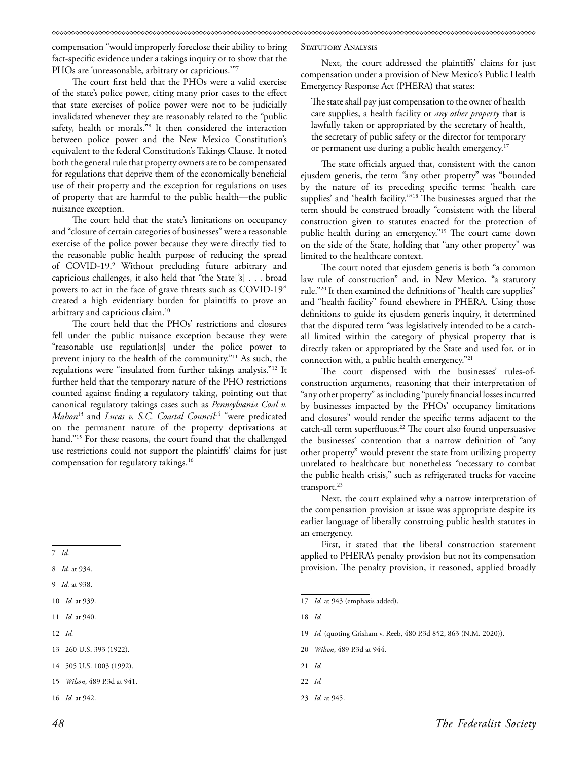compensation "would improperly foreclose their ability to bring fact-specific evidence under a takings inquiry or to show that the PHOs are 'unreasonable, arbitrary or capricious.'"7

The court first held that the PHOs were a valid exercise of the state's police power, citing many prior cases to the effect that state exercises of police power were not to be judicially invalidated whenever they are reasonably related to the "public safety, health or morals."8 It then considered the interaction between police power and the New Mexico Constitution's equivalent to the federal Constitution's Takings Clause. It noted both the general rule that property owners are to be compensated for regulations that deprive them of the economically beneficial use of their property and the exception for regulations on uses of property that are harmful to the public health—the public nuisance exception.

The court held that the state's limitations on occupancy and "closure of certain categories of businesses" were a reasonable exercise of the police power because they were directly tied to the reasonable public health purpose of reducing the spread of COVID-19.<sup>9</sup> Without precluding future arbitrary and capricious challenges, it also held that "the State['s] . . . broad powers to act in the face of grave threats such as COVID-19" created a high evidentiary burden for plaintiffs to prove an arbitrary and capricious claim.10

The court held that the PHOs' restrictions and closures fell under the public nuisance exception because they were "reasonable use regulation[s] under the police power to prevent injury to the health of the community."11 As such, the regulations were "insulated from further takings analysis."12 It further held that the temporary nature of the PHO restrictions counted against finding a regulatory taking, pointing out that canonical regulatory takings cases such as *Pennsylvania Coal v. Mahon*<sup>13</sup> and *Lucas v. S.C. Coastal Council*14 "were predicated on the permanent nature of the property deprivations at hand."15 For these reasons, the court found that the challenged use restrictions could not support the plaintiffs' claims for just compensation for regulatory takings.16

- 11 *Id.* at 940.
- 12 *Id.*
- 13 260 U.S. 393 (1922).
- 14 505 U.S. 1003 (1992).
- 15 *Wilson*, 489 P.3d at 941.

STATUTORY ANALYSIS

Next, the court addressed the plaintiffs' claims for just compensation under a provision of New Mexico's Public Health Emergency Response Act (PHERA) that states:

The state shall pay just compensation to the owner of health care supplies, a health facility or *any other property* that is lawfully taken or appropriated by the secretary of health, the secretary of public safety or the director for temporary or permanent use during a public health emergency.<sup>17</sup>

The state officials argued that, consistent with the canon ejusdem generis, the term *"*any other property" was "bounded by the nature of its preceding specific terms: 'health care supplies' and 'health facility.'"18 The businesses argued that the term should be construed broadly "consistent with the liberal construction given to statutes enacted for the protection of public health during an emergency."19 The court came down on the side of the State, holding that "any other property" was limited to the healthcare context.

The court noted that ejusdem generis is both "a common law rule of construction" and, in New Mexico, "a statutory rule."20 It then examined the definitions of "health care supplies" and "health facility" found elsewhere in PHERA. Using those definitions to guide its ejusdem generis inquiry, it determined that the disputed term "was legislatively intended to be a catchall limited within the category of physical property that is directly taken or appropriated by the State and used for, or in connection with, a public health emergency."21

The court dispensed with the businesses' rules-ofconstruction arguments, reasoning that their interpretation of "any other property" as including "purely financial losses incurred by businesses impacted by the PHOs' occupancy limitations and closures" would render the specific terms adjacent to the catch-all term superfluous.<sup>22</sup> The court also found unpersuasive the businesses' contention that a narrow definition of "any other property" would prevent the state from utilizing property unrelated to healthcare but nonetheless "necessary to combat the public health crisis," such as refrigerated trucks for vaccine transport.<sup>23</sup>

Next, the court explained why a narrow interpretation of the compensation provision at issue was appropriate despite its earlier language of liberally construing public health statutes in an emergency.

First, it stated that the liberal construction statement applied to PHERA's penalty provision but not its compensation provision. The penalty provision, it reasoned, applied broadly

18 *Id.*

- 19 *Id.* (quoting Grisham v. Reeb, 480 P.3d 852, 863 (N.M. 2020)).
- 20 *Wilson*, 489 P.3d at 944.
- 21 *Id.*

23 *Id.* at 945.

<sup>7</sup> *Id.*

<sup>8</sup> *Id.* at 934.

<sup>9</sup> *Id.* at 938.

<sup>10</sup> *Id.* at 939.

<sup>16</sup> *Id.* at 942.

<sup>17</sup> *Id.* at 943 (emphasis added).

<sup>22</sup> *Id.*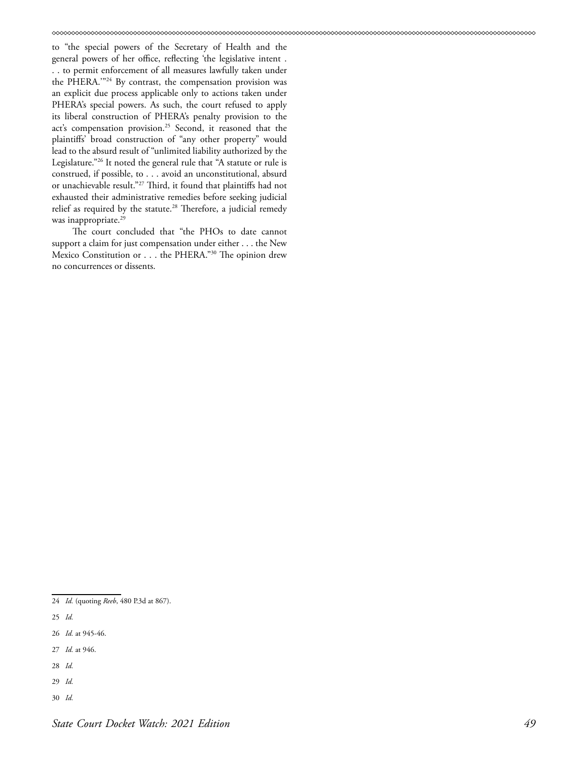to "the special powers of the Secretary of Health and the general powers of her office, reflecting 'the legislative intent . . . to permit enforcement of all measures lawfully taken under the PHERA.'"24 By contrast, the compensation provision was an explicit due process applicable only to actions taken under PHERA's special powers. As such, the court refused to apply its liberal construction of PHERA's penalty provision to the act's compensation provision.<sup>25</sup> Second, it reasoned that the plaintiffs' broad construction of "any other property" would lead to the absurd result of "unlimited liability authorized by the Legislature."26 It noted the general rule that "A statute or rule is construed, if possible, to . . . avoid an unconstitutional, absurd or unachievable result."27 Third, it found that plaintiffs had not exhausted their administrative remedies before seeking judicial relief as required by the statute.<sup>28</sup> Therefore, a judicial remedy was inappropriate.<sup>29</sup>

The court concluded that "the PHOs to date cannot support a claim for just compensation under either . . . the New Mexico Constitution or . . . the PHERA."30 The opinion drew no concurrences or dissents.

- 25 *Id.*
- 26 *Id.* at 945-46.
- 27 *Id.* at 946.
- 28 *Id.*
- 29 *Id.*
- 30 *Id.*

<sup>24</sup> *Id.* (quoting *Reeb*, 480 P.3d at 867).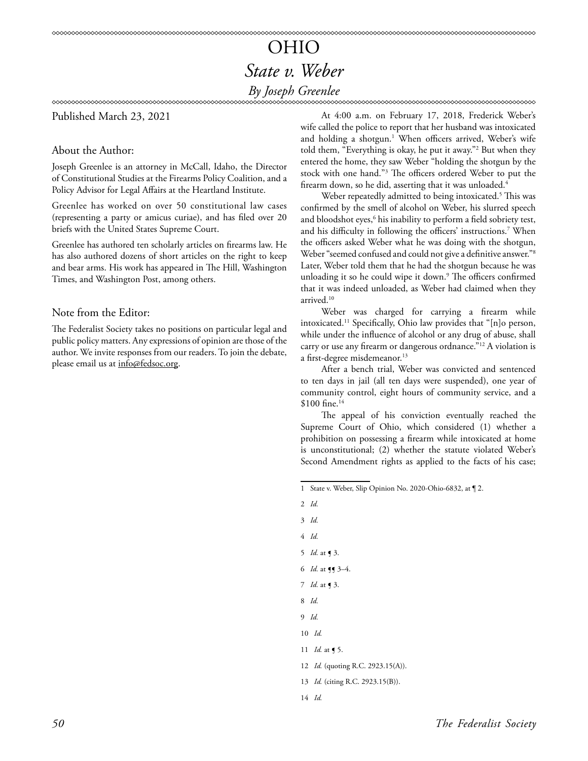## OHIO *State v. Weber By Joseph Greenlee*

Published March 23, 2021

About the Author:

Joseph Greenlee is an attorney in McCall, Idaho, the Director of Constitutional Studies at the Firearms Policy Coalition, and a Policy Advisor for Legal Affairs at the Heartland Institute.

Greenlee has worked on over 50 constitutional law cases (representing a party or amicus curiae), and has filed over 20 briefs with the United States Supreme Court.

Greenlee has authored ten scholarly articles on firearms law. He has also authored dozens of short articles on the right to keep and bear arms. His work has appeared in The Hill, Washington Times, and Washington Post, among others.

## Note from the Editor:

The Federalist Society takes no positions on particular legal and public policy matters. Any expressions of opinion are those of the author. We invite responses from our readers. To join the debate, please email us at info@fedsoc.org.

At 4:00 a.m. on February 17, 2018, Frederick Weber's wife called the police to report that her husband was intoxicated and holding a shotgun.<sup>1</sup> When officers arrived, Weber's wife told them, "Everything is okay, he put it away."2 But when they entered the home, they saw Weber "holding the shotgun by the stock with one hand."3 The officers ordered Weber to put the firearm down, so he did, asserting that it was unloaded.<sup>4</sup>

Weber repeatedly admitted to being intoxicated.<sup>5</sup> This was confirmed by the smell of alcohol on Weber, his slurred speech and bloodshot eyes, $\rm^6$  his inability to perform a field sobriety test, and his difficulty in following the officers' instructions.7 When the officers asked Weber what he was doing with the shotgun, Weber "seemed confused and could not give a definitive answer."8 Later, Weber told them that he had the shotgun because he was unloading it so he could wipe it down.<sup>9</sup> The officers confirmed that it was indeed unloaded, as Weber had claimed when they arrived.<sup>10</sup>

Weber was charged for carrying a firearm while intoxicated.11 Specifically, Ohio law provides that "[n]o person, while under the influence of alcohol or any drug of abuse, shall carry or use any firearm or dangerous ordnance."12 A violation is a first-degree misdemeanor.<sup>13</sup>

After a bench trial, Weber was convicted and sentenced to ten days in jail (all ten days were suspended), one year of community control, eight hours of community service, and a \$100 fine.<sup>14</sup>

The appeal of his conviction eventually reached the Supreme Court of Ohio, which considered (1) whether a prohibition on possessing a firearm while intoxicated at home is unconstitutional; (2) whether the statute violated Weber's Second Amendment rights as applied to the facts of his case;

<sup>1</sup> State v. Weber, Slip Opinion No. 2020-Ohio-6832, at ¶ 2.

|                | $2$ <i>Id.</i>                           |
|----------------|------------------------------------------|
| $3$ <i>Id.</i> |                                          |
| 4 Id.          |                                          |
|                | 5 <i>Id.</i> at $\triangleleft$ 3.       |
|                | 6 <i>Id.</i> at $\P$ 3–4.                |
|                | 7 <i>Id.</i> at <b>9</b> 3.              |
| 8 Id.          |                                          |
|                | 9 Id.                                    |
|                | $10$ <i>Id.</i>                          |
|                | 11 <i>Id.</i> at $\le$ 5.                |
|                | 12 <i>Id.</i> (quoting R.C. 2923.15(A)). |
|                | 13 <i>Id.</i> (citing R.C. 2923.15(B)).  |
|                | 14 Id.                                   |
|                |                                          |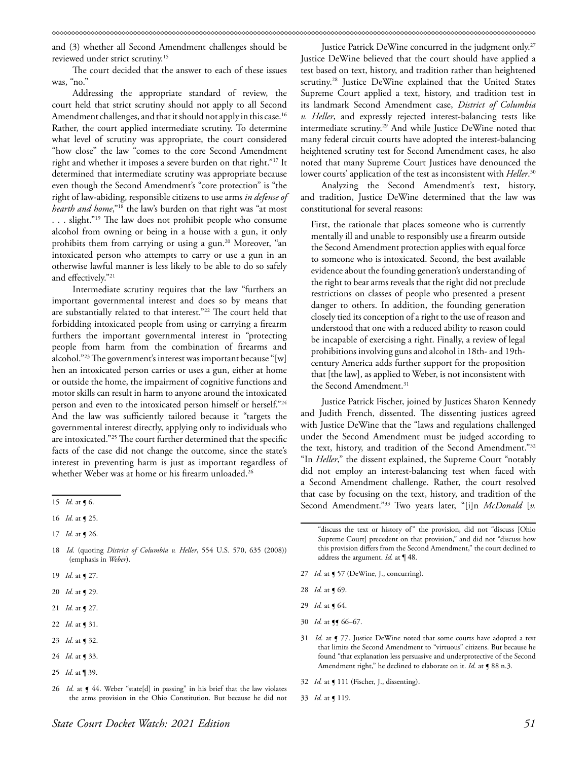and (3) whether all Second Amendment challenges should be reviewed under strict scrutiny.15

The court decided that the answer to each of these issues was, "no."

Addressing the appropriate standard of review, the court held that strict scrutiny should not apply to all Second Amendment challenges, and that it should not apply in this case.<sup>16</sup> Rather, the court applied intermediate scrutiny. To determine what level of scrutiny was appropriate, the court considered "how close" the law "comes to the core Second Amendment right and whether it imposes a severe burden on that right."17 It determined that intermediate scrutiny was appropriate because even though the Second Amendment's "core protection" is "the right of law-abiding, responsible citizens to use arms *in defense of hearth and home*,"18 the law's burden on that right was "at most . . . slight."19 The law does not prohibit people who consume alcohol from owning or being in a house with a gun, it only prohibits them from carrying or using a gun.<sup>20</sup> Moreover, "an intoxicated person who attempts to carry or use a gun in an otherwise lawful manner is less likely to be able to do so safely and effectively."21

Intermediate scrutiny requires that the law "furthers an important governmental interest and does so by means that are substantially related to that interest."22 The court held that forbidding intoxicated people from using or carrying a firearm furthers the important governmental interest in "protecting people from harm from the combination of firearms and alcohol."23 The government's interest was important because "[w] hen an intoxicated person carries or uses a gun, either at home or outside the home, the impairment of cognitive functions and motor skills can result in harm to anyone around the intoxicated person and even to the intoxicated person himself or herself."24 And the law was sufficiently tailored because it "targets the governmental interest directly, applying only to individuals who are intoxicated."25 The court further determined that the specific facts of the case did not change the outcome, since the state's interest in preventing harm is just as important regardless of whether Weber was at home or his firearm unloaded.<sup>26</sup>

- 18 *Id.* (quoting *District of Columbia v. Heller*, 554 U.S. 570, 635 (2008)) (emphasis in *Weber*).
- 19 *Id.* at **[** 27.
- 20 *Id.* at ¶ 29.
- 21 *Id.* at **[** 27.
- 22 *Id.* at ¶ 31.
- 23 *Id.* at ¶ 32.
- 24 *Id.* at ¶ 33.
- 25 *Id.* at ¶ 39.
- 26 *Id.* at  $\int$  44. Weber "state[d] in passing" in his brief that the law violates the arms provision in the Ohio Constitution. But because he did not

Justice Patrick DeWine concurred in the judgment only.<sup>27</sup> Justice DeWine believed that the court should have applied a test based on text, history, and tradition rather than heightened scrutiny.<sup>28</sup> Justice DeWine explained that the United States Supreme Court applied a text, history, and tradition test in its landmark Second Amendment case, *District of Columbia v. Heller*, and expressly rejected interest-balancing tests like intermediate scrutiny.29 And while Justice DeWine noted that many federal circuit courts have adopted the interest-balancing heightened scrutiny test for Second Amendment cases, he also noted that many Supreme Court Justices have denounced the lower courts' application of the test as inconsistent with *Heller*. 30

Analyzing the Second Amendment's text, history, and tradition, Justice DeWine determined that the law was constitutional for several reasons:

First, the rationale that places someone who is currently mentally ill and unable to responsibly use a firearm outside the Second Amendment protection applies with equal force to someone who is intoxicated. Second, the best available evidence about the founding generation's understanding of the right to bear arms reveals that the right did not preclude restrictions on classes of people who presented a present danger to others. In addition, the founding generation closely tied its conception of a right to the use of reason and understood that one with a reduced ability to reason could be incapable of exercising a right. Finally, a review of legal prohibitions involving guns and alcohol in 18th- and 19thcentury America adds further support for the proposition that [the law], as applied to Weber, is not inconsistent with the Second Amendment.<sup>31</sup>

Justice Patrick Fischer, joined by Justices Sharon Kennedy and Judith French, dissented. The dissenting justices agreed with Justice DeWine that the "laws and regulations challenged under the Second Amendment must be judged according to the text, history, and tradition of the Second Amendment."32 "In *Heller*," the dissent explained, the Supreme Court "notably did not employ an interest-balancing test when faced with a Second Amendment challenge. Rather, the court resolved that case by focusing on the text, history, and tradition of the Second Amendment."33 Two years later, "[i]n *McDonald* [*v.* 

- 27 *Id.* at  $\sim$  57 (DeWine, J., concurring).
- 28 *Id.* at ¶ 69.
- 29 *Id.* at ¶ 64.
- 30 *Id.* at  $\P$  66–67.
- 31 *Id.* at  $\P$  77. Justice DeWine noted that some courts have adopted a test that limits the Second Amendment to "virtuous" citizens. But because he found "that explanation less persuasive and underprotective of the Second Amendment right," he declined to elaborate on it. *Id.* at  $\sqrt{988}$  n.3.
- 32 *Id.* at ¶ 111 (Fischer, J., dissenting).
- 33 *Id.* at ¶ 119.

<sup>15</sup> *Id.* at ¶ 6.

<sup>16</sup> *Id.* at **[** 25.

<sup>17</sup> *Id.* at **[** 26.

<sup>&</sup>quot;discuss the text or history of" the provision, did not "discuss [Ohio Supreme Court] precedent on that provision," and did not "discuss how this provision differs from the Second Amendment," the court declined to address the argument. *Id.* at ¶ 48.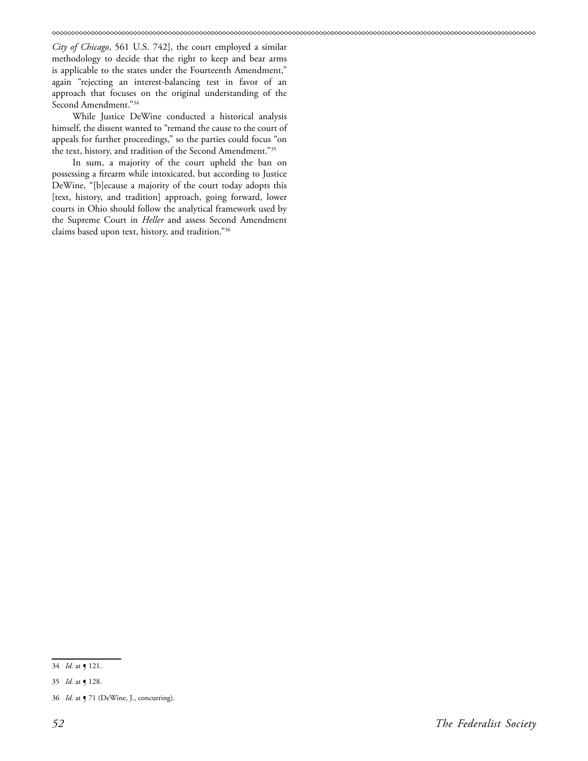*City of Chicago*, 561 U.S. 742], the court employed a similar methodology to decide that the right to keep and bear arms is applicable to the states under the Fourteenth Amendment," again "rejecting an interest-balancing test in favor of an approach that focuses on the original understanding of the Second Amendment."34

While Justice DeWine conducted a historical analysis himself, the dissent wanted to "remand the cause to the court of appeals for further proceedings," so the parties could focus "on the text, history, and tradition of the Second Amendment."35

In sum, a majority of the court upheld the ban on possessing a firearm while intoxicated, but according to Justice DeWine, "[b]ecause a majority of the court today adopts this [text, history, and tradition] approach, going forward, lower courts in Ohio should follow the analytical framework used by the Supreme Court in *Heller* and assess Second Amendment claims based upon text, history, and tradition."36

<sup>34</sup> *Id.* at ¶ 121.

<sup>35</sup> *Id.* at ¶ 128.

<sup>36</sup> *Id.* at ¶ 71 (DeWine, J., concurring).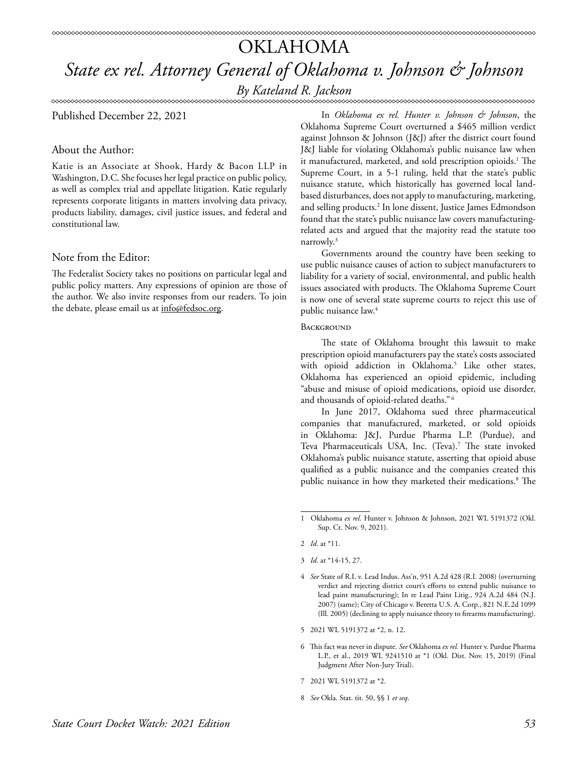## Published December 22, 2021

## About the Author:

Katie is an Associate at Shook, Hardy & Bacon LLP in Washington, D.C. She focuses her legal practice on public policy, as well as complex trial and appellate litigation. Katie regularly represents corporate litigants in matters involving data privacy, products liability, damages, civil justice issues, and federal and constitutional law.

## Note from the Editor:

The Federalist Society takes no positions on particular legal and public policy matters. Any expressions of opinion are those of the author. We also invite responses from our readers. To join the debate, please email us at info@fedsoc.org.

In *Oklahoma ex rel. Hunter v. Johnson & Johnson*, the Oklahoma Supreme Court overturned a \$465 million verdict against Johnson & Johnson (J&J) after the district court found J&J liable for violating Oklahoma's public nuisance law when it manufactured, marketed, and sold prescription opioids.<sup>1</sup> The Supreme Court, in a 5-1 ruling, held that the state's public nuisance statute, which historically has governed local landbased disturbances, does not apply to manufacturing, marketing, and selling products.2 In lone dissent, Justice James Edmondson found that the state's public nuisance law covers manufacturingrelated acts and argued that the majority read the statute too narrowly.3

Governments around the country have been seeking to use public nuisance causes of action to subject manufacturers to liability for a variety of social, environmental, and public health issues associated with products. The Oklahoma Supreme Court is now one of several state supreme courts to reject this use of public nuisance law.<sup>4</sup>

### **BACKGROUND**

The state of Oklahoma brought this lawsuit to make prescription opioid manufacturers pay the state's costs associated with opioid addiction in Oklahoma.5 Like other states, Oklahoma has experienced an opioid epidemic, including "abuse and misuse of opioid medications, opioid use disorder, and thousands of opioid-related deaths." <sup>6</sup>

In June 2017, Oklahoma sued three pharmaceutical companies that manufactured, marketed, or sold opioids in Oklahoma: J&J, Purdue Pharma L.P. (Purdue), and Teva Pharmaceuticals USA, Inc. (Teva).7 The state invoked Oklahoma's public nuisance statute, asserting that opioid abuse qualified as a public nuisance and the companies created this public nuisance in how they marketed their medications.<sup>8</sup> The

- 6 This fact was never in dispute. *See* Oklahoma *ex rel.* Hunter v. Purdue Pharma L.P., et al., 2019 WL 9241510 at \*1 (Okl. Dist. Nov. 15, 2019) (Final Judgment After Non-Jury Trial).
- 7 2021 WL 5191372 at \*2.
- 8 *See* Okla. Stat. tit. 50, §§ 1 *et seq*.

<sup>1</sup> Oklahoma *ex rel*. Hunter v. Johnson & Johnson, 2021 WL 5191372 (Okl. Sup. Ct. Nov. 9, 2021).

<sup>2</sup> *Id*. at \*11.

<sup>3</sup> *Id*. at \*14-15, 27.

<sup>4</sup> *See* State of R.I. v. Lead Indus. Ass'n, 951 A.2d 428 (R.I. 2008) (overturning verdict and rejecting district court's efforts to extend public nuisance to lead paint manufacturing); In re Lead Paint Litig., 924 A.2d 484 (N.J. 2007) (same); City of Chicago v. Beretta U.S. A. Corp., 821 N.E.2d 1099 (Ill. 2005) (declining to apply nuisance theory to firearms manufacturing).

<sup>5 2021</sup> WL 5191372 at \*2, n. 12.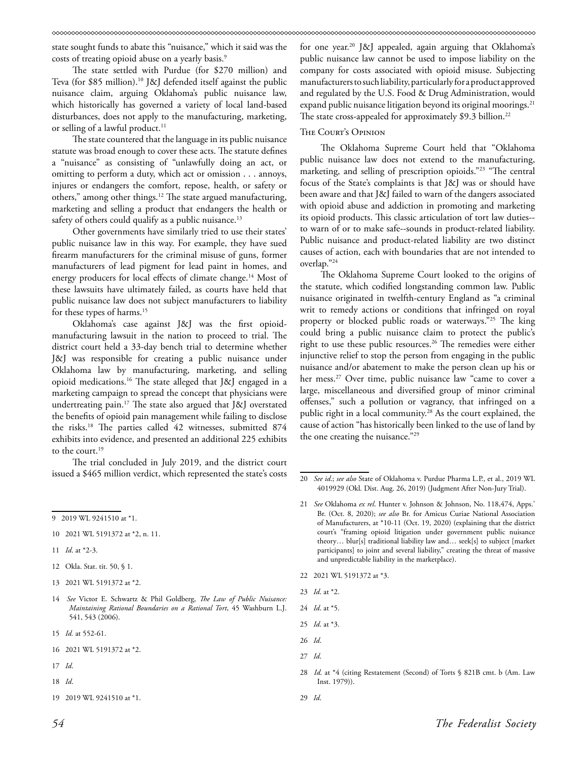state sought funds to abate this "nuisance," which it said was the costs of treating opioid abuse on a yearly basis.<sup>9</sup>

The state settled with Purdue (for \$270 million) and Teva (for \$85 million).10 J&J defended itself against the public nuisance claim, arguing Oklahoma's public nuisance law, which historically has governed a variety of local land-based disturbances, does not apply to the manufacturing, marketing, or selling of a lawful product. $11$ 

The state countered that the language in its public nuisance statute was broad enough to cover these acts. The statute defines a "nuisance" as consisting of "unlawfully doing an act, or omitting to perform a duty, which act or omission . . . annoys, injures or endangers the comfort, repose, health, or safety or others," among other things.<sup>12</sup> The state argued manufacturing, marketing and selling a product that endangers the health or safety of others could qualify as a public nuisance.<sup>13</sup>

Other governments have similarly tried to use their states' public nuisance law in this way. For example, they have sued firearm manufacturers for the criminal misuse of guns, former manufacturers of lead pigment for lead paint in homes, and energy producers for local effects of climate change.<sup>14</sup> Most of these lawsuits have ultimately failed, as courts have held that public nuisance law does not subject manufacturers to liability for these types of harms.15

Oklahoma's case against J&J was the first opioidmanufacturing lawsuit in the nation to proceed to trial. The district court held a 33-day bench trial to determine whether J&J was responsible for creating a public nuisance under Oklahoma law by manufacturing, marketing, and selling opioid medications.16 The state alleged that J&J engaged in a marketing campaign to spread the concept that physicians were undertreating pain.17 The state also argued that J&J overstated the benefits of opioid pain management while failing to disclose the risks.18 The parties called 42 witnesses, submitted 874 exhibits into evidence, and presented an additional 225 exhibits to the court.<sup>19</sup>

The trial concluded in July 2019, and the district court issued a \$465 million verdict, which represented the state's costs

- 11 *Id*. at \*2-3.
- 12 Okla. Stat. tit. 50, § 1.
- 13 2021 WL 5191372 at \*2.
- 14 *See* Victor E. Schwartz & Phil Goldberg, *The Law of Public Nuisance: Maintaining Rational Boundaries on a Rational Tort*, 45 Washburn L.J. 541, 543 (2006).
- 15 *Id.* at 552-61.
- 16 2021 WL 5191372 at \*2.
- 17 *Id*.
- 18 *Id*.

for one year.20 J&J appealed, again arguing that Oklahoma's public nuisance law cannot be used to impose liability on the company for costs associated with opioid misuse. Subjecting manufacturers to such liability, particularly for a product approved and regulated by the U.S. Food & Drug Administration, would expand public nuisance litigation beyond its original moorings.<sup>21</sup> The state cross-appealed for approximately \$9.3 billion.<sup>22</sup>

### The Court's Opinion

The Oklahoma Supreme Court held that "Oklahoma public nuisance law does not extend to the manufacturing, marketing, and selling of prescription opioids."23 "The central focus of the State's complaints is that J&J was or should have been aware and that J&J failed to warn of the dangers associated with opioid abuse and addiction in promoting and marketing its opioid products. This classic articulation of tort law duties- to warn of or to make safe--sounds in product-related liability. Public nuisance and product-related liability are two distinct causes of action, each with boundaries that are not intended to overlap."24

The Oklahoma Supreme Court looked to the origins of the statute, which codified longstanding common law. Public nuisance originated in twelfth-century England as "a criminal writ to remedy actions or conditions that infringed on royal property or blocked public roads or waterways."25 The king could bring a public nuisance claim to protect the public's right to use these public resources.<sup>26</sup> The remedies were either injunctive relief to stop the person from engaging in the public nuisance and/or abatement to make the person clean up his or her mess.<sup>27</sup> Over time, public nuisance law "came to cover a large, miscellaneous and diversified group of minor criminal offenses," such a pollution or vagrancy, that infringed on a public right in a local community.28 As the court explained, the cause of action "has historically been linked to the use of land by the one creating the nuisance."29

- 22 2021 WL 5191372 at \*3.
- 23 *Id*. at \*2.
- 24 *Id*. at \*5.
- 25 *Id*. at \*3.
- 26 *Id*.
- 27 *Id*.

29 *Id*.

<sup>9 2019</sup> WL 9241510 at \*1.

<sup>10 2021</sup> WL 5191372 at \*2, n. 11.

<sup>19 2019</sup> WL 9241510 at \*1.

<sup>20</sup> *See id*.; *see also* State of Oklahoma v. Purdue Pharma L.P., et al., 2019 WL 4019929 (Okl. Dist. Aug. 26, 2019) (Judgment After Non-Jury Trial).

<sup>21</sup> *See* Oklahoma *ex rel*. Hunter v. Johnson & Johnson, No. 118,474, Apps.' Br. (Oct. 8, 2020); *see also* Br. for Amicus Curiae National Association of Manufacturers, at \*10-11 (Oct. 19, 2020) (explaining that the district court's "framing opioid litigation under government public nuisance theory… blur[s] traditional liability law and… seek[s] to subject [market participants] to joint and several liability," creating the threat of massive and unpredictable liability in the marketplace).

<sup>28</sup> *Id*. at \*4 (citing Restatement (Second) of Torts § 821B cmt. b (Am. Law Inst. 1979)).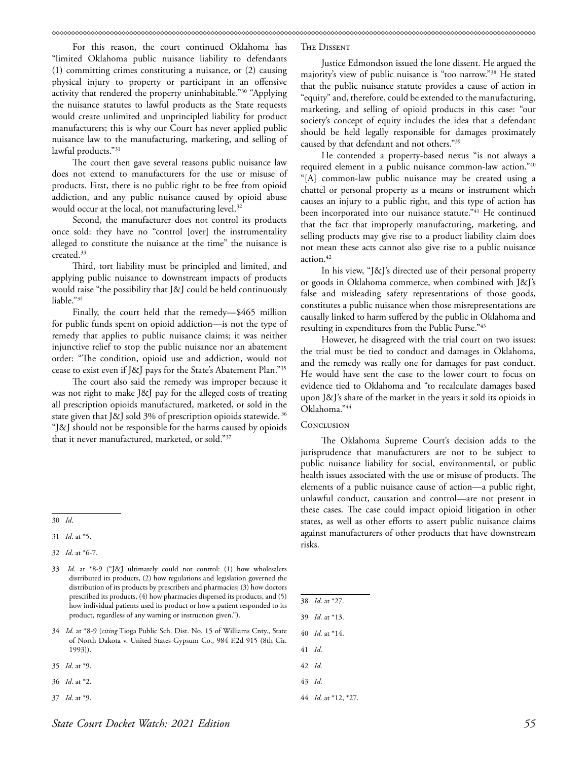For this reason, the court continued Oklahoma has "limited Oklahoma public nuisance liability to defendants (1) committing crimes constituting a nuisance, or (2) causing physical injury to property or participant in an offensive activity that rendered the property uninhabitable."30 "Applying the nuisance statutes to lawful products as the State requests would create unlimited and unprincipled liability for product manufacturers; this is why our Court has never applied public nuisance law to the manufacturing, marketing, and selling of lawful products."31

The court then gave several reasons public nuisance law does not extend to manufacturers for the use or misuse of products. First, there is no public right to be free from opioid addiction, and any public nuisance caused by opioid abuse would occur at the local, not manufacturing level.<sup>32</sup>

Second, the manufacturer does not control its products once sold: they have no "control [over] the instrumentality alleged to constitute the nuisance at the time" the nuisance is created.33

Third, tort liability must be principled and limited, and applying public nuisance to downstream impacts of products would raise "the possibility that J&J could be held continuously liable."34

Finally, the court held that the remedy—\$465 million for public funds spent on opioid addiction—is not the type of remedy that applies to public nuisance claims; it was neither injunctive relief to stop the public nuisance nor an abatement order: "The condition, opioid use and addiction, would not cease to exist even if J&J pays for the State's Abatement Plan."35

The court also said the remedy was improper because it was not right to make J&J pay for the alleged costs of treating all prescription opioids manufactured, marketed, or sold in the state given that J&J sold 3% of prescription opioids statewide. <sup>36</sup> "J&J should not be responsible for the harms caused by opioids that it never manufactured, marketed, or sold."37

- 35 *Id*. at \*9.
- 36 *Id*. at \*2.
- 37 *Id*. at \*9.

### The Dissent

Justice Edmondson issued the lone dissent. He argued the majority's view of public nuisance is "too narrow."38 He stated that the public nuisance statute provides a cause of action in "equity" and, therefore, could be extended to the manufacturing, marketing, and selling of opioid products in this case: "our society's concept of equity includes the idea that a defendant should be held legally responsible for damages proximately caused by that defendant and not others."39

He contended a property-based nexus "is not always a required element in a public nuisance common-law action."40 "[A] common-law public nuisance may be created using a chattel or personal property as a means or instrument which causes an injury to a public right, and this type of action has been incorporated into our nuisance statute."<sup>41</sup> He continued that the fact that improperly manufacturing, marketing, and selling products may give rise to a product liability claim does not mean these acts cannot also give rise to a public nuisance action.<sup>42</sup>

In his view, "J&J's directed use of their personal property or goods in Oklahoma commerce, when combined with J&J's false and misleading safety representations of those goods, constitutes a public nuisance when those misrepresentations are causally linked to harm suffered by the public in Oklahoma and resulting in expenditures from the Public Purse."43

However, he disagreed with the trial court on two issues: the trial must be tied to conduct and damages in Oklahoma, and the remedy was really one for damages for past conduct. He would have sent the case to the lower court to focus on evidence tied to Oklahoma and "to recalculate damages based upon J&J's share of the market in the years it sold its opioids in Oklahoma."44

### **CONCLUSION**

The Oklahoma Supreme Court's decision adds to the jurisprudence that manufacturers are not to be subject to public nuisance liability for social, environmental, or public health issues associated with the use or misuse of products. The elements of a public nuisance cause of action—a public right, unlawful conduct, causation and control—are not present in these cases. The case could impact opioid litigation in other states, as well as other efforts to assert public nuisance claims against manufacturers of other products that have downstream risks.

41 *Id*.

<sup>30</sup> *Id*.

<sup>31</sup> *Id*. at \*5.

<sup>32</sup> *Id*. at \*6-7.

<sup>33</sup> *Id*. at \*8-9 ("J&J ultimately could not control: (1) how wholesalers distributed its products, (2) how regulations and legislation governed the distribution of its products by prescribers and pharmacies; (3) how doctors prescribed its products, (4) how pharmacies dispersed its products, and (5) how individual patients used its product or how a patient responded to its product, regardless of any warning or instruction given.").

<sup>34</sup> *Id*. at \*8-9 (*citing* Tioga Public Sch. Dist. No. 15 of Williams Cnty., State of North Dakota v. United States Gypsum Co., 984 F.2d 915 (8th Cir. 1993)).

<sup>38</sup> *Id*. at \*27.

<sup>39</sup> *Id*. at \*13.

<sup>40</sup> *Id*. at \*14.

<sup>42</sup> *Id*.

<sup>43</sup> *Id*.

<sup>44</sup> *Id*. at \*12, \*27.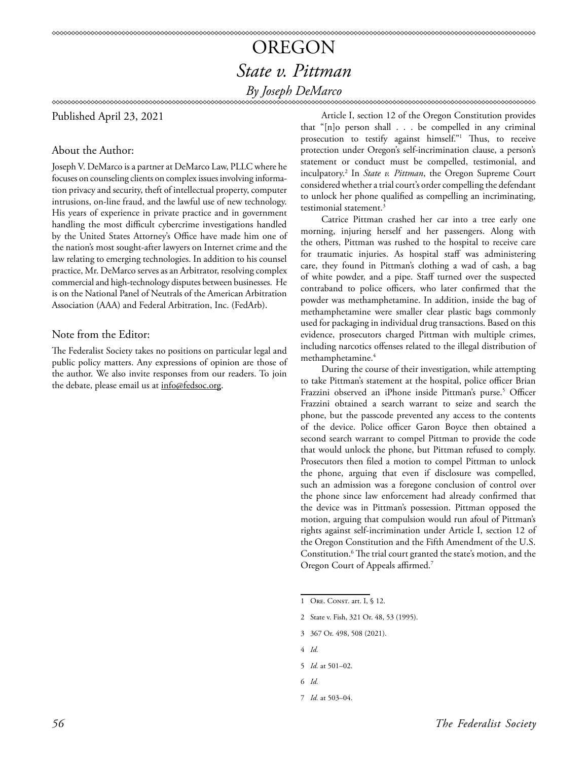## OREGON *State v. Pittman By Joseph DeMarco*

Published April 23, 2021

## About the Author:

Joseph V. DeMarco is a partner at DeMarco Law, PLLC where he focuses on counseling clients on complex issues involving information privacy and security, theft of intellectual property, computer intrusions, on-line fraud, and the lawful use of new technology. His years of experience in private practice and in government handling the most difficult cybercrime investigations handled by the United States Attorney's Office have made him one of the nation's most sought-after lawyers on Internet crime and the law relating to emerging technologies. In addition to his counsel practice, Mr. DeMarco serves as an Arbitrator, resolving complex commercial and high-technology disputes between businesses. He is on the National Panel of Neutrals of the American Arbitration Association (AAA) and Federal Arbitration, Inc. (FedArb).

## Note from the Editor:

The Federalist Society takes no positions on particular legal and public policy matters. Any expressions of opinion are those of the author. We also invite responses from our readers. To join the debate, please email us at info@fedsoc.org.

Article I, section 12 of the Oregon Constitution provides that "[n]o person shall . . . be compelled in any criminal prosecution to testify against himself."1 Thus, to receive protection under Oregon's self-incrimination clause, a person's statement or conduct must be compelled, testimonial, and inculpatory.2 In *State v. Pittman*, the Oregon Supreme Court considered whether a trial court's order compelling the defendant to unlock her phone qualified as compelling an incriminating, testimonial statement.<sup>3</sup>

Catrice Pittman crashed her car into a tree early one morning, injuring herself and her passengers. Along with the others, Pittman was rushed to the hospital to receive care for traumatic injuries. As hospital staff was administering care, they found in Pittman's clothing a wad of cash, a bag of white powder, and a pipe. Staff turned over the suspected contraband to police officers, who later confirmed that the powder was methamphetamine. In addition, inside the bag of methamphetamine were smaller clear plastic bags commonly used for packaging in individual drug transactions. Based on this evidence, prosecutors charged Pittman with multiple crimes, including narcotics offenses related to the illegal distribution of methamphetamine.4

During the course of their investigation, while attempting to take Pittman's statement at the hospital, police officer Brian Frazzini observed an iPhone inside Pittman's purse.<sup>5</sup> Officer Frazzini obtained a search warrant to seize and search the phone, but the passcode prevented any access to the contents of the device. Police officer Garon Boyce then obtained a second search warrant to compel Pittman to provide the code that would unlock the phone, but Pittman refused to comply. Prosecutors then filed a motion to compel Pittman to unlock the phone, arguing that even if disclosure was compelled, such an admission was a foregone conclusion of control over the phone since law enforcement had already confirmed that the device was in Pittman's possession. Pittman opposed the motion, arguing that compulsion would run afoul of Pittman's rights against self-incrimination under Article I, section 12 of the Oregon Constitution and the Fifth Amendment of the U.S. Constitution.<sup>6</sup> The trial court granted the state's motion, and the Oregon Court of Appeals affirmed.7

- 2 State v. Fish, 321 Or. 48, 53 (1995).
- 3 367 Or. 498, 508 (2021).
- 4 *Id.*
- 5 *Id.* at 501–02.
- 6 *Id.*
- 7 *Id.* at 503–04.

<sup>1</sup> ORE. CONST. art. I, § 12.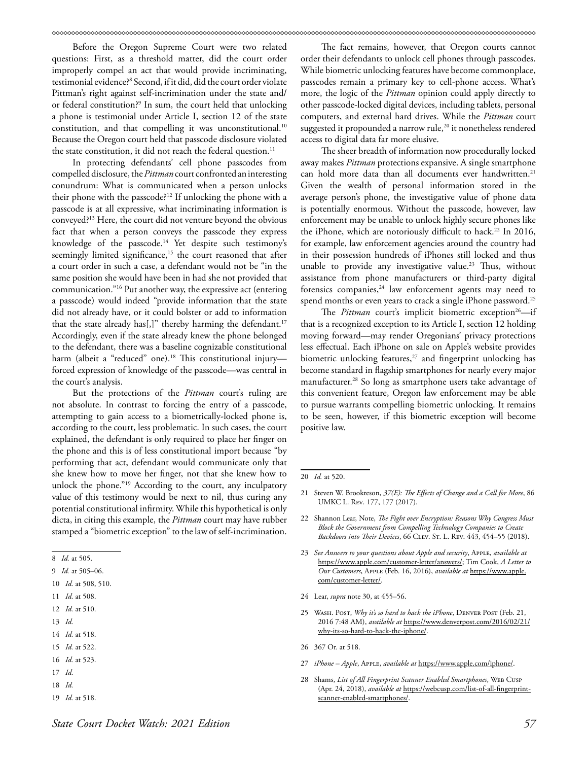Before the Oregon Supreme Court were two related questions: First, as a threshold matter, did the court order improperly compel an act that would provide incriminating, testimonial evidence?8 Second, if it did, did the court order violate Pittman's right against self-incrimination under the state and/ or federal constitution?9 In sum, the court held that unlocking a phone is testimonial under Article I, section 12 of the state constitution, and that compelling it was unconstitutional.<sup>10</sup> Because the Oregon court held that passcode disclosure violated the state constitution, it did not reach the federal question.<sup>11</sup>

In protecting defendants' cell phone passcodes from compelled disclosure, the *Pittman* court confronted an interesting conundrum: What is communicated when a person unlocks their phone with the passcode?12 If unlocking the phone with a passcode is at all expressive, what incriminating information is conveyed?13 Here, the court did not venture beyond the obvious fact that when a person conveys the passcode they express knowledge of the passcode.<sup>14</sup> Yet despite such testimony's seemingly limited significance,<sup>15</sup> the court reasoned that after a court order in such a case, a defendant would not be "in the same position she would have been in had she not provided that communication."16 Put another way, the expressive act (entering a passcode) would indeed "provide information that the state did not already have, or it could bolster or add to information that the state already has[,]" thereby harming the defendant.<sup>17</sup> Accordingly, even if the state already knew the phone belonged to the defendant, there was a baseline cognizable constitutional harm (albeit a "reduced" one).<sup>18</sup> This constitutional injuryforced expression of knowledge of the passcode—was central in the court's analysis.

But the protections of the *Pittman* court's ruling are not absolute. In contrast to forcing the entry of a passcode, attempting to gain access to a biometrically-locked phone is, according to the court, less problematic. In such cases, the court explained, the defendant is only required to place her finger on the phone and this is of less constitutional import because "by performing that act, defendant would communicate only that she knew how to move her finger, not that she knew how to unlock the phone."<sup>19</sup> According to the court, any inculpatory value of this testimony would be next to nil, thus curing any potential constitutional infirmity. While this hypothetical is only dicta, in citing this example, the *Pittman* court may have rubber stamped a "biometric exception" to the law of self-incrimination.

13 *Id.*

16 *Id.* at 523.

- 18 *Id.*
- 19 *Id.* at 518.

The fact remains, however, that Oregon courts cannot order their defendants to unlock cell phones through passcodes. While biometric unlocking features have become commonplace, passcodes remain a primary key to cell-phone access. What's more, the logic of the *Pittman* opinion could apply directly to other passcode-locked digital devices, including tablets, personal computers, and external hard drives. While the *Pittman* court suggested it propounded a narrow rule,<sup>20</sup> it nonetheless rendered access to digital data far more elusive.

The sheer breadth of information now procedurally locked away makes *Pittman* protections expansive. A single smartphone can hold more data than all documents ever handwritten.<sup>21</sup> Given the wealth of personal information stored in the average person's phone, the investigative value of phone data is potentially enormous. Without the passcode, however, law enforcement may be unable to unlock highly secure phones like the iPhone, which are notoriously difficult to hack.<sup>22</sup> In 2016, for example, law enforcement agencies around the country had in their possession hundreds of iPhones still locked and thus unable to provide any investigative value.<sup>23</sup> Thus, without assistance from phone manufacturers or third-party digital forensics companies, $24$  law enforcement agents may need to spend months or even years to crack a single iPhone password.<sup>25</sup>

The *Pittman* court's implicit biometric exception<sup>26</sup>—if that is a recognized exception to its Article I, section 12 holding moving forward—may render Oregonians' privacy protections less effectual. Each iPhone on sale on Apple's website provides biometric unlocking features,<sup>27</sup> and fingerprint unlocking has become standard in flagship smartphones for nearly every major manufacturer.28 So long as smartphone users take advantage of this convenient feature, Oregon law enforcement may be able to pursue warrants compelling biometric unlocking. It remains to be seen, however, if this biometric exception will become positive law.

- 23 *See Answers to your questions about Apple and security*, Apple, *available at*  [https://www.apple.com/customer-letter/answers/;](https://www.apple.com/customer-letter/answers/) Tim Cook, *A Letter to Our Customers*, Apple (Feb. 16, 2016), *available at* [https://www.apple.](https://www.apple.com/customer-letter/) [com/customer-letter/.](https://www.apple.com/customer-letter/)
- 24 Lear, *supra* note 30, at 455–56.
- 25 Wash. Post, *Why it's so hard to hack the iPhone*, Denver Post (Feb. 21, 2016 7:48 AM), *available at* [https://www.denverpost.com/2016/02/21/](https://www.denverpost.com/2016/02/21/why-its-so-hard-to-hack-the-iphone/) [why-its-so-hard-to-hack-the-iphone/](https://www.denverpost.com/2016/02/21/why-its-so-hard-to-hack-the-iphone/).
- 26 367 Or. at 518.
- 27 *iPhone Apple*, Apple, *available at* <https://www.apple.com/iphone/>.
- 28 Shams, *List of All Fingerprint Scanner Enabled Smartphones*, Web Cusp (Apr. 24, 2018), *available at* [https://webcusp.com/list-of-all-fingerprint](https://webcusp.com/list-of-all-fingerprint-scanner-enabled-smartphones/)[scanner-enabled-smartphones/](https://webcusp.com/list-of-all-fingerprint-scanner-enabled-smartphones/).

<sup>8</sup> *Id.* at 505.

<sup>9</sup> *Id.* at 505–06.

<sup>10</sup> *Id.* at 508, 510.

<sup>11</sup> *Id.* at 508.

<sup>12</sup> *Id.* at 510.

<sup>14</sup> *Id.* at 518.

<sup>15</sup> *Id.* at 522.

<sup>17</sup> *Id.*

<sup>20</sup> *Id.* at 520.

<sup>21</sup> Steven W. Brookreson, *37(E): The Effects of Change and a Call for More*, 86 UMKC L. Rev. 177, 177 (2017).

<sup>22</sup> Shannon Lear, Note, *The Fight over Encryption: Reasons Why Congress Must Block the Government from Compelling Technology Companies to Create Backdoors into Their Devices*, 66 Clev. St. L. Rev. 443, 454–55 (2018).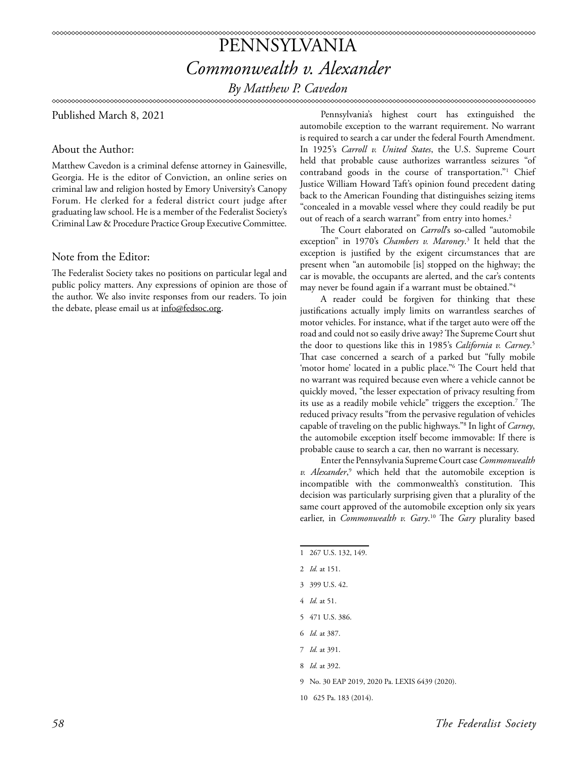## PENNSYLVANIA *Commonwealth v. Alexander By Matthew P. Cavedon*

Published March 8, 2021

About the Author:

Matthew Cavedon is a criminal defense attorney in Gainesville, Georgia. He is the editor of Conviction, an online series on criminal law and religion hosted by Emory University's Canopy Forum. He clerked for a federal district court judge after graduating law school. He is a member of the Federalist Society's Criminal Law & Procedure Practice Group Executive Committee.

## Note from the Editor:

The Federalist Society takes no positions on particular legal and public policy matters. Any expressions of opinion are those of the author. We also invite responses from our readers. To join the debate, please email us at info@fedsoc.org.

Pennsylvania's highest court has extinguished the automobile exception to the warrant requirement. No warrant is required to search a car under the federal Fourth Amendment. In 1925's *Carroll v. United States*, the U.S. Supreme Court held that probable cause authorizes warrantless seizures "of contraband goods in the course of transportation."1 Chief Justice William Howard Taft's opinion found precedent dating back to the American Founding that distinguishes seizing items "concealed in a movable vessel where they could readily be put out of reach of a search warrant" from entry into homes.<sup>2</sup>

The Court elaborated on *Carroll*'s so-called "automobile exception" in 1970's *Chambers v. Maroney*. 3 It held that the exception is justified by the exigent circumstances that are present when "an automobile [is] stopped on the highway; the car is movable, the occupants are alerted, and the car's contents may never be found again if a warrant must be obtained."4

A reader could be forgiven for thinking that these justifications actually imply limits on warrantless searches of motor vehicles. For instance, what if the target auto were off the road and could not so easily drive away? The Supreme Court shut the door to questions like this in 1985's *California v. Carney*. 5 That case concerned a search of a parked but "fully mobile 'motor home' located in a public place."6 The Court held that no warrant was required because even where a vehicle cannot be quickly moved, "the lesser expectation of privacy resulting from its use as a readily mobile vehicle" triggers the exception.7 The reduced privacy results "from the pervasive regulation of vehicles capable of traveling on the public highways."8 In light of *Carney*, the automobile exception itself become immovable: If there is probable cause to search a car, then no warrant is necessary.

Enter the Pennsylvania Supreme Court case *Commonwealth*  v. Alexander,<sup>9</sup> which held that the automobile exception is incompatible with the commonwealth's constitution. This decision was particularly surprising given that a plurality of the same court approved of the automobile exception only six years earlier, in *Commonwealth v. Gary*. 10 The *Gary* plurality based

<sup>1 267</sup> U.S. 132, 149.

<sup>2</sup> *Id.* at 151.

<sup>3 399</sup> U.S. 42.

<sup>4</sup> *Id.* at 51.

<sup>5 471</sup> U.S. 386.

<sup>6</sup> *Id.* at 387.

<sup>7</sup> *Id.* at 391.

<sup>8</sup> *Id.* at 392.

<sup>9</sup> No. 30 EAP 2019, 2020 Pa. LEXIS 6439 (2020).

<sup>10 625</sup> Pa. 183 (2014).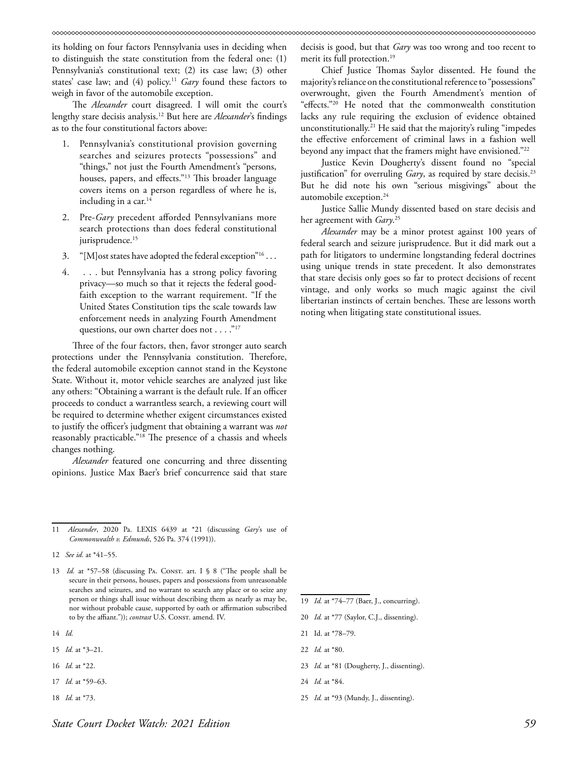its holding on four factors Pennsylvania uses in deciding when to distinguish the state constitution from the federal one: (1) Pennsylvania's constitutional text; (2) its case law; (3) other states' case law; and (4) policy.<sup>11</sup> *Gary* found these factors to weigh in favor of the automobile exception.

The *Alexander* court disagreed. I will omit the court's lengthy stare decisis analysis.12 But here are *Alexander*'s findings as to the four constitutional factors above:

- 1. Pennsylvania's constitutional provision governing searches and seizures protects "possessions" and "things," not just the Fourth Amendment's "persons, houses, papers, and effects."<sup>13</sup> This broader language covers items on a person regardless of where he is, including in a car.<sup>14</sup>
- 2. Pre-*Gary* precedent afforded Pennsylvanians more search protections than does federal constitutional jurisprudence.<sup>15</sup>
- 3. "[M] ost states have adopted the federal exception"<sup>16</sup>...
- 4. . . . but Pennsylvania has a strong policy favoring privacy—so much so that it rejects the federal goodfaith exception to the warrant requirement. "If the United States Constitution tips the scale towards law enforcement needs in analyzing Fourth Amendment questions, our own charter does not . . . . "<sup>17</sup>

Three of the four factors, then, favor stronger auto search protections under the Pennsylvania constitution. Therefore, the federal automobile exception cannot stand in the Keystone State. Without it, motor vehicle searches are analyzed just like any others: "Obtaining a warrant is the default rule. If an officer proceeds to conduct a warrantless search, a reviewing court will be required to determine whether exigent circumstances existed to justify the officer's judgment that obtaining a warrant was *not* reasonably practicable."18 The presence of a chassis and wheels changes nothing.

*Alexander* featured one concurring and three dissenting opinions. Justice Max Baer's brief concurrence said that stare

- 14 *Id.*
- 15 *Id.* at \*3–21.
- 16 *Id.* at \*22.
- 17 *Id.* at \*59–63.
- 18 *Id.* at \*73.

decisis is good, but that *Gary* was too wrong and too recent to merit its full protection.<sup>19</sup>

Chief Justice Thomas Saylor dissented. He found the majority's reliance on the constitutional reference to "possessions" overwrought, given the Fourth Amendment's mention of "effects."20 He noted that the commonwealth constitution lacks any rule requiring the exclusion of evidence obtained unconstitutionally.21 He said that the majority's ruling "impedes the effective enforcement of criminal laws in a fashion well beyond any impact that the framers might have envisioned."<sup>22</sup>

Justice Kevin Dougherty's dissent found no "special justification" for overruling *Gary*, as required by stare decisis.<sup>23</sup> But he did note his own "serious misgivings" about the automobile exception.24

Justice Sallie Mundy dissented based on stare decisis and her agreement with *Gary*. 25

*Alexander* may be a minor protest against 100 years of federal search and seizure jurisprudence. But it did mark out a path for litigators to undermine longstanding federal doctrines using unique trends in state precedent. It also demonstrates that stare decisis only goes so far to protect decisions of recent vintage, and only works so much magic against the civil libertarian instincts of certain benches. These are lessons worth noting when litigating state constitutional issues.

- 19 *Id.* at \*74–77 (Baer, J., concurring).
- 20 *Id.* at \*77 (Saylor, C.J., dissenting).
- 21 Id. at \*78–79.
- 22 *Id.* at \*80.
- 23 *Id.* at \*81 (Dougherty, J., dissenting).
- 24 *Id.* at \*84.
- 25 *Id.* at \*93 (Mundy, J., dissenting).

<sup>11</sup> *Alexander*, 2020 Pa. LEXIS 6439 at \*21 (discussing *Gary*'s use of *Commonwealth v. Edmunds*, 526 Pa. 374 (1991)).

<sup>12</sup> *See id.* at \*41–55.

<sup>13</sup> *Id.* at \*57-58 (discussing PA. CONST. art. I § 8 ("The people shall be secure in their persons, houses, papers and possessions from unreasonable searches and seizures, and no warrant to search any place or to seize any person or things shall issue without describing them as nearly as may be, nor without probable cause, supported by oath or affirmation subscribed to by the affiant.")); *contrast* U.S. Const. amend. IV.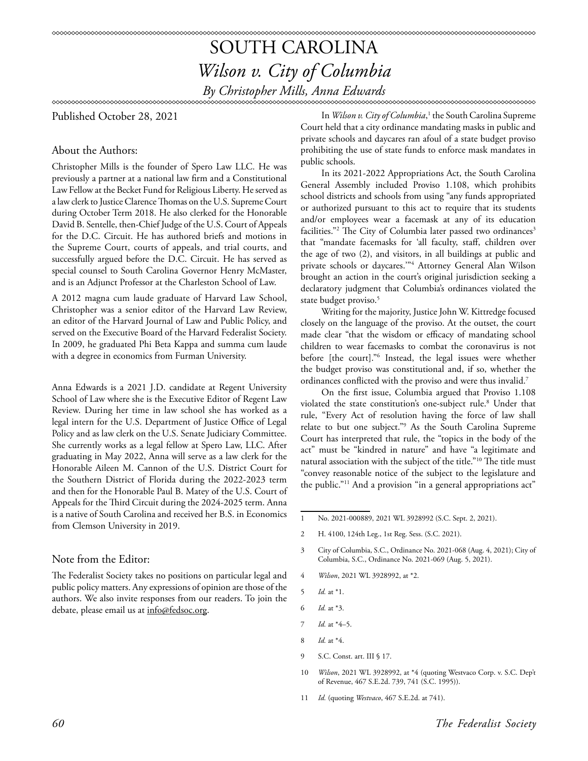## SOUTH CAROLINA *Wilson v. City of Columbia By Christopher Mills, Anna Edwards*

Published October 28, 2021

## About the Authors:

Christopher Mills is the founder of Spero Law LLC. He was previously a partner at a national law firm and a Constitutional Law Fellow at the Becket Fund for Religious Liberty. He served as a law clerk to Justice Clarence Thomas on the U.S. Supreme Court during October Term 2018. He also clerked for the Honorable David B. Sentelle, then-Chief Judge of the U.S. Court of Appeals for the D.C. Circuit. He has authored briefs and motions in the Supreme Court, courts of appeals, and trial courts, and successfully argued before the D.C. Circuit. He has served as special counsel to South Carolina Governor Henry McMaster, and is an Adjunct Professor at the Charleston School of Law.

A 2012 magna cum laude graduate of Harvard Law School, Christopher was a senior editor of the Harvard Law Review, an editor of the Harvard Journal of Law and Public Policy, and served on the Executive Board of the Harvard Federalist Society. In 2009, he graduated Phi Beta Kappa and summa cum laude with a degree in economics from Furman University.

Anna Edwards is a 2021 J.D. candidate at Regent University School of Law where she is the Executive Editor of Regent Law Review. During her time in law school she has worked as a legal intern for the U.S. Department of Justice Office of Legal Policy and as law clerk on the U.S. Senate Judiciary Committee. She currently works as a legal fellow at Spero Law, LLC. After graduating in May 2022, Anna will serve as a law clerk for the Honorable Aileen M. Cannon of the U.S. District Court for the Southern District of Florida during the 2022-2023 term and then for the Honorable Paul B. Matey of the U.S. Court of Appeals for the Third Circuit during the 2024-2025 term. Anna is a native of South Carolina and received her B.S. in Economics from Clemson University in 2019.

## Note from the Editor:

The Federalist Society takes no positions on particular legal and public policy matters. Any expressions of opinion are those of the authors. We also invite responses from our readers. To join the debate, please email us at info@fedsoc.org.

In *Wilson v. City of Columbia*, 1 the South Carolina Supreme Court held that a city ordinance mandating masks in public and private schools and daycares ran afoul of a state budget proviso prohibiting the use of state funds to enforce mask mandates in public schools.

In its 2021-2022 Appropriations Act, the South Carolina General Assembly included Proviso 1.108, which prohibits school districts and schools from using "any funds appropriated or authorized pursuant to this act to require that its students and/or employees wear a facemask at any of its education facilities."<sup>2</sup> The City of Columbia later passed two ordinances<sup>3</sup> that "mandate facemasks for 'all faculty, staff, children over the age of two (2), and visitors, in all buildings at public and private schools or daycares.'"4 Attorney General Alan Wilson brought an action in the court's original jurisdiction seeking a declaratory judgment that Columbia's ordinances violated the state budget proviso.<sup>5</sup>

Writing for the majority, Justice John W. Kittredge focused closely on the language of the proviso. At the outset, the court made clear "that the wisdom or efficacy of mandating school children to wear facemasks to combat the coronavirus is not before [the court]."6 Instead, the legal issues were whether the budget proviso was constitutional and, if so, whether the ordinances conflicted with the proviso and were thus invalid.<sup>7</sup>

On the first issue, Columbia argued that Proviso 1.108 violated the state constitution's one-subject rule.<sup>8</sup> Under that rule, "Every Act of resolution having the force of law shall relate to but one subject."9 As the South Carolina Supreme Court has interpreted that rule, the "topics in the body of the act" must be "kindred in nature" and have "a legitimate and natural association with the subject of the title."10 The title must "convey reasonable notice of the subject to the legislature and the public."11 And a provision "in a general appropriations act"

- 3 City of Columbia, S.C., Ordinance No. 2021-068 (Aug. 4, 2021); City of Columbia, S.C., Ordinance No. 2021-069 (Aug. 5, 2021).
- 4 *Wilson*, 2021 WL 3928992, at \*2.
- 5 *Id.* at \*1.
- 6 *Id.* at \*3.
- 7 *Id.* at \*4–5.
- 8 *Id.* at \*4.
- 9 S.C. Const. art. III § 17.
- 10 *Wilson*, 2021 WL 3928992, at \*4 (quoting Westvaco Corp. v. S.C. Dep't of Revenue, 467 S.E.2d. 739, 741 (S.C. 1995)).
- 11 *Id.* (quoting *Westvaco*, 467 S.E.2d. at 741).

<sup>1</sup> No. 2021-000889, 2021 WL 3928992 (S.C. Sept. 2, 2021).

<sup>2</sup> H. 4100, 124th Leg., 1st Reg. Sess. (S.C. 2021).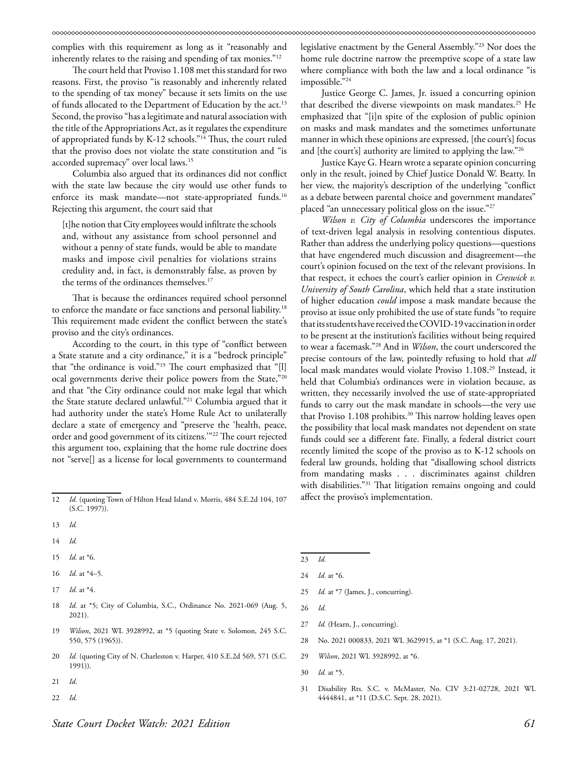complies with this requirement as long as it "reasonably and inherently relates to the raising and spending of tax monies."12

The court held that Proviso 1.108 met this standard for two reasons. First, the proviso "is reasonably and inherently related to the spending of tax money" because it sets limits on the use of funds allocated to the Department of Education by the act.<sup>13</sup> Second, the proviso "has a legitimate and natural association with the title of the Appropriations Act, as it regulates the expenditure of appropriated funds by K-12 schools."14 Thus, the court ruled that the proviso does not violate the state constitution and "is accorded supremacy" over local laws.15

Columbia also argued that its ordinances did not conflict with the state law because the city would use other funds to enforce its mask mandate—not state-appropriated funds.<sup>16</sup> Rejecting this argument, the court said that

[t]he notion that City employees would infiltrate the schools and, without any assistance from school personnel and without a penny of state funds, would be able to mandate masks and impose civil penalties for violations strains credulity and, in fact, is demonstrably false, as proven by the terms of the ordinances themselves.<sup>17</sup>

That is because the ordinances required school personnel to enforce the mandate or face sanctions and personal liability.18 This requirement made evident the conflict between the state's proviso and the city's ordinances.

According to the court, in this type of "conflict between a State statute and a city ordinance," it is a "bedrock principle" that "the ordinance is void."19 The court emphasized that "[l] ocal governments derive their police powers from the State,"20 and that "the City ordinance could not make legal that which the State statute declared unlawful."21 Columbia argued that it had authority under the state's Home Rule Act to unilaterally declare a state of emergency and "preserve the 'health, peace, order and good government of its citizens.'"22 The court rejected this argument too, explaining that the home rule doctrine does not "serve[] as a license for local governments to countermand

- 14 *Id.*
- 15 *Id.* at \*6.
- 16 *Id.* at \*4–5.
- 17 *Id.* at \*4.
- 18 *Id.* at \*5; City of Columbia, S.C., Ordinance No. 2021-069 (Aug. 5, 2021).
- 19 *Wilson*, 2021 WL 3928992, at \*5 (quoting State v. Solomon*,* 245 S.C. 550, 575 (1965)).
- 20 *Id.* (quoting City of N. Charleston v. Harper, 410 S.E.2d 569, 571 (S.C. 1991)).
- 21 *Id*.
- 22 *Id.*

legislative enactment by the General Assembly."23 Nor does the home rule doctrine narrow the preemptive scope of a state law where compliance with both the law and a local ordinance "is impossible."24

Justice George C. James, Jr. issued a concurring opinion that described the diverse viewpoints on mask mandates.<sup>25</sup> He emphasized that "[i]n spite of the explosion of public opinion on masks and mask mandates and the sometimes unfortunate manner in which these opinions are expressed, [the court's] focus and [the court's] authority are limited to applying the law."26

Justice Kaye G. Hearn wrote a separate opinion concurring only in the result, joined by Chief Justice Donald W. Beatty. In her view, the majority's description of the underlying "conflict as a debate between parental choice and government mandates" placed "an unnecessary political gloss on the issue."<sup>27</sup>

*Wilson v. City of Columbia* underscores the importance of text-driven legal analysis in resolving contentious disputes. Rather than address the underlying policy questions—questions that have engendered much discussion and disagreement—the court's opinion focused on the text of the relevant provisions. In that respect, it echoes the court's earlier opinion in *Creswick v. University of South Carolina*, which held that a state institution of higher education *could* impose a mask mandate because the proviso at issue only prohibited the use of state funds "to require that its students have received the COVID-19 vaccination in order to be present at the institution's facilities without being required to wear a facemask."28 And in *Wilson*, the court underscored the precise contours of the law, pointedly refusing to hold that *all* local mask mandates would violate Proviso 1.108.<sup>29</sup> Instead, it held that Columbia's ordinances were in violation because, as written, they necessarily involved the use of state-appropriated funds to carry out the mask mandate in schools—the very use that Proviso 1.108 prohibits.<sup>30</sup> This narrow holding leaves open the possibility that local mask mandates not dependent on state funds could see a different fate. Finally, a federal district court recently limited the scope of the proviso as to K-12 schools on federal law grounds, holding that "disallowing school districts from mandating masks . . . discriminates against children with disabilities."<sup>31</sup> That litigation remains ongoing and could affect the proviso's implementation.

- 23 *Id.*
- 24 *Id.* at \*6.
- 25 *Id.* at \*7 (James, J., concurring).
- 26 *Id.*
- 27 *Id.* (Hearn, J., concurring).
- 28 No. 2021 000833, 2021 WL 3629915, at \*1 (S.C. Aug. 17, 2021).
- 29 *Wilson*, 2021 WL 3928992, at \*6.
- 30 *Id.* at \*5.
- 31 Disability Rts. S.C. v. McMaster, No. CIV 3:21-02728, 2021 WL 4444841, at \*11 (D.S.C. Sept. 28, 2021).

<sup>12</sup> *Id.* (quoting Town of Hilton Head Island v. Morris, 484 S.E.2d 104, 107 (S.C. 1997)).

<sup>13</sup> *Id.*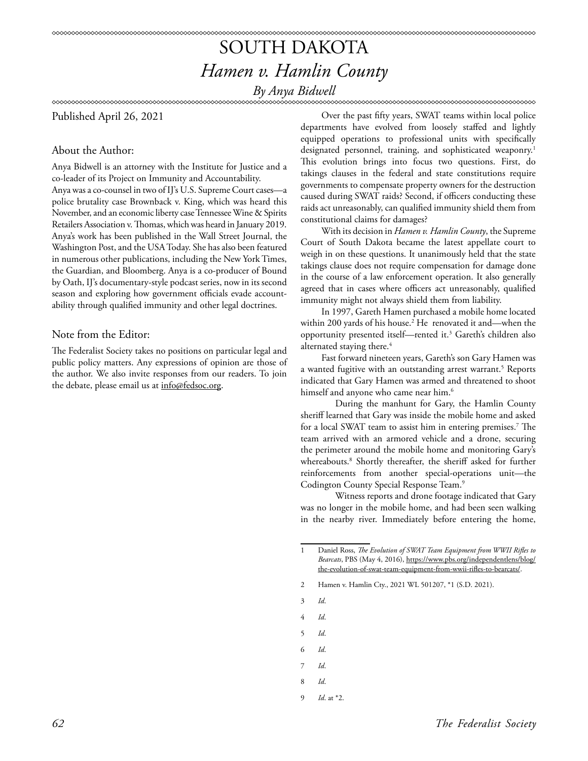# SOUTH DAKOTA *Hamen v. Hamlin County*

*By Anya Bidwell*

## Published April 26, 2021

## About the Author:

Anya Bidwell is an attorney with the Institute for Justice and a co-leader of its Project on Immunity and Accountability.

Anya was a co-counsel in two of IJ's U.S. Supreme Court cases—a police brutality case Brownback v. King, which was heard this November, and an economic liberty case Tennessee Wine & Spirits Retailers Association v. Thomas, which was heard in January 2019. Anya's work has been published in the Wall Street Journal, the Washington Post, and the USA Today. She has also been featured in numerous other publications, including the New York Times, the Guardian, and Bloomberg. Anya is a co-producer of Bound by Oath, IJ's documentary-style podcast series, now in its second season and exploring how government officials evade accountability through qualified immunity and other legal doctrines.

## Note from the Editor:

The Federalist Society takes no positions on particular legal and public policy matters. Any expressions of opinion are those of the author. We also invite responses from our readers. To join the debate, please email us at info@fedsoc.org.

Over the past fifty years, SWAT teams within local police departments have evolved from loosely staffed and lightly equipped operations to professional units with specifically designated personnel, training, and sophisticated weaponry.<sup>1</sup> This evolution brings into focus two questions. First, do takings clauses in the federal and state constitutions require governments to compensate property owners for the destruction caused during SWAT raids? Second, if officers conducting these raids act unreasonably, can qualified immunity shield them from constitutional claims for damages?

With its decision in *Hamen v. Hamlin County*, the Supreme Court of South Dakota became the latest appellate court to weigh in on these questions. It unanimously held that the state takings clause does not require compensation for damage done in the course of a law enforcement operation. It also generally agreed that in cases where officers act unreasonably, qualified immunity might not always shield them from liability.

In 1997, Gareth Hamen purchased a mobile home located within 200 yards of his house.2 He renovated it and—when the opportunity presented itself—rented it.3 Gareth's children also alternated staying there.<sup>4</sup>

Fast forward nineteen years, Gareth's son Gary Hamen was a wanted fugitive with an outstanding arrest warrant.<sup>5</sup> Reports indicated that Gary Hamen was armed and threatened to shoot himself and anyone who came near him.<sup>6</sup>

During the manhunt for Gary, the Hamlin County sheriff learned that Gary was inside the mobile home and asked for a local SWAT team to assist him in entering premises.7 The team arrived with an armored vehicle and a drone, securing the perimeter around the mobile home and monitoring Gary's whereabouts.8 Shortly thereafter, the sheriff asked for further reinforcements from another special-operations unit—the Codington County Special Response Team.9

Witness reports and drone footage indicated that Gary was no longer in the mobile home, and had been seen walking in the nearby river. Immediately before entering the home,

2 Hamen v. Hamlin Cty., 2021 WL 501207, \*1 (S.D. 2021).

3 *Id*.

- 4 *Id*.
- 5 *Id*.
- 6 *Id*.
- 7 *Id*.
- 8 *Id*.
- 9 *Id*. at \*2.

*62 The Federalist Society* 

<sup>1</sup> Daniel Ross, *The Evolution of SWAT Team Equipment from WWII Rifles to Bearcats*, PBS (May 4, 2016), https://www.pbs.org/independentlens/blog/ the-evolution-of-swat-team-equipment-from-wwii-rifles-to-bearcats/.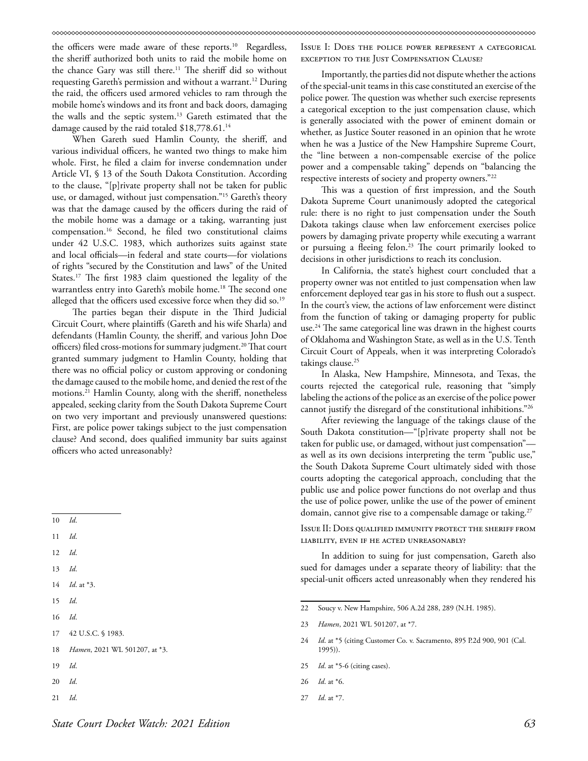the officers were made aware of these reports.<sup>10</sup> Regardless, the sheriff authorized both units to raid the mobile home on the chance Gary was still there.<sup>11</sup> The sheriff did so without requesting Gareth's permission and without a warrant.<sup>12</sup> During the raid, the officers used armored vehicles to ram through the mobile home's windows and its front and back doors, damaging the walls and the septic system.13 Gareth estimated that the damage caused by the raid totaled \$18,778.61.<sup>14</sup>

When Gareth sued Hamlin County, the sheriff, and various individual officers, he wanted two things to make him whole. First, he filed a claim for inverse condemnation under Article VI, § 13 of the South Dakota Constitution. According to the clause, "[p]rivate property shall not be taken for public use, or damaged, without just compensation."15 Gareth's theory was that the damage caused by the officers during the raid of the mobile home was a damage or a taking, warranting just compensation.16 Second, he filed two constitutional claims under 42 U.S.C. 1983, which authorizes suits against state and local officials—in federal and state courts—for violations of rights "secured by the Constitution and laws" of the United States.<sup>17</sup> The first 1983 claim questioned the legality of the warrantless entry into Gareth's mobile home.<sup>18</sup> The second one alleged that the officers used excessive force when they did so.<sup>19</sup>

The parties began their dispute in the Third Judicial Circuit Court, where plaintiffs (Gareth and his wife Sharla) and defendants (Hamlin County, the sheriff, and various John Doe officers) filed cross-motions for summary judgment.<sup>20</sup> That court granted summary judgment to Hamlin County, holding that there was no official policy or custom approving or condoning the damage caused to the mobile home, and denied the rest of the motions.21 Hamlin County, along with the sheriff, nonetheless appealed, seeking clarity from the South Dakota Supreme Court on two very important and previously unanswered questions: First, are police power takings subject to the just compensation clause? And second, does qualified immunity bar suits against officers who acted unreasonably?

- 12 *Id*.
- 13 *Id*.
- 14 *Id*. at \*3.
- 15 *Id*.
- 16 *Id*.
- 17 42 U.S.C. § 1983.
- 18 *Hamen*, 2021 WL 501207, at \*3.
- 19 *Id*.
- 20 *Id*.
- 21 *Id*.

Issue I: Does the police power represent a categorical exception to the Just Compensation Clause?

Importantly, the parties did not dispute whether the actions of the special-unit teams in this case constituted an exercise of the police power. The question was whether such exercise represents a categorical exception to the just compensation clause, which is generally associated with the power of eminent domain or whether, as Justice Souter reasoned in an opinion that he wrote when he was a Justice of the New Hampshire Supreme Court, the "line between a non-compensable exercise of the police power and a compensable taking" depends on "balancing the respective interests of society and property owners."22

This was a question of first impression, and the South Dakota Supreme Court unanimously adopted the categorical rule: there is no right to just compensation under the South Dakota takings clause when law enforcement exercises police powers by damaging private property while executing a warrant or pursuing a fleeing felon.<sup>23</sup> The court primarily looked to decisions in other jurisdictions to reach its conclusion.

In California, the state's highest court concluded that a property owner was not entitled to just compensation when law enforcement deployed tear gas in his store to flush out a suspect. In the court's view, the actions of law enforcement were distinct from the function of taking or damaging property for public use.<sup>24</sup> The same categorical line was drawn in the highest courts of Oklahoma and Washington State, as well as in the U.S. Tenth Circuit Court of Appeals, when it was interpreting Colorado's takings clause.<sup>25</sup>

In Alaska, New Hampshire, Minnesota, and Texas, the courts rejected the categorical rule, reasoning that "simply labeling the actions of the police as an exercise of the police power cannot justify the disregard of the constitutional inhibitions."26

After reviewing the language of the takings clause of the South Dakota constitution—"[p]rivate property shall not be taken for public use, or damaged, without just compensation" as well as its own decisions interpreting the term "public use," the South Dakota Supreme Court ultimately sided with those courts adopting the categorical approach, concluding that the public use and police power functions do not overlap and thus the use of police power, unlike the use of the power of eminent domain, cannot give rise to a compensable damage or taking.<sup>27</sup>

Issue II: Does qualified immunity protect the sheriff from liability, even if he acted unreasonably?

In addition to suing for just compensation, Gareth also sued for damages under a separate theory of liability: that the special-unit officers acted unreasonably when they rendered his

26 *Id*. at \*6.

<sup>10</sup> *Id*.

<sup>11</sup> *Id*.

<sup>22</sup> Soucy v. New Hampshire, 506 A.2d 288, 289 (N.H. 1985).

<sup>23</sup> *Hamen*, 2021 WL 501207, at \*7.

<sup>24</sup> *Id*. at \*5 (citing Customer Co. v. Sacramento, 895 P.2d 900, 901 (Cal. 1995)).

<sup>25</sup> *Id*. at \*5-6 (citing cases).

<sup>27</sup> *Id*. at \*7.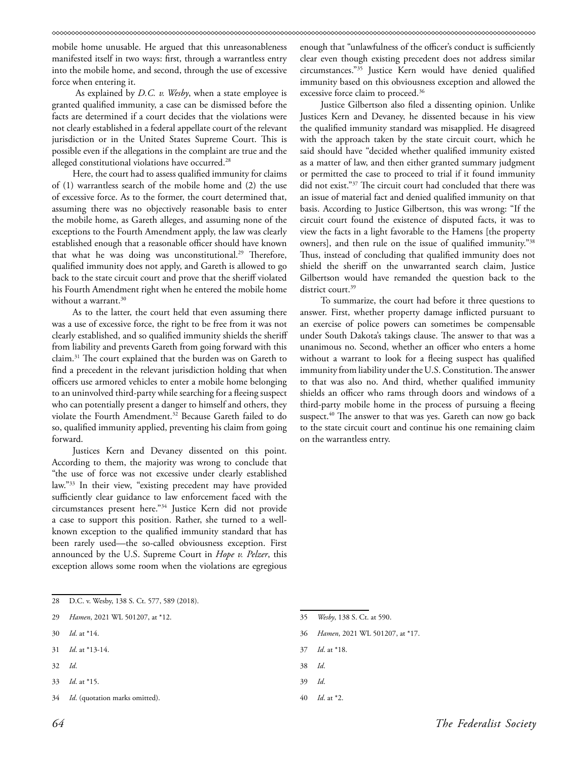mobile home unusable. He argued that this unreasonableness manifested itself in two ways: first, through a warrantless entry into the mobile home, and second, through the use of excessive force when entering it.

 As explained by *D.C. v. Wesby*, when a state employee is granted qualified immunity, a case can be dismissed before the facts are determined if a court decides that the violations were not clearly established in a federal appellate court of the relevant jurisdiction or in the United States Supreme Court. This is possible even if the allegations in the complaint are true and the alleged constitutional violations have occurred.<sup>28</sup>

Here, the court had to assess qualified immunity for claims of (1) warrantless search of the mobile home and (2) the use of excessive force. As to the former, the court determined that, assuming there was no objectively reasonable basis to enter the mobile home, as Gareth alleges, and assuming none of the exceptions to the Fourth Amendment apply, the law was clearly established enough that a reasonable officer should have known that what he was doing was unconstitutional.<sup>29</sup> Therefore, qualified immunity does not apply, and Gareth is allowed to go back to the state circuit court and prove that the sheriff violated his Fourth Amendment right when he entered the mobile home without a warrant.<sup>30</sup>

As to the latter, the court held that even assuming there was a use of excessive force, the right to be free from it was not clearly established, and so qualified immunity shields the sheriff from liability and prevents Gareth from going forward with this claim.31 The court explained that the burden was on Gareth to find a precedent in the relevant jurisdiction holding that when officers use armored vehicles to enter a mobile home belonging to an uninvolved third-party while searching for a fleeing suspect who can potentially present a danger to himself and others, they violate the Fourth Amendment.<sup>32</sup> Because Gareth failed to do so, qualified immunity applied, preventing his claim from going forward.

Justices Kern and Devaney dissented on this point. According to them, the majority was wrong to conclude that "the use of force was not excessive under clearly established law."33 In their view, "existing precedent may have provided sufficiently clear guidance to law enforcement faced with the circumstances present here."34 Justice Kern did not provide a case to support this position. Rather, she turned to a wellknown exception to the qualified immunity standard that has been rarely used—the so-called obviousness exception. First announced by the U.S. Supreme Court in *Hope v. Pelzer*, this exception allows some room when the violations are egregious

- 28 D.C. v. Wesby, 138 S. Ct. 577, 589 (2018).
- 29 *Hamen*, 2021 WL 501207, at \*12.
- 30 *Id*. at \*14.
- 31 *Id*. at \*13-14.
- 32 *Id*.
- 33 *Id*. at \*15.
- 34 *Id*. (quotation marks omitted).

enough that "unlawfulness of the officer's conduct is sufficiently clear even though existing precedent does not address similar circumstances."35 Justice Kern would have denied qualified immunity based on this obviousness exception and allowed the excessive force claim to proceed.<sup>36</sup>

Justice Gilbertson also filed a dissenting opinion. Unlike Justices Kern and Devaney, he dissented because in his view the qualified immunity standard was misapplied. He disagreed with the approach taken by the state circuit court, which he said should have "decided whether qualified immunity existed as a matter of law, and then either granted summary judgment or permitted the case to proceed to trial if it found immunity did not exist."37 The circuit court had concluded that there was an issue of material fact and denied qualified immunity on that basis. According to Justice Gilbertson, this was wrong: "If the circuit court found the existence of disputed facts, it was to view the facts in a light favorable to the Hamens [the property owners], and then rule on the issue of qualified immunity."38 Thus, instead of concluding that qualified immunity does not shield the sheriff on the unwarranted search claim, Justice Gilbertson would have remanded the question back to the district court.<sup>39</sup>

To summarize, the court had before it three questions to answer. First, whether property damage inflicted pursuant to an exercise of police powers can sometimes be compensable under South Dakota's takings clause. The answer to that was a unanimous no. Second, whether an officer who enters a home without a warrant to look for a fleeing suspect has qualified immunity from liability under the U.S. Constitution. The answer to that was also no. And third, whether qualified immunity shields an officer who rams through doors and windows of a third-party mobile home in the process of pursuing a fleeing suspect.<sup>40</sup> The answer to that was yes. Gareth can now go back to the state circuit court and continue his one remaining claim on the warrantless entry.

- 35 *Wesby*, 138 S. Ct. at 590.
- 36 *Hamen*, 2021 WL 501207, at \*17.
- 37 *Id*. at \*18.
- 38 *Id*.
- 39 *Id*.
- 40 *Id*. at \*2.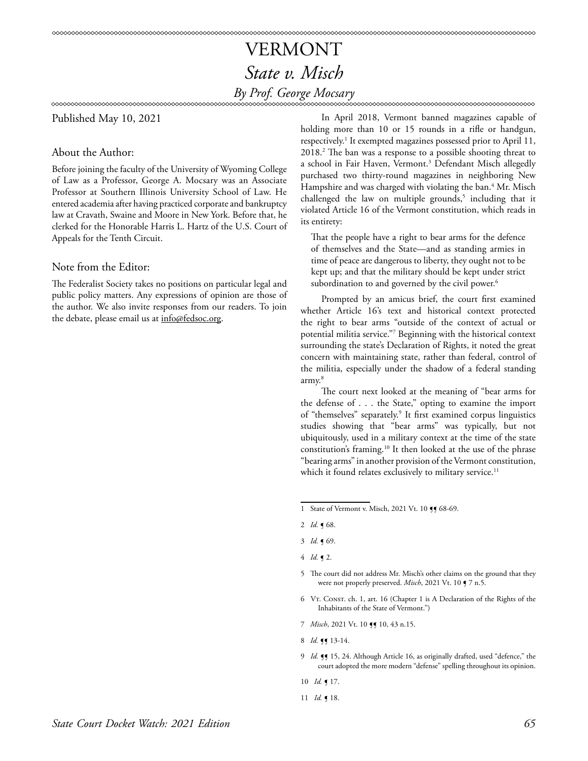## VERMONT *State v. Misch By Prof. George Mocsary*

Published May 10, 2021

## About the Author:

Before joining the faculty of the University of Wyoming College of Law as a Professor, George A. Mocsary was an Associate Professor at Southern Illinois University School of Law. He entered academia after having practiced corporate and bankruptcy law at Cravath, Swaine and Moore in New York. Before that, he clerked for the Honorable Harris L. Hartz of the U.S. Court of Appeals for the Tenth Circuit.

## Note from the Editor:

The Federalist Society takes no positions on particular legal and public policy matters. Any expressions of opinion are those of the author. We also invite responses from our readers. To join the debate, please email us at info@fedsoc.org.

In April 2018, Vermont banned magazines capable of holding more than 10 or 15 rounds in a rifle or handgun, respectively.<sup>1</sup> It exempted magazines possessed prior to April 11, 2018.2 The ban was a response to a possible shooting threat to a school in Fair Haven, Vermont.<sup>3</sup> Defendant Misch allegedly purchased two thirty-round magazines in neighboring New Hampshire and was charged with violating the ban.<sup>4</sup> Mr. Misch challenged the law on multiple grounds,<sup>5</sup> including that it violated Article 16 of the Vermont constitution, which reads in its entirety:

That the people have a right to bear arms for the defence of themselves and the State—and as standing armies in time of peace are dangerous to liberty, they ought not to be kept up; and that the military should be kept under strict subordination to and governed by the civil power.<sup>6</sup>

Prompted by an amicus brief, the court first examined whether Article 16's text and historical context protected the right to bear arms "outside of the context of actual or potential militia service."7 Beginning with the historical context surrounding the state's Declaration of Rights, it noted the great concern with maintaining state, rather than federal, control of the militia, especially under the shadow of a federal standing army.8

The court next looked at the meaning of "bear arms for the defense of . . . the State," opting to examine the import of "themselves" separately.<sup>9</sup> It first examined corpus linguistics studies showing that "bear arms" was typically, but not ubiquitously, used in a military context at the time of the state constitution's framing.10 It then looked at the use of the phrase "bearing arms" in another provision of the Vermont constitution, which it found relates exclusively to military service.<sup>11</sup>

- 6 Vt. Const. ch. 1, art. 16 (Chapter 1 is A Declaration of the Rights of the Inhabitants of the State of Vermont.")
- 7 *Misch*, 2021 Vt. 10 **[]** 10, 43 n.15.
- 8 *Id.* **g** 13-14.
- 9 Id. **[9** 15, 24. Although Article 16, as originally drafted, used "defence," the court adopted the more modern "defense" spelling throughout its opinion.
- 10 *Id.* ¶ 17.
- 11 *Id.* ¶ 18.

<sup>1</sup> State of Vermont v. Misch, 2021 Vt. 10 11 68-69.

<sup>2</sup> *Id.* ¶ 68.

<sup>3</sup> *Id.* ¶ 69.

<sup>4</sup> *Id.* ¶ 2.

<sup>5</sup> The court did not address Mr. Misch's other claims on the ground that they were not properly preserved. *Misch*, 2021 Vt. 10  $\blacklozenge$  7 n.5.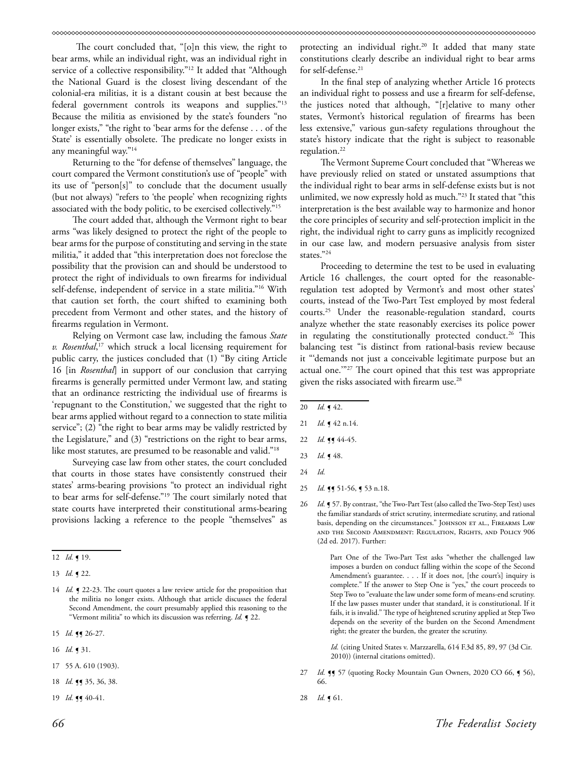The court concluded that, "[o]n this view, the right to bear arms, while an individual right, was an individual right in service of a collective responsibility."<sup>12</sup> It added that "Although the National Guard is the closest living descendant of the colonial-era militias, it is a distant cousin at best because the federal government controls its weapons and supplies."13 Because the militia as envisioned by the state's founders "no longer exists," "the right to 'bear arms for the defense . . . of the State' is essentially obsolete. The predicate no longer exists in any meaningful way."14

Returning to the "for defense of themselves" language, the court compared the Vermont constitution's use of "people" with its use of "person[s]" to conclude that the document usually (but not always) "refers to 'the people' when recognizing rights associated with the body politic, to be exercised collectively."15

The court added that, although the Vermont right to bear arms "was likely designed to protect the right of the people to bear arms for the purpose of constituting and serving in the state militia," it added that "this interpretation does not foreclose the possibility that the provision can and should be understood to protect the right of individuals to own firearms for individual self-defense, independent of service in a state militia."16 With that caution set forth, the court shifted to examining both precedent from Vermont and other states, and the history of firearms regulation in Vermont.

Relying on Vermont case law, including the famous *State v. Rosenthal*, 17 which struck a local licensing requirement for public carry, the justices concluded that (1) "By citing Article 16 [in *Rosenthal*] in support of our conclusion that carrying firearms is generally permitted under Vermont law, and stating that an ordinance restricting the individual use of firearms is 'repugnant to the Constitution,' we suggested that the right to bear arms applied without regard to a connection to state militia service"; (2) "the right to bear arms may be validly restricted by the Legislature," and (3) "restrictions on the right to bear arms, like most statutes, are presumed to be reasonable and valid."<sup>18</sup>

Surveying case law from other states, the court concluded that courts in those states have consistently construed their states' arms-bearing provisions "to protect an individual right to bear arms for self-defense."19 The court similarly noted that state courts have interpreted their constitutional arms-bearing provisions lacking a reference to the people "themselves" as

- 15 *Id.* **11** 26-27.
- 16 *Id.* ¶ 31.
- 17 55 A. 610 (1903).
- 18 *Id.* **11** 35, 36, 38.
- 19 *Id.* **11** 40-41.

protecting an individual right.<sup>20</sup> It added that many state constitutions clearly describe an individual right to bear arms for self-defense.<sup>21</sup>

In the final step of analyzing whether Article 16 protects an individual right to possess and use a firearm for self-defense, the justices noted that although, "[r]elative to many other states, Vermont's historical regulation of firearms has been less extensive," various gun-safety regulations throughout the state's history indicate that the right is subject to reasonable regulation.<sup>22</sup>

The Vermont Supreme Court concluded that "Whereas we have previously relied on stated or unstated assumptions that the individual right to bear arms in self-defense exists but is not unlimited, we now expressly hold as much."23 It stated that "this interpretation is the best available way to harmonize and honor the core principles of security and self-protection implicit in the right, the individual right to carry guns as implicitly recognized in our case law, and modern persuasive analysis from sister states."24

Proceeding to determine the test to be used in evaluating Article 16 challenges, the court opted for the reasonableregulation test adopted by Vermont's and most other states' courts, instead of the Two-Part Test employed by most federal courts.25 Under the reasonable-regulation standard, courts analyze whether the state reasonably exercises its police power in regulating the constitutionally protected conduct.<sup>26</sup> This balancing test "is distinct from rational-basis review because it "'demands not just a conceivable legitimate purpose but an actual one.'"27 The court opined that this test was appropriate given the risks associated with firearm use.28

20 *Id.* ¶ 42.

- 23 *Id.* ¶ 48.
- 24 *Id.*
- 25 *Id.* **11** 51-56, **1** 53 n.18.
- 26 *Id.* **[57.** By contrast, "the Two-Part Test (also called the Two-Step Test) uses the familiar standards of strict scrutiny, intermediate scrutiny, and rational basis, depending on the circumstances." JOHNSON ET AL., FIREARMS LAW and the Second Amendment: Regulation, Rights, and Policy 906 (2d ed. 2017). Further:

 Part One of the Two-Part Test asks "whether the challenged law imposes a burden on conduct falling within the scope of the Second Amendment's guarantee. . . . If it does not, [the court's] inquiry is complete." If the answer to Step One is "yes," the court proceeds to Step Two to "evaluate the law under some form of means-end scrutiny. If the law passes muster under that standard, it is constitutional. If it fails, it is invalid." The type of heightened scrutiny applied at Step Two depends on the severity of the burden on the Second Amendment right; the greater the burden, the greater the scrutiny.

 *Id.* (citing United States v. Marzzarella, 614 F.3d 85, 89, 97 (3d Cir. 2010)) (internal citations omitted).

- 27 *Id.* **¶** 57 (quoting Rocky Mountain Gun Owners, 2020 CO 66, **¶** 56), 66.
- 28 *Id.* ¶ 61.

<sup>12</sup> *Id.* ¶ 19.

<sup>13</sup> *Id.* ¶ 22.

<sup>14</sup> *Id.* **J** 22-23. The court quotes a law review article for the proposition that the militia no longer exists. Although that article discusses the federal Second Amendment, the court presumably applied this reasoning to the "Vermont militia" to which its discussion was referring. *Id.* ¶ 22.

<sup>21</sup> *Id.* **[42** n.14.

<sup>22</sup> *Id.* **11** 44-45.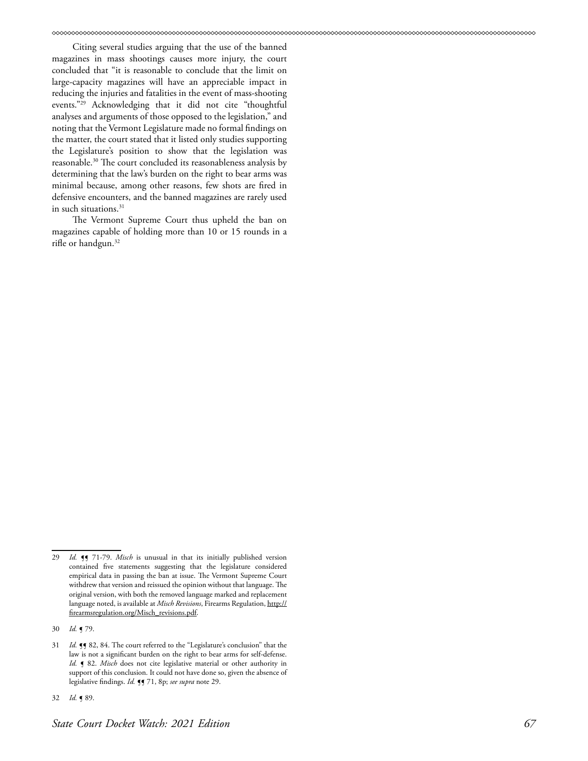Citing several studies arguing that the use of the banned magazines in mass shootings causes more injury, the court concluded that "it is reasonable to conclude that the limit on large-capacity magazines will have an appreciable impact in reducing the injuries and fatalities in the event of mass-shooting events."29 Acknowledging that it did not cite "thoughtful analyses and arguments of those opposed to the legislation," and noting that the Vermont Legislature made no formal findings on the matter, the court stated that it listed only studies supporting the Legislature's position to show that the legislation was reasonable.30 The court concluded its reasonableness analysis by determining that the law's burden on the right to bear arms was minimal because, among other reasons, few shots are fired in defensive encounters, and the banned magazines are rarely used in such situations.<sup>31</sup>

The Vermont Supreme Court thus upheld the ban on magazines capable of holding more than 10 or 15 rounds in a rifle or handgun.<sup>32</sup>

<sup>29</sup> *Id.* **[9** 71-79. *Misch* is unusual in that its initially published version contained five statements suggesting that the legislature considered empirical data in passing the ban at issue. The Vermont Supreme Court withdrew that version and reissued the opinion without that language. The original version, with both the removed language marked and replacement language noted, is available at *Misch Revisions*, Firearms Regulation, [http://](http://firearmsregulation.org/Misch_revisions.pdf) [firearmsregulation.org/Misch\\_revisions.pdf.](http://firearmsregulation.org/Misch_revisions.pdf)

<sup>30</sup> *Id.* ¶ 79.

<sup>31</sup> *Id.* **¶** 82, 84. The court referred to the "Legislature's conclusion" that the law is not a significant burden on the right to bear arms for self-defense. *Id.* **[** 82. *Misch* does not cite legislative material or other authority in support of this conclusion. It could not have done so, given the absence of legislative findings. *Id.* ¶¶ 71, 8p; *see supra* note 29.

<sup>32</sup> *Id.* ¶ 89.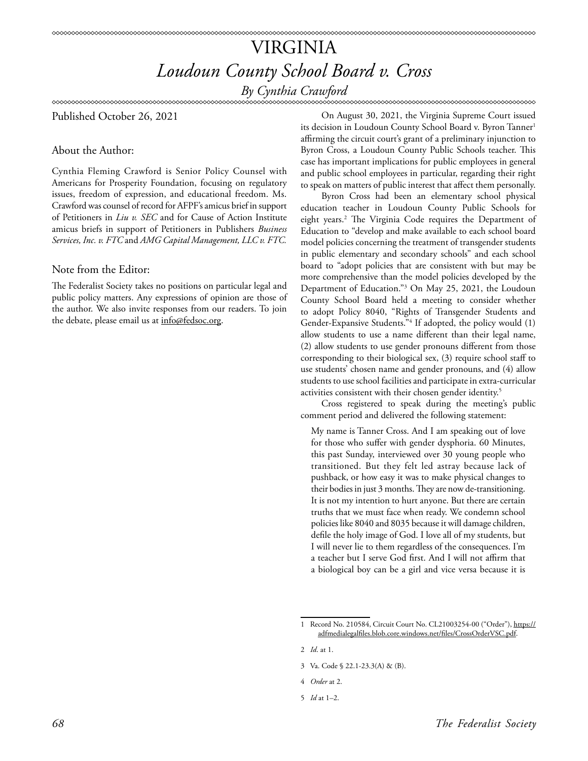# VIRGINIA *Loudoun County School Board v. Cross*

*By Cynthia Crawford*

Published October 26, 2021

About the Author:

Cynthia Fleming Crawford is Senior Policy Counsel with Americans for Prosperity Foundation, focusing on regulatory issues, freedom of expression, and educational freedom. Ms. Crawford was counsel of record for AFPF's amicus brief in support of Petitioners in *Liu v. SEC* and for Cause of Action Institute amicus briefs in support of Petitioners in Publishers *Business Services, Inc. v. FTC* and *AMG Capital Management, LLC v. FTC.*

## Note from the Editor:

The Federalist Society takes no positions on particular legal and public policy matters. Any expressions of opinion are those of the author. We also invite responses from our readers. To join the debate, please email us at info@fedsoc.org.

On August 30, 2021, the Virginia Supreme Court issued its decision in Loudoun County School Board v. Byron Tanner<sup>1</sup> affirming the circuit court's grant of a preliminary injunction to Byron Cross, a Loudoun County Public Schools teacher. This case has important implications for public employees in general and public school employees in particular, regarding their right to speak on matters of public interest that affect them personally.

Byron Cross had been an elementary school physical education teacher in Loudoun County Public Schools for eight years.2 The Virginia Code requires the Department of Education to "develop and make available to each school board model policies concerning the treatment of transgender students in public elementary and secondary schools" and each school board to "adopt policies that are consistent with but may be more comprehensive than the model policies developed by the Department of Education."3 On May 25, 2021, the Loudoun County School Board held a meeting to consider whether to adopt Policy 8040, "Rights of Transgender Students and Gender-Expansive Students."4 If adopted, the policy would (1) allow students to use a name different than their legal name, (2) allow students to use gender pronouns different from those corresponding to their biological sex, (3) require school staff to use students' chosen name and gender pronouns, and (4) allow students to use school facilities and participate in extra-curricular activities consistent with their chosen gender identity.<sup>5</sup>

Cross registered to speak during the meeting's public comment period and delivered the following statement:

My name is Tanner Cross. And I am speaking out of love for those who suffer with gender dysphoria. 60 Minutes, this past Sunday, interviewed over 30 young people who transitioned. But they felt led astray because lack of pushback, or how easy it was to make physical changes to their bodies in just 3 months. They are now de-transitioning. It is not my intention to hurt anyone. But there are certain truths that we must face when ready. We condemn school policies like 8040 and 8035 because it will damage children, defile the holy image of God. I love all of my students, but I will never lie to them regardless of the consequences. I'm a teacher but I serve God first. And I will not affirm that a biological boy can be a girl and vice versa because it is

4 *Order* at 2.

<sup>1</sup> Record No. 210584, Circuit Court No. CL21003254-00 ("Order"), [https://](https://adfmedialegalfiles.blob.core.windows.net/files/CrossOrderVSC.pdf) [adfmedialegalfiles.blob.core.windows.net/files/CrossOrderVSC.pdf](https://adfmedialegalfiles.blob.core.windows.net/files/CrossOrderVSC.pdf).

<sup>2</sup> *Id*. at 1.

<sup>3</sup> Va. Code § 22.1-23.3(A) & (B).

<sup>5</sup> *Id* at 1–2.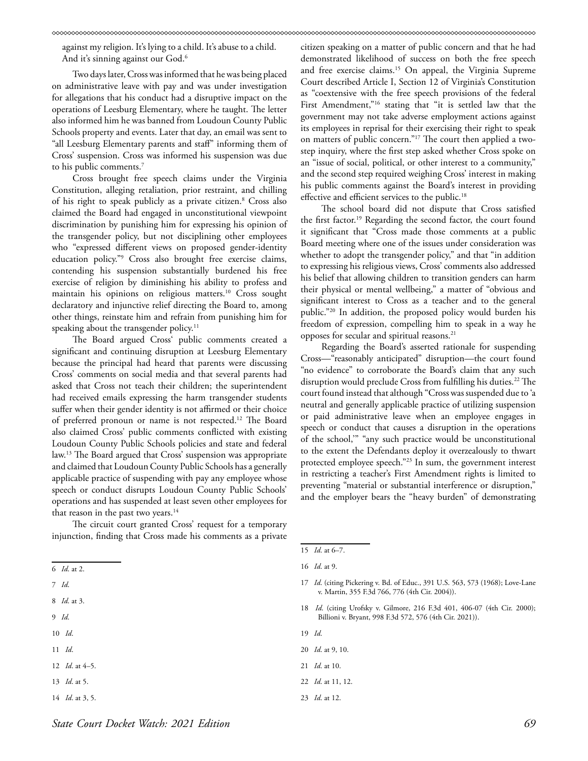against my religion. It's lying to a child. It's abuse to a child. And it's sinning against our God.6

Two days later, Cross was informed that he was being placed on administrative leave with pay and was under investigation for allegations that his conduct had a disruptive impact on the operations of Leesburg Elementary, where he taught. The letter also informed him he was banned from Loudoun County Public Schools property and events. Later that day, an email was sent to "all Leesburg Elementary parents and staff" informing them of Cross' suspension. Cross was informed his suspension was due to his public comments.<sup>7</sup>

Cross brought free speech claims under the Virginia Constitution, alleging retaliation, prior restraint, and chilling of his right to speak publicly as a private citizen.8 Cross also claimed the Board had engaged in unconstitutional viewpoint discrimination by punishing him for expressing his opinion of the transgender policy, but not disciplining other employees who "expressed different views on proposed gender-identity education policy."9 Cross also brought free exercise claims, contending his suspension substantially burdened his free exercise of religion by diminishing his ability to profess and maintain his opinions on religious matters.10 Cross sought declaratory and injunctive relief directing the Board to, among other things, reinstate him and refrain from punishing him for speaking about the transgender policy.<sup>11</sup>

The Board argued Cross' public comments created a significant and continuing disruption at Leesburg Elementary because the principal had heard that parents were discussing Cross' comments on social media and that several parents had asked that Cross not teach their children; the superintendent had received emails expressing the harm transgender students suffer when their gender identity is not affirmed or their choice of preferred pronoun or name is not respected.12 The Board also claimed Cross' public comments conflicted with existing Loudoun County Public Schools policies and state and federal law.13 The Board argued that Cross' suspension was appropriate and claimed that Loudoun County Public Schools has a generally applicable practice of suspending with pay any employee whose speech or conduct disrupts Loudoun County Public Schools' operations and has suspended at least seven other employees for that reason in the past two years.<sup>14</sup>

The circuit court granted Cross' request for a temporary injunction, finding that Cross made his comments as a private

- 7 *Id*.
- 8 *Id*. at 3.
- 9 *Id*.
- 10 *Id*.
- 11 *Id*.
- 12 *Id*. at 4–5.
- 13 *Id*. at 5.
- 14 *Id*. at 3, 5.

citizen speaking on a matter of public concern and that he had demonstrated likelihood of success on both the free speech and free exercise claims.15 On appeal, the Virginia Supreme Court described Article I, Section 12 of Virginia's Constitution as "coextensive with the free speech provisions of the federal First Amendment,"<sup>16</sup> stating that "it is settled law that the government may not take adverse employment actions against its employees in reprisal for their exercising their right to speak on matters of public concern."17 The court then applied a twostep inquiry, where the first step asked whether Cross spoke on an "issue of social, political, or other interest to a community," and the second step required weighing Cross' interest in making his public comments against the Board's interest in providing effective and efficient services to the public.<sup>18</sup>

The school board did not dispute that Cross satisfied the first factor.19 Regarding the second factor, the court found it significant that "Cross made those comments at a public Board meeting where one of the issues under consideration was whether to adopt the transgender policy," and that "in addition to expressing his religious views, Cross' comments also addressed his belief that allowing children to transition genders can harm their physical or mental wellbeing," a matter of "obvious and significant interest to Cross as a teacher and to the general public."20 In addition, the proposed policy would burden his freedom of expression, compelling him to speak in a way he opposes for secular and spiritual reasons.21

Regarding the Board's asserted rationale for suspending Cross—"reasonably anticipated" disruption—the court found "no evidence" to corroborate the Board's claim that any such disruption would preclude Cross from fulfilling his duties.<sup>22</sup> The court found instead that although "Cross was suspended due to 'a neutral and generally applicable practice of utilizing suspension or paid administrative leave when an employee engages in speech or conduct that causes a disruption in the operations of the school,'" "any such practice would be unconstitutional to the extent the Defendants deploy it overzealously to thwart protected employee speech."23 In sum, the government interest in restricting a teacher's First Amendment rights is limited to preventing "material or substantial interference or disruption," and the employer bears the "heavy burden" of demonstrating

- 18 *Id*. (citing Urofsky v. Gilmore, 216 F.3d 401, 406-07 (4th Cir. 2000); Billioni v. Bryant, 998 F.3d 572, 576 (4th Cir. 2021)).
- 19 *Id*.
- 20 *Id*. at 9, 10.
- 21 *Id*. at 10.
- 22 *Id*. at 11, 12.
- 23 *Id*. at 12.

<sup>6</sup> *Id*. at 2.

<sup>15</sup> *Id*. at 6–7.

<sup>16</sup> *Id*. at 9.

<sup>17</sup> *Id*. (citing Pickering v. Bd. of Educ., 391 U.S. 563, 573 (1968); Love-Lane v. Martin, 355 F.3d 766, 776 (4th Cir. 2004)).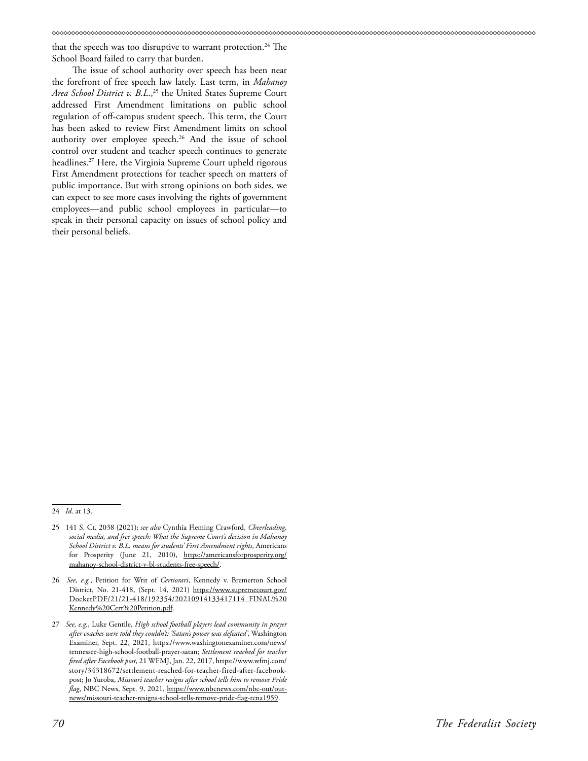that the speech was too disruptive to warrant protection.<sup>24</sup> The School Board failed to carry that burden.

The issue of school authority over speech has been near the forefront of free speech law lately. Last term, in *Mahanoy*  Area School District v. B.L.,<sup>25</sup> the United States Supreme Court addressed First Amendment limitations on public school regulation of off-campus student speech. This term, the Court has been asked to review First Amendment limits on school authority over employee speech.<sup>26</sup> And the issue of school control over student and teacher speech continues to generate headlines.27 Here, the Virginia Supreme Court upheld rigorous First Amendment protections for teacher speech on matters of public importance. But with strong opinions on both sides, we can expect to see more cases involving the rights of government employees—and public school employees in particular—to speak in their personal capacity on issues of school policy and their personal beliefs.

<sup>24</sup> *Id*. at 13.

<sup>25 141</sup> S. Ct. 2038 (2021); *see also* Cynthia Fleming Crawford, *Cheerleading, social media, and free speech: What the Supreme Court's decision in Mahanoy School District v. B.L. means for students' First Amendment rights*, Americans for Prosperity (June 21, 2010), [https://americansforprosperity.org/](https://americansforprosperity.org/mahanoy-school-district-v-bl-students-free-speech/) [mahanoy-school-district-v-bl-students-free-speech/.](https://americansforprosperity.org/mahanoy-school-district-v-bl-students-free-speech/)

<sup>26</sup> *See, e.g.*, Petition for Writ of *Certiorari*, Kennedy v. Bremerton School District, No. 21-418, (Sept. 14, 2021) [https://www.supremecourt.gov/](https://www.supremecourt.gov/DocketPDF/21/21-418/192354/20210914133417114_FINAL%20Kennedy%20Cert%20P) [DocketPDF/21/21-418/192354/20210914133417114\\_FINAL%20](https://www.supremecourt.gov/DocketPDF/21/21-418/192354/20210914133417114_FINAL%20Kennedy%20Cert%20P) [Kennedy%20Cert%20Petition.pdf.](https://www.supremecourt.gov/DocketPDF/21/21-418/192354/20210914133417114_FINAL%20Kennedy%20Cert%20P)

<sup>27</sup> *See, e.g.*, Luke Gentile, *High school football players lead community in prayer after coaches were told they couldn't: 'Satan's power was defeated'*, Washington Examiner, Sept. 22, 2021, https://www.washingtonexaminer.com/news/ tennessee-high-school-football-prayer-satan; *Settlement reached for teacher fired after Facebook post*, 21 WFMJ, Jan. 22, 2017, https://www.wfmj.com/ story/34318672/settlement-reached-for-teacher-fired-after-facebookpost; Jo Yuroba, *Missouri teacher resigns after school tells him to remove Pride flag*, NBC News, Sept. 9, 2021, https://www.nbcnews.com/nbc-out/outnews/missouri-teacher-resigns-school-tells-remove-pride-flag-rcna1959.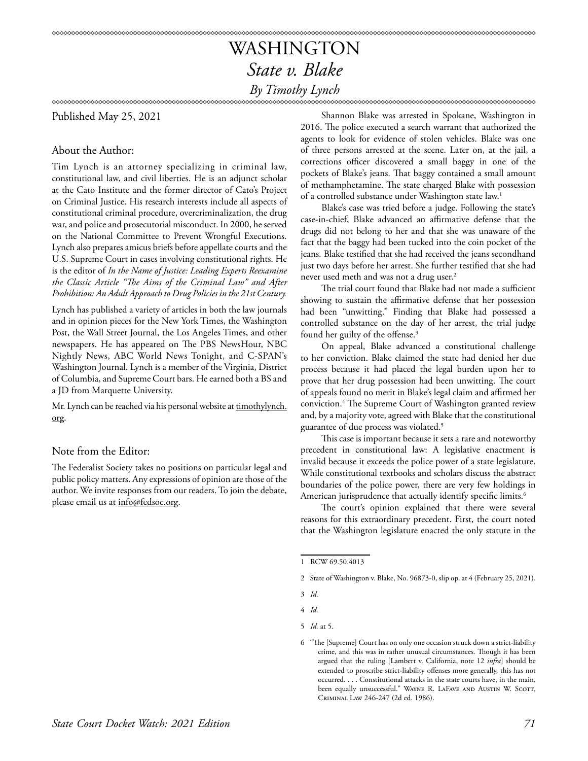# WASHINGTON *State v. Blake*

## *By Timothy Lynch*

Published May 25, 2021

### About the Author:

Tim Lynch is an attorney specializing in criminal law, constitutional law, and civil liberties. He is an adjunct scholar at the Cato Institute and the former director of Cato's Project on Criminal Justice. His research interests include all aspects of constitutional criminal procedure, overcriminalization, the drug war, and police and prosecutorial misconduct. In 2000, he served on the National Committee to Prevent Wrongful Executions. Lynch also prepares amicus briefs before appellate courts and the U.S. Supreme Court in cases involving constitutional rights. He is the editor of *In the Name of Justice: Leading Experts Reexamine the Classic Article "The Aims of the Criminal Law" and After Prohibition: An Adult Approach to Drug Policies in the 21st Century.*

Lynch has published a variety of articles in both the law journals and in opinion pieces for the New York Times, the Washington Post, the Wall Street Journal, the Los Angeles Times, and other newspapers. He has appeared on The PBS NewsHour, NBC Nightly News, ABC World News Tonight, and C-SPAN's Washington Journal. Lynch is a member of the Virginia, District of Columbia, and Supreme Court bars. He earned both a BS and a JD from Marquette University.

Mr. Lynch can be reached via his personal website at [timothylynch.](http://timothylynch.org) [org.](http://timothylynch.org)

## Note from the Editor:

The Federalist Society takes no positions on particular legal and public policy matters. Any expressions of opinion are those of the author. We invite responses from our readers. To join the debate, please email us at info@fedsoc.org.

Shannon Blake was arrested in Spokane, Washington in 2016. The police executed a search warrant that authorized the agents to look for evidence of stolen vehicles. Blake was one of three persons arrested at the scene. Later on, at the jail, a corrections officer discovered a small baggy in one of the pockets of Blake's jeans. That baggy contained a small amount of methamphetamine. The state charged Blake with possession of a controlled substance under Washington state law.<sup>1</sup>

Blake's case was tried before a judge. Following the state's case-in-chief, Blake advanced an affirmative defense that the drugs did not belong to her and that she was unaware of the fact that the baggy had been tucked into the coin pocket of the jeans. Blake testified that she had received the jeans secondhand just two days before her arrest. She further testified that she had never used meth and was not a drug user.<sup>2</sup>

The trial court found that Blake had not made a sufficient showing to sustain the affirmative defense that her possession had been "unwitting." Finding that Blake had possessed a controlled substance on the day of her arrest, the trial judge found her guilty of the offense.<sup>3</sup>

On appeal, Blake advanced a constitutional challenge to her conviction. Blake claimed the state had denied her due process because it had placed the legal burden upon her to prove that her drug possession had been unwitting. The court of appeals found no merit in Blake's legal claim and affirmed her conviction.4 The Supreme Court of Washington granted review and, by a majority vote, agreed with Blake that the constitutional guarantee of due process was violated.5

This case is important because it sets a rare and noteworthy precedent in constitutional law: A legislative enactment is invalid because it exceeds the police power of a state legislature. While constitutional textbooks and scholars discuss the abstract boundaries of the police power, there are very few holdings in American jurisprudence that actually identify specific limits.<sup>6</sup>

The court's opinion explained that there were several reasons for this extraordinary precedent. First, the court noted that the Washington legislature enacted the only statute in the

<sup>1</sup> RCW 69.50.4013

<sup>2</sup> State of Washington v. Blake, No. 96873-0, slip op. at 4 (February 25, 2021).

<sup>3</sup> *Id.*

<sup>4</sup> *Id.*

<sup>5</sup> *Id.* at 5.

<sup>6 &</sup>quot;The [Supreme] Court has on only one occasion struck down a strict-liability crime, and this was in rather unusual circumstances. Though it has been argued that the ruling [Lambert v. California, note 12 *infra*] should be extended to proscribe strict-liability offenses more generally, this has not occurred. . . . Constitutional attacks in the state courts have, in the main, been equally unsuccessful." WAYNE R. LAFAVE AND AUSTIN W. SCOTT, Criminal Law 246-247 (2d ed. 1986).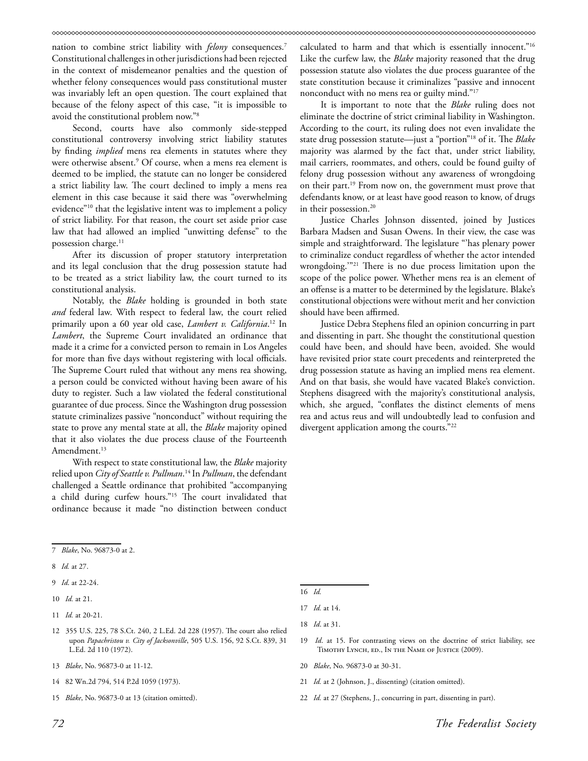nation to combine strict liability with *felony* consequences.7 Constitutional challenges in other jurisdictions had been rejected in the context of misdemeanor penalties and the question of whether felony consequences would pass constitutional muster was invariably left an open question. The court explained that because of the felony aspect of this case, "it is impossible to avoid the constitutional problem now."8

Second, courts have also commonly side-stepped constitutional controversy involving strict liability statutes by finding *implied* mens rea elements in statutes where they were otherwise absent.9 Of course, when a mens rea element is deemed to be implied, the statute can no longer be considered a strict liability law. The court declined to imply a mens rea element in this case because it said there was "overwhelming evidence"10 that the legislative intent was to implement a policy of strict liability. For that reason, the court set aside prior case law that had allowed an implied "unwitting defense" to the possession charge.<sup>11</sup>

After its discussion of proper statutory interpretation and its legal conclusion that the drug possession statute had to be treated as a strict liability law, the court turned to its constitutional analysis.

Notably, the *Blake* holding is grounded in both state *and* federal law. With respect to federal law, the court relied primarily upon a 60 year old case, *Lambert v. California*. 12 In *Lambert*, the Supreme Court invalidated an ordinance that made it a crime for a convicted person to remain in Los Angeles for more than five days without registering with local officials. The Supreme Court ruled that without any mens rea showing, a person could be convicted without having been aware of his duty to register. Such a law violated the federal constitutional guarantee of due process. Since the Washington drug possession statute criminalizes passive "nonconduct" without requiring the state to prove any mental state at all, the *Blake* majority opined that it also violates the due process clause of the Fourteenth Amendment.<sup>13</sup>

With respect to state constitutional law, the *Blake* majority relied upon *City of Seattle v. Pullman*. 14 In *Pullman*, the defendant challenged a Seattle ordinance that prohibited "accompanying a child during curfew hours."15 The court invalidated that ordinance because it made "no distinction between conduct

7 *Blake*, No. 96873-0 at 2.

- 8 *Id.* at 27.
- 9 *Id*. at 22-24.
- 10 *Id.* at 21.
- 11 *Id.* at 20-21.
- 12 355 U.S. 225, 78 S.Ct. 240, 2 L.Ed. 2d 228 (1957). The court also relied upon *Papachristou v. City of Jacksonville*, 505 U.S. 156, 92 S.Ct. 839, 31 L.Ed. 2d 110 (1972).
- 13 *Blake*, No. 96873-0 at 11-12.
- 14 82 Wn.2d 794, 514 P.2d 1059 (1973).
- 15 *Blake*, No. 96873-0 at 13 (citation omitted).

calculated to harm and that which is essentially innocent."16 Like the curfew law, the *Blake* majority reasoned that the drug possession statute also violates the due process guarantee of the state constitution because it criminalizes "passive and innocent nonconduct with no mens rea or guilty mind."17

It is important to note that the *Blake* ruling does not eliminate the doctrine of strict criminal liability in Washington. According to the court, its ruling does not even invalidate the state drug possession statute—just a "portion"18 of it. The *Blake* majority was alarmed by the fact that, under strict liability, mail carriers, roommates, and others, could be found guilty of felony drug possession without any awareness of wrongdoing on their part.19 From now on, the government must prove that defendants know, or at least have good reason to know, of drugs in their possession.<sup>20</sup>

Justice Charles Johnson dissented, joined by Justices Barbara Madsen and Susan Owens. In their view, the case was simple and straightforward. The legislature "'has plenary power to criminalize conduct regardless of whether the actor intended wrongdoing.'"21 There is no due process limitation upon the scope of the police power. Whether mens rea is an element of an offense is a matter to be determined by the legislature. Blake's constitutional objections were without merit and her conviction should have been affirmed.

Justice Debra Stephens filed an opinion concurring in part and dissenting in part. She thought the constitutional question could have been, and should have been, avoided. She would have revisited prior state court precedents and reinterpreted the drug possession statute as having an implied mens rea element. And on that basis, she would have vacated Blake's conviction. Stephens disagreed with the majority's constitutional analysis, which, she argued, "conflates the distinct elements of mens rea and actus reus and will undoubtedly lead to confusion and divergent application among the courts."<sup>22</sup>

16 *Id.*

17 *Id.* at 14.

18 *Id*. at 31.

- 19 *Id*. at 15. For contrasting views on the doctrine of strict liability, see Timothy Lynch, ed., In the Name of Justice (2009).
- 20 *Blake*, No. 96873-0 at 30-31.
- 21 *Id.* at 2 (Johnson, J., dissenting) (citation omitted).
- 22 *Id.* at 27 (Stephens, J., concurring in part, dissenting in part).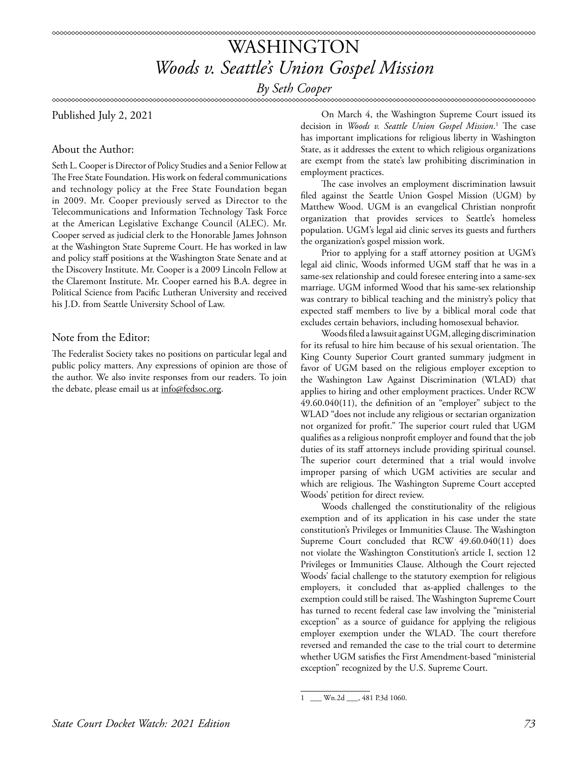*By Seth Cooper*

Published July 2, 2021

### About the Author:

Seth L. Cooper is Director of Policy Studies and a Senior Fellow at The Free State Foundation. His work on federal communications and technology policy at the Free State Foundation began in 2009. Mr. Cooper previously served as Director to the Telecommunications and Information Technology Task Force at the American Legislative Exchange Council (ALEC). Mr. Cooper served as judicial clerk to the Honorable James Johnson at the Washington State Supreme Court. He has worked in law and policy staff positions at the Washington State Senate and at the Discovery Institute. Mr. Cooper is a 2009 Lincoln Fellow at the Claremont Institute. Mr. Cooper earned his B.A. degree in Political Science from Pacific Lutheran University and received his J.D. from Seattle University School of Law.

### Note from the Editor:

The Federalist Society takes no positions on particular legal and public policy matters. Any expressions of opinion are those of the author. We also invite responses from our readers. To join the debate, please email us at info@fedsoc.org.

On March 4, the Washington Supreme Court issued its decision in *Woods v. Seattle Union Gospel Mission*. 1 The case has important implications for religious liberty in Washington State, as it addresses the extent to which religious organizations are exempt from the state's law prohibiting discrimination in employment practices.

The case involves an employment discrimination lawsuit filed against the Seattle Union Gospel Mission (UGM) by Matthew Wood. UGM is an evangelical Christian nonprofit organization that provides services to Seattle's homeless population. UGM's legal aid clinic serves its guests and furthers the organization's gospel mission work.

Prior to applying for a staff attorney position at UGM's legal aid clinic, Woods informed UGM staff that he was in a same-sex relationship and could foresee entering into a same-sex marriage. UGM informed Wood that his same-sex relationship was contrary to biblical teaching and the ministry's policy that expected staff members to live by a biblical moral code that excludes certain behaviors, including homosexual behavior.

Woods filed a lawsuit against UGM, alleging discrimination for its refusal to hire him because of his sexual orientation. The King County Superior Court granted summary judgment in favor of UGM based on the religious employer exception to the Washington Law Against Discrimination (WLAD) that applies to hiring and other employment practices. Under RCW 49.60.040(11), the definition of an "employer" subject to the WLAD "does not include any religious or sectarian organization not organized for profit." The superior court ruled that UGM qualifies as a religious nonprofit employer and found that the job duties of its staff attorneys include providing spiritual counsel. The superior court determined that a trial would involve improper parsing of which UGM activities are secular and which are religious. The Washington Supreme Court accepted Woods' petition for direct review.

Woods challenged the constitutionality of the religious exemption and of its application in his case under the state constitution's Privileges or Immunities Clause. The Washington Supreme Court concluded that RCW 49.60.040(11) does not violate the Washington Constitution's article I, section 12 Privileges or Immunities Clause. Although the Court rejected Woods' facial challenge to the statutory exemption for religious employers, it concluded that as-applied challenges to the exemption could still be raised. The Washington Supreme Court has turned to recent federal case law involving the "ministerial exception" as a source of guidance for applying the religious employer exemption under the WLAD. The court therefore reversed and remanded the case to the trial court to determine whether UGM satisfies the First Amendment-based "ministerial exception" recognized by the U.S. Supreme Court.

Wn.2d \_\_\_, 481 P.3d 1060.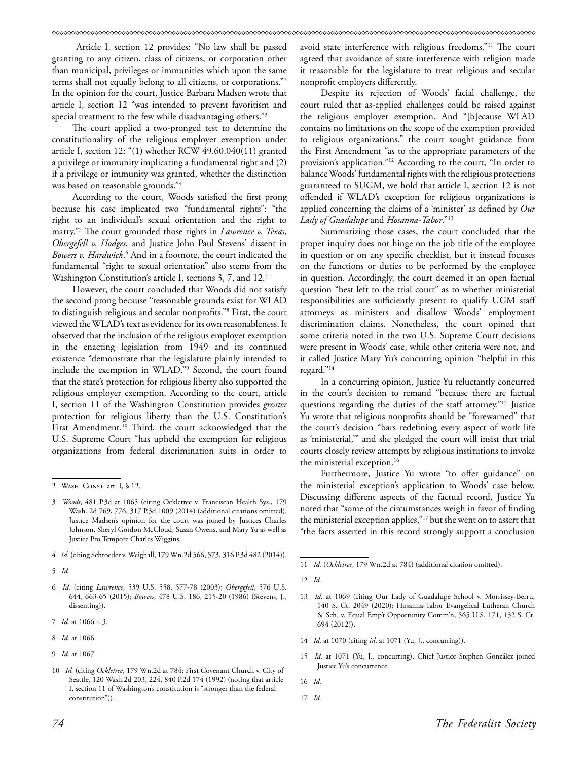Article I, section 12 provides: "No law shall be passed granting to any citizen, class of citizens, or corporation other than municipal, privileges or immunities which upon the same terms shall not equally belong to all citizens, or corporations."2 In the opinion for the court, Justice Barbara Madsen wrote that article I, section 12 "was intended to prevent favoritism and special treatment to the few while disadvantaging others."3

The court applied a two-pronged test to determine the constitutionality of the religious employer exemption under article I, section 12: "(1) whether RCW 49.60.040(11) granted a privilege or immunity implicating a fundamental right and (2) if a privilege or immunity was granted, whether the distinction was based on reasonable grounds."4

According to the court, Woods satisfied the first prong because his case implicated two "fundamental rights": "the right to an individual's sexual orientation and the right to marry."5 The court grounded those rights in *Lawrence v. Texas*, *Obergefell v. Hodges*, and Justice John Paul Stevens' dissent in *Bowers v. Hardwick*. 6 And in a footnote, the court indicated the fundamental "right to sexual orientation" also stems from the Washington Constitution's article I, sections 3, 7, and 12.7

However, the court concluded that Woods did not satisfy the second prong because "reasonable grounds exist for WLAD to distinguish religious and secular nonprofits."8 First, the court viewed the WLAD's text as evidence for its own reasonableness. It observed that the inclusion of the religious employer exemption in the enacting legislation from 1949 and its continued existence "demonstrate that the legislature plainly intended to include the exemption in WLAD."9 Second, the court found that the state's protection for religious liberty also supported the religious employer exemption. According to the court, article I, section 11 of the Washington Constitution provides *greater* protection for religious liberty than the U.S. Constitution's First Amendment.<sup>10</sup> Third, the court acknowledged that the U.S. Supreme Court "has upheld the exemption for religious organizations from federal discrimination suits in order to

avoid state interference with religious freedoms."11 The court agreed that avoidance of state interference with religion made it reasonable for the legislature to treat religious and secular nonprofit employers differently.

Despite its rejection of Woods' facial challenge, the court ruled that as-applied challenges could be raised against the religious employer exemption. And "[b]ecause WLAD contains no limitations on the scope of the exemption provided to religious organizations," the court sought guidance from the First Amendment "as to the appropriate parameters of the provision's application."12 According to the court, "In order to balance Woods' fundamental rights with the religious protections guaranteed to SUGM, we hold that article I, section 12 is not offended if WLAD's exception for religious organizations is applied concerning the claims of a 'minister' as defined by *Our Lady of Guadalupe* and *Hosanna-Tabor*."13

Summarizing those cases, the court concluded that the proper inquiry does not hinge on the job title of the employee in question or on any specific checklist, but it instead focuses on the functions or duties to be performed by the employee in question. Accordingly, the court deemed it an open factual question "best left to the trial court" as to whether ministerial responsibilities are sufficiently present to qualify UGM staff attorneys as ministers and disallow Woods' employment discrimination claims. Nonetheless, the court opined that some criteria noted in the two U.S. Supreme Court decisions were present in Woods' case, while other criteria were not, and it called Justice Mary Yu's concurring opinion "helpful in this regard."14

In a concurring opinion, Justice Yu reluctantly concurred in the court's decision to remand "because there are factual questions regarding the duties of the staff attorney."15 Justice Yu wrote that religious nonprofits should be "forewarned" that the court's decision "bars redefining every aspect of work life as 'ministerial,'" and she pledged the court will insist that trial courts closely review attempts by religious institutions to invoke the ministerial exception.<sup>16</sup>

Furthermore, Justice Yu wrote "to offer guidance" on the ministerial exception's application to Woods' case below. Discussing different aspects of the factual record, Justice Yu noted that "some of the circumstances weigh in favor of finding the ministerial exception applies,"17 but she went on to assert that "the facts asserted in this record strongly support a conclusion

- 14 *Id.* at 1070 (citing *id*. at 1071 (Yu, J., concurring)).
- 15 *Id.* at 1071 (Yu, J., concurring). Chief Justice Stephen González joined Justice Yu's concurrence.
- 16 *Id.*
- 17 *Id.*

<sup>2</sup> WASH. CONST. art. I, § 12.

<sup>3</sup> *Woods*, 481 P.3d at 1065 (citing Ockletree v. Franciscan Health Sys., 179 Wash. 2d 769, 776, 317 P.3d 1009 (2014) (additional citations omitted). Justice Madsen's opinion for the court was joined by Justices Charles Johnson, Sheryl Gordon McCloud, Susan Owens, and Mary Yu as well as Justice Pro Tempore Charles Wiggins.

<sup>4</sup> *Id.* (citing Schroeder v. Weighall, 179 Wn.2d 566, 573, 316 P.3d 482 (2014)).

<sup>5</sup> *Id.* 

<sup>6</sup> *Id.* (citing *Lawrence*, 539 U.S. 558, 577-78 (2003); *Obergefell*, 576 U.S. 644, 663-65 (2015); *Bowers*, 478 U.S. 186, 215-20 (1986) (Stevens, J., dissenting)).

<sup>7</sup> *Id.* at 1066 n.3.

<sup>8</sup> *Id.* at 1066.

<sup>9</sup> *Id.* at 1067.

<sup>10</sup> *Id.* (citing *Ockletree*, 179 Wn.2d at 784; First Covenant Church v. City of Seattle, 120 Wash.2d 203, 224, 840 P.2d 174 (1992) (noting that article I, section 11 of Washington's constitution is "stronger than the federal constitution")).

<sup>11</sup> *Id.* (*Ockletree*, 179 Wn.2d at 784) (additional citation omitted).

<sup>12</sup> *Id.*

<sup>13</sup> *Id.* at 1069 (citing Our Lady of Guadalupe School v. Morrissey-Berru, 140 S. Ct. 2049 (2020); Hosanna-Tabor Evangelical Lutheran Church & Sch. v. Equal Emp't Opportunity Comm'n, 565 U.S. 171, 132 S. Ct. 694 (2012)).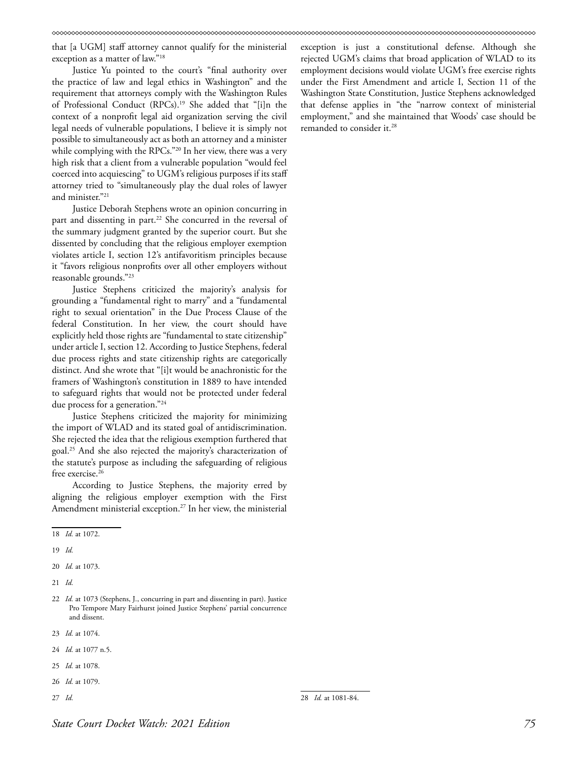that [a UGM] staff attorney cannot qualify for the ministerial exception as a matter of law."18

Justice Yu pointed to the court's "final authority over the practice of law and legal ethics in Washington" and the requirement that attorneys comply with the Washington Rules of Professional Conduct (RPCs).19 She added that "[i]n the context of a nonprofit legal aid organization serving the civil legal needs of vulnerable populations, I believe it is simply not possible to simultaneously act as both an attorney and a minister while complying with the RPCs."<sup>20</sup> In her view, there was a very high risk that a client from a vulnerable population "would feel coerced into acquiescing" to UGM's religious purposes if its staff attorney tried to "simultaneously play the dual roles of lawyer and minister."21

Justice Deborah Stephens wrote an opinion concurring in part and dissenting in part.<sup>22</sup> She concurred in the reversal of the summary judgment granted by the superior court. But she dissented by concluding that the religious employer exemption violates article I, section 12's antifavoritism principles because it "favors religious nonprofits over all other employers without reasonable grounds."23

Justice Stephens criticized the majority's analysis for grounding a "fundamental right to marry" and a "fundamental right to sexual orientation" in the Due Process Clause of the federal Constitution. In her view, the court should have explicitly held those rights are "fundamental to state citizenship" under article I, section 12. According to Justice Stephens, federal due process rights and state citizenship rights are categorically distinct. And she wrote that "[i]t would be anachronistic for the framers of Washington's constitution in 1889 to have intended to safeguard rights that would not be protected under federal due process for a generation."<sup>24</sup>

Justice Stephens criticized the majority for minimizing the import of WLAD and its stated goal of antidiscrimination. She rejected the idea that the religious exemption furthered that goal.25 And she also rejected the majority's characterization of the statute's purpose as including the safeguarding of religious free exercise.<sup>26</sup>

According to Justice Stephens, the majority erred by aligning the religious employer exemption with the First Amendment ministerial exception.27 In her view, the ministerial

19 *Id.*

20 *Id.* at 1073.

- 21 *Id.*
- 22 *Id.* at 1073 (Stephens, J., concurring in part and dissenting in part). Justice Pro Tempore Mary Fairhurst joined Justice Stephens' partial concurrence and dissent.
- 23 *Id.* at 1074.
- 24 *Id.* at 1077 n.5.
- 25 *Id.* at 1078.
- 26 *Id.* at 1079.
- 27 *Id.*

exception is just a constitutional defense. Although she rejected UGM's claims that broad application of WLAD to its employment decisions would violate UGM's free exercise rights under the First Amendment and article I, Section 11 of the Washington State Constitution, Justice Stephens acknowledged that defense applies in "the "narrow context of ministerial employment," and she maintained that Woods' case should be remanded to consider it.<sup>28</sup>

<sup>18</sup> *Id.* at 1072.

<sup>28</sup> *Id.* at 1081-84.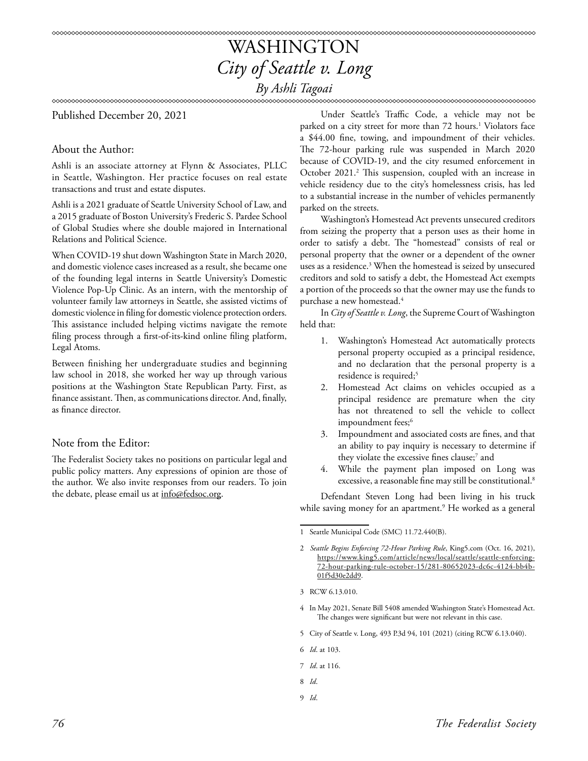### WASHINGTON *City of Seattle v. Long By Ashli Tagoai*

### Published December 20, 2021

### About the Author:

Ashli is an associate attorney at Flynn & Associates, PLLC in Seattle, Washington. Her practice focuses on real estate transactions and trust and estate disputes.

Ashli is a 2021 graduate of Seattle University School of Law, and a 2015 graduate of Boston University's Frederic S. Pardee School of Global Studies where she double majored in International Relations and Political Science.

When COVID-19 shut down Washington State in March 2020, and domestic violence cases increased as a result, she became one of the founding legal interns in Seattle University's Domestic Violence Pop-Up Clinic. As an intern, with the mentorship of volunteer family law attorneys in Seattle, she assisted victims of domestic violence in filing for domestic violence protection orders. This assistance included helping victims navigate the remote filing process through a first-of-its-kind online filing platform, Legal Atoms.

Between finishing her undergraduate studies and beginning law school in 2018, she worked her way up through various positions at the Washington State Republican Party. First, as finance assistant. Then, as communications director. And, finally, as finance director.

### Note from the Editor:

The Federalist Society takes no positions on particular legal and public policy matters. Any expressions of opinion are those of the author. We also invite responses from our readers. To join the debate, please email us at info@fedsoc.org.

Under Seattle's Traffic Code, a vehicle may not be parked on a city street for more than 72 hours.<sup>1</sup> Violators face a \$44.00 fine, towing, and impoundment of their vehicles. The 72-hour parking rule was suspended in March 2020 because of COVID-19, and the city resumed enforcement in October 2021.<sup>2</sup> This suspension, coupled with an increase in vehicle residency due to the city's homelessness crisis, has led to a substantial increase in the number of vehicles permanently parked on the streets.

Washington's Homestead Act prevents unsecured creditors from seizing the property that a person uses as their home in order to satisfy a debt. The "homestead" consists of real or personal property that the owner or a dependent of the owner uses as a residence.3 When the homestead is seized by unsecured creditors and sold to satisfy a debt, the Homestead Act exempts a portion of the proceeds so that the owner may use the funds to purchase a new homestead.4

In *City of Seattle v. Long*, the Supreme Court of Washington held that:

- 1. Washington's Homestead Act automatically protects personal property occupied as a principal residence, and no declaration that the personal property is a residence is required;<sup>5</sup>
- 2. Homestead Act claims on vehicles occupied as a principal residence are premature when the city has not threatened to sell the vehicle to collect impoundment fees;<sup>6</sup>
- 3. Impoundment and associated costs are fines, and that an ability to pay inquiry is necessary to determine if they violate the excessive fines clause;<sup>7</sup> and
- 4. While the payment plan imposed on Long was excessive, a reasonable fine may still be constitutional.<sup>8</sup>

Defendant Steven Long had been living in his truck while saving money for an apartment.9 He worked as a general

- 4 In May 2021, Senate Bill 5408 amended Washington State's Homestead Act. The changes were significant but were not relevant in this case.
- 5 City of Seattle v. Long, 493 P.3d 94, 101 (2021) (citing RCW 6.13.040).
- 6 *Id*. at 103.
- 7 *Id*. at 116.
- 8 *Id*.
- 9 *Id*.

<sup>1</sup> Seattle Municipal Code (SMC) 11.72.440(B).

<sup>2</sup> *Seattle Begins Enforcing 72-Hour Parking Rule*, King5.com (Oct. 16, 2021), https://www.king5.com/article/news/local/seattle/seattle-enforcing-72-hour-parking-rule-october-15/281-80652023-dc6c-4124-bb4b-01f5d30e2dd9.

<sup>3</sup> RCW 6.13.010.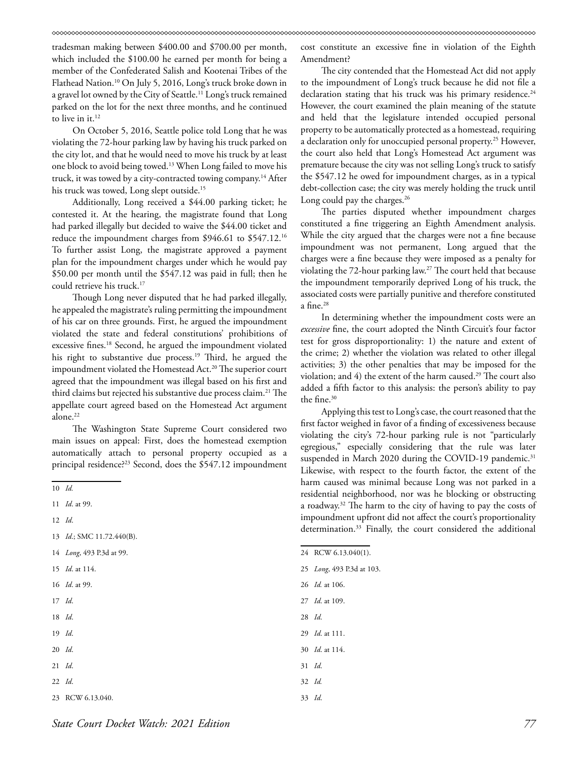tradesman making between \$400.00 and \$700.00 per month, which included the \$100.00 he earned per month for being a member of the Confederated Salish and Kootenai Tribes of the Flathead Nation.10 On July 5, 2016, Long's truck broke down in a gravel lot owned by the City of Seattle.11 Long's truck remained parked on the lot for the next three months, and he continued to live in it. $12$ 

On October 5, 2016, Seattle police told Long that he was violating the 72-hour parking law by having his truck parked on the city lot, and that he would need to move his truck by at least one block to avoid being towed.13 When Long failed to move his truck, it was towed by a city-contracted towing company.<sup>14</sup> After his truck was towed, Long slept outside.<sup>15</sup>

Additionally, Long received a \$44.00 parking ticket; he contested it. At the hearing, the magistrate found that Long had parked illegally but decided to waive the \$44.00 ticket and reduce the impoundment charges from \$946.61 to \$547.12.16 To further assist Long, the magistrate approved a payment plan for the impoundment charges under which he would pay \$50.00 per month until the \$547.12 was paid in full; then he could retrieve his truck.<sup>17</sup>

Though Long never disputed that he had parked illegally, he appealed the magistrate's ruling permitting the impoundment of his car on three grounds. First, he argued the impoundment violated the state and federal constitutions' prohibitions of excessive fines.18 Second, he argued the impoundment violated his right to substantive due process.<sup>19</sup> Third, he argued the impoundment violated the Homestead Act.<sup>20</sup> The superior court agreed that the impoundment was illegal based on his first and third claims but rejected his substantive due process claim.<sup>21</sup> The appellate court agreed based on the Homestead Act argument alone.<sup>22</sup>

The Washington State Supreme Court considered two main issues on appeal: First, does the homestead exemption automatically attach to personal property occupied as a principal residence?<sup>23</sup> Second, does the \$547.12 impoundment

- 14 *Long*, 493 P.3d at 99.
- 15 *Id*. at 114.
- 16 *Id*. at 99.
- 17 *Id*.
- 18 *Id*.
- 19 *Id*.
- 20 *Id*.
- 21 *Id*.
- 22 *Id*.
- 23 RCW 6.13.040.

cost constitute an excessive fine in violation of the Eighth Amendment?

The city contended that the Homestead Act did not apply to the impoundment of Long's truck because he did not file a declaration stating that his truck was his primary residence.<sup>24</sup> However, the court examined the plain meaning of the statute and held that the legislature intended occupied personal property to be automatically protected as a homestead, requiring a declaration only for unoccupied personal property.<sup>25</sup> However, the court also held that Long's Homestead Act argument was premature because the city was not selling Long's truck to satisfy the \$547.12 he owed for impoundment charges, as in a typical debt-collection case; the city was merely holding the truck until Long could pay the charges.<sup>26</sup>

The parties disputed whether impoundment charges constituted a fine triggering an Eighth Amendment analysis. While the city argued that the charges were not a fine because impoundment was not permanent, Long argued that the charges were a fine because they were imposed as a penalty for violating the 72-hour parking law.27 The court held that because the impoundment temporarily deprived Long of his truck, the associated costs were partially punitive and therefore constituted a fine.28

In determining whether the impoundment costs were an *excessive* fine, the court adopted the Ninth Circuit's four factor test for gross disproportionality: 1) the nature and extent of the crime; 2) whether the violation was related to other illegal activities; 3) the other penalties that may be imposed for the violation; and  $4$ ) the extent of the harm caused.<sup>29</sup> The court also added a fifth factor to this analysis: the person's ability to pay the fine.<sup>30</sup>

Applying this test to Long's case, the court reasoned that the first factor weighed in favor of a finding of excessiveness because violating the city's 72-hour parking rule is not "particularly egregious," especially considering that the rule was later suspended in March 2020 during the COVID-19 pandemic.<sup>31</sup> Likewise, with respect to the fourth factor, the extent of the harm caused was minimal because Long was not parked in a residential neighborhood, nor was he blocking or obstructing a roadway.32 The harm to the city of having to pay the costs of impoundment upfront did not affect the court's proportionality determination.<sup>33</sup> Finally, the court considered the additional

- 24 RCW 6.13.040(1).
- 25 *Long*, 493 P.3d at 103.
- 26 *Id.* at 106.
- 27 *Id*. at 109.
- 28 *Id*.
- 29 *Id*. at 111.
- 30 *Id*. at 114.
- 31 *Id*.
- 32 *Id.*
- 33 *Id*.

<sup>10</sup> *Id.*

<sup>11</sup> *Id*. at 99.

<sup>12</sup> *Id*.

<sup>13</sup> *Id*.; SMC 11.72.440(B).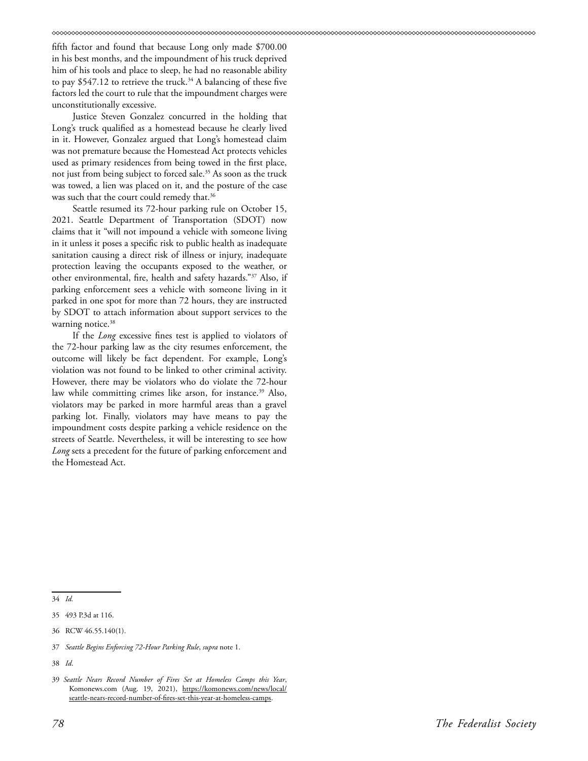fifth factor and found that because Long only made \$700.00 in his best months, and the impoundment of his truck deprived him of his tools and place to sleep, he had no reasonable ability to pay \$547.12 to retrieve the truck.<sup>34</sup> A balancing of these five factors led the court to rule that the impoundment charges were unconstitutionally excessive.

Justice Steven Gonzalez concurred in the holding that Long's truck qualified as a homestead because he clearly lived in it. However, Gonzalez argued that Long's homestead claim was not premature because the Homestead Act protects vehicles used as primary residences from being towed in the first place, not just from being subject to forced sale.<sup>35</sup> As soon as the truck was towed, a lien was placed on it, and the posture of the case was such that the court could remedy that.<sup>36</sup>

Seattle resumed its 72-hour parking rule on October 15, 2021. Seattle Department of Transportation (SDOT) now claims that it "will not impound a vehicle with someone living in it unless it poses a specific risk to public health as inadequate sanitation causing a direct risk of illness or injury, inadequate protection leaving the occupants exposed to the weather, or other environmental, fire, health and safety hazards."37 Also, if parking enforcement sees a vehicle with someone living in it parked in one spot for more than 72 hours, they are instructed by SDOT to attach information about support services to the warning notice. $38$ 

If the *Long* excessive fines test is applied to violators of the 72-hour parking law as the city resumes enforcement, the outcome will likely be fact dependent. For example, Long's violation was not found to be linked to other criminal activity. However, there may be violators who do violate the 72-hour law while committing crimes like arson, for instance.<sup>39</sup> Also, violators may be parked in more harmful areas than a gravel parking lot. Finally, violators may have means to pay the impoundment costs despite parking a vehicle residence on the streets of Seattle. Nevertheless, it will be interesting to see how *Long* sets a precedent for the future of parking enforcement and the Homestead Act.

34 *Id.*

37 *Seattle Begins Enforcing 72-Hour Parking Rule*, *supra* note 1.

38 *Id*.

<sup>35 493</sup> P.3d at 116.

<sup>36</sup> RCW 46.55.140(1).

<sup>39</sup> *Seattle Nears Record Number of Fires Set at Homeless Camps this Year*, Komonews.com (Aug. 19, 2021), [https://komonews.com/news/local/](https://komonews.com/news/local/seattle-nears-record-number-of-fires-set-this-year-at-homeless-camps) [seattle-nears-record-number-of-fires-set-this-year-at-homeless-camps](https://komonews.com/news/local/seattle-nears-record-number-of-fires-set-this-year-at-homeless-camps).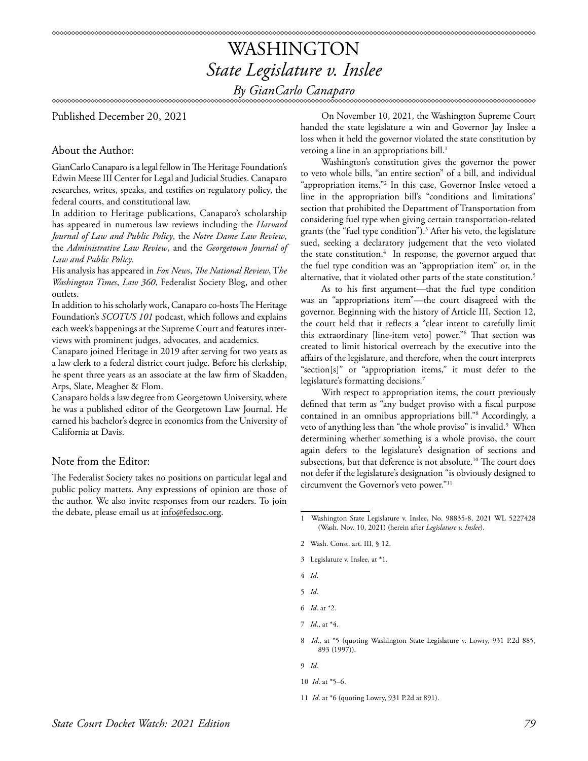### WASHINGTON *State Legislature v. Inslee By GianCarlo Canaparo*

Published December 20, 2021

### About the Author:

GianCarlo Canaparo is a legal fellow in The Heritage Foundation's Edwin Meese III Center for Legal and Judicial Studies. Canaparo researches, writes, speaks, and testifies on regulatory policy, the federal courts, and constitutional law.

In addition to Heritage publications, Canaparo's scholarship has appeared in numerous law reviews including the *Harvard Journal of Law and Public Policy*, the *Notre Dame Law Review*, the *Administrative Law Review*, and the *Georgetown Journal of Law and Public Policy*.

His analysis has appeared in *Fox News*, *The National Review*, T*he Washington Times*, *Law 360*, Federalist Society Blog, and other outlets.

In addition to his scholarly work, Canaparo co-hosts The Heritage Foundation's *SCOTUS 101* podcast, which follows and explains each week's happenings at the Supreme Court and features interviews with prominent judges, advocates, and academics.

Canaparo joined Heritage in 2019 after serving for two years as a law clerk to a federal district court judge. Before his clerkship, he spent three years as an associate at the law firm of Skadden, Arps, Slate, Meagher & Flom.

Canaparo holds a law degree from Georgetown University, where he was a published editor of the Georgetown Law Journal. He earned his bachelor's degree in economics from the University of California at Davis.

### Note from the Editor:

The Federalist Society takes no positions on particular legal and public policy matters. Any expressions of opinion are those of the author. We also invite responses from our readers. To join the debate, please email us at info@fedsoc.org.

On November 10, 2021, the Washington Supreme Court handed the state legislature a win and Governor Jay Inslee a loss when it held the governor violated the state constitution by vetoing a line in an appropriations bill.<sup>1</sup>

Washington's constitution gives the governor the power to veto whole bills, "an entire section" of a bill, and individual "appropriation items."2 In this case, Governor Inslee vetoed a line in the appropriation bill's "conditions and limitations" section that prohibited the Department of Transportation from considering fuel type when giving certain transportation-related grants (the "fuel type condition").3 After his veto, the legislature sued, seeking a declaratory judgement that the veto violated the state constitution.<sup>4</sup> In response, the governor argued that the fuel type condition was an "appropriation item" or, in the alternative, that it violated other parts of the state constitution.<sup>5</sup>

As to his first argument—that the fuel type condition was an "appropriations item"—the court disagreed with the governor. Beginning with the history of Article III, Section 12, the court held that it reflects a "clear intent to carefully limit this extraordinary [line-item veto] power."6 That section was created to limit historical overreach by the executive into the affairs of the legislature, and therefore, when the court interprets "section[s]" or "appropriation items," it must defer to the legislature's formatting decisions.7

With respect to appropriation items, the court previously defined that term as "any budget proviso with a fiscal purpose contained in an omnibus appropriations bill."8 Accordingly, a veto of anything less than "the whole proviso" is invalid.<sup>9</sup> When determining whether something is a whole proviso, the court again defers to the legislature's designation of sections and subsections, but that deference is not absolute.<sup>10</sup> The court does not defer if the legislature's designation "is obviously designed to circumvent the Governor's veto power."11

- 2 Wash. Const. art. III, § 12.
- 3 Legislature v. Inslee, at \*1.
- 4 *Id*.
- 5 *Id*.
- 6 *Id*. at \*2.
- 7 *Id*., at \*4.
- 8 *Id*., at \*5 (quoting Washington State Legislature v. Lowry, 931 P.2d 885, 893 (1997)).
- 9 *Id*.
- 10 *Id*. at \*5–6.
- 11 *Id*. at \*6 (quoting Lowry, 931 P.2d at 891).

<sup>1</sup> Washington State Legislature v. Inslee, No. 98835-8, 2021 WL 5227428 (Wash. Nov. 10, 2021) (herein after *Legislature v. Inslee*).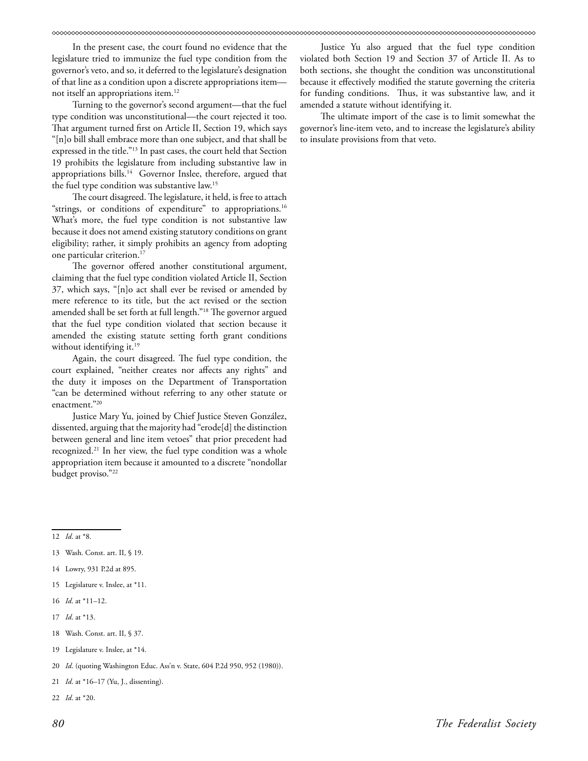In the present case, the court found no evidence that the legislature tried to immunize the fuel type condition from the governor's veto, and so, it deferred to the legislature's designation of that line as a condition upon a discrete appropriations item not itself an appropriations item.12

Turning to the governor's second argument—that the fuel type condition was unconstitutional—the court rejected it too. That argument turned first on Article II, Section 19, which says "[n]o bill shall embrace more than one subject, and that shall be expressed in the title."13 In past cases, the court held that Section 19 prohibits the legislature from including substantive law in appropriations bills.<sup>14</sup> Governor Inslee, therefore, argued that the fuel type condition was substantive law.15

The court disagreed. The legislature, it held, is free to attach "strings, or conditions of expenditure" to appropriations.<sup>16</sup> What's more, the fuel type condition is not substantive law because it does not amend existing statutory conditions on grant eligibility; rather, it simply prohibits an agency from adopting one particular criterion.<sup>17</sup>

The governor offered another constitutional argument, claiming that the fuel type condition violated Article II, Section 37, which says, "[n]o act shall ever be revised or amended by mere reference to its title, but the act revised or the section amended shall be set forth at full length."18 The governor argued that the fuel type condition violated that section because it amended the existing statute setting forth grant conditions without identifying it.<sup>19</sup>

Again, the court disagreed. The fuel type condition, the court explained, "neither creates nor affects any rights" and the duty it imposes on the Department of Transportation "can be determined without referring to any other statute or enactment."20

Justice Mary Yu, joined by Chief Justice Steven González, dissented, arguing that the majority had "erode[d] the distinction between general and line item vetoes" that prior precedent had recognized.21 In her view, the fuel type condition was a whole appropriation item because it amounted to a discrete "nondollar budget proviso."22

12 *Id*. at \*8.

- 15 Legislature v. Inslee, at \*11.
- 16 *Id*. at \*11–12.
- 17 *Id*. at \*13.
- 18 Wash. Const. art. II, § 37.
- 19 Legislature v. Inslee, at \*14.
- 20 *Id*. (quoting Washington Educ. Ass'n v. State, 604 P.2d 950, 952 (1980)).
- 21 *Id*. at \*16–17 (Yu, J., dissenting).
- 22 *Id*. at \*20.

Justice Yu also argued that the fuel type condition violated both Section 19 and Section 37 of Article II. As to both sections, she thought the condition was unconstitutional because it effectively modified the statute governing the criteria for funding conditions. Thus, it was substantive law, and it amended a statute without identifying it.

The ultimate import of the case is to limit somewhat the governor's line-item veto, and to increase the legislature's ability to insulate provisions from that veto.

<sup>13</sup> Wash. Const. art. II, § 19.

<sup>14</sup> Lowry, 931 P.2d at 895.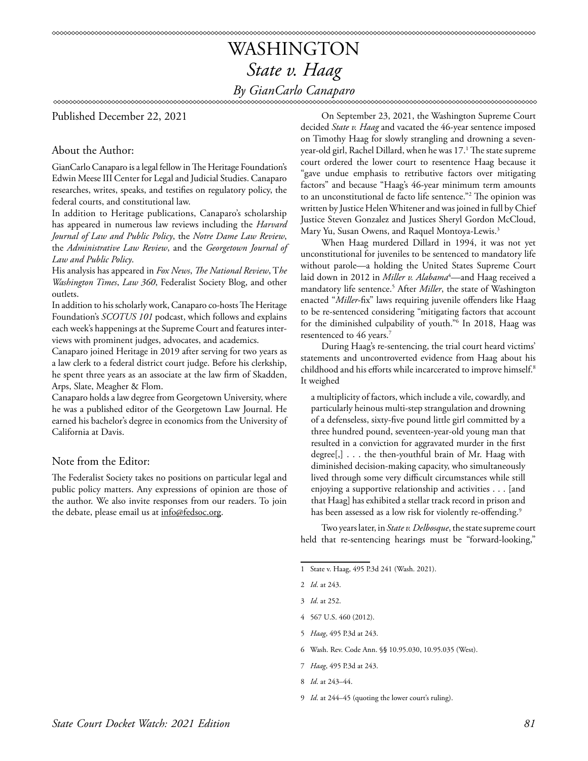## WASHINGTON *State v. Haag By GianCarlo Canaparo*

∞∞∞∞∞∞∞∞∞∞∞∞∞∞∞∞∞∞∞∞∞∞∞∞∞∞∞∞∞∞∞∞∞∞

Published December 22, 2021

### About the Author:

GianCarlo Canaparo is a legal fellow in The Heritage Foundation's Edwin Meese III Center for Legal and Judicial Studies. Canaparo researches, writes, speaks, and testifies on regulatory policy, the federal courts, and constitutional law.

In addition to Heritage publications, Canaparo's scholarship has appeared in numerous law reviews including the *Harvard Journal of Law and Public Policy*, the *Notre Dame Law Review*, the *Administrative Law Review*, and the *Georgetown Journal of Law and Public Policy*.

His analysis has appeared in *Fox News*, *The National Review*, T*he Washington Times*, *Law 360*, Federalist Society Blog, and other outlets.

In addition to his scholarly work, Canaparo co-hosts The Heritage Foundation's *SCOTUS 101* podcast, which follows and explains each week's happenings at the Supreme Court and features interviews with prominent judges, advocates, and academics.

Canaparo joined Heritage in 2019 after serving for two years as a law clerk to a federal district court judge. Before his clerkship, he spent three years as an associate at the law firm of Skadden, Arps, Slate, Meagher & Flom.

Canaparo holds a law degree from Georgetown University, where he was a published editor of the Georgetown Law Journal. He earned his bachelor's degree in economics from the University of California at Davis.

### Note from the Editor:

The Federalist Society takes no positions on particular legal and public policy matters. Any expressions of opinion are those of the author. We also invite responses from our readers. To join the debate, please email us at info@fedsoc.org.

On September 23, 2021, the Washington Supreme Court decided *State v. Haag* and vacated the 46-year sentence imposed on Timothy Haag for slowly strangling and drowning a sevenyear-old girl, Rachel Dillard, when he was 17.1 The state supreme court ordered the lower court to resentence Haag because it "gave undue emphasis to retributive factors over mitigating factors" and because "Haag's 46-year minimum term amounts to an unconstitutional de facto life sentence."<sup>2</sup> The opinion was written by Justice Helen Whitener and was joined in full by Chief Justice Steven Gonzalez and Justices Sheryl Gordon McCloud, Mary Yu, Susan Owens, and Raquel Montoya-Lewis.3

When Haag murdered Dillard in 1994, it was not yet unconstitutional for juveniles to be sentenced to mandatory life without parole—a holding the United States Supreme Court laid down in 2012 in *Miller v. Alabama*<sup>4</sup>—and Haag received a mandatory life sentence.5 After *Miller*, the state of Washington enacted "*Miller*-fix" laws requiring juvenile offenders like Haag to be re-sentenced considering "mitigating factors that account for the diminished culpability of youth."6 In 2018, Haag was resentenced to 46 years.<sup>7</sup>

During Haag's re-sentencing, the trial court heard victims' statements and uncontroverted evidence from Haag about his childhood and his efforts while incarcerated to improve himself.8 It weighed

a multiplicity of factors, which include a vile, cowardly, and particularly heinous multi-step strangulation and drowning of a defenseless, sixty-five pound little girl committed by a three hundred pound, seventeen-year-old young man that resulted in a conviction for aggravated murder in the first degree[,] . . . the then-youthful brain of Mr. Haag with diminished decision-making capacity, who simultaneously lived through some very difficult circumstances while still enjoying a supportive relationship and activities . . . [and that Haag] has exhibited a stellar track record in prison and has been assessed as a low risk for violently re-offending.<sup>9</sup>

Two years later, in *State v. Delbosque*, the state supreme court held that re-sentencing hearings must be "forward-looking,"

- 5 *Haag*, 495 P.3d at 243.
- 6 Wash. Rev. Code Ann. §§ 10.95.030, 10.95.035 (West).
- 7 *Haag*, 495 P.3d at 243.
- 8 *Id*. at 243–44.
- 9 *Id*. at 244–45 (quoting the lower court's ruling).

<sup>1</sup> State v. Haag, 495 P.3d 241 (Wash. 2021).

<sup>2</sup> *Id*. at 243.

<sup>3</sup> *Id*. at 252.

<sup>4 567</sup> U.S. 460 (2012).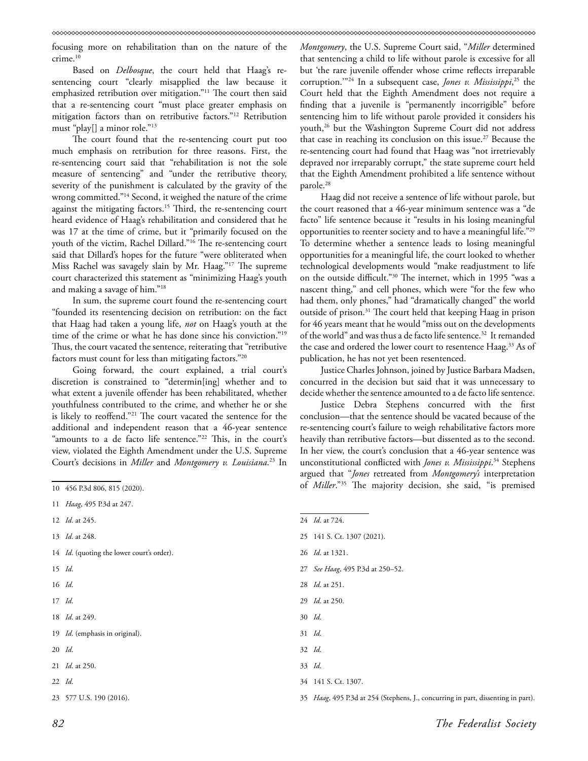focusing more on rehabilitation than on the nature of the crime.<sup>10</sup>

Based on *Delbosque*, the court held that Haag's resentencing court "clearly misapplied the law because it emphasized retribution over mitigation."<sup>11</sup> The court then said that a re-sentencing court "must place greater emphasis on mitigation factors than on retributive factors."12 Retribution must "play[] a minor role."13

The court found that the re-sentencing court put too much emphasis on retribution for three reasons. First, the re-sentencing court said that "rehabilitation is not the sole measure of sentencing" and "under the retributive theory, severity of the punishment is calculated by the gravity of the wrong committed."14 Second, it weighed the nature of the crime against the mitigating factors.15 Third, the re-sentencing court heard evidence of Haag's rehabilitation and considered that he was 17 at the time of crime, but it "primarily focused on the youth of the victim, Rachel Dillard."16 The re-sentencing court said that Dillard's hopes for the future "were obliterated when Miss Rachel was savagely slain by Mr. Haag."17 The supreme court characterized this statement as "minimizing Haag's youth and making a savage of him."18

In sum, the supreme court found the re-sentencing court "founded its resentencing decision on retribution: on the fact that Haag had taken a young life, *not* on Haag's youth at the time of the crime or what he has done since his conviction."19 Thus, the court vacated the sentence, reiterating that "retributive factors must count for less than mitigating factors."20

Going forward, the court explained, a trial court's discretion is constrained to "determin[ing] whether and to what extent a juvenile offender has been rehabilitated, whether youthfulness contributed to the crime, and whether he or she is likely to reoffend."21 The court vacated the sentence for the additional and independent reason that a 46-year sentence "amounts to a de facto life sentence."<sup>22</sup> This, in the court's view, violated the Eighth Amendment under the U.S. Supreme Court's decisions in *Miller* and *Montgomery v. Louisiana*. 23 In

- 13 *Id*. at 248.
- 14 *Id.* (quoting the lower court's order).
- 15 *Id*.
- 16 *Id*.
- 17 *Id*.
- 18 *Id*. at 249.

19 *Id*. (emphasis in original).

- 20 *Id*.
- 21 *Id*. at 250.
- 22 *Id*.
- 23 577 U.S. 190 (2016).

*Montgomery*, the U.S. Supreme Court said, "*Miller* determined that sentencing a child to life without parole is excessive for all but 'the rare juvenile offender whose crime reflects irreparable corruption.'"24 In a subsequent case, *Jones v. Mississippi*, 25 the Court held that the Eighth Amendment does not require a finding that a juvenile is "permanently incorrigible" before sentencing him to life without parole provided it considers his youth,<sup>26</sup> but the Washington Supreme Court did not address that case in reaching its conclusion on this issue.<sup>27</sup> Because the re-sentencing court had found that Haag was "not irretrievably depraved nor irreparably corrupt," the state supreme court held that the Eighth Amendment prohibited a life sentence without parole.<sup>28</sup>

Haag did not receive a sentence of life without parole, but the court reasoned that a 46-year minimum sentence was a "de facto" life sentence because it "results in his losing meaningful opportunities to reenter society and to have a meaningful life."29 To determine whether a sentence leads to losing meaningful opportunities for a meaningful life, the court looked to whether technological developments would "make readjustment to life on the outside difficult."30 The internet, which in 1995 "was a nascent thing," and cell phones, which were "for the few who had them, only phones," had "dramatically changed" the world outside of prison.31 The court held that keeping Haag in prison for 46 years meant that he would "miss out on the developments of the world" and was thus a de facto life sentence.<sup>32</sup> It remanded the case and ordered the lower court to resentence Haag.<sup>33</sup> As of publication, he has not yet been resentenced.

Justice Charles Johnson, joined by Justice Barbara Madsen, concurred in the decision but said that it was unnecessary to decide whether the sentence amounted to a de facto life sentence.

Justice Debra Stephens concurred with the first conclusion—that the sentence should be vacated because of the re-sentencing court's failure to weigh rehabilitative factors more heavily than retributive factors—but dissented as to the second. In her view, the court's conclusion that a 46-year sentence was unconstitutional conflicted with *Jones v. Mississippi*. 34 Stephens argued that "*Jones* retreated from *Montgomery's* interpretation of *Miller*."35 The majority decision, she said, "is premised

24 *Id*. at 724. 25 141 S. Ct. 1307 (2021). 26 *Id*. at 1321. 27 *See Haag*, 495 P.3d at 250–52. 28 *Id*. at 251. 29 *Id*. at 250. 30 *Id*. 31 *Id*. 32 *Id*. 33 *Id*. 34 141 S. Ct. 1307. 35 *Haag*, 495 P.3d at 254 (Stephens, J., concurring in part, dissenting in part).

<sup>10 456</sup> P.3d 806, 815 (2020).

<sup>11</sup> *Haag*, 495 P.3d at 247.

<sup>12</sup> *Id*. at 245.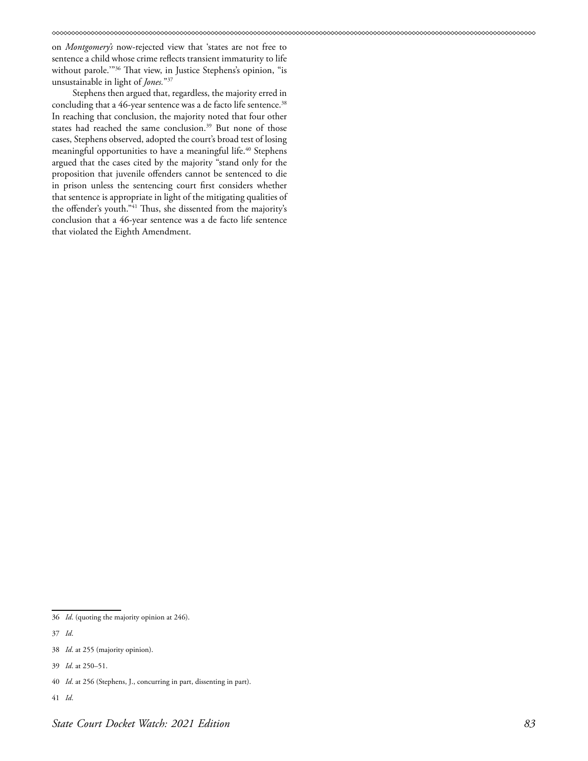on *Montgomery's* now-rejected view that 'states are not free to sentence a child whose crime reflects transient immaturity to life without parole.'"36 That view, in Justice Stephens's opinion, "is unsustainable in light of *Jones.*"37

Stephens then argued that, regardless, the majority erred in concluding that a 46-year sentence was a de facto life sentence.<sup>38</sup> In reaching that conclusion, the majority noted that four other states had reached the same conclusion.<sup>39</sup> But none of those cases, Stephens observed, adopted the court's broad test of losing meaningful opportunities to have a meaningful life.<sup>40</sup> Stephens argued that the cases cited by the majority "stand only for the proposition that juvenile offenders cannot be sentenced to die in prison unless the sentencing court first considers whether that sentence is appropriate in light of the mitigating qualities of the offender's youth."41 Thus, she dissented from the majority's conclusion that a 46-year sentence was a de facto life sentence that violated the Eighth Amendment.

<sup>36</sup> *Id*. (quoting the majority opinion at 246).

<sup>37</sup> *Id*.

<sup>38</sup> *Id*. at 255 (majority opinion).

<sup>39</sup> *Id*. at 250–51.

<sup>40</sup> *Id*. at 256 (Stephens, J., concurring in part, dissenting in part).

<sup>41</sup> *Id*.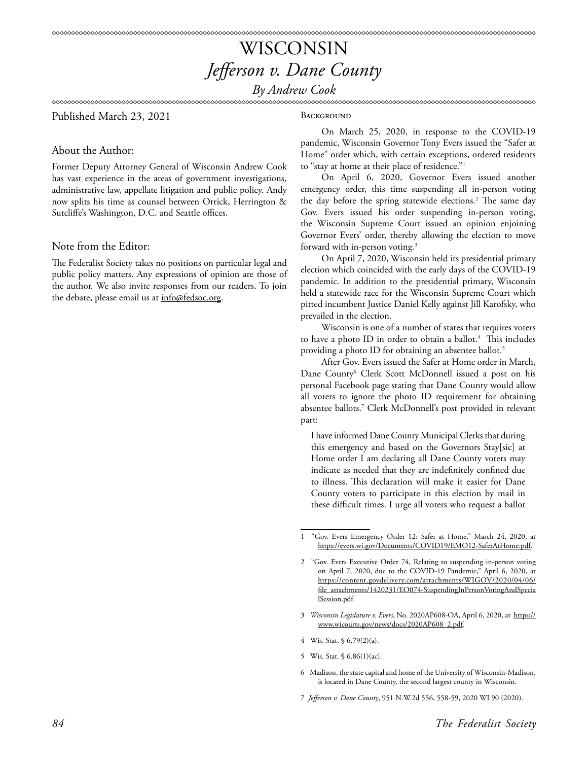*By Andrew Cook*

### Published March 23, 2021

#### **BACKGROUND**

About the Author:

Former Deputy Attorney General of Wisconsin Andrew Cook has vast experience in the areas of government investigations, administrative law, appellate litigation and public policy. Andy now splits his time as counsel between Orrick, Herrington & Sutcliffe's Washington, D.C. and Seattle offices.

#### Note from the Editor:

The Federalist Society takes no positions on particular legal and public policy matters. Any expressions of opinion are those of the author. We also invite responses from our readers. To join the debate, please email us at info@fedsoc.org.

On March 25, 2020, in response to the COVID-19 pandemic, Wisconsin Governor Tony Evers issued the "Safer at Home" order which, with certain exceptions, ordered residents to "stay at home at their place of residence."1

On April 6, 2020, Governor Evers issued another emergency order, this time suspending all in-person voting the day before the spring statewide elections.<sup>2</sup> The same day Gov. Evers issued his order suspending in-person voting, the Wisconsin Supreme Court issued an opinion enjoining Governor Evers' order, thereby allowing the election to move forward with in-person voting.<sup>3</sup>

On April 7, 2020, Wisconsin held its presidential primary election which coincided with the early days of the COVID-19 pandemic. In addition to the presidential primary, Wisconsin held a statewide race for the Wisconsin Supreme Court which pitted incumbent Justice Daniel Kelly against Jill Karofsky, who prevailed in the election.

Wisconsin is one of a number of states that requires voters to have a photo ID in order to obtain a ballot. $4$  This includes providing a photo ID for obtaining an absentee ballot.<sup>5</sup>

After Gov. Evers issued the Safer at Home order in March, Dane County<sup>6</sup> Clerk Scott McDonnell issued a post on his personal Facebook page stating that Dane County would allow all voters to ignore the photo ID requirement for obtaining absentee ballots.7 Clerk McDonnell's post provided in relevant part:

I have informed Dane County Municipal Clerks that during this emergency and based on the Governors Stay[sic] at Home order I am declaring all Dane County voters may indicate as needed that they are indefinitely confined due to illness. This declaration will make it easier for Dane County voters to participate in this election by mail in these difficult times. I urge all voters who request a ballot

- 4 Wis. Stat. § 6.79(2)(a).
- 5 Wis. Stat. § 6.86(1)(ac).
- 6 Madison, the state capital and home of the University of Wisconsin-Madison, is located in Dane County, the second largest county in Wisconsin.
- 7 *Jefferson v. Dane County*, 951 N.W.2d 556, 558-59, 2020 WI 90 (2020).

<sup>&</sup>quot;Gov. Evers Emergency Order 12: Safer at Home," March 24, 2020, at [https://evers.wi.gov/Documents/COVID19/EMO12-SaferAtHome.pdf.](https://evers.wi.gov/Documents/COVID19/EMO12-SaferAtHome.pdf)

<sup>2 &</sup>quot;Gov. Evers Executive Order 74, Relating to suspending in-person voting on April 7, 2020, due to the COVID-19 Pandemic," April 6, 2020, at [https://content.govdelivery.com/attachments/WIGOV/2020/04/06/](https://content.govdelivery.com/attachments/WIGOV/2020/04/06/file_attachments/1420231/EO074-SuspendingInPersonVotingAndSpecialSession.pdf) [file\\_attachments/1420231/EO074-SuspendingInPersonVotingAndSpecia](https://content.govdelivery.com/attachments/WIGOV/2020/04/06/file_attachments/1420231/EO074-SuspendingInPersonVotingAndSpecialSession.pdf) [lSession.pdf.](https://content.govdelivery.com/attachments/WIGOV/2020/04/06/file_attachments/1420231/EO074-SuspendingInPersonVotingAndSpecialSession.pdf)

<sup>3</sup> *Wisconsin Legislature v. Evers*, No. 2020AP608-OA, April 6, 2020, at [https://](https://www.wicourts.gov/news/docs/2020AP608_2.pdf) [www.wicourts.gov/news/docs/2020AP608\\_2.pdf](https://www.wicourts.gov/news/docs/2020AP608_2.pdf).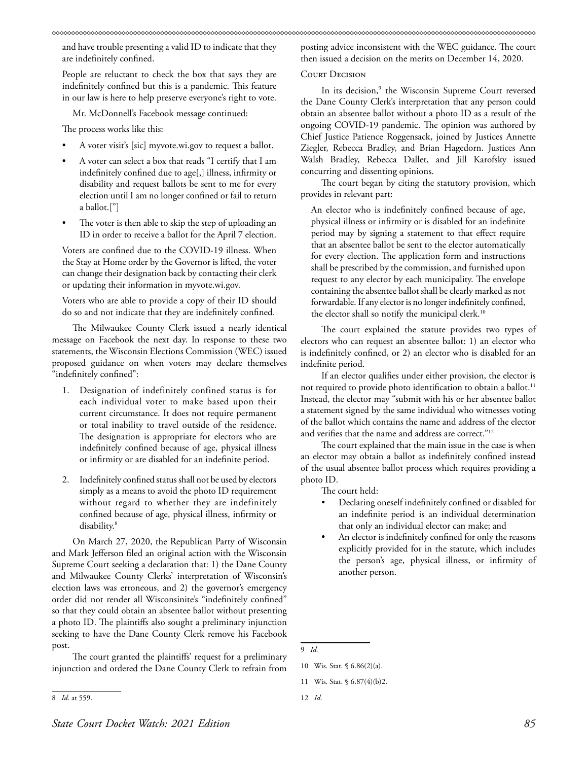and have trouble presenting a valid ID to indicate that they are indefinitely confined.

People are reluctant to check the box that says they are indefinitely confined but this is a pandemic. This feature in our law is here to help preserve everyone's right to vote.

Mr. McDonnell's Facebook message continued:

The process works like this:

- A voter visit's [sic] myvote.wi.gov to request a ballot.
- A voter can select a box that reads "I certify that I am indefinitely confined due to age[,] illness, infirmity or disability and request ballots be sent to me for every election until I am no longer confined or fail to return a ballot.["]
- The voter is then able to skip the step of uploading an ID in order to receive a ballot for the April 7 election.

Voters are confined due to the COVID-19 illness. When the Stay at Home order by the Governor is lifted, the voter can change their designation back by contacting their clerk or updating their information in myvote.wi.gov.

Voters who are able to provide a copy of their ID should do so and not indicate that they are indefinitely confined.

The Milwaukee County Clerk issued a nearly identical message on Facebook the next day. In response to these two statements, the Wisconsin Elections Commission (WEC) issued proposed guidance on when voters may declare themselves "indefinitely confined":

- 1. Designation of indefinitely confined status is for each individual voter to make based upon their current circumstance. It does not require permanent or total inability to travel outside of the residence. The designation is appropriate for electors who are indefinitely confined because of age, physical illness or infirmity or are disabled for an indefinite period.
- 2. Indefinitely confined status shall not be used by electors simply as a means to avoid the photo ID requirement without regard to whether they are indefinitely confined because of age, physical illness, infirmity or disability.<sup>8</sup>

On March 27, 2020, the Republican Party of Wisconsin and Mark Jefferson filed an original action with the Wisconsin Supreme Court seeking a declaration that: 1) the Dane County and Milwaukee County Clerks' interpretation of Wisconsin's election laws was erroneous, and 2) the governor's emergency order did not render all Wisconsinite's "indefinitely confined" so that they could obtain an absentee ballot without presenting a photo ID. The plaintiffs also sought a preliminary injunction seeking to have the Dane County Clerk remove his Facebook post.

The court granted the plaintiffs' request for a preliminary injunction and ordered the Dane County Clerk to refrain from posting advice inconsistent with the WEC guidance. The court then issued a decision on the merits on December 14, 2020.

#### Court Decision

In its decision,<sup>9</sup> the Wisconsin Supreme Court reversed the Dane County Clerk's interpretation that any person could obtain an absentee ballot without a photo ID as a result of the ongoing COVID-19 pandemic. The opinion was authored by Chief Justice Patience Roggensack, joined by Justices Annette Ziegler, Rebecca Bradley, and Brian Hagedorn. Justices Ann Walsh Bradley, Rebecca Dallet, and Jill Karofsky issued concurring and dissenting opinions.

The court began by citing the statutory provision, which provides in relevant part:

An elector who is indefinitely confined because of age, physical illness or infirmity or is disabled for an indefinite period may by signing a statement to that effect require that an absentee ballot be sent to the elector automatically for every election. The application form and instructions shall be prescribed by the commission, and furnished upon request to any elector by each municipality. The envelope containing the absentee ballot shall be clearly marked as not forwardable. If any elector is no longer indefinitely confined, the elector shall so notify the municipal clerk.<sup>10</sup>

The court explained the statute provides two types of electors who can request an absentee ballot: 1) an elector who is indefinitely confined, or 2) an elector who is disabled for an indefinite period.

If an elector qualifies under either provision, the elector is not required to provide photo identification to obtain a ballot.<sup>11</sup> Instead, the elector may "submit with his or her absentee ballot a statement signed by the same individual who witnesses voting of the ballot which contains the name and address of the elector and verifies that the name and address are correct."12

The court explained that the main issue in the case is when an elector may obtain a ballot as indefinitely confined instead of the usual absentee ballot process which requires providing a photo ID.

The court held:

- Declaring oneself indefinitely confined or disabled for an indefinite period is an individual determination that only an individual elector can make; and
- An elector is indefinitely confined for only the reasons explicitly provided for in the statute, which includes the person's age, physical illness, or infirmity of another person.

<sup>8</sup> *Id*. at 559.

<sup>9</sup> *Id.*

<sup>10</sup> Wis. Stat. § 6.86(2)(a).

<sup>11</sup> Wis. Stat. § 6.87(4)(b)2.

<sup>12</sup> *Id*.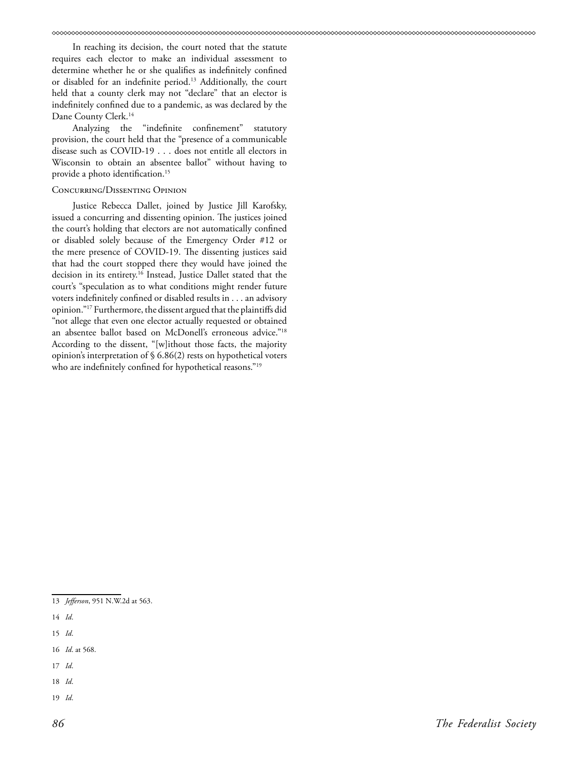In reaching its decision, the court noted that the statute requires each elector to make an individual assessment to determine whether he or she qualifies as indefinitely confined or disabled for an indefinite period.<sup>13</sup> Additionally, the court held that a county clerk may not "declare" that an elector is indefinitely confined due to a pandemic, as was declared by the Dane County Clerk.14

Analyzing the "indefinite confinement" statutory provision, the court held that the "presence of a communicable disease such as COVID-19 . . . does not entitle all electors in Wisconsin to obtain an absentee ballot" without having to provide a photo identification.15

#### Concurring/Dissenting Opinion

Justice Rebecca Dallet, joined by Justice Jill Karofsky, issued a concurring and dissenting opinion. The justices joined the court's holding that electors are not automatically confined or disabled solely because of the Emergency Order #12 or the mere presence of COVID-19. The dissenting justices said that had the court stopped there they would have joined the decision in its entirety.16 Instead, Justice Dallet stated that the court's "speculation as to what conditions might render future voters indefinitely confined or disabled results in . . . an advisory opinion."17 Furthermore, the dissent argued that the plaintiffs did "not allege that even one elector actually requested or obtained an absentee ballot based on McDonell's erroneous advice."18 According to the dissent, "[w]ithout those facts, the majority opinion's interpretation of § 6.86(2) rests on hypothetical voters who are indefinitely confined for hypothetical reasons."<sup>19</sup>

- 15 *Id*.
- 16 *Id*. at 568.
- 17 *Id*.
- 18 *Id*.
- 19 *Id*.

<sup>13</sup> *Jefferson*, 951 N.W.2d at 563.

<sup>14</sup> *Id*.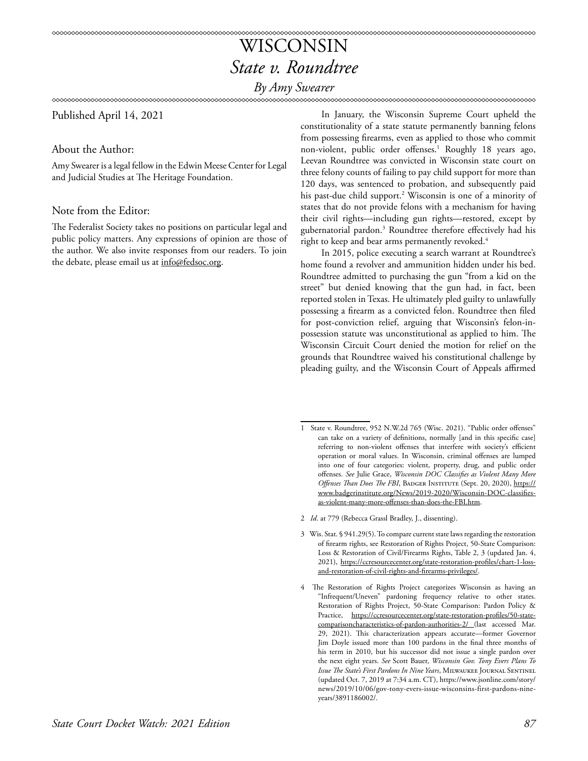# WISCONSIN *State v. Roundtree*

*By Amy Swearer*

Published April 14, 2021

About the Author:

Amy Swearer is a legal fellow in the Edwin Meese Center for Legal and Judicial Studies at The Heritage Foundation.

### Note from the Editor:

The Federalist Society takes no positions on particular legal and public policy matters. Any expressions of opinion are those of the author. We also invite responses from our readers. To join the debate, please email us at info@fedsoc.org.

In January, the Wisconsin Supreme Court upheld the constitutionality of a state statute permanently banning felons from possessing firearms, even as applied to those who commit non-violent, public order offenses.<sup>1</sup> Roughly 18 years ago, Leevan Roundtree was convicted in Wisconsin state court on three felony counts of failing to pay child support for more than 120 days, was sentenced to probation, and subsequently paid his past-due child support.2 Wisconsin is one of a minority of states that do not provide felons with a mechanism for having their civil rights—including gun rights—restored, except by gubernatorial pardon.3 Roundtree therefore effectively had his right to keep and bear arms permanently revoked.<sup>4</sup>

xxxxxxxxxxxxxxxxxxxxxxxxxxxxxxxxx

In 2015, police executing a search warrant at Roundtree's home found a revolver and ammunition hidden under his bed. Roundtree admitted to purchasing the gun "from a kid on the street" but denied knowing that the gun had, in fact, been reported stolen in Texas. He ultimately pled guilty to unlawfully possessing a firearm as a convicted felon. Roundtree then filed for post-conviction relief, arguing that Wisconsin's felon-inpossession statute was unconstitutional as applied to him. The Wisconsin Circuit Court denied the motion for relief on the grounds that Roundtree waived his constitutional challenge by pleading guilty, and the Wisconsin Court of Appeals affirmed

- 3 Wis. Stat. § 941.29(5). To compare current state laws regarding the restoration of firearm rights, see Restoration of Rights Project, 50-State Comparison: Loss & Restoration of Civil/Firearms Rights, Table 2, 3 (updated Jan. 4, 2021), [https://ccresourcecenter.org/state-restoration-profiles/chart-1-loss](https://ccresourcecenter.org/state-restoration-profiles/chart-1-loss-and-restoration-of-civil-rights-and-firearms-privileges/)[and-restoration-of-civil-rights-and-firearms-privileges/.](https://ccresourcecenter.org/state-restoration-profiles/chart-1-loss-and-restoration-of-civil-rights-and-firearms-privileges/)
- 4 The Restoration of Rights Project categorizes Wisconsin as having an "Infrequent/Uneven" pardoning frequency relative to other states. Restoration of Rights Project, 50-State Comparison: Pardon Policy & Practice, [https://ccresourcecenter.org/state-restoration-profiles/50-state](https://ccresourcecenter.org/state-restoration-profiles/50-state-comparisoncharacteristics-of-pardon-authorities-2/)[comparisoncharacteristics-of-pardon-authorities-2/](https://ccresourcecenter.org/state-restoration-profiles/50-state-comparisoncharacteristics-of-pardon-authorities-2/) (last accessed Mar. 29, 2021). This characterization appears accurate—former Governor Jim Doyle issued more than 100 pardons in the final three months of his term in 2010, but his successor did not issue a single pardon over the next eight years. *See* Scott Bauer, *Wisconsin Gov. Tony Evers Plans To Issue The State's First Pardons In Nine Years*, Milwaukee Journal Sentinel (updated Oct. 7, 2019 at 7:34 a.m. CT), https://www.jsonline.com/story/ news/2019/10/06/gov-tony-evers-issue-wisconsins-first-pardons-nineyears/3891186002/.

<sup>1</sup> State v. Roundtree, 952 N.W.2d 765 (Wisc. 2021). "Public order offenses" can take on a variety of definitions, normally [and in this specific case] referring to non-violent offenses that interfere with society's efficient operation or moral values. In Wisconsin, criminal offenses are lumped into one of four categories: violent, property, drug, and public order offenses. *See* Julie Grace, *Wisconsin DOC Classifies as Violent Many More Offenses Than Does The FBI*, BADGER INSTITUTE (Sept. 20, 2020), [https://](https://www.badgerinstitute.org/News/2019-2020/Wisconsin-DOC-classifies-as-violent-many-more-offenses-than-does-the-FBI.htm) [www.badgerinstitute.org/News/2019-2020/Wisconsin-DOC-classifies](https://www.badgerinstitute.org/News/2019-2020/Wisconsin-DOC-classifies-as-violent-many-more-offenses-than-does-the-FBI.htm)[as-violent-many-more-offenses-than-does-the-FBI.htm](https://www.badgerinstitute.org/News/2019-2020/Wisconsin-DOC-classifies-as-violent-many-more-offenses-than-does-the-FBI.htm).

<sup>2</sup> *Id*. at 779 (Rebecca Grassl Bradley, J., dissenting).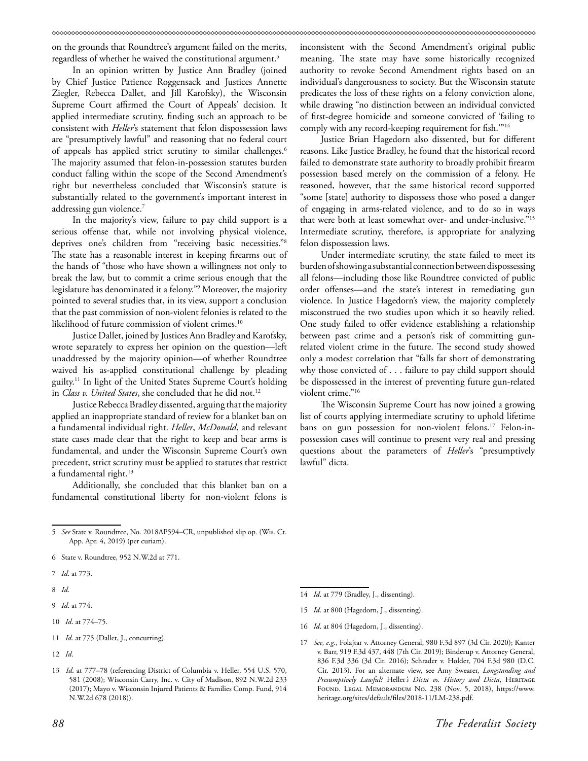on the grounds that Roundtree's argument failed on the merits, regardless of whether he waived the constitutional argument.<sup>5</sup>

In an opinion written by Justice Ann Bradley (joined by Chief Justice Patience Roggensack and Justices Annette Ziegler, Rebecca Dallet, and Jill Karofsky), the Wisconsin Supreme Court affirmed the Court of Appeals' decision. It applied intermediate scrutiny, finding such an approach to be consistent with *Heller*'s statement that felon dispossession laws are "presumptively lawful" and reasoning that no federal court of appeals has applied strict scrutiny to similar challenges.<sup>6</sup> The majority assumed that felon-in-possession statutes burden conduct falling within the scope of the Second Amendment's right but nevertheless concluded that Wisconsin's statute is substantially related to the government's important interest in addressing gun violence.<sup>7</sup>

In the majority's view, failure to pay child support is a serious offense that, while not involving physical violence, deprives one's children from "receiving basic necessities."8 The state has a reasonable interest in keeping firearms out of the hands of "those who have shown a willingness not only to break the law, but to commit a crime serious enough that the legislature has denominated it a felony."9 Moreover, the majority pointed to several studies that, in its view, support a conclusion that the past commission of non-violent felonies is related to the likelihood of future commission of violent crimes.<sup>10</sup>

Justice Dallet, joined by Justices Ann Bradley and Karofsky, wrote separately to express her opinion on the question—left unaddressed by the majority opinion—of whether Roundtree waived his as-applied constitutional challenge by pleading guilty.11 In light of the United States Supreme Court's holding in *Class v. United States*, she concluded that he did not.<sup>12</sup>

Justice Rebecca Bradley dissented, arguing that the majority applied an inappropriate standard of review for a blanket ban on a fundamental individual right. *Heller*, *McDonald*, and relevant state cases made clear that the right to keep and bear arms is fundamental, and under the Wisconsin Supreme Court's own precedent, strict scrutiny must be applied to statutes that restrict a fundamental right.<sup>13</sup>

Additionally, she concluded that this blanket ban on a fundamental constitutional liberty for non-violent felons is

5 *See* State v. Roundtree, No. 2018AP594–CR, unpublished slip op. (Wis. Ct. App. Apr. 4, 2019) (per curiam).

9 *Id*. at 774.

- 10 *Id*. at 774–75.
- 11 *Id*. at 775 (Dallet, J., concurring).
- 12 *Id*.

inconsistent with the Second Amendment's original public meaning. The state may have some historically recognized authority to revoke Second Amendment rights based on an individual's dangerousness to society. But the Wisconsin statute predicates the loss of these rights on a felony conviction alone, while drawing "no distinction between an individual convicted of first-degree homicide and someone convicted of 'failing to comply with any record-keeping requirement for fish.'"14

Justice Brian Hagedorn also dissented, but for different reasons. Like Justice Bradley, he found that the historical record failed to demonstrate state authority to broadly prohibit firearm possession based merely on the commission of a felony. He reasoned, however, that the same historical record supported "some [state] authority to dispossess those who posed a danger of engaging in arms-related violence, and to do so in ways that were both at least somewhat over- and under-inclusive."15 Intermediate scrutiny, therefore, is appropriate for analyzing felon dispossession laws.

Under intermediate scrutiny, the state failed to meet its burden of showing a substantial connection between dispossessing all felons—including those like Roundtree convicted of public order offenses—and the state's interest in remediating gun violence. In Justice Hagedorn's view, the majority completely misconstrued the two studies upon which it so heavily relied. One study failed to offer evidence establishing a relationship between past crime and a person's risk of committing gunrelated violent crime in the future. The second study showed only a modest correlation that "falls far short of demonstrating why those convicted of . . . failure to pay child support should be dispossessed in the interest of preventing future gun-related violent crime."<sup>16</sup>

The Wisconsin Supreme Court has now joined a growing list of courts applying intermediate scrutiny to uphold lifetime bans on gun possession for non-violent felons.17 Felon-inpossession cases will continue to present very real and pressing questions about the parameters of *Heller*'s "presumptively lawful" dicta.

- 14 *Id*. at 779 (Bradley, J., dissenting).
- 15 *Id*. at 800 (Hagedorn, J., dissenting).
- 16 *Id*. at 804 (Hagedorn, J., dissenting).
- 17 *See, e.g*., Folajtar v. Attorney General, 980 F.3d 897 (3d Cir. 2020); Kanter v. Barr, 919 F.3d 437, 448 (7th Cir. 2019); Binderup v. Attorney General, 836 F.3d 336 (3d Cir. 2016); Schrader v. Holder, 704 F.3d 980 (D.C. Cir. 2013). For an alternate view, see Amy Swearer, *Longstanding and*  Presumptively Lawful? Heller's Dicta vs. History and Dicta, HERITAGE Found. Legal Memorandum No. 238 (Nov. 5, 2018), https://www. heritage.org/sites/default/files/2018-11/LM-238.pdf.

<sup>6</sup> State v. Roundtree, 952 N.W.2d at 771.

<sup>7</sup> *Id*. at 773.

<sup>8</sup> *Id*.

<sup>13</sup> *Id*. at 777–78 (referencing District of Columbia v. Heller, 554 U.S. 570, 581 (2008); Wisconsin Carry, Inc. v. City of Madison, 892 N.W.2d 233 (2017); Mayo v. Wisconsin Injured Patients & Families Comp. Fund, 914 N.W.2d 678 (2018)).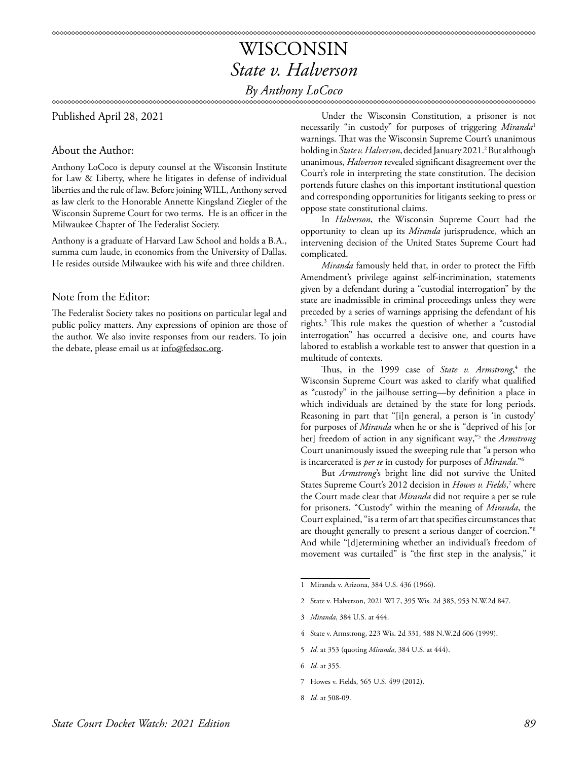# WISCONSIN *State v. Halverson*

### *By Anthony LoCoco*

Published April 28, 2021

### About the Author:

Anthony LoCoco is deputy counsel at the Wisconsin Institute for Law & Liberty, where he litigates in defense of individual liberties and the rule of law. Before joining WILL, Anthony served as law clerk to the Honorable Annette Kingsland Ziegler of the Wisconsin Supreme Court for two terms. He is an officer in the Milwaukee Chapter of The Federalist Society.

Anthony is a graduate of Harvard Law School and holds a B.A., summa cum laude, in economics from the University of Dallas. He resides outside Milwaukee with his wife and three children.

### Note from the Editor:

The Federalist Society takes no positions on particular legal and public policy matters. Any expressions of opinion are those of the author. We also invite responses from our readers. To join the debate, please email us at info@fedsoc.org.

Under the Wisconsin Constitution, a prisoner is not necessarily "in custody" for purposes of triggering *Miranda*<sup>1</sup> warnings. That was the Wisconsin Supreme Court's unanimous holding in *State v. Halverson*, decided January 2021.<sup>2</sup> But although unanimous, *Halverson* revealed significant disagreement over the Court's role in interpreting the state constitution. The decision portends future clashes on this important institutional question and corresponding opportunities for litigants seeking to press or oppose state constitutional claims.

In *Halverson*, the Wisconsin Supreme Court had the opportunity to clean up its *Miranda* jurisprudence, which an intervening decision of the United States Supreme Court had complicated.

*Miranda* famously held that, in order to protect the Fifth Amendment's privilege against self-incrimination, statements given by a defendant during a "custodial interrogation" by the state are inadmissible in criminal proceedings unless they were preceded by a series of warnings apprising the defendant of his rights.3 This rule makes the question of whether a "custodial interrogation" has occurred a decisive one, and courts have labored to establish a workable test to answer that question in a multitude of contexts.

Thus, in the 1999 case of *State v. Armstrong*, <sup>4</sup> the Wisconsin Supreme Court was asked to clarify what qualified as "custody" in the jailhouse setting—by definition a place in which individuals are detained by the state for long periods. Reasoning in part that "[i]n general, a person is 'in custody' for purposes of *Miranda* when he or she is "deprived of his [or her] freedom of action in any significant way,"5 the *Armstrong*  Court unanimously issued the sweeping rule that "a person who is incarcerated is *per se* in custody for purposes of *Miranda*."6

But *Armstrong*'s bright line did not survive the United States Supreme Court's 2012 decision in Howes v. Fields,<sup>7</sup> where the Court made clear that *Miranda* did not require a per se rule for prisoners. "Custody" within the meaning of *Miranda*, the Court explained, "is a term of art that specifies circumstances that are thought generally to present a serious danger of coercion."8 And while "[d]etermining whether an individual's freedom of movement was curtailed" is "the first step in the analysis," it

- 4 State v. Armstrong, 223 Wis. 2d 331, 588 N.W.2d 606 (1999).
- 5 *Id.* at 353 (quoting *Miranda*, 384 U.S. at 444).

7 Howes v. Fields, 565 U.S. 499 (2012).

<sup>1</sup> Miranda v. Arizona, 384 U.S. 436 (1966).

<sup>2</sup> State v. Halverson, 2021 WI 7, 395 Wis. 2d 385, 953 N.W.2d 847.

<sup>3</sup> *Miranda*, 384 U.S. at 444.

<sup>6</sup> *Id.* at 355.

<sup>8</sup> *Id.* at 508-09.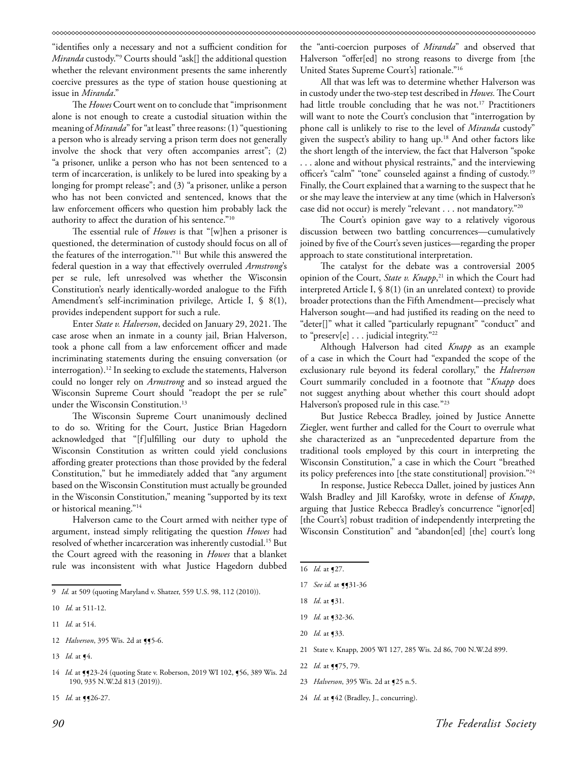"identifies only a necessary and not a sufficient condition for *Miranda* custody."9 Courts should "ask[] the additional question whether the relevant environment presents the same inherently coercive pressures as the type of station house questioning at issue in *Miranda*."

The *Howes* Court went on to conclude that "imprisonment alone is not enough to create a custodial situation within the meaning of *Miranda*" for "at least" three reasons: (1) "questioning a person who is already serving a prison term does not generally involve the shock that very often accompanies arrest"; (2) "a prisoner, unlike a person who has not been sentenced to a term of incarceration, is unlikely to be lured into speaking by a longing for prompt release"; and (3) "a prisoner, unlike a person who has not been convicted and sentenced, knows that the law enforcement officers who question him probably lack the authority to affect the duration of his sentence."10

The essential rule of *Howes* is that "[w]hen a prisoner is questioned, the determination of custody should focus on all of the features of the interrogation."11 But while this answered the federal question in a way that effectively overruled *Armstrong*'s per se rule, left unresolved was whether the Wisconsin Constitution's nearly identically-worded analogue to the Fifth Amendment's self-incrimination privilege, Article I, § 8(1), provides independent support for such a rule.

Enter *State v. Halverson*, decided on January 29, 2021. The case arose when an inmate in a county jail, Brian Halverson, took a phone call from a law enforcement officer and made incriminating statements during the ensuing conversation (or interrogation).<sup>12</sup> In seeking to exclude the statements, Halverson could no longer rely on *Armstrong* and so instead argued the Wisconsin Supreme Court should "readopt the per se rule" under the Wisconsin Constitution.13

The Wisconsin Supreme Court unanimously declined to do so. Writing for the Court, Justice Brian Hagedorn acknowledged that "[f]ulfilling our duty to uphold the Wisconsin Constitution as written could yield conclusions affording greater protections than those provided by the federal Constitution," but he immediately added that "any argument based on the Wisconsin Constitution must actually be grounded in the Wisconsin Constitution," meaning "supported by its text or historical meaning."14

Halverson came to the Court armed with neither type of argument, instead simply relitigating the question *Howes* had resolved of whether incarceration was inherently custodial.15 But the Court agreed with the reasoning in *Howes* that a blanket rule was inconsistent with what Justice Hagedorn dubbed

- 12 *Halverson*, 395 Wis. 2d at 115-6.
- 13 *Id.* at ¶4.

15 *Id.* at **[[**26-27.

the "anti-coercion purposes of *Miranda*" and observed that Halverson "offer[ed] no strong reasons to diverge from [the United States Supreme Court's] rationale."16

All that was left was to determine whether Halverson was in custody under the two-step test described in *Howes.* The Court had little trouble concluding that he was not.<sup>17</sup> Practitioners will want to note the Court's conclusion that "interrogation by phone call is unlikely to rise to the level of *Miranda* custody" given the suspect's ability to hang up.18 And other factors like the short length of the interview, the fact that Halverson "spoke . . . alone and without physical restraints," and the interviewing officer's "calm" "tone" counseled against a finding of custody.19 Finally, the Court explained that a warning to the suspect that he or she may leave the interview at any time (which in Halverson's case did not occur) is merely "relevant . . . not mandatory."20

The Court's opinion gave way to a relatively vigorous discussion between two battling concurrences—cumulatively joined by five of the Court's seven justices—regarding the proper approach to state constitutional interpretation.

The catalyst for the debate was a controversial 2005 opinion of the Court, *State v. Knapp*, 21 in which the Court had interpreted Article I, § 8(1) (in an unrelated context) to provide broader protections than the Fifth Amendment—precisely what Halverson sought—and had justified its reading on the need to "deter[]" what it called "particularly repugnant" "conduct" and to "preserv[e] . . . judicial integrity."22

Although Halverson had cited *Knapp* as an example of a case in which the Court had "expanded the scope of the exclusionary rule beyond its federal corollary," the *Halverson* Court summarily concluded in a footnote that "*Knapp* does not suggest anything about whether this court should adopt Halverson's proposed rule in this case*.*"23

But Justice Rebecca Bradley, joined by Justice Annette Ziegler, went further and called for the Court to overrule what she characterized as an "unprecedented departure from the traditional tools employed by this court in interpreting the Wisconsin Constitution," a case in which the Court "breathed its policy preferences into [the state constitutional] provision."24

In response, Justice Rebecca Dallet, joined by justices Ann Walsh Bradley and Jill Karofsky, wrote in defense of *Knapp*, arguing that Justice Rebecca Bradley's concurrence "ignor[ed] [the Court's] robust tradition of independently interpreting the Wisconsin Constitution" and "abandon[ed] [the] court's long

16 *Id.* at ¶27.

17 *See id.* at **[**§31-36

- 18 *Id*. at ¶31.
- 19 *Id.* at ¶32-36.
- 20 *Id.* at ¶33.
- 21 State v. Knapp, 2005 WI 127, 285 Wis. 2d 86, 700 N.W.2d 899.
- 22 *Id.* at **[**¶75, 79.
- 23 *Halverson*, 395 Wis. 2d at ¶25 n.5.
- 24 *Id.* at §42 (Bradley, J., concurring).

<sup>9</sup> *Id.* at 509 (quoting Maryland v. Shatzer, 559 U.S. 98, 112 (2010)).

<sup>10</sup> *Id.* at 511-12.

<sup>11</sup> *Id.* at 514.

<sup>14</sup> *Id.* at  $\P$ 23-24 (quoting State v. Roberson, 2019 WI 102,  $\P$ 56, 389 Wis. 2d 190, 935 N.W.2d 813 (2019)).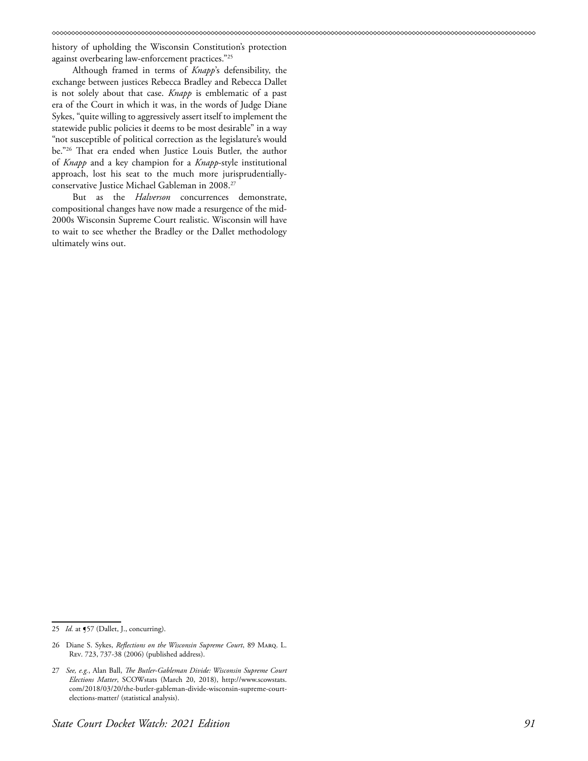history of upholding the Wisconsin Constitution's protection against overbearing law-enforcement practices."25

Although framed in terms of *Knapp*'s defensibility, the exchange between justices Rebecca Bradley and Rebecca Dallet is not solely about that case. *Knapp* is emblematic of a past era of the Court in which it was, in the words of Judge Diane Sykes, "quite willing to aggressively assert itself to implement the statewide public policies it deems to be most desirable" in a way "not susceptible of political correction as the legislature's would be."26 That era ended when Justice Louis Butler, the author of *Knapp* and a key champion for a *Knapp*-style institutional approach, lost his seat to the much more jurisprudentiallyconservative Justice Michael Gableman in 2008.27

But as the *Halverson* concurrences demonstrate, compositional changes have now made a resurgence of the mid-2000s Wisconsin Supreme Court realistic. Wisconsin will have to wait to see whether the Bradley or the Dallet methodology ultimately wins out.

<sup>25</sup> *Id.* at §57 (Dallet, J., concurring).

<sup>26</sup> Diane S. Sykes, *Reflections on the Wisconsin Supreme Court*, 89 Marq. L. Rev. 723, 737-38 (2006) (published address).

<sup>27</sup> *See, e.g.*, Alan Ball, *The Butler-Gableman Divide: Wisconsin Supreme Court Elections Matter*, SCOWstats (March 20, 2018), http://www.scowstats. com/2018/03/20/the-butler-gableman-divide-wisconsin-supreme-courtelections-matter/ (statistical analysis).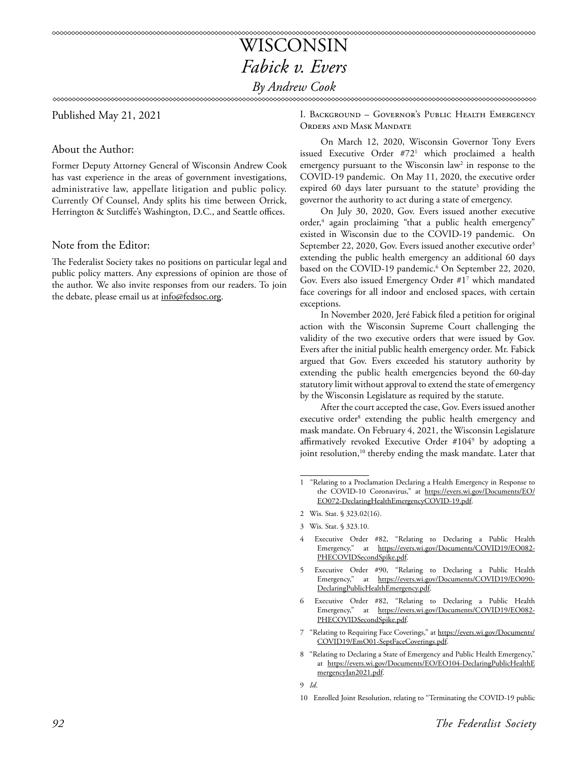### WISCONSIN *Fabick v. Evers By Andrew Cook*

Published May 21, 2021

About the Author:

Former Deputy Attorney General of Wisconsin Andrew Cook has vast experience in the areas of government investigations, administrative law, appellate litigation and public policy. Currently Of Counsel, Andy splits his time between Orrick, Herrington & Sutcliffe's Washington, D.C., and Seattle offices.

### Note from the Editor:

The Federalist Society takes no positions on particular legal and public policy matters. Any expressions of opinion are those of the author. We also invite responses from our readers. To join the debate, please email us at info@fedsoc.org.

I. Background – Governor's Public Health Emergency Orders and Mask Mandate

On March 12, 2020, Wisconsin Governor Tony Evers issued Executive Order #721 which proclaimed a health emergency pursuant to the Wisconsin  $law<sup>2</sup>$  in response to the COVID-19 pandemic. On May 11, 2020, the executive order expired 60 days later pursuant to the statute<sup>3</sup> providing the governor the authority to act during a state of emergency.

On July 30, 2020, Gov. Evers issued another executive order,4 again proclaiming "that a public health emergency" existed in Wisconsin due to the COVID-19 pandemic. On September 22, 2020, Gov. Evers issued another executive order<sup>5</sup> extending the public health emergency an additional 60 days based on the COVID-19 pandemic.<sup>6</sup> On September 22, 2020, Gov. Evers also issued Emergency Order #17 which mandated face coverings for all indoor and enclosed spaces, with certain exceptions.

In November 2020, Jeré Fabick filed a petition for original action with the Wisconsin Supreme Court challenging the validity of the two executive orders that were issued by Gov. Evers after the initial public health emergency order. Mr. Fabick argued that Gov. Evers exceeded his statutory authority by extending the public health emergencies beyond the 60-day statutory limit without approval to extend the state of emergency by the Wisconsin Legislature as required by the statute.

After the court accepted the case, Gov. Evers issued another executive order<sup>8</sup> extending the public health emergency and mask mandate. On February 4, 2021, the Wisconsin Legislature affirmatively revoked Executive Order #1049 by adopting a joint resolution,<sup>10</sup> thereby ending the mask mandate. Later that

- Executive Order #82, "Relating to Declaring a Public Health Emergency," at [https://evers.wi.gov/Documents/COVID19/EO082-](https://evers.wi.gov/Documents/COVID19/EO082-PHECOVIDSecondSpike.pdf) [PHECOVIDSecondSpike.pdf.](https://evers.wi.gov/Documents/COVID19/EO082-PHECOVIDSecondSpike.pdf)
- 5 Executive Order #90, "Relating to Declaring a Public Health Emergency," at [https://evers.wi.gov/Documents/COVID19/EO090-](https://evers.wi.gov/Documents/COVID19/EO090-DeclaringPublicHealthEmergency.pdf) [DeclaringPublicHealthEmergency.pdf](https://evers.wi.gov/Documents/COVID19/EO090-DeclaringPublicHealthEmergency.pdf).
- Executive Order #82, "Relating to Declaring a Public Health Emergency," at [https://evers.wi.gov/Documents/COVID19/EO082-](https://evers.wi.gov/Documents/COVID19/EO082-PHECOVIDSecondSpike.pdf) [PHECOVIDSecondSpike.pdf.](https://evers.wi.gov/Documents/COVID19/EO082-PHECOVIDSecondSpike.pdf)
- 7 "Relating to Requiring Face Coverings," at [https://evers.wi.gov/Documents/](https://evers.wi.gov/Documents/COVID19/EmO01-SeptFaceCoverings.pdf) [COVID19/EmO01-SeptFaceCoverings.pdf](https://evers.wi.gov/Documents/COVID19/EmO01-SeptFaceCoverings.pdf).
- 8 "Relating to Declaring a State of Emergency and Public Health Emergency," at [https://evers.wi.gov/Documents/EO/EO104-DeclaringPublicHealthE](https://evers.wi.gov/Documents/EO/EO104-DeclaringPublicHealthEmergencyJan2021.pdf) [mergencyJan2021.pdf.](https://evers.wi.gov/Documents/EO/EO104-DeclaringPublicHealthEmergencyJan2021.pdf)

9 *Id*.

10 Enrolled Joint Resolution, relating to "Terminating the COVID-19 public

<sup>1 &</sup>quot;Relating to a Proclamation Declaring a Health Emergency in Response to the COVID-10 Coronavirus," at [https://evers.wi.gov/Documents/EO/](https://evers.wi.gov/Documents/EO/EO072-DeclaringHealthEmergencyCOVID-19.pdf) [EO072-DeclaringHealthEmergencyCOVID-19.pdf.](https://evers.wi.gov/Documents/EO/EO072-DeclaringHealthEmergencyCOVID-19.pdf)

<sup>2</sup> Wis. Stat. § 323.02(16).

<sup>3</sup> Wis. Stat. § 323.10.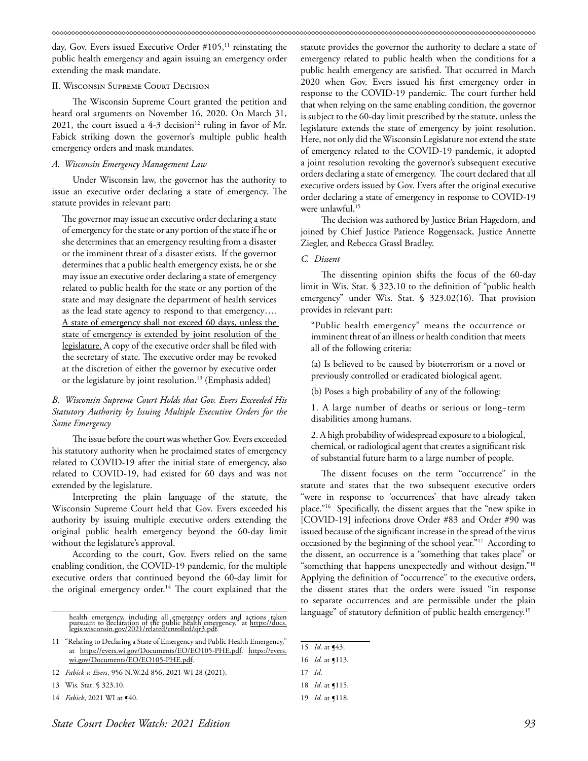day, Gov. Evers issued Executive Order #105,<sup>11</sup> reinstating the public health emergency and again issuing an emergency order extending the mask mandate.

#### II. Wisconsin Supreme Court Decision

The Wisconsin Supreme Court granted the petition and heard oral arguments on November 16, 2020. On March 31, 2021, the court issued a 4-3 decision<sup>12</sup> ruling in favor of Mr. Fabick striking down the governor's multiple public health emergency orders and mask mandates.

#### *A. Wisconsin Emergency Management Law*

Under Wisconsin law, the governor has the authority to issue an executive order declaring a state of emergency. The statute provides in relevant part:

The governor may issue an executive order declaring a state of emergency for the state or any portion of the state if he or she determines that an emergency resulting from a disaster or the imminent threat of a disaster exists. If the governor determines that a public health emergency exists, he or she may issue an executive order declaring a state of emergency related to public health for the state or any portion of the state and may designate the department of health services as the lead state agency to respond to that emergency…. A state of emergency shall not exceed 60 days, unless the state of emergency is extended by joint resolution of the legislature. A copy of the executive order shall be filed with the secretary of state. The executive order may be revoked at the discretion of either the governor by executive order or the legislature by joint resolution.<sup>13</sup> (Emphasis added)

### *B. Wisconsin Supreme Court Holds that Gov. Evers Exceeded His Statutory Authority by Issuing Multiple Executive Orders for the Same Emergency*

The issue before the court was whether Gov. Evers exceeded his statutory authority when he proclaimed states of emergency related to COVID-19 after the initial state of emergency, also related to COVID-19, had existed for 60 days and was not extended by the legislature.

Interpreting the plain language of the statute, the Wisconsin Supreme Court held that Gov. Evers exceeded his authority by issuing multiple executive orders extending the original public health emergency beyond the 60-day limit without the legislature's approval.

According to the court, Gov. Evers relied on the same enabling condition, the COVID-19 pandemic, for the multiple executive orders that continued beyond the 60-day limit for the original emergency order.<sup>14</sup> The court explained that the

health emergency, including all emergency orders and actions taken<br>pursuant to declaration of the public health emergency," at <u>[https://docs.](https://docs.legis.wisconsin.gov/2021/related/enrolled/sjr3.pdf)</u><br>leg<u>is.wisconsin.gov/2021/related/enrolled/sjr3.pdf</u>.

statute provides the governor the authority to declare a state of emergency related to public health when the conditions for a public health emergency are satisfied. That occurred in March 2020 when Gov. Evers issued his first emergency order in response to the COVID-19 pandemic. The court further held that when relying on the same enabling condition, the governor is subject to the 60-day limit prescribed by the statute, unless the legislature extends the state of emergency by joint resolution. Here, not only did the Wisconsin Legislature not extend the state of emergency related to the COVID-19 pandemic, it adopted a joint resolution revoking the governor's subsequent executive orders declaring a state of emergency. The court declared that all executive orders issued by Gov. Evers after the original executive order declaring a state of emergency in response to COVID-19 were unlawful.<sup>15</sup>

The decision was authored by Justice Brian Hagedorn, and joined by Chief Justice Patience Roggensack, Justice Annette Ziegler, and Rebecca Grassl Bradley.

### *C. Dissent*

The dissenting opinion shifts the focus of the 60-day limit in Wis. Stat. § 323.10 to the definition of "public health emergency" under Wis. Stat. § 323.02(16). That provision provides in relevant part:

"Public health emergency" means the occurrence or imminent threat of an illness or health condition that meets all of the following criteria:

(a) Is believed to be caused by bioterrorism or a novel or previously controlled or eradicated biological agent.

(b) Poses a high probability of any of the following:

1. A large number of deaths or serious or long−term disabilities among humans.

2. A high probability of widespread exposure to a biological, chemical, or radiological agent that creates a significant risk of substantial future harm to a large number of people.

The dissent focuses on the term "occurrence" in the statute and states that the two subsequent executive orders "were in response to 'occurrences' that have already taken place."16 Specifically, the dissent argues that the "new spike in [COVID-19] infections drove Order #83 and Order #90 was issued because of the significant increase in the spread of the virus occasioned by the beginning of the school year."17 According to the dissent, an occurrence is a "something that takes place" or "something that happens unexpectedly and without design."18 Applying the definition of "occurrence" to the executive orders, the dissent states that the orders were issued "in response to separate occurrences and are permissible under the plain language" of statutory definition of public health emergency.<sup>19</sup>

<sup>11 &</sup>quot;Relating to Declaring a State of Emergency and Public Health Emergency," at <https://evers.wi.gov/Documents/EO/EO105-PHE.pdf>. [https://evers.](https://evers.wi.gov/Documents/EO/EO105-PHE.pdf) [wi.gov/Documents/EO/EO105-PHE.pdf](https://evers.wi.gov/Documents/EO/EO105-PHE.pdf).

<sup>12</sup> *Fabick v. Evers*, 956 N.W.2d 856, 2021 WI 28 (2021).

<sup>13</sup> Wis. Stat. § 323.10.

<sup>14</sup> *Fabick*, 2021 WI at  $\P{40}$ .

<sup>15</sup> *Id*. at ¶43.

<sup>16</sup> *Id*. at ¶113.

<sup>17</sup> *Id*.

<sup>18</sup> *Id*. at ¶115.

<sup>19</sup> *Id*. at ¶118.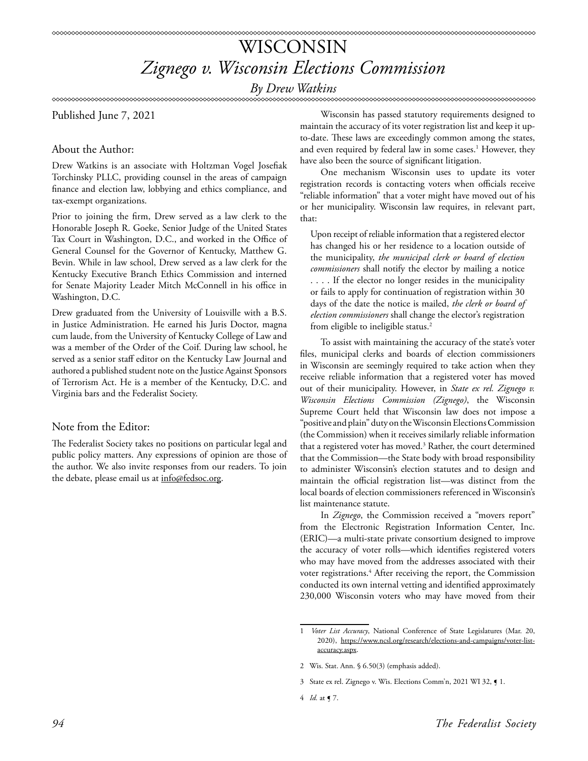# WISCONSIN *Zignego v. Wisconsin Elections Commission*

*By Drew Watkins*

Published June 7, 2021

### About the Author:

Drew Watkins is an associate with Holtzman Vogel Josefiak Torchinsky PLLC, providing counsel in the areas of campaign finance and election law, lobbying and ethics compliance, and tax-exempt organizations.

Prior to joining the firm, Drew served as a law clerk to the Honorable Joseph R. Goeke, Senior Judge of the United States Tax Court in Washington, D.C., and worked in the Office of General Counsel for the Governor of Kentucky, Matthew G. Bevin. While in law school, Drew served as a law clerk for the Kentucky Executive Branch Ethics Commission and interned for Senate Majority Leader Mitch McConnell in his office in Washington, D.C.

Drew graduated from the University of Louisville with a B.S. in Justice Administration. He earned his Juris Doctor, magna cum laude, from the University of Kentucky College of Law and was a member of the Order of the Coif. During law school, he served as a senior staff editor on the Kentucky Law Journal and authored a published student note on the Justice Against Sponsors of Terrorism Act. He is a member of the Kentucky, D.C. and Virginia bars and the Federalist Society.

### Note from the Editor:

The Federalist Society takes no positions on particular legal and public policy matters. Any expressions of opinion are those of the author. We also invite responses from our readers. To join the debate, please email us at info@fedsoc.org.

Wisconsin has passed statutory requirements designed to maintain the accuracy of its voter registration list and keep it upto-date. These laws are exceedingly common among the states, and even required by federal law in some cases.<sup>1</sup> However, they have also been the source of significant litigation.

One mechanism Wisconsin uses to update its voter registration records is contacting voters when officials receive "reliable information" that a voter might have moved out of his or her municipality. Wisconsin law requires, in relevant part, that:

Upon receipt of reliable information that a registered elector has changed his or her residence to a location outside of the municipality, *the municipal clerk or board of election commissioners* shall notify the elector by mailing a notice . . . . If the elector no longer resides in the municipality or fails to apply for continuation of registration within 30 days of the date the notice is mailed, *the clerk or board of election commissioners* shall change the elector's registration from eligible to ineligible status.<sup>2</sup>

To assist with maintaining the accuracy of the state's voter files, municipal clerks and boards of election commissioners in Wisconsin are seemingly required to take action when they receive reliable information that a registered voter has moved out of their municipality. However, in *State ex rel. Zignego v. Wisconsin Elections Commission (Zignego)*, the Wisconsin Supreme Court held that Wisconsin law does not impose a "positive and plain" duty on the Wisconsin Elections Commission (the Commission) when it receives similarly reliable information that a registered voter has moved.<sup>3</sup> Rather, the court determined that the Commission—the State body with broad responsibility to administer Wisconsin's election statutes and to design and maintain the official registration list—was distinct from the local boards of election commissioners referenced in Wisconsin's list maintenance statute.

In *Zignego*, the Commission received a "movers report" from the Electronic Registration Information Center, Inc. (ERIC)—a multi-state private consortium designed to improve the accuracy of voter rolls—which identifies registered voters who may have moved from the addresses associated with their voter registrations.4 After receiving the report, the Commission conducted its own internal vetting and identified approximately 230,000 Wisconsin voters who may have moved from their

<sup>1</sup> *Voter List Accuracy*, National Conference of State Legislatures (Mar. 20, 2020), [https://www.ncsl.org/research/elections-and-campaigns/voter-list](https://www.ncsl.org/research/elections-and-campaigns/voter-list-accuracy.aspx)[accuracy.aspx](https://www.ncsl.org/research/elections-and-campaigns/voter-list-accuracy.aspx).

<sup>2</sup> Wis. Stat. Ann. § 6.50(3) (emphasis added).

<sup>3</sup> State ex rel. Zignego v. Wis. Elections Comm'n, 2021 WI 32,  $\blacklozenge$  1.

<sup>4</sup> *Id.* at ¶ 7.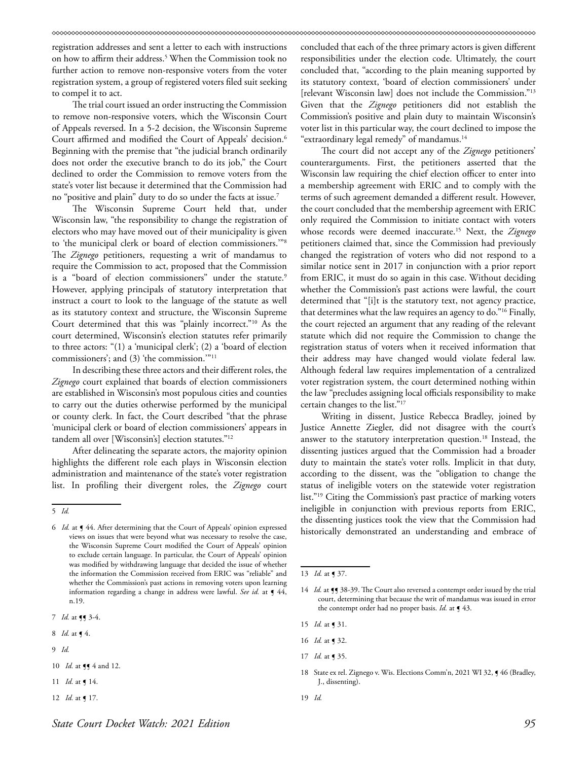registration addresses and sent a letter to each with instructions on how to affirm their address.5 When the Commission took no further action to remove non-responsive voters from the voter registration system, a group of registered voters filed suit seeking to compel it to act.

The trial court issued an order instructing the Commission to remove non-responsive voters, which the Wisconsin Court of Appeals reversed. In a 5-2 decision, the Wisconsin Supreme Court affirmed and modified the Court of Appeals' decision.<sup>6</sup> Beginning with the premise that "the judicial branch ordinarily does not order the executive branch to do its job," the Court declined to order the Commission to remove voters from the state's voter list because it determined that the Commission had no "positive and plain" duty to do so under the facts at issue.7

The Wisconsin Supreme Court held that, under Wisconsin law, "the responsibility to change the registration of electors who may have moved out of their municipality is given to 'the municipal clerk or board of election commissioners.'"8 The *Zignego* petitioners, requesting a writ of mandamus to require the Commission to act, proposed that the Commission is a "board of election commissioners" under the statute.<sup>9</sup> However, applying principals of statutory interpretation that instruct a court to look to the language of the statute as well as its statutory context and structure, the Wisconsin Supreme Court determined that this was "plainly incorrect."10 As the court determined, Wisconsin's election statutes refer primarily to three actors: "(1) a 'municipal clerk'; (2) a 'board of election commissioners'; and (3) 'the commission.'"11

In describing these three actors and their different roles, the *Zignego* court explained that boards of election commissioners are established in Wisconsin's most populous cities and counties to carry out the duties otherwise performed by the municipal or county clerk. In fact, the Court described "that the phrase 'municipal clerk or board of election commissioners' appears in tandem all over [Wisconsin's] election statutes."12

After delineating the separate actors, the majority opinion highlights the different role each plays in Wisconsin election administration and maintenance of the state's voter registration list. In profiling their divergent roles, the *Zignego* court

9 *Id.*

- 11 *Id.* at ¶ 14.
- 12 *Id.* at **[** 17.

concluded that each of the three primary actors is given different responsibilities under the election code. Ultimately, the court concluded that, "according to the plain meaning supported by its statutory context, 'board of election commissioners' under [relevant Wisconsin law] does not include the Commission."13 Given that the *Zignego* petitioners did not establish the Commission's positive and plain duty to maintain Wisconsin's voter list in this particular way, the court declined to impose the "extraordinary legal remedy" of mandamus.14

The court did not accept any of the *Zignego* petitioners' counterarguments. First, the petitioners asserted that the Wisconsin law requiring the chief election officer to enter into a membership agreement with ERIC and to comply with the terms of such agreement demanded a different result. However, the court concluded that the membership agreement with ERIC only required the Commission to initiate contact with voters whose records were deemed inaccurate.15 Next, the *Zignego* petitioners claimed that, since the Commission had previously changed the registration of voters who did not respond to a similar notice sent in 2017 in conjunction with a prior report from ERIC, it must do so again in this case. Without deciding whether the Commission's past actions were lawful, the court determined that "[i]t is the statutory text, not agency practice, that determines what the law requires an agency to do."16 Finally, the court rejected an argument that any reading of the relevant statute which did not require the Commission to change the registration status of voters when it received information that their address may have changed would violate federal law. Although federal law requires implementation of a centralized voter registration system, the court determined nothing within the law "precludes assigning local officials responsibility to make certain changes to the list."17

Writing in dissent, Justice Rebecca Bradley, joined by Justice Annette Ziegler, did not disagree with the court's answer to the statutory interpretation question.<sup>18</sup> Instead, the dissenting justices argued that the Commission had a broader duty to maintain the state's voter rolls. Implicit in that duty, according to the dissent, was the "obligation to change the status of ineligible voters on the statewide voter registration list."19 Citing the Commission's past practice of marking voters ineligible in conjunction with previous reports from ERIC, the dissenting justices took the view that the Commission had historically demonstrated an understanding and embrace of

- 16 *Id.* at ¶ 32.
- 17 *Id.* at ¶ 35.

<sup>5</sup> *Id.*

<sup>6</sup> *Id.* at ¶ 44. After determining that the Court of Appeals' opinion expressed views on issues that were beyond what was necessary to resolve the case, the Wisconsin Supreme Court modified the Court of Appeals' opinion to exclude certain language. In particular, the Court of Appeals' opinion was modified by withdrawing language that decided the issue of whether the information the Commission received from ERIC was "reliable" and whether the Commission's past actions in removing voters upon learning information regarding a change in address were lawful. See id. at  $\P$  44, n.19.

<sup>7</sup> *Id.* at **[]** 3-4.

<sup>8</sup> *Id.* at ¶ 4.

<sup>10</sup> *Id.* at **[]** 4 and 12.

<sup>13</sup> *Id.* at ¶ 37.

<sup>14</sup> *Id.* at **[**] 38-39. The Court also reversed a contempt order issued by the trial court, determining that because the writ of mandamus was issued in error the contempt order had no proper basis. *Id.* at  $\int$  43.

<sup>15</sup> *Id.* at ¶ 31.

<sup>18</sup> State ex rel. Zignego v. Wis. Elections Comm'n, 2021 WI 32,  $\blacklozenge$  46 (Bradley, J., dissenting).

<sup>19</sup> *Id.*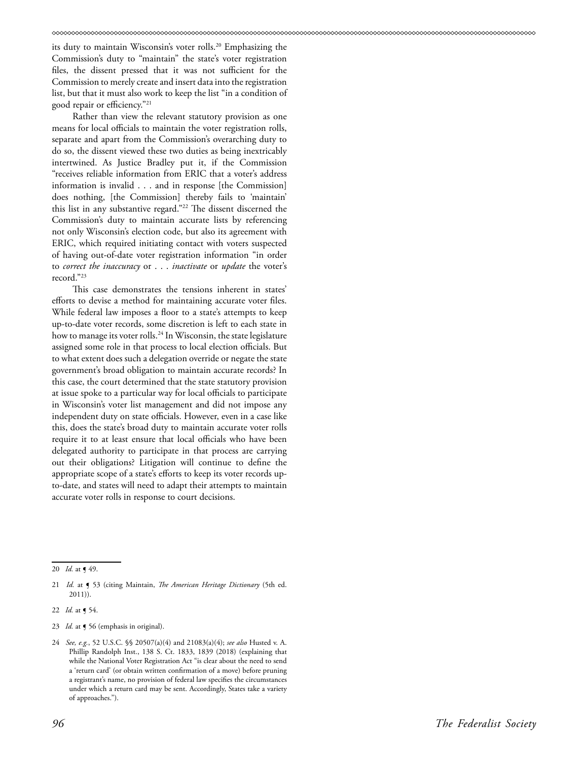its duty to maintain Wisconsin's voter rolls.<sup>20</sup> Emphasizing the Commission's duty to "maintain" the state's voter registration files, the dissent pressed that it was not sufficient for the Commission to merely create and insert data into the registration list, but that it must also work to keep the list "in a condition of good repair or efficiency."21

Rather than view the relevant statutory provision as one means for local officials to maintain the voter registration rolls, separate and apart from the Commission's overarching duty to do so, the dissent viewed these two duties as being inextricably intertwined. As Justice Bradley put it, if the Commission "receives reliable information from ERIC that a voter's address information is invalid . . . and in response [the Commission] does nothing, [the Commission] thereby fails to 'maintain' this list in any substantive regard."22 The dissent discerned the Commission's duty to maintain accurate lists by referencing not only Wisconsin's election code, but also its agreement with ERIC, which required initiating contact with voters suspected of having out-of-date voter registration information "in order to *correct the inaccuracy* or . . . *inactivate* or *update* the voter's record."23

This case demonstrates the tensions inherent in states' efforts to devise a method for maintaining accurate voter files. While federal law imposes a floor to a state's attempts to keep up-to-date voter records, some discretion is left to each state in how to manage its voter rolls.<sup>24</sup> In Wisconsin, the state legislature assigned some role in that process to local election officials. But to what extent does such a delegation override or negate the state government's broad obligation to maintain accurate records? In this case, the court determined that the state statutory provision at issue spoke to a particular way for local officials to participate in Wisconsin's voter list management and did not impose any independent duty on state officials. However, even in a case like this, does the state's broad duty to maintain accurate voter rolls require it to at least ensure that local officials who have been delegated authority to participate in that process are carrying out their obligations? Litigation will continue to define the appropriate scope of a state's efforts to keep its voter records upto-date, and states will need to adapt their attempts to maintain accurate voter rolls in response to court decisions.

<sup>20</sup> *Id.* at ¶ 49.

<sup>21</sup> *Id.* at ¶ 53 (citing Maintain, *The American Heritage Dictionary* (5th ed. 2011)).

<sup>22</sup> *Id.* at ¶ 54.

<sup>23</sup> *Id.* at  $\triangleleft$  56 (emphasis in original).

<sup>24</sup> *See, e.g.*, 52 U.S.C. §§ 20507(a)(4) and 21083(a)(4); *see also* Husted v. A. Phillip Randolph Inst., 138 S. Ct. 1833, 1839 (2018) (explaining that while the National Voter Registration Act "is clear about the need to send a 'return card' (or obtain written confirmation of a move) before pruning a registrant's name, no provision of federal law specifies the circumstances under which a return card may be sent. Accordingly, States take a variety of approaches.").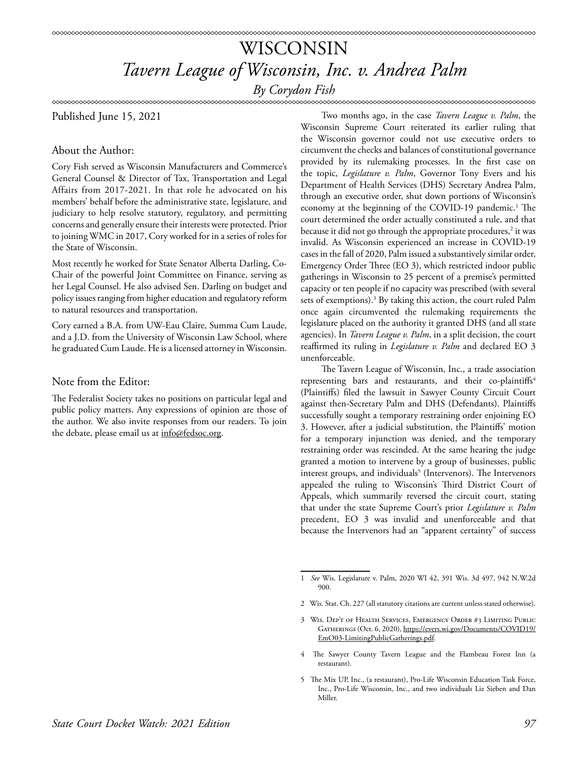### WISCONSIN *Tavern League of Wisconsin, Inc. v. Andrea Palm By Corydon Fish*

Published June 15, 2021

### About the Author:

Cory Fish served as Wisconsin Manufacturers and Commerce's General Counsel & Director of Tax, Transportation and Legal Affairs from 2017-2021. In that role he advocated on his members' behalf before the administrative state, legislature, and judiciary to help resolve statutory, regulatory, and permitting concerns and generally ensure their interests were protected. Prior to joining WMC in 2017, Cory worked for in a series of roles for the State of Wisconsin.

Most recently he worked for State Senator Alberta Darling, Co-Chair of the powerful Joint Committee on Finance, serving as her Legal Counsel. He also advised Sen. Darling on budget and policy issues ranging from higher education and regulatory reform to natural resources and transportation.

Cory earned a B.A. from UW-Eau Claire, Summa Cum Laude, and a J.D. from the University of Wisconsin Law School, where he graduated Cum Laude. He is a licensed attorney in Wisconsin.

### Note from the Editor:

The Federalist Society takes no positions on particular legal and public policy matters. Any expressions of opinion are those of the author. We also invite responses from our readers. To join the debate, please email us at info@fedsoc.org.

Two months ago, in the case *Tavern League v. Palm*, the Wisconsin Supreme Court reiterated its earlier ruling that the Wisconsin governor could not use executive orders to circumvent the checks and balances of constitutional governance provided by its rulemaking processes. In the first case on the topic, *Legislature v. Palm*, Governor Tony Evers and his Department of Health Services (DHS) Secretary Andrea Palm, through an executive order, shut down portions of Wisconsin's economy at the beginning of the COVID-19 pandemic.<sup>1</sup> The court determined the order actually constituted a rule, and that because it did not go through the appropriate procedures,<sup>2</sup> it was invalid. As Wisconsin experienced an increase in COVID-19 cases in the fall of 2020, Palm issued a substantively similar order, Emergency Order Three (EO 3), which restricted indoor public gatherings in Wisconsin to 25 percent of a premise's permitted capacity or ten people if no capacity was prescribed (with several sets of exemptions).<sup>3</sup> By taking this action, the court ruled Palm once again circumvented the rulemaking requirements the legislature placed on the authority it granted DHS (and all state agencies). In *Tavern League v. Palm*, in a split decision, the court reaffirmed its ruling in *Legislature v. Palm* and declared EO 3 unenforceable.

The Tavern League of Wisconsin, Inc., a trade association representing bars and restaurants, and their co-plaintiffs<sup>4</sup> (Plaintiffs) filed the lawsuit in Sawyer County Circuit Court against then-Secretary Palm and DHS (Defendants). Plaintiffs successfully sought a temporary restraining order enjoining EO 3. However, after a judicial substitution, the Plaintiffs' motion for a temporary injunction was denied, and the temporary restraining order was rescinded. At the same hearing the judge granted a motion to intervene by a group of businesses, public interest groups, and individuals<sup>5</sup> (Intervenors). The Intervenors appealed the ruling to Wisconsin's Third District Court of Appeals, which summarily reversed the circuit court, stating that under the state Supreme Court's prior *Legislature v. Palm*  precedent, EO 3 was invalid and unenforceable and that because the Intervenors had an "apparent certainty" of success

2 Wis. Stat. Ch. 227 (all statutory citations are current unless stated otherwise).

- 4 The Sawyer County Tavern League and the Flambeau Forest Inn (a restaurant).
- 5 The Mix UP, Inc., (a restaurant), Pro-Life Wisconsin Education Task Force, Inc., Pro-Life Wisconsin, Inc., and two individuals Liz Sieben and Dan Miller.

<sup>1</sup> *See* Wis. Legislature v. Palm, 2020 WI 42, 391 Wis. 3d 497, 942 N.W.2d 900.

<sup>3</sup> Wis. Dep't of Health Services, Emergency Order #3 Limiting Public Gatherings (Oct. 6, 2020), [https://evers.wi.gov/Documents/COVID19/](https://evers.wi.gov/Documents/COVID19/EmO03-LimitingPublicGatherings.pdf) [EmO03-LimitingPublicGatherings.pdf.](https://evers.wi.gov/Documents/COVID19/EmO03-LimitingPublicGatherings.pdf)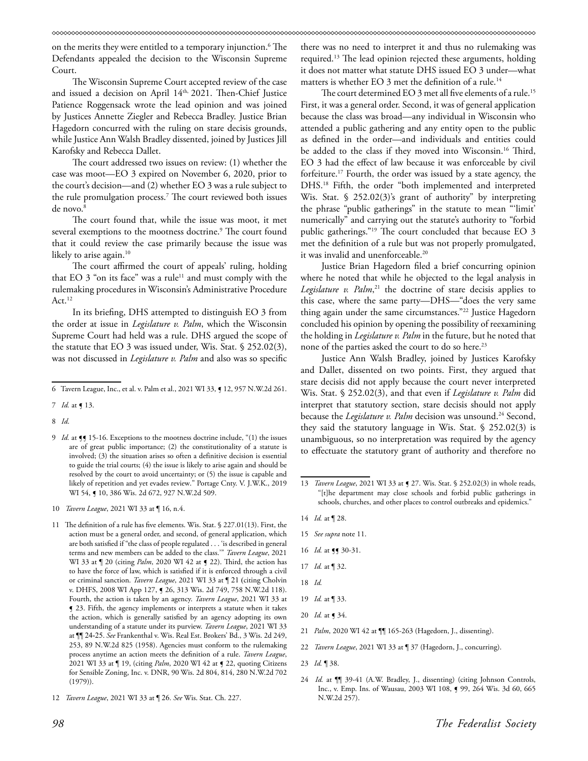on the merits they were entitled to a temporary injunction.6 The Defendants appealed the decision to the Wisconsin Supreme Court.

The Wisconsin Supreme Court accepted review of the case and issued a decision on April 14th, 2021. Then-Chief Justice Patience Roggensack wrote the lead opinion and was joined by Justices Annette Ziegler and Rebecca Bradley. Justice Brian Hagedorn concurred with the ruling on stare decisis grounds, while Justice Ann Walsh Bradley dissented, joined by Justices Jill Karofsky and Rebecca Dallet.

The court addressed two issues on review: (1) whether the case was moot—EO 3 expired on November 6, 2020, prior to the court's decision—and (2) whether EO 3 was a rule subject to the rule promulgation process.7 The court reviewed both issues de novo.<sup>8</sup>

The court found that, while the issue was moot, it met several exemptions to the mootness doctrine.<sup>9</sup> The court found that it could review the case primarily because the issue was likely to arise again.<sup>10</sup>

The court affirmed the court of appeals' ruling, holding that EO  $3$  "on its face" was a rule<sup>11</sup> and must comply with the rulemaking procedures in Wisconsin's Administrative Procedure Act.<sup>12</sup>

In its briefing, DHS attempted to distinguish EO 3 from the order at issue in *Legislature v. Palm*, which the Wisconsin Supreme Court had held was a rule. DHS argued the scope of the statute that EO 3 was issued under, Wis. Stat. § 252.02(3), was not discussed in *Legislature v. Palm* and also was so specific

- 10 *Tavern League*, 2021 WI 33 at ¶ 16, n.4.
- 11 The definition of a rule has five elements. Wis. Stat. § 227.01(13). First, the action must be a general order, and second, of general application, which are both satisfied if "the class of people regulated . . . 'is described in general terms and new members can be added to the class.'" *Tavern League*, 2021 WI 33 at  $\parallel$  20 (citing *Palm*, 2020 WI 42 at  $\vert$  22). Third, the action has to have the force of law, which is satisfied if it is enforced through a civil or criminal sanction. *Tavern League*, 2021 WI 33 at ¶ 21 (citing Cholvin v. DHFS, 2008 WI App 127, ¶ 26, 313 Wis. 2d 749, 758 N.W.2d 118). Fourth, the action is taken by an agency. *Tavern League*, 2021 WI 33 at ¶ 23. Fifth, the agency implements or interprets a statute when it takes the action, which is generally satisfied by an agency adopting its own understanding of a statute under its purview. *Tavern League*, 2021 WI 33 at ¶¶ 24-25. *See* Frankenthal v. Wis. Real Est. Brokers' Bd., 3 Wis. 2d 249, 253, 89 N.W.2d 825 (1958). Agencies must conform to the rulemaking process anytime an action meets the definition of a rule. *Tavern League*, 2021 WI 33 at ¶ 19, (citing *Palm*, 2020 WI 42 at ¶ 22, quoting Citizens for Sensible Zoning, Inc. v. DNR, 90 Wis. 2d 804, 814, 280 N.W.2d 702 (1979)).

there was no need to interpret it and thus no rulemaking was required.13 The lead opinion rejected these arguments, holding it does not matter what statute DHS issued EO 3 under—what matters is whether EO 3 met the definition of a rule.<sup>14</sup>

The court determined EO 3 met all five elements of a rule.<sup>15</sup> First, it was a general order. Second, it was of general application because the class was broad—any individual in Wisconsin who attended a public gathering and any entity open to the public as defined in the order—and individuals and entities could be added to the class if they moved into Wisconsin.16 Third, EO 3 had the effect of law because it was enforceable by civil forfeiture.17 Fourth, the order was issued by a state agency, the DHS.18 Fifth, the order "both implemented and interpreted Wis. Stat. § 252.02(3)'s grant of authority" by interpreting the phrase "public gatherings" in the statute to mean "'limit' numerically" and carrying out the statute's authority to "forbid public gatherings."19 The court concluded that because EO 3 met the definition of a rule but was not properly promulgated, it was invalid and unenforceable.<sup>20</sup>

Justice Brian Hagedorn filed a brief concurring opinion where he noted that while he objected to the legal analysis in *Legislature v. Palm*, <sup>21</sup> the doctrine of stare decisis applies to this case, where the same party—DHS—"does the very same thing again under the same circumstances."22 Justice Hagedorn concluded his opinion by opening the possibility of reexamining the holding in *Legislature v. Palm* in the future, but he noted that none of the parties asked the court to do so here.<sup>23</sup>

Justice Ann Walsh Bradley, joined by Justices Karofsky and Dallet, dissented on two points. First, they argued that stare decisis did not apply because the court never interpreted Wis. Stat. § 252.02(3), and that even if *Legislature v. Palm* did interpret that statutory section, stare decisis should not apply because the *Legislature v. Palm* decision was unsound.<sup>24</sup> Second, they said the statutory language in Wis. Stat. § 252.02(3) is unambiguous, so no interpretation was required by the agency to effectuate the statutory grant of authority and therefore no

- 14 *Id.* at ¶ 28.
- 15 *See supra* note 11.
- 16 *Id.* at **[]** 30-31.
- 17 *Id.* at ¶ 32.
- 18 *Id.*
- 19 *Id.* at ¶ 33.
- 20 *Id.* at ¶ 34.
- 21 *Palm*, 2020 WI 42 at ¶¶ 165-263 (Hagedorn, J., dissenting).
- 22 *Tavern League*, 2021 WI 33 at ¶ 37 (Hagedorn, J., concurring).

<sup>6</sup> Tavern League, Inc., et al. v. Palm et al., 2021 WI 33, ¶ 12, 957 N.W.2d 261.

<sup>7</sup> *Id.* at ¶ 13.

<sup>8</sup> *Id*.

<sup>9</sup> *Id.* at  $\P$  15-16. Exceptions to the mootness doctrine include, "(1) the issues are of great public importance; (2) the constitutionality of a statute is involved; (3) the situation arises so often a definitive decision is essential to guide the trial courts; (4) the issue is likely to arise again and should be resolved by the court to avoid uncertainty; or (5) the issue is capable and likely of repetition and yet evades review." Portage Cnty. V. J.W.K., 2019 WI 54,  $\bullet$  10, 386 Wis. 2d 672, 927 N.W.2d 509.

<sup>12</sup> *Tavern League*, 2021 WI 33 at ¶ 26. *See* Wis. Stat. Ch. 227.

<sup>13</sup> *Tavern League*, 2021 WI 33 at ¶ 27. Wis. Stat. § 252.02(3) in whole reads, "[t]he department may close schools and forbid public gatherings in schools, churches, and other places to control outbreaks and epidemics."

<sup>23</sup> *Id.* ¶ 38.

<sup>24</sup> *Id.* at  $\P$  39-41 (A.W. Bradley, J., dissenting) (citing Johnson Controls, Inc., v. Emp. Ins. of Wausau, 2003 WI 108, ¶ 99, 264 Wis. 3d 60, 665 N.W.2d 257).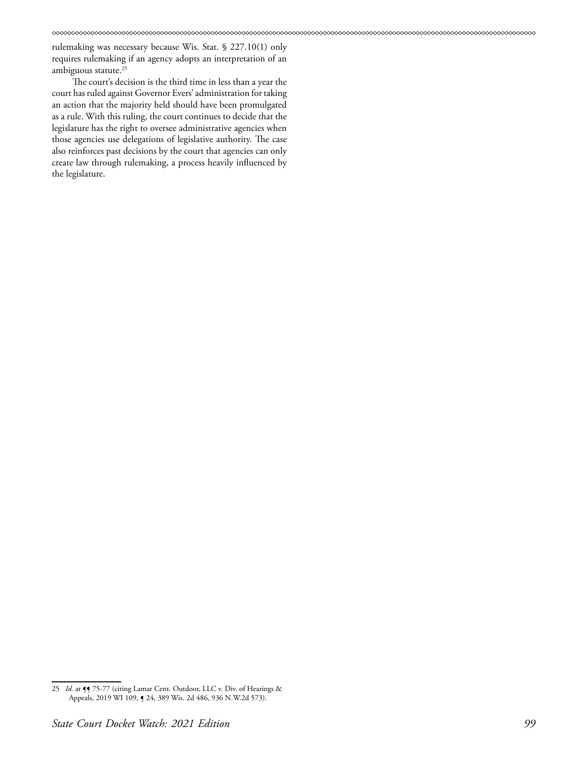rulemaking was necessary because Wis. Stat. § 227.10(1) only requires rulemaking if an agency adopts an interpretation of an ambiguous statute.<sup>25</sup>

The court's decision is the third time in less than a year the court has ruled against Governor Evers' administration for taking an action that the majority held should have been promulgated as a rule. With this ruling, the court continues to decide that the legislature has the right to oversee administrative agencies when those agencies use delegations of legislative authority. The case also reinforces past decisions by the court that agencies can only create law through rulemaking, a process heavily influenced by the legislature.

<sup>25</sup> *Id.* at  $\frac{1}{3}$  75-77 (citing Lamar Cent. Outdoor, LLC v. Div. of Hearings & Appeals, 2019 WI 109, ¶ 24, 389 Wis. 2d 486, 936 N.W.2d 573).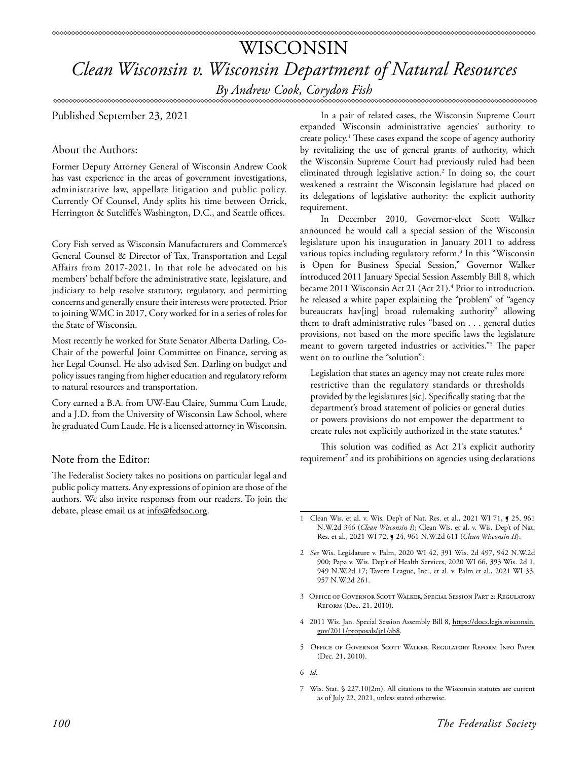### WISCONSIN *Clean Wisconsin v. Wisconsin Department of Natural Resources By Andrew Cook, Corydon Fish*

### Published September 23, 2021

### About the Authors:

Former Deputy Attorney General of Wisconsin Andrew Cook has vast experience in the areas of government investigations, administrative law, appellate litigation and public policy. Currently Of Counsel, Andy splits his time between Orrick, Herrington & Sutcliffe's Washington, D.C., and Seattle offices.

Cory Fish served as Wisconsin Manufacturers and Commerce's General Counsel & Director of Tax, Transportation and Legal Affairs from 2017-2021. In that role he advocated on his members' behalf before the administrative state, legislature, and judiciary to help resolve statutory, regulatory, and permitting concerns and generally ensure their interests were protected. Prior to joining WMC in 2017, Cory worked for in a series of roles for the State of Wisconsin.

Most recently he worked for State Senator Alberta Darling, Co-Chair of the powerful Joint Committee on Finance, serving as her Legal Counsel. He also advised Sen. Darling on budget and policy issues ranging from higher education and regulatory reform to natural resources and transportation.

Cory earned a B.A. from UW-Eau Claire, Summa Cum Laude, and a J.D. from the University of Wisconsin Law School, where he graduated Cum Laude. He is a licensed attorney in Wisconsin.

### Note from the Editor:

The Federalist Society takes no positions on particular legal and public policy matters. Any expressions of opinion are those of the authors. We also invite responses from our readers. To join the debate, please email us at info@fedsoc.org.

In a pair of related cases, the Wisconsin Supreme Court expanded Wisconsin administrative agencies' authority to create policy.1 These cases expand the scope of agency authority by revitalizing the use of general grants of authority, which the Wisconsin Supreme Court had previously ruled had been eliminated through legislative action.2 In doing so, the court weakened a restraint the Wisconsin legislature had placed on its delegations of legislative authority: the explicit authority requirement.

In December 2010, Governor-elect Scott Walker announced he would call a special session of the Wisconsin legislature upon his inauguration in January 2011 to address various topics including regulatory reform.<sup>3</sup> In this "Wisconsin is Open for Business Special Session," Governor Walker introduced 2011 January Special Session Assembly Bill 8, which became 2011 Wisconsin Act 21 (Act 21).<sup>4</sup> Prior to introduction, he released a white paper explaining the "problem" of "agency bureaucrats hav[ing] broad rulemaking authority" allowing them to draft administrative rules "based on . . . general duties provisions, not based on the more specific laws the legislature meant to govern targeted industries or activities."5 The paper went on to outline the "solution":

Legislation that states an agency may not create rules more restrictive than the regulatory standards or thresholds provided by the legislatures [sic]. Specifically stating that the department's broad statement of policies or general duties or powers provisions do not empower the department to create rules not explicitly authorized in the state statutes.<sup>6</sup>

This solution was codified as Act 21's explicit authority requirement<sup>7</sup> and its prohibitions on agencies using declarations

- 3 Office of Governor Scott Walker, Special Session Part 2: Regulatory Reform (Dec. 21. 2010).
- 4 2011 Wis. Jan. Special Session Assembly Bill 8, https://docs.legis.wisconsin. gov/2011/proposals/jr1/ab8.
- 5 Office of Governor Scott Walker, Regulatory Reform Info Paper (Dec. 21, 2010).
- 6 *Id*.
- 7 Wis. Stat. § 227.10(2m). All citations to the Wisconsin statutes are current as of July 22, 2021, unless stated otherwise.

<sup>1</sup> Clean Wis. et al. v. Wis. Dep't of Nat. Res. et al., 2021 WI 71, **[ 25**, 961 N.W.2d 346 (*Clean Wisconsin I*); Clean Wis. et al. v. Wis. Dep't of Nat. Res. et al., 2021 WI 72, ¶ 24, 961 N.W.2d 611 (*Clean Wisconsin II*).

<sup>2</sup> *See* Wis. Legislature v. Palm, 2020 WI 42, 391 Wis. 2d 497, 942 N.W.2d 900; Papa v. Wis. Dep't of Health Services, 2020 WI 66, 393 Wis. 2d 1, 949 N.W.2d 17; Tavern League, Inc., et al. v. Palm et al., 2021 WI 33, 957 N.W.2d 261.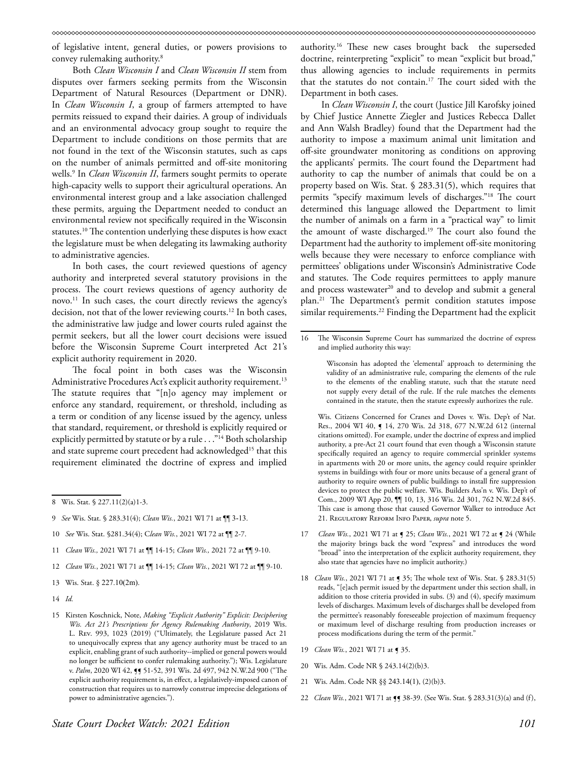of legislative intent, general duties, or powers provisions to convey rulemaking authority.8

Both *Clean Wisconsin I* and *Clean Wisconsin II* stem from disputes over farmers seeking permits from the Wisconsin Department of Natural Resources (Department or DNR). In *Clean Wisconsin I*, a group of farmers attempted to have permits reissued to expand their dairies. A group of individuals and an environmental advocacy group sought to require the Department to include conditions on those permits that are not found in the text of the Wisconsin statutes, such as caps on the number of animals permitted and off-site monitoring wells.9 In *Clean Wisconsin II*, farmers sought permits to operate high-capacity wells to support their agricultural operations. An environmental interest group and a lake association challenged these permits, arguing the Department needed to conduct an environmental review not specifically required in the Wisconsin statutes.10 The contention underlying these disputes is how exact the legislature must be when delegating its lawmaking authority to administrative agencies.

In both cases, the court reviewed questions of agency authority and interpreted several statutory provisions in the process. The court reviews questions of agency authority de novo.11 In such cases, the court directly reviews the agency's decision, not that of the lower reviewing courts.<sup>12</sup> In both cases, the administrative law judge and lower courts ruled against the permit seekers, but all the lower court decisions were issued before the Wisconsin Supreme Court interpreted Act 21's explicit authority requirement in 2020.

The focal point in both cases was the Wisconsin Administrative Procedures Act's explicit authority requirement.<sup>13</sup> The statute requires that "[n]o agency may implement or enforce any standard, requirement, or threshold, including as a term or condition of any license issued by the agency, unless that standard, requirement, or threshold is explicitly required or explicitly permitted by statute or by a rule . . . "<sup>14</sup> Both scholarship and state supreme court precedent had acknowledged<sup>15</sup> that this requirement eliminated the doctrine of express and implied

- 9 *See* Wis. Stat. § 283.31(4); *Clean Wis.*, 2021 WI 71 at ¶¶ 3-13.
- 10 *See* Wis. Stat. §281.34(4); C*lean Wis.*, 2021 WI 72 at ¶¶ 2-7.
- 11 *Clean Wis.,* 2021 WI 71 at ¶¶ 14-15; *Clean Wis.,* 2021 72 at ¶¶ 9-10.
- 12 *Clean Wis.*, 2021 WI 71 at ¶¶ 14-15; *Clean Wis.*, 2021 WI 72 at ¶¶ 9-10.
- 13 Wis. Stat. § 227.10(2m).
- 14 *Id.*

authority.16 These new cases brought back the superseded doctrine, reinterpreting "explicit" to mean "explicit but broad," thus allowing agencies to include requirements in permits that the statutes do not contain.<sup>17</sup> The court sided with the Department in both cases.

In *Clean Wisconsin I*, the court (Justice Jill Karofsky joined by Chief Justice Annette Ziegler and Justices Rebecca Dallet and Ann Walsh Bradley) found that the Department had the authority to impose a maximum animal unit limitation and off-site groundwater monitoring as conditions on approving the applicants' permits. The court found the Department had authority to cap the number of animals that could be on a property based on Wis. Stat. § 283.31(5), which requires that permits "specify maximum levels of discharges."18 The court determined this language allowed the Department to limit the number of animals on a farm in a "practical way" to limit the amount of waste discharged.19 The court also found the Department had the authority to implement off-site monitoring wells because they were necessary to enforce compliance with permittees' obligations under Wisconsin's Administrative Code and statutes. The Code requires permittees to apply manure and process wastewater<sup>20</sup> and to develop and submit a general plan.21 The Department's permit condition statutes impose similar requirements.<sup>22</sup> Finding the Department had the explicit

Wis. Citizens Concerned for Cranes and Doves v. Wis. Dep't of Nat. Res., 2004 WI 40, ¶ 14, 270 Wis. 2d 318, 677 N.W.2d 612 (internal citations omitted). For example, under the doctrine of express and implied authority, a pre-Act 21 court found that even though a Wisconsin statute specifically required an agency to require commercial sprinkler systems in apartments with 20 or more units, the agency could require sprinkler systems in buildings with four or more units because of a general grant of authority to require owners of public buildings to install fire suppression devices to protect the public welfare. Wis. Builders Ass'n v. Wis. Dep't of Com., 2009 WI App 20, ¶¶ 10, 13, 316 Wis. 2d 301, 762 N.W.2d 845. This case is among those that caused Governor Walker to introduce Act 21. Regulatory Reform Info Paper, *supra* note 5.

- 17 *Clean Wis.*, 2021 WI 71 at  $\leq$  25; *Clean Wis.*, 2021 WI 72 at  $\leq$  24 (While the majority brings back the word "express" and introduces the word "broad" into the interpretation of the explicit authority requirement, they also state that agencies have no implicit authority.)
- 18 *Clean Wis.*, 2021 WI 71 at **[** 35; The whole text of Wis. Stat. § 283.31(5) reads, "[e]ach permit issued by the department under this section shall, in addition to those criteria provided in subs. (3) and (4), specify maximum levels of discharges. Maximum levels of discharges shall be developed from the permittee's reasonably foreseeable projection of maximum frequency or maximum level of discharge resulting from production increases or process modifications during the term of the permit."
- 19 *Clean Wis.*, 2021 WI 71 at **[** 35.
- 20 Wis. Adm. Code NR § 243.14(2)(b)3.
- 21 Wis. Adm. Code NR §§ 243.14(1), (2)(b)3.
- 22 *Clean Wis.*, 2021 WI 71 at  $\P$  38-39. (See Wis. Stat. § 283.31(3)(a) and (f),

<sup>8</sup> Wis. Stat. § 227.11(2)(a)1-3.

<sup>15</sup> Kirsten Koschnick, Note, *Making "Explicit Authority" Explicit: Deciphering Wis. Act 21's Prescriptions for Agency Rulemaking Authority*, 2019 Wis. L. Rev. 993, 1023 (2019) ("Ultimately, the Legislature passed Act 21 to unequivocally express that any agency authority must be traced to an explicit, enabling grant of such authority--implied or general powers would no longer be sufficient to confer rulemaking authority."); Wis. Legislature v. Palm, 2020 WI 42, 51-52, 391 Wis. 2d 497, 942 N.W.2d 900 ("The explicit authority requirement is, in effect, a legislatively-imposed canon of construction that requires us to narrowly construe imprecise delegations of power to administrative agencies.").

<sup>16</sup> The Wisconsin Supreme Court has summarized the doctrine of express and implied authority this way:

Wisconsin has adopted the 'elemental' approach to determining the validity of an administrative rule, comparing the elements of the rule to the elements of the enabling statute, such that the statute need not supply every detail of the rule. If the rule matches the elements contained in the statute, then the statute expressly authorizes the rule.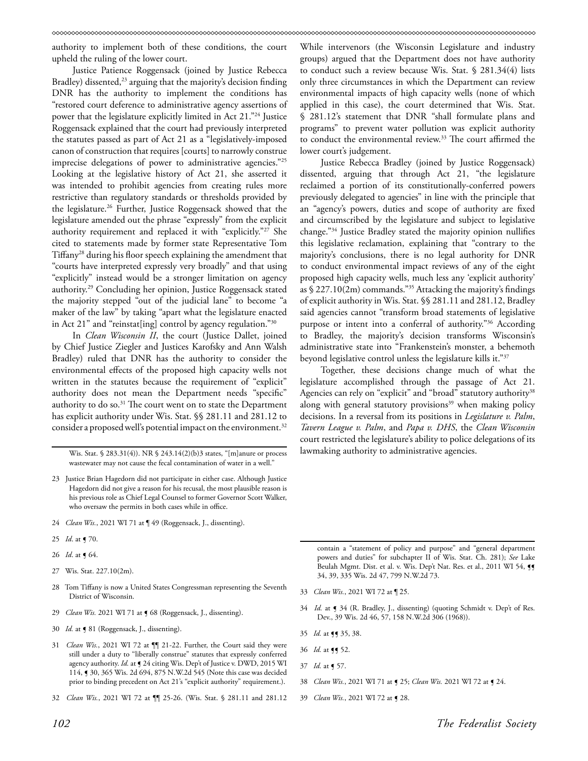authority to implement both of these conditions, the court upheld the ruling of the lower court.

Justice Patience Roggensack (joined by Justice Rebecca Bradley) dissented,<sup>23</sup> arguing that the majority's decision finding DNR has the authority to implement the conditions has "restored court deference to administrative agency assertions of power that the legislature explicitly limited in Act 21."24 Justice Roggensack explained that the court had previously interpreted the statutes passed as part of Act 21 as a "legislatively-imposed canon of construction that requires [courts] to narrowly construe imprecise delegations of power to administrative agencies."25 Looking at the legislative history of Act 21, she asserted it was intended to prohibit agencies from creating rules more restrictive than regulatory standards or thresholds provided by the legislature.26 Further, Justice Roggensack showed that the legislature amended out the phrase "expressly" from the explicit authority requirement and replaced it with "explicitly."27 She cited to statements made by former state Representative Tom Tiffany28 during his floor speech explaining the amendment that "courts have interpreted expressly very broadly" and that using "explicitly" instead would be a stronger limitation on agency authority.29 Concluding her opinion, Justice Roggensack stated the majority stepped "out of the judicial lane" to become "a maker of the law" by taking "apart what the legislature enacted in Act 21" and "reinstat[ing] control by agency regulation."30

In *Clean Wisconsin II*, the court (Justice Dallet, joined by Chief Justice Ziegler and Justices Karofsky and Ann Walsh Bradley) ruled that DNR has the authority to consider the environmental effects of the proposed high capacity wells not written in the statutes because the requirement of "explicit" authority does not mean the Department needs "specific" authority to do so.<sup>31</sup> The court went on to state the Department has explicit authority under Wis. Stat. §§ 281.11 and 281.12 to consider a proposed well's potential impact on the environment.<sup>32</sup>

Wis. Stat. § 283.31(4)). NR § 243.14(2)(b)3 states, "[m]anure or process wastewater may not cause the fecal contamination of water in a well."

- 23 Justice Brian Hagedorn did not participate in either case. Although Justice Hagedorn did not give a reason for his recusal, the most plausible reason is his previous role as Chief Legal Counsel to former Governor Scott Walker, who oversaw the permits in both cases while in office.
- 24 *Clean Wis.*, 2021 WI 71 at ¶ 49 (Roggensack, J., dissenting).
- 25 *Id*. at ¶ 70.
- 26 *Id*. at ¶ 64.
- 27 Wis. Stat. 227.10(2m).
- 28 Tom Tiffany is now a United States Congressman representing the Seventh District of Wisconsin.
- 29 *Clean Wis.* 2021 WI 71 at  $\int$  68 (Roggensack, J., dissenting).
- 30 *Id.* at  $\triangleleft$  81 (Roggensack, J., dissenting).
- 31 *Clean Wis.*, 2021 WI 72 at ¶¶ 21-22. Further, the Court said they were still under a duty to "liberally construe" statutes that expressly conferred agency authority. *Id.* at  $\P$  24 citing Wis. Dep't of Justice v. DWD, 2015 WI 114, ¶ 30, 365 Wis. 2d 694, 875 N.W.2d 545 (Note this case was decided prior to binding precedent on Act 21's "explicit authority" requirement.).
- 32 *Clean Wis.*, 2021 WI 72 at ¶¶ 25-26. (Wis. Stat. § 281.11 and 281.12

While intervenors (the Wisconsin Legislature and industry groups) argued that the Department does not have authority to conduct such a review because Wis. Stat. § 281.34(4) lists only three circumstances in which the Department can review environmental impacts of high capacity wells (none of which applied in this case), the court determined that Wis. Stat. § 281.12's statement that DNR "shall formulate plans and programs" to prevent water pollution was explicit authority to conduct the environmental review.<sup>33</sup> The court affirmed the lower court's judgement.

Justice Rebecca Bradley (joined by Justice Roggensack) dissented, arguing that through Act 21, "the legislature reclaimed a portion of its constitutionally-conferred powers previously delegated to agencies" in line with the principle that an "agency's powers, duties and scope of authority are fixed and circumscribed by the legislature and subject to legislative change."34 Justice Bradley stated the majority opinion nullifies this legislative reclamation, explaining that "contrary to the majority's conclusions, there is no legal authority for DNR to conduct environmental impact reviews of any of the eight proposed high capacity wells, much less any 'explicit authority' as § 227.10(2m) commands."35 Attacking the majority's findings of explicit authority in Wis. Stat. §§ 281.11 and 281.12, Bradley said agencies cannot "transform broad statements of legislative purpose or intent into a conferral of authority."36 According to Bradley, the majority's decision transforms Wisconsin's administrative state into "Frankenstein's monster, a behemoth beyond legislative control unless the legislature kills it."37

Together, these decisions change much of what the legislature accomplished through the passage of Act 21. Agencies can rely on "explicit" and "broad" statutory authority<sup>38</sup> along with general statutory provisions $39$  when making policy decisions. In a reversal from its positions in *Legislature v. Palm*, *Tavern League v. Palm*, and *Papa v. DHS*, the *Clean Wisconsin* court restricted the legislature's ability to police delegations of its lawmaking authority to administrative agencies.

contain a "statement of policy and purpose" and "general department powers and duties" for subchapter II of Wis. Stat. Ch. 281); *See* Lake Beulah Mgmt. Dist. et al. v. Wis. Dep't Nat. Res. et al., 2011 WI 54, 99 34, 39, 335 Wis. 2d 47, 799 N.W.2d 73.

- 33 *Clean Wis.*, 2021 WI 72 at ¶ 25.
- 34 *Id.* at ¶ 34 (R. Bradley, J., dissenting) (quoting Schmidt v. Dep't of Res. Dev., 39 Wis. 2d 46, 57, 158 N.W.2d 306 (1968)).
- 35 *Id.* at ¶¶ 35, 38.
- 36 *Id.* at **[]** 52.
- 37 *Id.* at ¶ 57.
- 38 *Clean Wis.*, 2021 WI 71 at ¶ 25; *Clean Wis.* 2021 WI 72 at ¶ 24.
- 39 *Clean Wis.*, 2021 WI 72 at **[** 28.